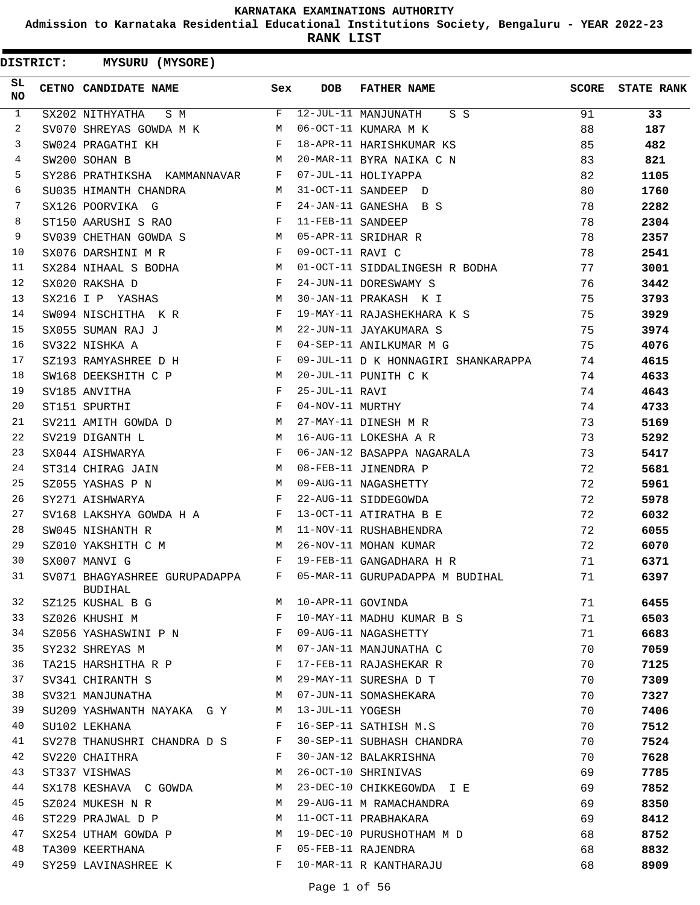**Admission to Karnataka Residential Educational Institutions Society, Bengaluru - YEAR 2022-23**

|                  | <b>DISTRICT:</b> | MYSURU (MYSORE)                                 |              |                   |                                     |       |                   |
|------------------|------------------|-------------------------------------------------|--------------|-------------------|-------------------------------------|-------|-------------------|
| SL.<br><b>NO</b> |                  | CETNO CANDIDATE NAME                            | Sex          | <b>DOB</b>        | <b>FATHER NAME</b>                  | SCORE | <b>STATE RANK</b> |
| $\mathbf{1}$     |                  | SX202 NITHYATHA<br>S M                          | F            |                   | 12-JUL-11 MANJUNATH<br>S S          | 91    | 33                |
| 2                |                  | SV070 SHREYAS GOWDA M K                         | M            |                   | 06-OCT-11 KUMARA M K                | 88    | 187               |
| 3                |                  | SW024 PRAGATHI KH                               | F            |                   | 18-APR-11 HARISHKUMAR KS            | 85    | 482               |
| 4                |                  | SW200 SOHAN B                                   | M            |                   | 20-MAR-11 BYRA NAIKA C N            | 83    | 821               |
| 5                |                  | SY286 PRATHIKSHA KAMMANNAVAR                    | F            |                   | 07-JUL-11 HOLIYAPPA                 | 82    | 1105              |
| 6                |                  | SU035 HIMANTH CHANDRA                           | М            |                   | 31-OCT-11 SANDEEP D                 | 80    | 1760              |
| 7                |                  | SX126 POORVIKA G                                | F            |                   | 24-JAN-11 GANESHA B S               | 78    | 2282              |
| 8                |                  | ST150 AARUSHI S RAO                             | F            | 11-FEB-11 SANDEEP |                                     | 78    | 2304              |
| 9                |                  | SV039 CHETHAN GOWDA S                           | M            |                   | 05-APR-11 SRIDHAR R                 | 78    | 2357              |
| 10               |                  | SX076 DARSHINI M R                              | F            | 09-OCT-11 RAVI C  |                                     | 78    | 2541              |
| 11               |                  | SX284 NIHAAL S BODHA                            | М            |                   | 01-OCT-11 SIDDALINGESH R BODHA      | 77    | 3001              |
| 12               |                  | SX020 RAKSHA D                                  | F            |                   | 24-JUN-11 DORESWAMY S               | 76    | 3442              |
| 13               |                  | SX216 I P YASHAS                                | М            |                   | 30-JAN-11 PRAKASH K I               | 75    | 3793              |
| 14               |                  | SW094 NISCHITHA K R                             | F            |                   | 19-MAY-11 RAJASHEKHARA K S          | 75    | 3929              |
| 15               |                  | SX055 SUMAN RAJ J                               | М            |                   | 22-JUN-11 JAYAKUMARA S              | 75    | 3974              |
| 16               |                  | SV322 NISHKA A                                  | $\mathbf{F}$ |                   | 04-SEP-11 ANILKUMAR M G             | 75    | 4076              |
| 17               |                  | SZ193 RAMYASHREE D H                            | F            |                   | 09-JUL-11 D K HONNAGIRI SHANKARAPPA | 74    | 4615              |
| 18               |                  | SW168 DEEKSHITH C P                             | М            |                   | 20-JUL-11 PUNITH C K                | 74    | 4633              |
| 19               |                  | SV185 ANVITHA                                   | $_{\rm F}$   | 25-JUL-11 RAVI    |                                     | 74    | 4643              |
| 20               |                  | ST151 SPURTHI                                   | $_{\rm F}$   | 04-NOV-11 MURTHY  |                                     | 74    | 4733              |
| 21               |                  | SV211 AMITH GOWDA D                             | M            |                   | 27-MAY-11 DINESH M R                | 73    | 5169              |
| 22               |                  | SV219 DIGANTH L                                 | М            |                   | 16-AUG-11 LOKESHA A R               | 73    | 5292              |
| 23               |                  | SX044 AISHWARYA                                 | $\mathbf{F}$ |                   | 06-JAN-12 BASAPPA NAGARALA          | 73    | 5417              |
| 24               |                  | ST314 CHIRAG JAIN                               | M            |                   | 08-FEB-11 JINENDRA P                | 72    | 5681              |
| 25               |                  | SZ055 YASHAS P N                                | M            |                   | 09-AUG-11 NAGASHETTY                | 72    | 5961              |
| 26               |                  | SY271 AISHWARYA                                 | F            |                   | 22-AUG-11 SIDDEGOWDA                | 72    | 5978              |
| 27               |                  | SV168 LAKSHYA GOWDA H A                         | $\mathbf{F}$ |                   | 13-OCT-11 ATIRATHA B E              | 72    | 6032              |
| 28               |                  | SW045 NISHANTH R                                | м            |                   | 11-NOV-11 RUSHABHENDRA              | 72    | 6055              |
| 29               |                  | SZ010 YAKSHITH C M                              | М            |                   | 26-NOV-11 MOHAN KUMAR               | 72    | 6070              |
| 30               |                  | SX007 MANVI G                                   | F            |                   | 19-FEB-11 GANGADHARA H R            | 71    | 6371              |
| 31               |                  | SV071 BHAGYASHREE GURUPADAPPA<br><b>BUDIHAL</b> | F            |                   | 05-MAR-11 GURUPADAPPA M BUDIHAL     | 71    | 6397              |
| 32               |                  | SZ125 KUSHAL B G                                | M            | 10-APR-11 GOVINDA |                                     | 71    | 6455              |
| 33               |                  | SZ026 KHUSHI M                                  | F            |                   | 10-MAY-11 MADHU KUMAR B S           | 71    | 6503              |
| 34               |                  | SZ056 YASHASWINI P N                            | F            |                   | 09-AUG-11 NAGASHETTY                | 71    | 6683              |
| 35               |                  | SY232 SHREYAS M                                 | M            |                   | 07-JAN-11 MANJUNATHA C              | 70    | 7059              |
| 36               |                  | TA215 HARSHITHA R P                             | F            |                   | 17-FEB-11 RAJASHEKAR R              | 70    | 7125              |
| 37               |                  | SV341 CHIRANTH S                                | M            |                   | 29-MAY-11 SURESHA D T               | 70    | 7309              |
| 38               |                  | SV321 MANJUNATHA                                | M            |                   | 07-JUN-11 SOMASHEKARA               | 70    | 7327              |
| 39               |                  | SU209 YASHWANTH NAYAKA G Y                      | М            | 13-JUL-11 YOGESH  |                                     | 70    | 7406              |
| 40               |                  | SU102 LEKHANA                                   | F            |                   | 16-SEP-11 SATHISH M.S               | 70    | 7512              |
| 41               |                  | SV278 THANUSHRI CHANDRA D S                     | F            |                   | 30-SEP-11 SUBHASH CHANDRA           | 70    | 7524              |
| 42               |                  | SV220 CHAITHRA                                  | F            |                   | 30-JAN-12 BALAKRISHNA               | 70    | 7628              |
| 43               |                  | ST337 VISHWAS                                   | М            |                   | 26-OCT-10 SHRINIVAS                 | 69    | 7785              |
| 44               |                  | SX178 KESHAVA C GOWDA                           | М            |                   | 23-DEC-10 CHIKKEGOWDA I E           | 69    | 7852              |
| 45               |                  | SZ024 MUKESH N R                                | М            |                   | 29-AUG-11 M RAMACHANDRA             | 69    | 8350              |
| 46               |                  | ST229 PRAJWAL D P                               | M            |                   | 11-OCT-11 PRABHAKARA                | 69    | 8412              |
| 47               |                  | SX254 UTHAM GOWDA P                             | M            |                   | 19-DEC-10 PURUSHOTHAM M D           | 68    | 8752              |
| 48               |                  | TA309 KEERTHANA                                 | F            |                   | 05-FEB-11 RAJENDRA                  | 68    | 8832              |
| 49               |                  | SY259 LAVINASHREE K                             | F            |                   | 10-MAR-11 R KANTHARAJU              | 68    | 8909              |
|                  |                  |                                                 |              |                   |                                     |       |                   |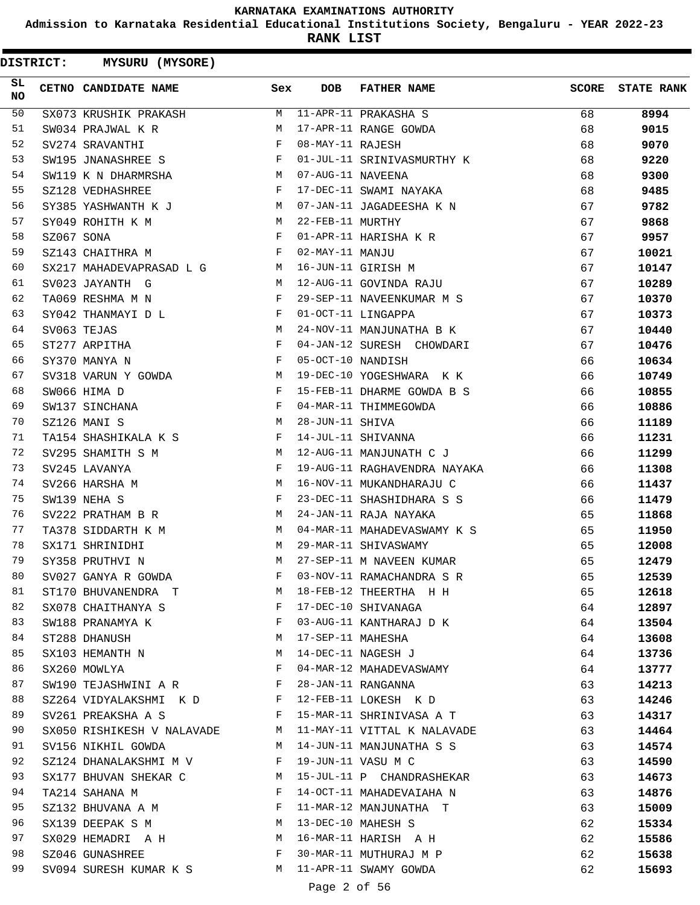**Admission to Karnataka Residential Educational Institutions Society, Bengaluru - YEAR 2022-23**

| <b>DISTRICT:</b> |            | MYSURU (MYSORE)                                                           |              |                   |                              |       |                   |
|------------------|------------|---------------------------------------------------------------------------|--------------|-------------------|------------------------------|-------|-------------------|
| SL.<br>NO.       |            | CETNO CANDIDATE NAME                                                      | Sex          | <b>DOB</b>        | <b>FATHER NAME</b>           | SCORE | <b>STATE RANK</b> |
| 50               |            | SX073 KRUSHIK PRAKASH                                                     | M            |                   | 11-APR-11 PRAKASHA S         | 68    | 8994              |
| 51               |            | SW034 PRAJWAL K R                                                         | M            |                   | 17-APR-11 RANGE GOWDA        | 68    | 9015              |
| 52               |            | SV274 SRAVANTHI                                                           | F            | 08-MAY-11 RAJESH  |                              | 68    | 9070              |
| 53               |            | SW195 JNANASHREE S                                                        | F            |                   | 01-JUL-11 SRINIVASMURTHY K   | 68    | 9220              |
| 54               |            | SW119 K N DHARMRSHA                                                       | M            | 07-AUG-11 NAVEENA |                              | 68    | 9300              |
| 55               |            | SZ128 VEDHASHREE                                                          | F            |                   | 17-DEC-11 SWAMI NAYAKA       | 68    | 9485              |
| 56               |            | SY385 YASHWANTH K J                                                       | M            |                   | 07-JAN-11 JAGADEESHA K N     | 67    | 9782              |
| 57               |            | SY049 ROHITH K M                                                          | М            | 22-FEB-11 MURTHY  |                              | 67    | 9868              |
| 58               | SZ067 SONA |                                                                           | F            |                   | 01-APR-11 HARISHA K R        | 67    | 9957              |
| 59               |            | SZ143 CHAITHRA M                                                          | F            | 02-MAY-11 MANJU   |                              | 67    | 10021             |
| 60               |            | SX217 MAHADEVAPRASAD L G                                                  | М            |                   | 16-JUN-11 GIRISH M           | 67    | 10147             |
| 61               |            | SV023 JAYANTH G                                                           | M            |                   | 12-AUG-11 GOVINDA RAJU       | 67    | 10289             |
| 62               |            | TA069 RESHMA M N                                                          | F            |                   | 29-SEP-11 NAVEENKUMAR M S    | 67    | 10370             |
| 63               |            | SY042 THANMAYI D L                                                        | F            |                   | 01-OCT-11 LINGAPPA           | 67    | 10373             |
| 64               |            | SV063 TEJAS                                                               | M            |                   | 24-NOV-11 MANJUNATHA B K     | 67    | 10440             |
| 65               |            | ST277 ARPITHA                                                             | F            |                   | 04-JAN-12 SURESH CHOWDARI    | 67    | 10476             |
| 66               |            | SY370 MANYA N                                                             | F            | 05-OCT-10 NANDISH |                              | 66    | 10634             |
| 67               |            | SV318 VARUN Y GOWDA                                                       | М            |                   | 19-DEC-10 YOGESHWARA K K     | 66    | 10749             |
| 68               |            | SW066 HIMA D                                                              | F            |                   | 15-FEB-11 DHARME GOWDA B S   | 66    | 10855             |
| 69               |            | SW137 SINCHANA                                                            | F            |                   | 04-MAR-11 THIMMEGOWDA        | 66    | 10886             |
| 70               |            | SZ126 MANI S                                                              | M            | 28-JUN-11 SHIVA   |                              | 66    | 11189             |
| 71               |            | TA154 SHASHIKALA K S                                                      | F            |                   | 14-JUL-11 SHIVANNA           | 66    | 11231             |
| 72               |            | SV295 SHAMITH S M                                                         | M            |                   | 12-AUG-11 MANJUNATH C J      | 66    | 11299             |
| 73               |            | SV245 LAVANYA                                                             | F            |                   | 19-AUG-11 RAGHAVENDRA NAYAKA | 66    | 11308             |
| 74               |            | SV266 HARSHA M                                                            | М            |                   | 16-NOV-11 MUKANDHARAJU C     | 66    | 11437             |
| 75               |            | SW139 NEHA S                                                              | F            |                   | 23-DEC-11 SHASHIDHARA S S    | 66    | 11479             |
| 76               |            | SV222 PRATHAM B R                                                         | M            |                   | 24-JAN-11 RAJA NAYAKA        | 65    | 11868             |
| 77               |            | TA378 SIDDARTH K M                                                        | M            |                   | 04-MAR-11 MAHADEVASWAMY K S  | 65    | 11950             |
| 78               |            | SX171 SHRINIDHI                                                           | M            |                   | 29-MAR-11 SHIVASWAMY         | 65    | 12008             |
| 79               |            | SY358 PRUTHVI N                                                           | M            |                   | 27-SEP-11 M NAVEEN KUMAR     | 65    | 12479             |
| 80               |            | SV027 GANYA R GOWDA                                                       | F            |                   | 03-NOV-11 RAMACHANDRA S R    | 65    | 12539             |
| 81               |            | ST170 BHUVANENDRA T                                                       | M            |                   | 18-FEB-12 THEERTHA H H       | 65    | 12618             |
| 82               |            | SX078 CHAITHANYA S                                                        | F            |                   | 17-DEC-10 SHIVANAGA          | 64    | 12897             |
| 83               |            | SW188 PRANAMYA K                                                          | F            |                   | 03-AUG-11 KANTHARAJ D K      | 64    | 13504             |
| 84               |            | ST288 DHANUSH                                                             | М            | 17-SEP-11 MAHESHA |                              | 64    | 13608             |
| 85               |            | SX103 HEMANTH N                                                           | М            |                   | 14-DEC-11 NAGESH J           | 64    | 13736             |
| 86               |            | SX260 MOWLYA                                                              | F            |                   | 04-MAR-12 MAHADEVASWAMY      | 64    | 13777             |
| 87               |            | SW190 TEJASHWINI A R                                                      | $\mathbf{F}$ |                   | 28-JAN-11 RANGANNA           | 63    | 14213             |
| 88               |            | SZ264 VIDYALAKSHMI K D F                                                  |              |                   | 12-FEB-11 LOKESH K D         | 63    | 14246             |
| 89               |            | SV261 PREAKSHA A S<br>$\mathbf{F}$ and the set of the set of $\mathbf{F}$ |              |                   | 15-MAR-11 SHRINIVASA A T     | 63    | 14317             |
| 90               |            | SX050 RISHIKESH V NALAVADE M                                              |              |                   | 11-MAY-11 VITTAL K NALAVADE  | 63    | 14464             |
| 91               |            | SV156 NIKHIL GOWDA                                                        | M            |                   | 14-JUN-11 MANJUNATHA S S     | 63    | 14574             |
| 92               |            | SZ124 DHANALAKSHMI M V                                                    | F            |                   | 19-JUN-11 VASU M C           | 63    | 14590             |
| 93               |            | SX177 BHUVAN SHEKAR C                                                     | М            |                   | 15-JUL-11 P CHANDRASHEKAR    | 63    | 14673             |
| 94               |            | TA214 SAHANA M                                                            | F            |                   | 14-OCT-11 MAHADEVAIAHA N     | 63    | 14876             |
| 95               |            | SZ132 BHUVANA A M                                                         | F            |                   | 11-MAR-12 MANJUNATHA T       | 63    | 15009             |
| 96               |            | SX139 DEEPAK S M                                                          | M            |                   | 13-DEC-10 MAHESH S           | 62    | 15334             |
| 97               |            | SX029 HEMADRI A H                                                         | M            |                   | 16-MAR-11 HARISH A H         | 62    | 15586             |
| 98               |            | SZ046 GUNASHREE                                                           | $\mathbf{F}$ |                   | 30-MAR-11 MUTHURAJ M P       | 62    | 15638             |
| 99               |            | SV094 SURESH KUMAR K S                                                    |              |                   | M 11-APR-11 SWAMY GOWDA      | 62    | 15693             |
|                  |            |                                                                           |              |                   |                              |       |                   |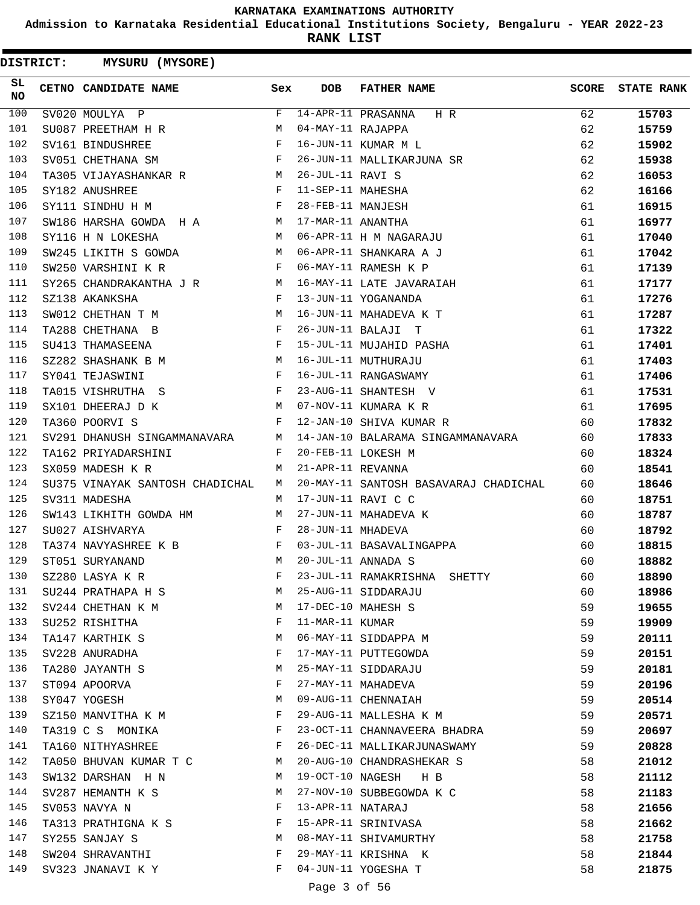**Admission to Karnataka Residential Educational Institutions Society, Bengaluru - YEAR 2022-23**

**RANK LIST**

| SL<br><b>NO</b> | CETNO CANDIDATE NAME                                                      | Sex          | <b>DOB</b>        | <b>FATHER NAME</b>                    | <b>SCORE</b> | <b>STATE RANK</b> |
|-----------------|---------------------------------------------------------------------------|--------------|-------------------|---------------------------------------|--------------|-------------------|
| 100             | SV020 MOULYA P                                                            | F            |                   | 14-APR-11 PRASANNA<br>H R             | 62           | 15703             |
| 101             | SU087 PREETHAM H R                                                        | M            | 04-MAY-11 RAJAPPA |                                       | 62           | 15759             |
| 102             | SV161 BINDUSHREE                                                          | F            |                   | 16-JUN-11 KUMAR M L                   | 62           | 15902             |
| 103             | $\mathbf{F}$ and the state of the state $\mathbf{F}$<br>SV051 CHETHANA SM |              |                   | 26-JUN-11 MALLIKARJUNA SR             | 62           | 15938             |
| 104             | TA305 VIJAYASHANKAR R M                                                   |              | 26-JUL-11 RAVI S  |                                       | 62           | 16053             |
| 105             | $\mathbf{F}$<br>SY182 ANUSHREE                                            |              | 11-SEP-11 MAHESHA |                                       | 62           | 16166             |
| 106             | $\mathbf{F}$<br>SY111 SINDHU H M                                          |              | 28-FEB-11 MANJESH |                                       | 61           | 16915             |
| 107             | SW186 HARSHA GOWDA H A M                                                  |              | 17-MAR-11 ANANTHA |                                       | 61           | 16977             |
| 108             | SY116 H N LOKESHA<br><b>Solution</b> M                                    |              |                   | 06-APR-11 H M NAGARAJU                | 61           | 17040             |
| 109             | M <sub>1</sub><br>SW245 LIKITH S GOWDA                                    |              |                   | 06-APR-11 SHANKARA A J                | 61           | 17042             |
| 110             | $\mathbf{F}$ . The set of $\mathbf{F}$<br>SW250 VARSHINI K R              |              |                   | 06-MAY-11 RAMESH K P                  | 61           | 17139             |
| 111             | SY265 CHANDRAKANTHA J R M                                                 |              |                   | 16-MAY-11 LATE JAVARAIAH              | 61           | 17177             |
| 112             | <b>Example 2</b> F<br>SZ138 AKANKSHA                                      |              |                   | 13-JUN-11 YOGANANDA                   | 61           | 17276             |
| 113             | M<br>SW012 CHETHAN T M                                                    |              |                   | 16-JUN-11 MAHADEVA K T                | 61           | 17287             |
| 114             | TA288 CHETHANA B                                                          | F            |                   | 26-JUN-11 BALAJI T                    | 61           | 17322             |
| 115             | $\mathbf{F}$ and $\mathbf{F}$ and $\mathbf{F}$<br>SU413 THAMASEENA        |              |                   | 15-JUL-11 MUJAHID PASHA               | 61           | 17401             |
| 116             | SZ282 SHASHANK B M<br><b>N</b>                                            |              |                   | 16-JUL-11 MUTHURAJU                   | 61           | 17403             |
| 117             | SY041 TEJASWINI                                                           | F            |                   | 16-JUL-11 RANGASWAMY                  | 61           | 17406             |
| 118             | TA015 VISHRUTHA S                                                         | $\mathbf{F}$ |                   | 23-AUG-11 SHANTESH V                  | 61           | 17531             |
| 119             | SX101 DHEERAJ D K<br>M <sub>N</sub>                                       |              |                   | 07-NOV-11 KUMARA K R                  | 61           | 17695             |
| 120             | TA360 POORVI S<br>and the state of the state of the Party                 |              |                   | 12-JAN-10 SHIVA KUMAR R               | 60           | 17832             |
| 121             | SV291 DHANUSH SINGAMMANAVARA M                                            |              |                   | 14-JAN-10 BALARAMA SINGAMMANAVARA     | 60           | 17833             |
| 122             | TA162 PRIYADARSHINI                                                       | F            |                   | 20-FEB-11 LOKESH M                    | 60           | 18324             |
| 123             | SX059 MADESH K R                                                          | M            | 21-APR-11 REVANNA |                                       | 60           | 18541             |
| 124             | SU375 VINAYAK SANTOSH CHADICHAL                                           | M            |                   | 20-MAY-11 SANTOSH BASAVARAJ CHADICHAL | 60           | 18646             |
| 125             | SV311 MADESHA                                                             | M            |                   | 17-JUN-11 RAVI C C                    | 60           | 18751             |
| 126             | SW143 LIKHITH GOWDA HM                                                    | M            |                   | 27-JUN-11 MAHADEVA K                  | 60           | 18787             |
| 127             | SU027 AISHVARYA                                                           | $\mathbf{F}$ | 28-JUN-11 MHADEVA |                                       | 60           | 18792             |
| 128             | TA374 NAVYASHREE K B F                                                    |              |                   | 03-JUL-11 BASAVALINGAPPA              | 60           | 18815             |
| 129             | <b>M</b><br>ST051 SURYANAND                                               |              |                   | 20-JUL-11 ANNADA S                    | 60           | 18882             |
| 130             | SZ280 LASYA K R                                                           | $\mathbf F$  |                   | 23-JUL-11 RAMAKRISHNA SHETTY          | 60           | 18890             |
| 131             | SU244 PRATHAPA H S                                                        | M            |                   | 25-AUG-11 SIDDARAJU                   | 60           | 18986             |
| 132             | SV244 CHETHAN K M                                                         | М            |                   | 17-DEC-10 MAHESH S                    | 59           | 19655             |
| 133             | SU252 RISHITHA                                                            | F            | 11-MAR-11 KUMAR   |                                       | 59           | 19909             |
| 134             | TA147 KARTHIK S                                                           | M            |                   | 06-MAY-11 SIDDAPPA M                  | 59           | 20111             |
| 135             | SV228 ANURADHA                                                            | F            |                   | 17-MAY-11 PUTTEGOWDA                  | 59           | 20151             |
| 136             | TA280 JAYANTH S                                                           | М            |                   | 25-MAY-11 SIDDARAJU                   | 59           | 20181             |
| 137             | ST094 APOORVA                                                             | F            |                   | 27-MAY-11 MAHADEVA                    | 59           | 20196             |
| 138             | SY047 YOGESH                                                              | М            |                   | 09-AUG-11 CHENNAIAH                   | 59           | 20514             |
| 139             | SZ150 MANVITHA K M                                                        | F            |                   | 29-AUG-11 MALLESHA K M                | 59           | 20571             |
| 140             | TA319 C S MONIKA                                                          | F            |                   | 23-OCT-11 CHANNAVEERA BHADRA          | 59           | 20697             |
| 141             | TA160 NITHYASHREE                                                         | F            |                   | 26-DEC-11 MALLIKARJUNASWAMY           | 59           | 20828             |
| 142             | TA050 BHUVAN KUMAR T C                                                    | M            |                   | 20-AUG-10 CHANDRASHEKAR S             | 58           | 21012             |
| 143             | SW132 DARSHAN H N                                                         | M            |                   | 19-OCT-10 NAGESH H B                  | 58           | 21112             |
| 144             | SV287 HEMANTH K S                                                         | М            |                   | 27-NOV-10 SUBBEGOWDA K C              | 58           | 21183             |
| 145             | SV053 NAVYA N                                                             | F            | 13-APR-11 NATARAJ |                                       | 58           | 21656             |
| 146             | TA313 PRATHIGNA K S                                                       | F            |                   | 15-APR-11 SRINIVASA                   | 58           | 21662             |
| 147             | SY255 SANJAY S                                                            | M            |                   | 08-MAY-11 SHIVAMURTHY                 | 58           | 21758             |
| 148             | SW204 SHRAVANTHI                                                          | F            |                   | 29-MAY-11 KRISHNA K                   | 58           | 21844             |
| 149             | SV323 JNANAVI K Y                                                         | F            |                   | 04-JUN-11 YOGESHA T                   | 58           | 21875             |
|                 |                                                                           |              |                   |                                       |              |                   |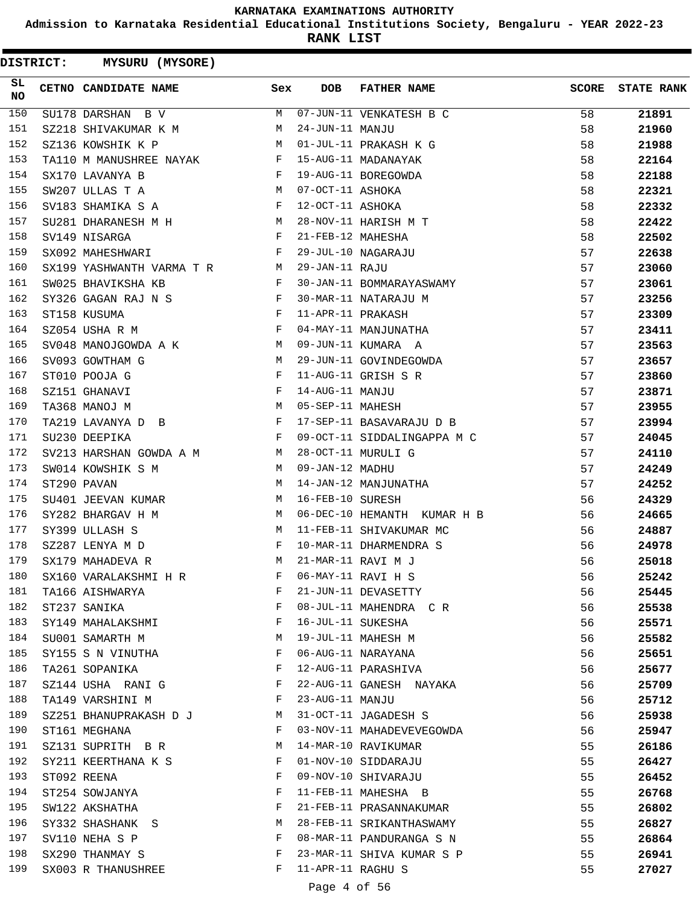**Admission to Karnataka Residential Educational Institutions Society, Bengaluru - YEAR 2022-23**

**RANK LIST**

| <b>DISTRICT:</b> | MYSURU (MYSORE)           |     |                   |                             |              |                   |
|------------------|---------------------------|-----|-------------------|-----------------------------|--------------|-------------------|
| SL<br><b>NO</b>  | CETNO CANDIDATE NAME      | Sex | <b>DOB</b>        | <b>FATHER NAME</b>          | <b>SCORE</b> | <b>STATE RANK</b> |
| 150              | SU178 DARSHAN B V         | M   |                   | 07-JUN-11 VENKATESH B C     | 58           | 21891             |
| 151              | SZ218 SHIVAKUMAR K M      | М   | 24-JUN-11 MANJU   |                             | 58           | 21960             |
| 152              | SZ136 KOWSHIK K P         | М   |                   | 01-JUL-11 PRAKASH K G       | 58           | 21988             |
| 153              | TA110 M MANUSHREE NAYAK   | F   |                   | 15-AUG-11 MADANAYAK         | 58           | 22164             |
| 154              | SX170 LAVANYA B           | F   |                   | 19-AUG-11 BOREGOWDA         | 58           | 22188             |
| 155              | SW207 ULLAS T A           | M   | 07-OCT-11 ASHOKA  |                             | 58           | 22321             |
| 156              | SV183 SHAMIKA S A         | F   | 12-OCT-11 ASHOKA  |                             | 58           | 22332             |
| 157              | SU281 DHARANESH M H       | M   |                   | 28-NOV-11 HARISH M T        | 58           | 22422             |
| 158              | SV149 NISARGA             | F   | 21-FEB-12 MAHESHA |                             | 58           | 22502             |
| 159              | SX092 MAHESHWARI          | F   |                   | 29-JUL-10 NAGARAJU          | 57           | 22638             |
| 160              | SX199 YASHWANTH VARMA T R | M   | 29-JAN-11 RAJU    |                             | 57           | 23060             |
| 161              | SW025 BHAVIKSHA KB        | F   |                   | 30-JAN-11 BOMMARAYASWAMY    | 57           | 23061             |
| 162              | SY326 GAGAN RAJ N S       | F   |                   | 30-MAR-11 NATARAJU M        | 57           | 23256             |
| 163              | ST158 KUSUMA              | F   | 11-APR-11 PRAKASH |                             | 57           | 23309             |
| 164              | SZ054 USHA R M            | F   |                   | 04-MAY-11 MANJUNATHA        | 57           | 23411             |
| 165              | SV048 MANOJGOWDA A K      | М   |                   | 09-JUN-11 KUMARA A          | 57           | 23563             |
| 166              | SV093 GOWTHAM G           | М   |                   | 29-JUN-11 GOVINDEGOWDA      | 57           | 23657             |
| 167              | ST010 POOJA G             | F   |                   | 11-AUG-11 GRISH S R         | 57           | 23860             |
| 168              | SZ151 GHANAVI             | F   | 14-AUG-11 MANJU   |                             | 57           | 23871             |
| 169              | TA368 MANOJ M             | М   | 05-SEP-11 MAHESH  |                             | 57           | 23955             |
| 170              | TA219 LAVANYA D B         | F   |                   | 17-SEP-11 BASAVARAJU D B    | 57           | 23994             |
| 171              | SU230 DEEPIKA             | F   |                   | 09-OCT-11 SIDDALINGAPPA M C | 57           | 24045             |
| 172              | SV213 HARSHAN GOWDA A M   | M   |                   | 28-OCT-11 MURULI G          | 57           | 24110             |
| 173              | SW014 KOWSHIK S M         | M   | 09-JAN-12 MADHU   |                             | 57           | 24249             |
| 174              | ST290 PAVAN               | М   |                   | 14-JAN-12 MANJUNATHA        | 57           | 24252             |
| 175              | SU401 JEEVAN KUMAR        | M   | 16-FEB-10 SURESH  |                             | 56           | 24329             |
| 176              | SY282 BHARGAV H M         | М   |                   | 06-DEC-10 HEMANTH KUMAR H B | 56           | 24665             |
| 177              | SY399 ULLASH S            | М   |                   | 11-FEB-11 SHIVAKUMAR MC     | 56           | 24887             |
| 178              | SZ287 LENYA M D           | F   |                   | 10-MAR-11 DHARMENDRA S      | 56           | 24978             |
| 179              | SX179 MAHADEVA R          | M   |                   | 21-MAR-11 RAVI M J          | 56           | 25018             |
| 180              | SX160 VARALAKSHMI H R     | F   |                   | 06-MAY-11 RAVI H S          | 56           | 25242             |
| 181              | TA166 AISHWARYA           | F   |                   | 21-JUN-11 DEVASETTY         | 56           | 25445             |
| 182              | ST237 SANIKA              | F   |                   | 08-JUL-11 MAHENDRA CR       | 56           | 25538             |
| 183              | SY149 MAHALAKSHMI         | F   | 16-JUL-11 SUKESHA |                             | 56           | 25571             |
| 184              | SU001 SAMARTH M           | М   |                   | 19-JUL-11 MAHESH M          | 56           | 25582             |
| 185              | SY155 S N VINUTHA         | F   |                   | 06-AUG-11 NARAYANA          | 56           | 25651             |
| 186              | TA261 SOPANIKA            | F   |                   | 12-AUG-11 PARASHIVA         | 56           | 25677             |
| 187              | SZ144 USHA RANI G         | F   |                   | 22-AUG-11 GANESH NAYAKA     | 56           | 25709             |
| 188              | TA149 VARSHINI M          | F   | 23-AUG-11 MANJU   |                             | 56           | 25712             |
| 189              | SZ251 BHANUPRAKASH D J    | M   |                   | 31-OCT-11 JAGADESH S        | 56           | 25938             |
| 190              | ST161 MEGHANA             | F   |                   | 03-NOV-11 MAHADEVEVEGOWDA   | 56           | 25947             |
| 191              | SZ131 SUPRITH B R         | М   |                   | 14-MAR-10 RAVIKUMAR         | 55           | 26186             |
| 192              | SY211 KEERTHANA K S       | F   |                   | 01-NOV-10 SIDDARAJU         | 55           | 26427             |
| 193              | ST092 REENA               | F   |                   | 09-NOV-10 SHIVARAJU         | 55           | 26452             |
| 194              | ST254 SOWJANYA            | F   |                   | 11-FEB-11 MAHESHA B         | 55           | 26768             |
| 195              | SW122 AKSHATHA            | F   |                   | 21-FEB-11 PRASANNAKUMAR     | 55           | 26802             |
| 196              | SY332 SHASHANK S          | М   |                   | 28-FEB-11 SRIKANTHASWAMY    | 55           |                   |
| 197              | SV110 NEHA S P            | F   |                   | 08-MAR-11 PANDURANGA S N    | 55           | 26827             |
| 198              | SX290 THANMAY S           | F   |                   | 23-MAR-11 SHIVA KUMAR S P   | 55           | 26864             |
| 199              |                           | F   |                   |                             |              | 26941             |
|                  | SX003 R THANUSHREE        |     | 11-APR-11 RAGHU S |                             | 55           | 27027             |

#### Page 4 of 56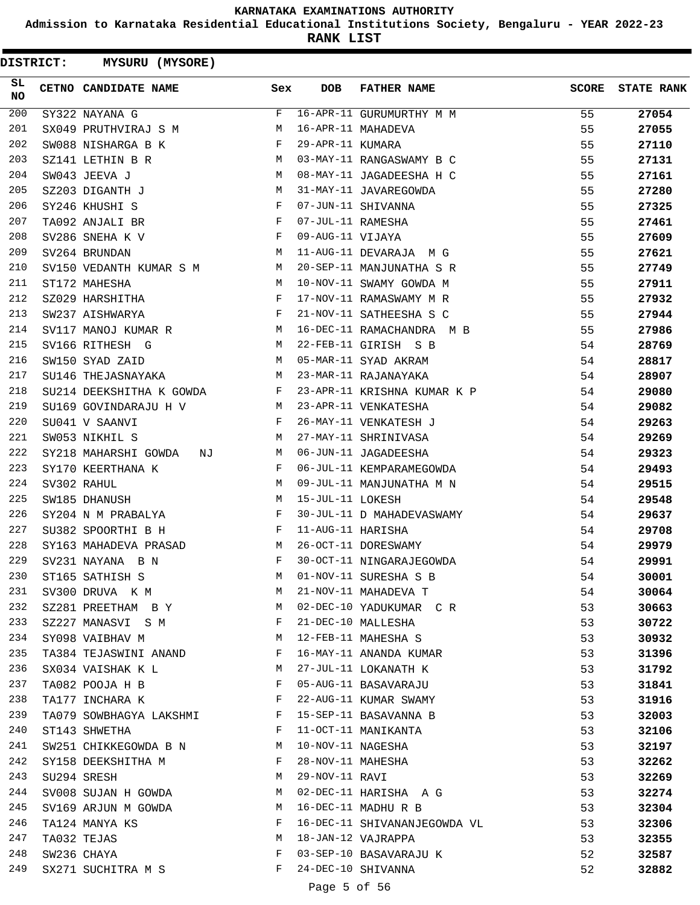**Admission to Karnataka Residential Educational Institutions Society, Bengaluru - YEAR 2022-23**

**RANK LIST**

**DISTRICT:** NN **MYSURU (MYSORE)**

| SL<br><b>NO</b> | CETNO CANDIDATE NAME                             | Sex          | DOB               | <b>FATHER NAME</b>           | <b>SCORE</b> | <b>STATE RANK</b> |
|-----------------|--------------------------------------------------|--------------|-------------------|------------------------------|--------------|-------------------|
| 200             | SY322 NAYANA G                                   | F            |                   | 16-APR-11 GURUMURTHY M M     | 55           | 27054             |
| 201             | SX049 PRUTHVIRAJ S M                             | М            |                   | 16-APR-11 MAHADEVA           | 55           | 27055             |
| 202             | SW088 NISHARGA B K                               | F            | 29-APR-11 KUMARA  |                              | 55           | 27110             |
| 203             | SZ141 LETHIN B R                                 | M            |                   | 03-MAY-11 RANGASWAMY B C     | 55           | 27131             |
| 204             | SW043 JEEVA J                                    | M            |                   | 08-MAY-11 JAGADEESHA H C     | 55           | 27161             |
| 205             | SZ203 DIGANTH J                                  | M            |                   | 31-MAY-11 JAVAREGOWDA        | 55           | 27280             |
| 206             | SY246 KHUSHI S                                   | F            |                   | 07-JUN-11 SHIVANNA           | 55           | 27325             |
| 207             | TA092 ANJALI BR                                  | $_{\rm F}$   | 07-JUL-11 RAMESHA |                              | 55           | 27461             |
| 208             | $\mathbf{F}$ and $\mathbf{F}$<br>SV286 SNEHA K V |              | 09-AUG-11 VIJAYA  |                              | 55           | 27609             |
| 209             | SV264 BRUNDAN<br>$\mathbb{M}$                    |              |                   | 11-AUG-11 DEVARAJA M G       | 55           | 27621             |
| 210             | SV150 VEDANTH KUMAR S M M                        |              |                   | 20-SEP-11 MANJUNATHA S R     | 55           | 27749             |
| 211             | ST172 MAHESHA<br>M <sub>1</sub>                  |              |                   | 10-NOV-11 SWAMY GOWDA M      | 55           | 27911             |
| 212             | $\mathbf{F}$ and $\mathbf{F}$<br>SZ029 HARSHITHA |              |                   | 17-NOV-11 RAMASWAMY M R      | 55           | 27932             |
| 213             | $\mathbf{F}$ and $\mathbf{F}$<br>SW237 AISHWARYA |              |                   | 21-NOV-11 SATHEESHA S C      | 55           | 27944             |
| 214             | SV117 MANOJ KUMAR R                              | M            |                   | 16-DEC-11 RAMACHANDRA M B    | 55           | 27986             |
| 215             | SV166 RITHESH G                                  | M            |                   | 22-FEB-11 GIRISH S B         | 54           | 28769             |
| 216             | SW150 SYAD ZAID                                  | M            |                   | 05-MAR-11 SYAD AKRAM         | 54           | 28817             |
| 217             | SU146 THEJASNAYAKA                               | M            |                   | 23-MAR-11 RAJANAYAKA         | 54           | 28907             |
| 218             | SU214 DEEKSHITHA K GOWDA                         | $\mathbf{F}$ |                   | 23-APR-11 KRISHNA KUMAR K P  | 54           | 29080             |
| 219             | SU169 GOVINDARAJU H V                            | M            |                   | 23-APR-11 VENKATESHA         | 54           | 29082             |
| 220             | SU041 V SAANVI                                   | F            |                   | 26-MAY-11 VENKATESH J        | 54           | 29263             |
| 221             | SW053 NIKHIL S                                   | М            |                   | 27-MAY-11 SHRINIVASA         | 54           | 29269             |
| 222             | SY218 MAHARSHI GOWDA<br>ΝJ                       | М            |                   | 06-JUN-11 JAGADEESHA         | 54           | 29323             |
| 223             | SY170 KEERTHANA K                                | F            |                   | 06-JUL-11 KEMPARAMEGOWDA     | 54           | 29493             |
| 224             | SV302 RAHUL                                      | M            |                   | 09-JUL-11 MANJUNATHA M N     | 54           | 29515             |
| 225             | SW185 DHANUSH                                    | М            | 15-JUL-11 LOKESH  |                              | 54           | 29548             |
| 226             | SY204 N M PRABALYA                               | F            |                   | 30-JUL-11 D MAHADEVASWAMY    | 54           | 29637             |
| 227             | SU382 SPOORTHI B H                               | F            | 11-AUG-11 HARISHA |                              | 54           | 29708             |
| 228             | SY163 MAHADEVA PRASAD                            | M            |                   | 26-OCT-11 DORESWAMY          | 54           | 29979             |
| 229             | SV231 NAYANA B N                                 | F            |                   | 30-OCT-11 NINGARAJEGOWDA     | 54           | 29991             |
| 230             | ST165 SATHISH S                                  | M            |                   | 01-NOV-11 SURESHA S B        | 54           | 30001             |
| 231             | SV300 DRUVA K M                                  | M            |                   | 21-NOV-11 MAHADEVA T         | 54           | 30064             |
| 232             | SZ281 PREETHAM BY                                | M            |                   | 02-DEC-10 YADUKUMAR C R      | 53           | 30663             |
| 233             | SZ227 MANASVI S M                                | F            |                   | 21-DEC-10 MALLESHA           | 53           | 30722             |
| 234             | SY098 VAIBHAV M                                  | M            |                   | 12-FEB-11 MAHESHA S          | 53           | 30932             |
| 235             | TA384 TEJASWINI ANAND                            | F            |                   | 16-MAY-11 ANANDA KUMAR       | 53           | 31396             |
| 236             | SX034 VAISHAK K L                                | M            |                   | 27-JUL-11 LOKANATH K         | 53           | 31792             |
| 237             | TA082 POOJA H B                                  | F            |                   | 05-AUG-11 BASAVARAJU         | 53           | 31841             |
| 238             | TA177 INCHARA K                                  | F            |                   | 22-AUG-11 KUMAR SWAMY        | 53           | 31916             |
| 239             | TA079 SOWBHAGYA LAKSHMI                          | F            |                   | 15-SEP-11 BASAVANNA B        | 53           | 32003             |
| 240             | ST143 SHWETHA                                    | F            |                   | 11-OCT-11 MANIKANTA          | 53           | 32106             |
| 241             | SW251 CHIKKEGOWDA B N                            | M            | 10-NOV-11 NAGESHA |                              | 53           | 32197             |
| 242             | SY158 DEEKSHITHA M                               | F            | 28-NOV-11 MAHESHA |                              | 53           | 32262             |
| 243             | SU294 SRESH                                      | М            | 29-NOV-11 RAVI    |                              | 53           | 32269             |
| 244             | SV008 SUJAN H GOWDA                              | M            |                   | 02-DEC-11 HARISHA A G        | 53           | 32274             |
| 245             | SV169 ARJUN M GOWDA                              | M            |                   | 16-DEC-11 MADHURB            | 53           | 32304             |
| 246             | TA124 MANYA KS                                   | F            |                   | 16-DEC-11 SHIVANANJEGOWDA VL | 53           | 32306             |
| 247             | TA032 TEJAS                                      | M            |                   | 18-JAN-12 VAJRAPPA           | 53           | 32355             |
| 248             | SW236 CHAYA                                      | F            |                   | 03-SEP-10 BASAVARAJU K       | 52           | 32587             |
| 249             | SX271 SUCHITRA M S                               | F            |                   | 24-DEC-10 SHIVANNA           | 52           | 32882             |
|                 |                                                  |              |                   |                              |              |                   |

### Page 5 of 56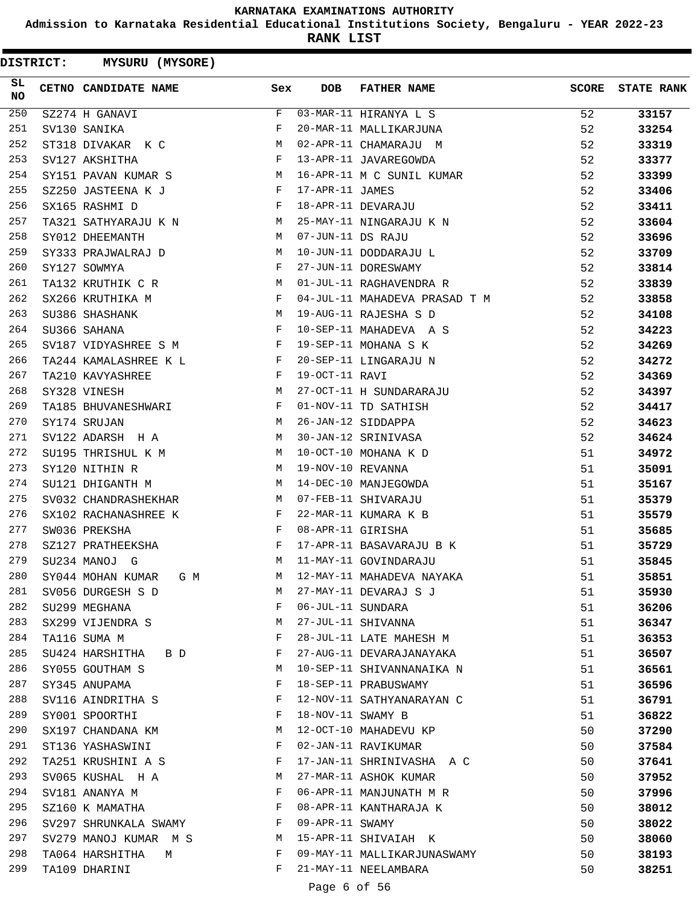**Admission to Karnataka Residential Educational Institutions Society, Bengaluru - YEAR 2022-23**

**RANK LIST**

| SL<br><b>NO</b> | CETNO CANDIDATE NAME<br><b>Sex</b>                                                                                                                                                                                                                        |              | DOB               | <b>FATHER NAME</b>            | <b>SCORE</b> | <b>STATE RANK</b> |
|-----------------|-----------------------------------------------------------------------------------------------------------------------------------------------------------------------------------------------------------------------------------------------------------|--------------|-------------------|-------------------------------|--------------|-------------------|
| 250             | SZ274 H GANAVI                                                                                                                                                                                                                                            | F            |                   | 03-MAR-11 HIRANYA L S         | 52           | 33157             |
| 251             | SV130 SANIKA                                                                                                                                                                                                                                              | F            |                   | 20-MAR-11 MALLIKARJUNA        | 52           | 33254             |
| 252             | ST318 DIVAKAR K C                                                                                                                                                                                                                                         | M            |                   | 02-APR-11 CHAMARAJU M         | 52           | 33319             |
| 253             | SV127 AKSHITHA                                                                                                                                                                                                                                            | F            |                   | 13-APR-11 JAVAREGOWDA         | 52           | 33377             |
| 254             | SY151 PAVAN KUMAR S<br><b>Example 19</b> Manual Manual Manual Manual Manual Manual Manual Manual Manual Manual Manual Manual Manual Manual Ma                                                                                                             |              |                   | 16-APR-11 M C SUNIL KUMAR     | 52           | 33399             |
| 255             | SZ250 JASTEENA K J F                                                                                                                                                                                                                                      |              | 17-APR-11 JAMES   |                               | 52           | 33406             |
| 256             | $\mathbf{F}$<br>SX165 RASHMI D                                                                                                                                                                                                                            |              |                   | 18-APR-11 DEVARAJU            | 52           | 33411             |
| 257             | TA321 SATHYARAJU K N M                                                                                                                                                                                                                                    |              |                   | 25-MAY-11 NINGARAJU K N       | 52           | 33604             |
| 258             | SY012 DHEEMANTH                                                                                                                                                                                                                                           | M            | 07-JUN-11 DS RAJU |                               | 52           | 33696             |
| 259             | SY333 PRAJWALRAJ D<br>$\mathbb{M}$                                                                                                                                                                                                                        |              |                   | 10-JUN-11 DODDARAJU L         | 52           | 33709             |
| 260             | SY127 SOWMYA                                                                                                                                                                                                                                              | $\mathbf{F}$ |                   | 27-JUN-11 DORESWAMY           | 52           | 33814             |
| 261             | TA132 KRUTHIK C R M                                                                                                                                                                                                                                       |              |                   | 01-JUL-11 RAGHAVENDRA R       | 52           | 33839             |
| 262             | $\mathbf{F}$ and $\mathbf{F}$ and $\mathbf{F}$<br>SX266 KRUTHIKA M                                                                                                                                                                                        |              |                   | 04-JUL-11 MAHADEVA PRASAD T M | 52           | 33858             |
| 263             | <b>M</b><br>SU386 SHASHANK                                                                                                                                                                                                                                |              |                   | 19-AUG-11 RAJESHA S D         | 52           | 34108             |
| 264             | $\mathbf{F}$<br>SU366 SAHANA                                                                                                                                                                                                                              |              |                   | 10-SEP-11 MAHADEVA A S        | 52           | 34223             |
| 265             | $\mathbf{F}$ . The set of $\mathbf{F}$<br>SV187 VIDYASHREE S M                                                                                                                                                                                            |              |                   | 19-SEP-11 MOHANA S K          | 52           | 34269             |
| 266             | TA244 KAMALASHREE K L F                                                                                                                                                                                                                                   |              |                   | 20-SEP-11 LINGARAJU N         | 52           | 34272             |
| 267             | and the state of the state of the Party<br>TA210 KAVYASHREE                                                                                                                                                                                               |              | 19-OCT-11 RAVI    |                               | 52           | 34369             |
| 268             | M<br>SY328 VINESH                                                                                                                                                                                                                                         |              |                   | 27-OCT-11 H SUNDARARAJU       | 52           | 34397             |
| 269             | TA185 BHUVANESHWARI F                                                                                                                                                                                                                                     |              |                   | 01-NOV-11 TD SATHISH          | 52           | 34417             |
| 270             | SY174 SRUJAN<br>$M_{\rm H}$ and $M_{\rm H}$                                                                                                                                                                                                               |              |                   | 26-JAN-12 SIDDAPPA            | 52           | 34623             |
| 271             | <b>M</b><br>SV122 ADARSH H A                                                                                                                                                                                                                              |              |                   | 30-JAN-12 SRINIVASA           | 52           | 34624             |
| 272             | SU195 THRISHUL K M                                                                                                                                                                                                                                        |              |                   | 10-OCT-10 MOHANA K D          | 51           | 34972             |
| 273             | SY120 NITHIN R                                                                                                                                                                                                                                            | M            | 19-NOV-10 REVANNA |                               | 51           | 35091             |
| 274             | SU121 DHIGANTH M                                                                                                                                                                                                                                          | M            |                   | 14-DEC-10 MANJEGOWDA          | 51           | 35167             |
| 275             | SV032 CHANDRASHEKHAR M                                                                                                                                                                                                                                    |              |                   | 07-FEB-11 SHIVARAJU           | 51           | 35379             |
| 276             | SX102 RACHANASHREE K                                                                                                                                                                                                                                      | $\mathbf{F}$ |                   | 22-MAR-11 KUMARA K B          | 51           | 35579             |
| 277             | SW036 PREKSHA                                                                                                                                                                                                                                             | $$\rm \,F$$  | 08-APR-11 GIRISHA |                               | 51           | 35685             |
| 278             | SZ127 PRATHEEKSHA<br><b>Experimental Experimental Experimental Experimental Experimental Experimental Experimental Experimental Experimental Experimental Experimental Experimental Experimental Experimental Experimental Experimental Experimental </b> |              |                   | 17-APR-11 BASAVARAJU B K      | 51           | 35729             |
| 279             | <b>M</b><br>SU234 MANOJ G                                                                                                                                                                                                                                 |              |                   | 11-MAY-11 GOVINDARAJU         | 51           | 35845             |
| 280             | M <sub>1</sub><br>SY044 MOHAN KUMAR<br>G M                                                                                                                                                                                                                |              |                   | 12-MAY-11 MAHADEVA NAYAKA     | 51           | 35851             |
| 281             | SV056 DURGESH S D                                                                                                                                                                                                                                         | M            |                   | 27-MAY-11 DEVARAJ S J         | 51           | 35930             |
| 282             | SU299 MEGHANA                                                                                                                                                                                                                                             | F            | 06-JUL-11 SUNDARA |                               | 51           | 36206             |
| 283             | SX299 VIJENDRA S                                                                                                                                                                                                                                          | М            |                   | 27-JUL-11 SHIVANNA            | 51           | 36347             |
| 284             | TA116 SUMA M                                                                                                                                                                                                                                              | F            |                   | 28-JUL-11 LATE MAHESH M       | 51           | 36353             |
| 285             | SU424 HARSHITHA B D                                                                                                                                                                                                                                       | F            |                   | 27-AUG-11 DEVARAJANAYAKA      | 51           | 36507             |
| 286             | SY055 GOUTHAM S                                                                                                                                                                                                                                           | М            |                   | 10-SEP-11 SHIVANNANAIKA N     | 51           | 36561             |
| 287             | SY345 ANUPAMA                                                                                                                                                                                                                                             | F            |                   | 18-SEP-11 PRABUSWAMY          | 51           | 36596             |
| 288             | SV116 AINDRITHA S                                                                                                                                                                                                                                         | F            |                   | 12-NOV-11 SATHYANARAYAN C     | 51           | 36791             |
| 289             | SY001 SPOORTHI                                                                                                                                                                                                                                            | F            | 18-NOV-11 SWAMY B |                               | 51           | 36822             |
| 290             | SX197 CHANDANA KM                                                                                                                                                                                                                                         | M            |                   | 12-OCT-10 MAHADEVU KP         | 50           | 37290             |
| 291             | ST136 YASHASWINI                                                                                                                                                                                                                                          | F            |                   | 02-JAN-11 RAVIKUMAR           | 50           | 37584             |
| 292             | TA251 KRUSHINI A S                                                                                                                                                                                                                                        | F            |                   | 17-JAN-11 SHRINIVASHA A C     | 50           | 37641             |
| 293             | SV065 KUSHAL H A                                                                                                                                                                                                                                          | M            |                   | 27-MAR-11 ASHOK KUMAR         | 50           | 37952             |
| 294             | SV181 ANANYA M                                                                                                                                                                                                                                            | F            |                   | 06-APR-11 MANJUNATH M R       | 50           | 37996             |
| 295             | SZ160 K MAMATHA                                                                                                                                                                                                                                           | F            |                   | 08-APR-11 KANTHARAJA K        | 50           | 38012             |
| 296             | SV297 SHRUNKALA SWAMY                                                                                                                                                                                                                                     | F            | 09-APR-11 SWAMY   |                               | 50           | 38022             |
| 297             | SV279 MANOJ KUMAR M S                                                                                                                                                                                                                                     | M            |                   | 15-APR-11 SHIVAIAH K          | 50           | 38060             |
| 298             | TA064 HARSHITHA<br>M                                                                                                                                                                                                                                      | F            |                   | 09-MAY-11 MALLIKARJUNASWAMY   | 50           | 38193             |
| 299             |                                                                                                                                                                                                                                                           | F            |                   | 21-MAY-11 NEELAMBARA          |              |                   |
|                 | TA109 DHARINI                                                                                                                                                                                                                                             |              |                   |                               | 50           | 38251             |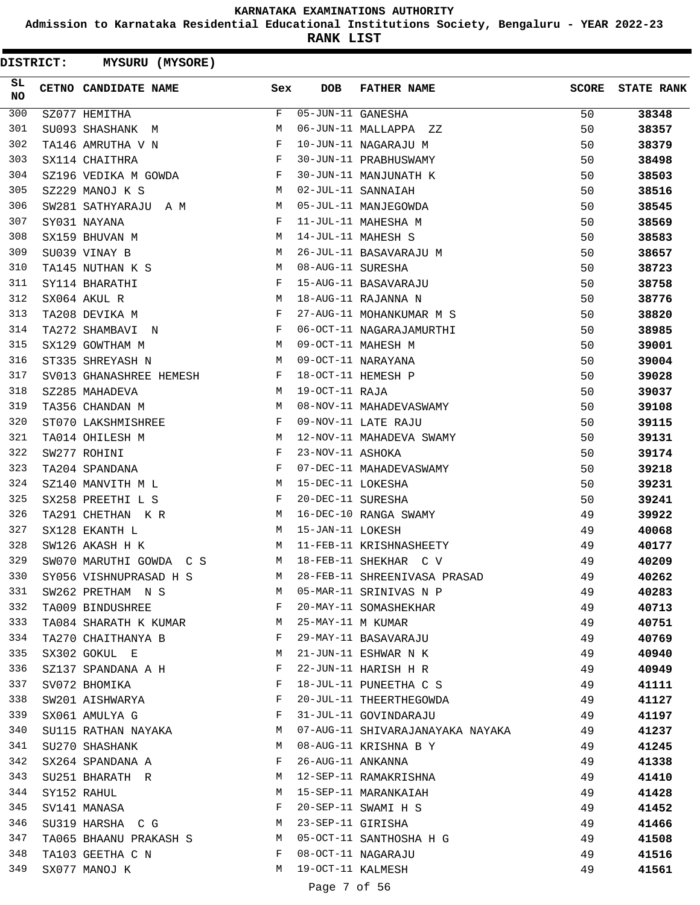**Admission to Karnataka Residential Educational Institutions Society, Bengaluru - YEAR 2022-23**

**RANK LIST**

| SL<br><b>NO</b> | CETNO CANDIDATE NAME                    | Sex          | <b>DOB</b>        | <b>FATHER NAME</b>               | SCORE | <b>STATE RANK</b> |
|-----------------|-----------------------------------------|--------------|-------------------|----------------------------------|-------|-------------------|
| 300             | SZ077 HEMITHA                           | F            | 05-JUN-11 GANESHA |                                  | 50    | 38348             |
| 301             | SU093 SHASHANK M                        | М            |                   | 06-JUN-11 MALLAPPA ZZ            | 50    | 38357             |
| 302             | TA146 AMRUTHA V N                       | F            |                   | 10-JUN-11 NAGARAJU M             | 50    | 38379             |
| 303             | SX114 CHAITHRA                          | F            |                   | 30-JUN-11 PRABHUSWAMY            | 50    | 38498             |
| 304             | SZ196 VEDIKA M GOWDA                    | $\mathbf{F}$ |                   | 30-JUN-11 MANJUNATH K            | 50    | 38503             |
| 305             | SZ229 MANOJ K S<br><b>Market School</b> |              |                   | 02-JUL-11 SANNAIAH               | 50    | 38516             |
| 306             | SW281 SATHYARAJU A M                    | M            |                   | 05-JUL-11 MANJEGOWDA             | 50    | 38545             |
| 307             | SY031 NAYANA                            | F            |                   | 11-JUL-11 MAHESHA M              | 50    | 38569             |
| 308             | SX159 BHUVAN M                          | М            |                   | 14-JUL-11 MAHESH S               | 50    | 38583             |
| 309             | SU039 VINAY B                           | М            |                   | 26-JUL-11 BASAVARAJU M           | 50    | 38657             |
| 310             | TA145 NUTHAN K S                        | M            | 08-AUG-11 SURESHA |                                  | 50    | 38723             |
| 311             | SY114 BHARATHI                          | F            |                   | 15-AUG-11 BASAVARAJU             | 50    | 38758             |
| 312             | SX064 AKUL R                            | М            |                   | 18-AUG-11 RAJANNA N              | 50    | 38776             |
| 313             | TA208 DEVIKA M                          | F            |                   | 27-AUG-11 MOHANKUMAR M S         | 50    | 38820             |
| 314             | TA272 SHAMBAVI N                        | F            |                   | 06-OCT-11 NAGARAJAMURTHI         | 50    | 38985             |
| 315             | SX129 GOWTHAM M                         | M            |                   | 09-OCT-11 MAHESH M               | 50    | 39001             |
| 316             | ST335 SHREYASH N                        | M            |                   | 09-OCT-11 NARAYANA               | 50    | 39004             |
| 317             | SV013 GHANASHREE HEMESH                 | F            |                   | 18-OCT-11 HEMESH P               | 50    | 39028             |
| 318             | SZ285 MAHADEVA                          | М            | 19-OCT-11 RAJA    |                                  | 50    | 39037             |
| 319             | M<br>TA356 CHANDAN M                    |              |                   | 08-NOV-11 MAHADEVASWAMY          | 50    | 39108             |
| 320             | ST070 LAKSHMISHREE                      | $_{\rm F}$   |                   | 09-NOV-11 LATE RAJU              | 50    | 39115             |
| 321             | M<br>TA014 OHILESH M                    |              |                   | 12-NOV-11 MAHADEVA SWAMY         | 50    | 39131             |
| 322             | SW277 ROHINI                            | F            | 23-NOV-11 ASHOKA  |                                  | 50    | 39174             |
| 323             | TA204 SPANDANA                          | F            |                   | 07-DEC-11 MAHADEVASWAMY          | 50    | 39218             |
| 324             | SZ140 MANVITH M L                       | M            | 15-DEC-11 LOKESHA |                                  | 50    | 39231             |
| 325             | SX258 PREETHI L S                       | F            | 20-DEC-11 SURESHA |                                  | 50    | 39241             |
| 326             | TA291 CHETHAN K R                       | M            |                   | 16-DEC-10 RANGA SWAMY            | 49    | 39922             |
| 327             | SX128 EKANTH L                          | M            | 15-JAN-11 LOKESH  |                                  | 49    | 40068             |
| 328             | SW126 AKASH H K                         | M            |                   | 11-FEB-11 KRISHNASHEETY          | 49    | 40177             |
| 329             | SW070 MARUTHI GOWDA C S                 | M            |                   | 18-FEB-11 SHEKHAR C V            | 49    | 40209             |
| 330             | SY056 VISHNUPRASAD H S                  | M            |                   | 28-FEB-11 SHREENIVASA PRASAD     | 49    | 40262             |
| 331             | SW262 PRETHAM N S                       | M            |                   | 05-MAR-11 SRINIVAS N P           | 49    | 40283             |
| 332             | TA009 BINDUSHREE                        | F            |                   | 20-MAY-11 SOMASHEKHAR            | 49    | 40713             |
| 333             | TA084 SHARATH K KUMAR M                 |              | 25-MAY-11 M KUMAR |                                  | 49    | 40751             |
| 334             | TA270 CHAITHANYA B                      | F            |                   | 29-MAY-11 BASAVARAJU             | 49    | 40769             |
| 335             | SX302 GOKUL E                           | M            |                   | 21-JUN-11 ESHWAR N K             | 49    | 40940             |
| 336             | SZ137 SPANDANA A H                      | F            |                   | 22-JUN-11 HARISH H R             | 49    | 40949             |
| 337             | SV072 BHOMIKA                           | F            |                   | 18-JUL-11 PUNEETHA C S           | 49    | 41111             |
| 338             | SW201 AISHWARYA                         | F            |                   | 20-JUL-11 THEERTHEGOWDA          | 49    | 41127             |
| 339             | SX061 AMULYA G                          | F            |                   | 31-JUL-11 GOVINDARAJU            | 49    | 41197             |
| 340             | SU115 RATHAN NAYAKA                     | M            |                   | 07-AUG-11 SHIVARAJANAYAKA NAYAKA | 49    | 41237             |
| 341             | SU270 SHASHANK                          | M            |                   | 08-AUG-11 KRISHNA B Y            | 49    | 41245             |
| 342             | SX264 SPANDANA A                        | F            | 26-AUG-11 ANKANNA |                                  | 49    | 41338             |
| 343             | SU251 BHARATH R                         | M            |                   | 12-SEP-11 RAMAKRISHNA            | 49    | 41410             |
| 344             | SY152 RAHUL                             | M            |                   | 15-SEP-11 MARANKAIAH             | 49    | 41428             |
| 345             | SV141 MANASA                            | F            |                   | 20-SEP-11 SWAMI H S              | 49    | 41452             |
| 346             | SU319 HARSHA C G                        | M            | 23-SEP-11 GIRISHA |                                  | 49    | 41466             |
| 347             | TA065 BHAANU PRAKASH S                  | M            |                   | 05-OCT-11 SANTHOSHA H G          | 49    | 41508             |
| 348             | TA103 GEETHA C N                        | F            |                   | 08-OCT-11 NAGARAJU               | 49    | 41516             |
| 349             | SX077 MANOJ K                           | M            | 19-OCT-11 KALMESH |                                  | 49    | 41561             |
|                 |                                         |              | Page 7 of 56      |                                  |       |                   |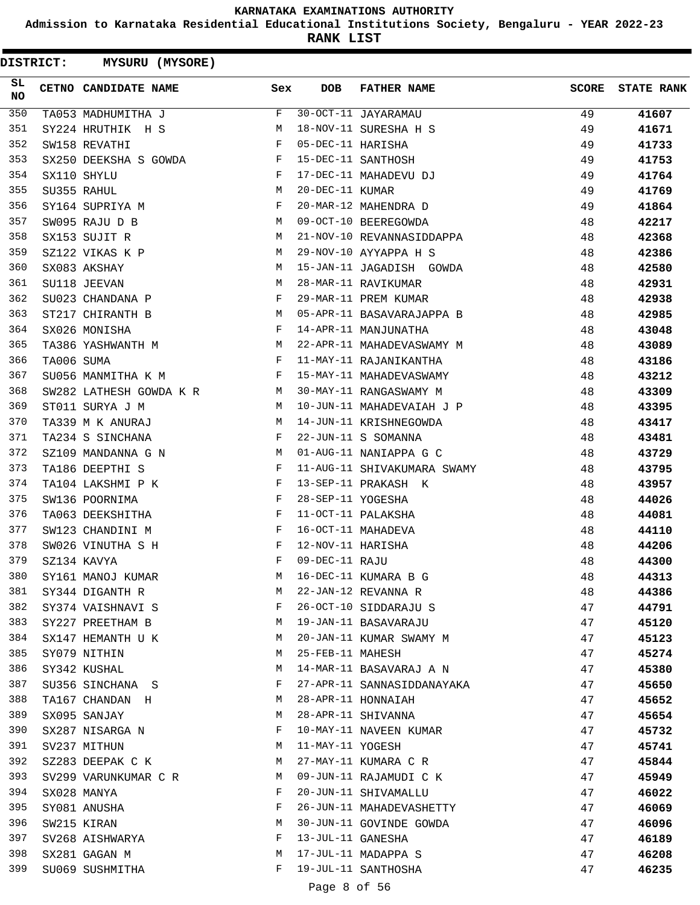**Admission to Karnataka Residential Educational Institutions Society, Bengaluru - YEAR 2022-23**

|                 | <b>DISTRICT:</b> | MYSURU (MYSORE)         |     |                   |                             |              |                   |
|-----------------|------------------|-------------------------|-----|-------------------|-----------------------------|--------------|-------------------|
| SL<br><b>NO</b> |                  | CETNO CANDIDATE NAME    | Sex | <b>DOB</b>        | <b>FATHER NAME</b>          | <b>SCORE</b> | <b>STATE RANK</b> |
| 350             |                  | TA053 MADHUMITHA J      | F   |                   | 30-OCT-11 JAYARAMAU         | 49           | 41607             |
| 351             |                  | SY224 HRUTHIK H S       | М   |                   | 18-NOV-11 SURESHA H S       | 49           | 41671             |
| 352             |                  | SW158 REVATHI           | F   | 05-DEC-11 HARISHA |                             | 49           | 41733             |
| 353             |                  | SX250 DEEKSHA S GOWDA   | F   |                   | 15-DEC-11 SANTHOSH          | 49           | 41753             |
| 354             |                  | SX110 SHYLU             | F   |                   | 17-DEC-11 MAHADEVU DJ       | 49           | 41764             |
| 355             |                  | SU355 RAHUL             | М   | 20-DEC-11 KUMAR   |                             | 49           | 41769             |
| 356             |                  | SY164 SUPRIYA M         | F   |                   | 20-MAR-12 MAHENDRA D        | 49           | 41864             |
| 357             |                  | SW095 RAJU D B          | M   |                   | 09-OCT-10 BEEREGOWDA        | 48           | 42217             |
| 358             |                  | SX153 SUJIT R           | М   |                   | 21-NOV-10 REVANNASIDDAPPA   | 48           | 42368             |
| 359             |                  | SZ122 VIKAS K P         | М   |                   | 29-NOV-10 AYYAPPA H S       | 48           | 42386             |
| 360             |                  | SX083 AKSHAY            | М   |                   | 15-JAN-11 JAGADISH GOWDA    | 48           | 42580             |
| 361             |                  | SU118 JEEVAN            | М   |                   | 28-MAR-11 RAVIKUMAR         | 48           | 42931             |
| 362             |                  | SU023 CHANDANA P        | F   |                   | 29-MAR-11 PREM KUMAR        | 48           | 42938             |
| 363             |                  | ST217 CHIRANTH B        | M   |                   | 05-APR-11 BASAVARAJAPPA B   | 48           | 42985             |
| 364             |                  | SX026 MONISHA           | F   |                   | 14-APR-11 MANJUNATHA        | 48           | 43048             |
| 365             |                  | TA386 YASHWANTH M       | М   |                   | 22-APR-11 MAHADEVASWAMY M   | 48           | 43089             |
| 366             | TA006 SUMA       |                         | F   |                   | 11-MAY-11 RAJANIKANTHA      | 48           | 43186             |
| 367             |                  | SU056 MANMITHA K M      | F   |                   | 15-MAY-11 MAHADEVASWAMY     | 48           | 43212             |
| 368             |                  | SW282 LATHESH GOWDA K R | M   |                   | 30-MAY-11 RANGASWAMY M      | 48           | 43309             |
| 369             |                  | ST011 SURYA J M         | M   |                   | 10-JUN-11 MAHADEVAIAH J P   | 48           | 43395             |
| 370             |                  | TA339 M K ANURAJ        | М   |                   | 14-JUN-11 KRISHNEGOWDA      | 48           | 43417             |
| 371             |                  | TA234 S SINCHANA        | F   |                   | 22-JUN-11 S SOMANNA         | 48           | 43481             |
| 372             |                  | SZ109 MANDANNA G N      | M   |                   | 01-AUG-11 NANIAPPA G C      | 48           | 43729             |
| 373             |                  | TA186 DEEPTHI S         | F   |                   | 11-AUG-11 SHIVAKUMARA SWAMY | 48           | 43795             |
| 374             |                  | TA104 LAKSHMI P K       | F   |                   | 13-SEP-11 PRAKASH K         | 48           | 43957             |
| 375             |                  | SW136 POORNIMA          | F   | 28-SEP-11 YOGESHA |                             | 48           | 44026             |
| 376             |                  | TA063 DEEKSHITHA        | F   |                   | 11-OCT-11 PALAKSHA          | 48           | 44081             |
| 377             |                  | SW123 CHANDINI M        | F   |                   | 16-OCT-11 MAHADEVA          | 48           | 44110             |
| 378             |                  | SW026 VINUTHA S H       | F   | 12-NOV-11 HARISHA |                             | 48           | 44206             |
| 379             |                  | SZ134 KAVYA             | F   | 09-DEC-11 RAJU    |                             | 48           | 44300             |
| 380             |                  | SY161 MANOJ KUMAR       | М   |                   | 16-DEC-11 KUMARA B G        | 48           | 44313             |
| 381             |                  | SY344 DIGANTH R         | M   |                   | 22-JAN-12 REVANNA R         | 48           | 44386             |
| 382             |                  | SY374 VAISHNAVI S       | F   |                   | 26-OCT-10 SIDDARAJU S       | 47           | 44791             |
| 383             |                  | SY227 PREETHAM B        | M   |                   | 19-JAN-11 BASAVARAJU        | 47           | 45120             |
| 384             |                  | SX147 HEMANTH U K       | М   |                   | 20-JAN-11 KUMAR SWAMY M     | 47           | 45123             |
| 385             |                  | SY079 NITHIN            | М   | 25-FEB-11 MAHESH  |                             | 47           | 45274             |
| 386             |                  | SY342 KUSHAL            | М   |                   | 14-MAR-11 BASAVARAJ A N     | 47           | 45380             |
| 387             |                  | SU356 SINCHANA S        | F   |                   | 27-APR-11 SANNASIDDANAYAKA  | 47           | 45650             |
| 388             |                  | TA167 CHANDAN H         | M   |                   | 28-APR-11 HONNAIAH          | 47           | 45652             |
| 389             |                  | SX095 SANJAY            | М   |                   | 28-APR-11 SHIVANNA          | 47           | 45654             |
| 390             |                  | SX287 NISARGA N         | F   |                   | 10-MAY-11 NAVEEN KUMAR      | 47           | 45732             |
| 391             |                  | SV237 MITHUN            | М   | 11-MAY-11 YOGESH  |                             | 47           | 45741             |
| 392             |                  | SZ283 DEEPAK C K        | М   |                   | 27-MAY-11 KUMARA C R        | 47           | 45844             |
| 393             |                  | SV299 VARUNKUMAR C R    | М   |                   | 09-JUN-11 RAJAMUDI C K      | 47           | 45949             |
| 394             |                  | SX028 MANYA             | F   |                   | 20-JUN-11 SHIVAMALLU        | 47           | 46022             |
| 395             |                  | SY081 ANUSHA            | F   |                   | 26-JUN-11 MAHADEVASHETTY    | 47           | 46069             |
| 396             |                  | SW215 KIRAN             | М   |                   | 30-JUN-11 GOVINDE GOWDA     | 47           | 46096             |
| 397             |                  | SV268 AISHWARYA         | F   | 13-JUL-11 GANESHA |                             | 47           | 46189             |
| 398             |                  | SX281 GAGAN M           | М   |                   | 17-JUL-11 MADAPPA S         | 47           | 46208             |
| 399             |                  | SU069 SUSHMITHA         | F   |                   | 19-JUL-11 SANTHOSHA         | 47           | 46235             |
|                 |                  |                         |     | Page 8 of 56      |                             |              |                   |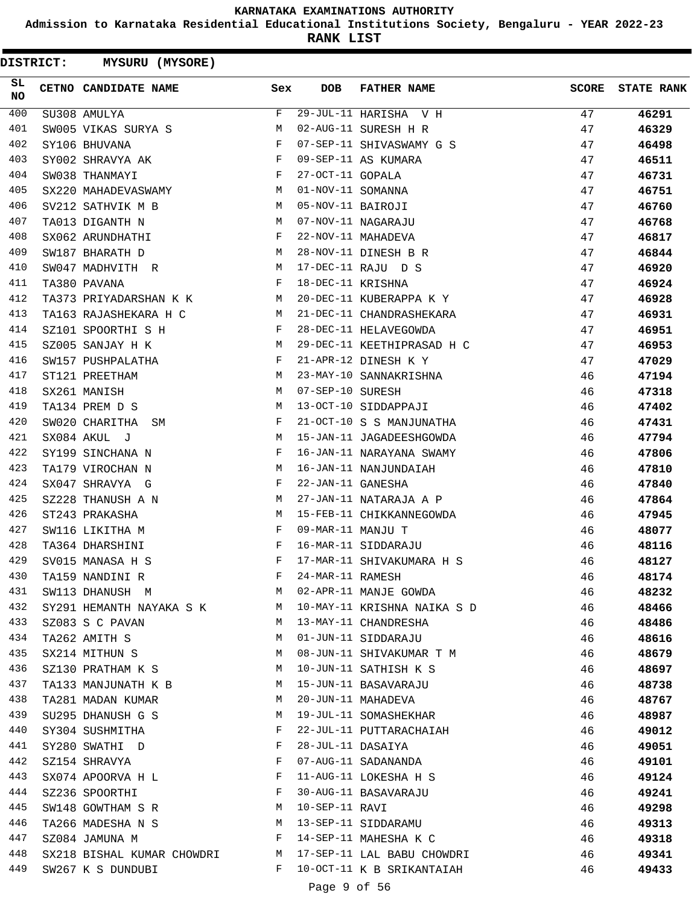**Admission to Karnataka Residential Educational Institutions Society, Bengaluru - YEAR 2022-23**

**RANK LIST**

| <b>DISTRICT:</b> | <b>MYSURU (MYSORE)</b>     |     |                   |                             |              |                   |
|------------------|----------------------------|-----|-------------------|-----------------------------|--------------|-------------------|
| SL<br><b>NO</b>  | CETNO CANDIDATE NAME       | Sex | <b>DOB</b>        | <b>FATHER NAME</b>          | <b>SCORE</b> | <b>STATE RANK</b> |
| 400              | SU308 AMULYA               | F   |                   | $29$ -JUL-11 HARISHA V H    | 47           | 46291             |
| 401              | SW005 VIKAS SURYA S        | М   |                   | 02-AUG-11 SURESH H R        | 47           | 46329             |
| 402              | SY106 BHUVANA              | F   |                   | 07-SEP-11 SHIVASWAMY G S    | 47           | 46498             |
| 403              | SY002 SHRAVYA AK           | F   |                   | 09-SEP-11 AS KUMARA         | 47           | 46511             |
| 404              | SW038 THANMAYI             | F   | 27-OCT-11 GOPALA  |                             | 47           | 46731             |
| 405              | SX220 MAHADEVASWAMY        | М   | 01-NOV-11 SOMANNA |                             | 47           | 46751             |
| 406              | SV212 SATHVIK M B          | M   | 05-NOV-11 BAIROJI |                             | 47           | 46760             |
| 407              | TA013 DIGANTH N            | M   |                   | 07-NOV-11 NAGARAJU          | 47           | 46768             |
| 408              | SX062 ARUNDHATHI           | F   |                   | 22-NOV-11 MAHADEVA          | 47           | 46817             |
| 409              | SW187 BHARATH D            | М   |                   | 28-NOV-11 DINESH B R        | 47           | 46844             |
| 410              | SW047 MADHVITH R           | М   |                   | 17-DEC-11 RAJU D S          | 47           | 46920             |
| 411              | TA380 PAVANA               | F   | 18-DEC-11 KRISHNA |                             | 47           | 46924             |
| 412              | TA373 PRIYADARSHAN K K     | M   |                   | 20-DEC-11 KUBERAPPA K Y     | 47           | 46928             |
| 413              | TA163 RAJASHEKARA H C      | M   |                   | 21-DEC-11 CHANDRASHEKARA    | 47           | 46931             |
| 414              | SZ101 SPOORTHI S H         | F   |                   | 28-DEC-11 HELAVEGOWDA       | 47           | 46951             |
| 415              | SZ005 SANJAY H K           | М   |                   | 29-DEC-11 KEETHIPRASAD H C  | 47           | 46953             |
| 416              | SW157 PUSHPALATHA          | F   |                   | 21-APR-12 DINESH K Y        | 47           | 47029             |
| 417              | ST121 PREETHAM             | М   |                   | 23-MAY-10 SANNAKRISHNA      | 46           | 47194             |
| 418              | SX261 MANISH               | M   | 07-SEP-10 SURESH  |                             | 46           | 47318             |
| 419              | TA134 PREM D S             | М   |                   | 13-OCT-10 SIDDAPPAJI        | 46           | 47402             |
| 420              | SW020 CHARITHA<br>SΜ       | F   |                   | 21-OCT-10 S S MANJUNATHA    | 46           | 47431             |
| 421              | SX084 AKUL J               | M   |                   | 15-JAN-11 JAGADEESHGOWDA    | 46           | 47794             |
| 422              | SY199 SINCHANA N           | F   |                   | 16-JAN-11 NARAYANA SWAMY    | 46           | 47806             |
| 423              | TA179 VIROCHAN N           | М   |                   | 16-JAN-11 NANJUNDAIAH       | 46           | 47810             |
| 424              | SX047 SHRAVYA G            | F   | 22-JAN-11 GANESHA |                             | 46           | 47840             |
| 425              | SZ228 THANUSH A N          | М   |                   | 27-JAN-11 NATARAJA A P      | 46           | 47864             |
| 426              | ST243 PRAKASHA             | M   |                   | 15-FEB-11 CHIKKANNEGOWDA    | 46           | 47945             |
| 427              | SW116 LIKITHA M            | F   | 09-MAR-11 MANJU T |                             | 46           | 48077             |
| 428              | TA364 DHARSHINI            | F   |                   | 16-MAR-11 SIDDARAJU         | 46           | 48116             |
| 429              | SV015 MANASA H S           | F   |                   | 17-MAR-11 SHIVAKUMARA H S   | 46           | 48127             |
| 430              | TA159 NANDINI R            | F   | 24-MAR-11 RAMESH  |                             | 46           | 48174             |
| 431              | SW113 DHANUSH M            | M   |                   | 02-APR-11 MANJE GOWDA       | 46           | 48232             |
| 432              | SY291 HEMANTH NAYAKA S K   | M   |                   | 10-MAY-11 KRISHNA NAIKA S D | 46           | 48466             |
| 433              | SZ083 S C PAVAN            | M   |                   | 13-MAY-11 CHANDRESHA        | 46           | 48486             |
| 434              | TA262 AMITH S              | M   |                   | 01-JUN-11 SIDDARAJU         | 46           | 48616             |
| 435              | SX214 MITHUN S             | M   |                   | 08-JUN-11 SHIVAKUMAR T M    | 46           | 48679             |
| 436              | SZ130 PRATHAM K S          | M   |                   | 10-JUN-11 SATHISH K S       | 46           | 48697             |
| 437              | TA133 MANJUNATH K B        | M   |                   | 15-JUN-11 BASAVARAJU        | 46           | 48738             |
| 438              | TA281 MADAN KUMAR          | M   |                   | 20-JUN-11 MAHADEVA          | 46           | 48767             |
| 439              | SU295 DHANUSH G S          | M   |                   | 19-JUL-11 SOMASHEKHAR       | 46           | 48987             |
| 440              | SY304 SUSHMITHA            | F   |                   | 22-JUL-11 PUTTARACHAIAH     | 46           | 49012             |
| 441              | SY280 SWATHI D             | F   | 28-JUL-11 DASAIYA |                             | 46           | 49051             |
| 442              | SZ154 SHRAVYA              | F   |                   | 07-AUG-11 SADANANDA         | 46           | 49101             |
| 443              | SX074 APOORVA H L          | F   |                   | 11-AUG-11 LOKESHA H S       | 46           | 49124             |
| 444              | SZ236 SPOORTHI             | F   |                   | 30-AUG-11 BASAVARAJU        | 46           | 49241             |
| 445              | SW148 GOWTHAM S R          | M   | 10-SEP-11 RAVI    |                             | 46           | 49298             |
| 446              | TA266 MADESHA N S          | M   |                   | 13-SEP-11 SIDDARAMU         | 46           | 49313             |
| 447              | SZ084 JAMUNA M             | F   |                   | 14-SEP-11 MAHESHA K C       | 46           | 49318             |
| 448              | SX218 BISHAL KUMAR CHOWDRI | M   |                   | 17-SEP-11 LAL BABU CHOWDRI  | 46           | 49341             |
| 449              | SW267 K S DUNDUBI          | F   |                   | 10-OCT-11 K B SRIKANTAIAH   | 46           | 49433             |
|                  |                            |     |                   |                             |              |                   |

Page 9 of 56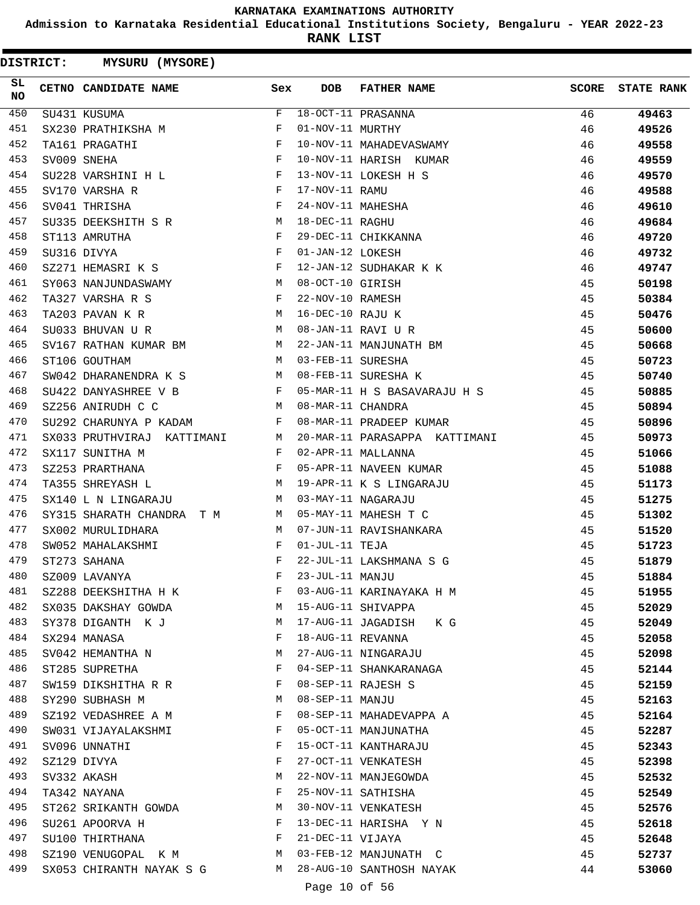**Admission to Karnataka Residential Educational Institutions Society, Bengaluru - YEAR 2022-23**

**RANK LIST**

| SL<br><b>NO</b> | CETNO CANDIDATE NAME                                             |              | <b>DOB</b>        | <b>FATHER NAME</b>            | <b>SCORE</b> | <b>STATE RANK</b> |
|-----------------|------------------------------------------------------------------|--------------|-------------------|-------------------------------|--------------|-------------------|
| 450             | SU431 KUSUMA                                                     | F            |                   | 18-OCT-11 PRASANNA            | 46           | 49463             |
| 451             | SX230 PRATHIKSHA M                                               | F            | 01-NOV-11 MURTHY  |                               | 46           | 49526             |
| 452             | TA161 PRAGATHI                                                   | F            |                   | 10-NOV-11 MAHADEVASWAMY       | 46           | 49558             |
| 453             | SV009 SNEHA                                                      | F            |                   | 10-NOV-11 HARISH KUMAR        | 46           | 49559             |
| 454             | SU228 VARSHINI H L F                                             |              |                   | 13-NOV-11 LOKESH H S          | 46           | 49570             |
| 455             | $\mathbf{F}$ and $\mathbf{F}$ and $\mathbf{F}$<br>SV170 VARSHA R |              | 17-NOV-11 RAMU    |                               | 46           | 49588             |
| 456             | SV041 THRISHA                                                    | F            | 24-NOV-11 MAHESHA |                               | 46           | 49610             |
| 457             | SU335 DEEKSHITH S R                                              | M            | 18-DEC-11 RAGHU   |                               | 46           | 49684             |
| 458             | ST113 AMRUTHA                                                    | F            |                   | 29-DEC-11 CHIKKANNA           | 46           | 49720             |
| 459             | SU316 DIVYA                                                      | F            | 01-JAN-12 LOKESH  |                               | 46           | 49732             |
| 460             | SZ271 HEMASRI K S                                                | $\mathbf{F}$ |                   | 12-JAN-12 SUDHAKAR K K        | 46           | 49747             |
| 461             | SY063 NANJUNDASWAMY                                              | M            | 08-OCT-10 GIRISH  |                               | 45           | 50198             |
| 462             | TA327 VARSHA R S                                                 | $\mathbf{F}$ | 22-NOV-10 RAMESH  |                               | 45           | 50384             |
| 463             | TA203 PAVAN K R                                                  | M            | 16-DEC-10 RAJU K  |                               | 45           | 50476             |
| 464             | SU033 BHUVAN U R                                                 | M            |                   | 08-JAN-11 RAVI U R            | 45           | 50600             |
| 465             | SV167 RATHAN KUMAR BM                                            | M            |                   | 22-JAN-11 MANJUNATH BM        | 45           | 50668             |
| 466             | ST106 GOUTHAM<br>$M_{\rm M}$                                     |              | 03-FEB-11 SURESHA |                               | 45           | 50723             |
| 467             | SW042 DHARANENDRA K S M                                          |              |                   | 08-FEB-11 SURESHA K           | 45           | 50740             |
| 468             | SU422 DANYASHREE V B                                             | $\mathbf{F}$ |                   | 05-MAR-11 H S BASAVARAJU H S  | 45           | 50885             |
| 469             | SZ256 ANIRUDH C C                                                | M            | 08-MAR-11 CHANDRA |                               | 45           | 50894             |
| 470             | SU292 CHARUNYA P KADAM                                           | F            |                   | 08-MAR-11 PRADEEP KUMAR       | 45           | 50896             |
| 471             | SX033 PRUTHVIRAJ KATTIMANI                                       | M            |                   | 20-MAR-11 PARASAPPA KATTIMANI | 45           | 50973             |
| 472             | SX117 SUNITHA M                                                  | $\mathbf{F}$ |                   | 02-APR-11 MALLANNA            | 45           | 51066             |
| 473             | SZ253 PRARTHANA                                                  | F            |                   | 05-APR-11 NAVEEN KUMAR        | 45           | 51088             |
| 474             | TA355 SHREYASH L<br><b>M</b>                                     |              |                   | 19-APR-11 K S LINGARAJU       | 45           | 51173             |
| 475             | SX140 L N LINGARAJU                                              | M            |                   | 03-MAY-11 NAGARAJU            | 45           | 51275             |
| 476             | SY315 SHARATH CHANDRA T M                                        | M            |                   | 05-MAY-11 MAHESH T C          | 45           | 51302             |
| 477             | SX002 MURULIDHARA                                                | M            |                   | 07-JUN-11 RAVISHANKARA        | 45           | 51520             |
| 478             | SW052 MAHALAKSHMI                                                | F            | 01-JUL-11 TEJA    |                               | 45           | 51723             |
| 479             | ST273 SAHANA                                                     | F            |                   | 22-JUL-11 LAKSHMANA S G       | 45           | 51879             |
| 480             | SZ009 LAVANYA                                                    | F            | 23-JUL-11 MANJU   |                               | 45           | 51884             |
| 481             | SZ288 DEEKSHITHA H K                                             | F            |                   | 03-AUG-11 KARINAYAKA H M      | 45           | 51955             |
| 482             | SX035 DAKSHAY GOWDA<br><u>March 2001</u>                         |              |                   | 15-AUG-11 SHIVAPPA            | 45           | 52029             |
| 483             | SY378 DIGANTH K J                                                | M            |                   | 17-AUG-11 JAGADISH K G        | 45           | 52049             |
| 484             | SX294 MANASA                                                     | F            | 18-AUG-11 REVANNA |                               | 45           | 52058             |
| 485             | SV042 HEMANTHA N                                                 | M            |                   | 27-AUG-11 NINGARAJU           | 45           | 52098             |
| 486             | ST285 SUPRETHA                                                   | F            |                   | 04-SEP-11 SHANKARANAGA        | 45           | 52144             |
| 487             | SW159 DIKSHITHA R R                                              | F            |                   | 08-SEP-11 RAJESH S            | 45           | 52159             |
| 488             | SY290 SUBHASH M                                                  | М            | 08-SEP-11 MANJU   |                               | 45           | 52163             |
| 489             | SZ192 VEDASHREE A M                                              | F            |                   | 08-SEP-11 MAHADEVAPPA A       | 45           | 52164             |
| 490             | SW031 VIJAYALAKSHMI                                              | F            |                   | 05-OCT-11 MANJUNATHA          | 45           | 52287             |
| 491             | SV096 UNNATHI                                                    | F            |                   | 15-OCT-11 KANTHARAJU          | 45           | 52343             |
| 492             | SZ129 DIVYA                                                      | F            |                   | 27-OCT-11 VENKATESH           | 45           | 52398             |
| 493             | SV332 AKASH                                                      | М            |                   | 22-NOV-11 MANJEGOWDA          | 45           | 52532             |
| 494             | TA342 NAYANA                                                     | F            |                   | 25-NOV-11 SATHISHA            | 45           | 52549             |
| 495             | ST262 SRIKANTH GOWDA                                             | M            |                   | 30-NOV-11 VENKATESH           | 45           | 52576             |
| 496             | SU261 APOORVA H                                                  | $\mathbf{F}$ |                   | 13-DEC-11 HARISHA Y N         | 45           | 52618             |
| 497             | SU100 THIRTHANA                                                  | F            | 21-DEC-11 VIJAYA  |                               | 45           | 52648             |
| 498             | SZ190 VENUGOPAL K M M                                            |              |                   | 03-FEB-12 MANJUNATH C         | 45           | 52737             |
| 499             | SX053 CHIRANTH NAYAK S G                                         | M            |                   | 28-AUG-10 SANTHOSH NAYAK      | 44           | 53060             |
|                 |                                                                  |              |                   |                               |              |                   |
|                 |                                                                  |              | Page 10 of 56     |                               |              |                   |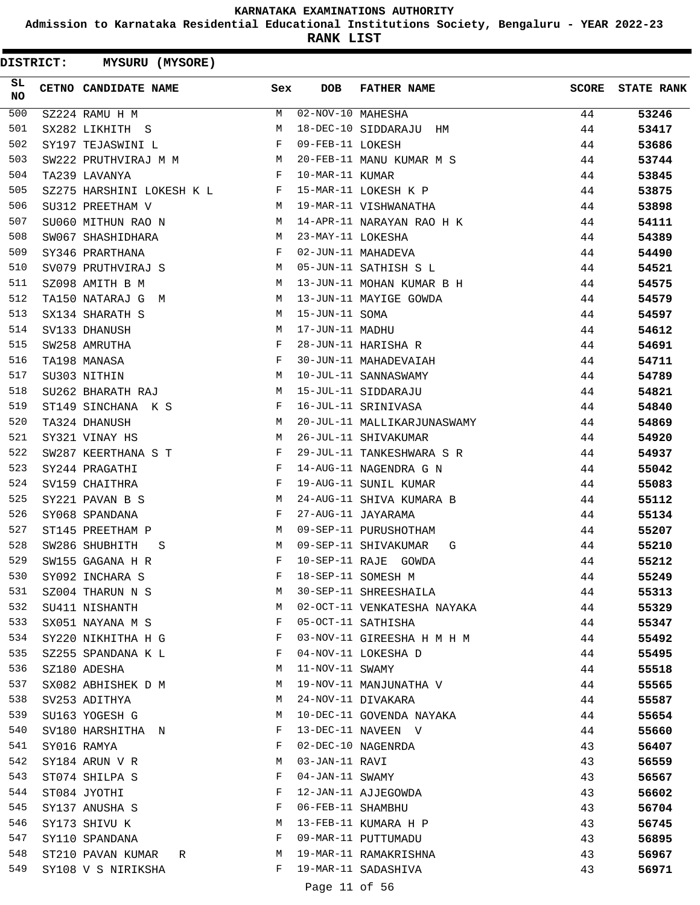**Admission to Karnataka Residential Educational Institutions Society, Bengaluru - YEAR 2022-23**

**RANK LIST**

| SL<br><b>NO</b> | <b>CETNO CANDIDATE NAME</b>                                                                                                                                                                                                                          | Sex          | <b>DOB</b>         | <b>FATHER NAME</b>                           | <b>SCORE</b> | <b>STATE RANK</b> |
|-----------------|------------------------------------------------------------------------------------------------------------------------------------------------------------------------------------------------------------------------------------------------------|--------------|--------------------|----------------------------------------------|--------------|-------------------|
| 500             | SZ224 RAMU H M                                                                                                                                                                                                                                       | M            | 02-NOV-10 MAHESHA  |                                              | 44           | 53246             |
| 501             | SX282 LIKHITH S                                                                                                                                                                                                                                      | М            |                    | 18-DEC-10 SIDDARAJU HM                       | 44           | 53417             |
| 502             | SY197 TEJASWINI L                                                                                                                                                                                                                                    | F            | 09-FEB-11 LOKESH   |                                              | 44           | 53686             |
| 503             | SW222 PRUTHVIRAJ M M                                                                                                                                                                                                                                 |              |                    | 20-FEB-11 MANU KUMAR M S                     | 44           | 53744             |
| 504             | TA239 LAVANYA<br><b>Example 2</b> Experience of the second series of the series of the series of the series of the series of the series of the series of the series of the series of the series of the series of the series of the series of the ser |              | 10-MAR-11 KUMAR    |                                              | 44           | 53845             |
| 505             | SZ275 HARSHINI LOKESH K L F                                                                                                                                                                                                                          |              |                    | 15-MAR-11 LOKESH K P                         | 44           | 53875             |
| 506             | SU312 PREETHAM V                                                                                                                                                                                                                                     | M            |                    | 19-MAR-11 VISHWANATHA                        | 44           | 53898             |
| 507             | SU060 MITHUN RAO N<br>M <sub>1</sub>                                                                                                                                                                                                                 |              |                    | 14-APR-11 NARAYAN RAO H K                    | 44           | 54111             |
| 508             | SW067 SHASHIDHARA                                                                                                                                                                                                                                    | M            | 23-MAY-11 LOKESHA  |                                              | 44           | 54389             |
| 509             | SY346 PRARTHANA                                                                                                                                                                                                                                      | F            |                    | 02-JUN-11 MAHADEVA                           | 44           | 54490             |
| 510             | SV079 PRUTHVIRAJ S                                                                                                                                                                                                                                   | M            |                    | 05-JUN-11 SATHISH S L                        | 44           | 54521             |
| 511             | SZ098 AMITH B M                                                                                                                                                                                                                                      | М            |                    | 13-JUN-11 MOHAN KUMAR B H                    | 44           | 54575             |
| 512             | TA150 NATARAJ G<br>M                                                                                                                                                                                                                                 | М            |                    | 13-JUN-11 MAYIGE GOWDA                       | 44           | 54579             |
| 513             | SX134 SHARATH S                                                                                                                                                                                                                                      | М            | 15-JUN-11 SOMA     |                                              | 44           | 54597             |
| 514             | SV133 DHANUSH                                                                                                                                                                                                                                        | М            | 17-JUN-11 MADHU    |                                              | 44           | 54612             |
| 515             | SW258 AMRUTHA                                                                                                                                                                                                                                        | F            |                    | 28-JUN-11 HARISHA R                          | 44           | 54691             |
| 516             | TA198 MANASA                                                                                                                                                                                                                                         | $_{\rm F}$   |                    | 30-JUN-11 MAHADEVAIAH                        | 44           | 54711             |
| 517             | SU303 NITHIN                                                                                                                                                                                                                                         | М            |                    | 10-JUL-11 SANNASWAMY                         | 44           | 54789             |
| 518             | SU262 BHARATH RAJ                                                                                                                                                                                                                                    | М            |                    | 15-JUL-11 SIDDARAJU                          | 44           | 54821             |
| 519             | ST149 SINCHANA K S                                                                                                                                                                                                                                   | F            |                    | 16-JUL-11 SRINIVASA                          | 44           | 54840             |
| 520             | TA324 DHANUSH                                                                                                                                                                                                                                        | М            |                    | 20-JUL-11 MALLIKARJUNASWAMY                  | 44           | 54869             |
| 521             | SY321 VINAY HS                                                                                                                                                                                                                                       | M            |                    | 26-JUL-11 SHIVAKUMAR                         | 44           | 54920             |
| 522             | SW287 KEERTHANA S T                                                                                                                                                                                                                                  | $\mathbf{F}$ |                    | 29-JUL-11 TANKESHWARA S R                    | 44           | 54937             |
| 523             | SY244 PRAGATHI                                                                                                                                                                                                                                       | F            |                    | 14-AUG-11 NAGENDRA G N                       | 44           | 55042             |
| 524             | SV159 CHAITHRA                                                                                                                                                                                                                                       | F            |                    | 19-AUG-11 SUNIL KUMAR                        | 44           | 55083             |
| 525             | SY221 PAVAN B S                                                                                                                                                                                                                                      | M            |                    | 24-AUG-11 SHIVA KUMARA B                     | 44           | 55112             |
| 526             | SY068 SPANDANA                                                                                                                                                                                                                                       | $_{\rm F}$   |                    | 27-AUG-11 JAYARAMA                           | 44           | 55134             |
| 527             | ST145 PREETHAM P                                                                                                                                                                                                                                     | M            |                    | 09-SEP-11 PURUSHOTHAM                        | 44           | 55207             |
| 528             | SW286 SHUBHITH<br>S                                                                                                                                                                                                                                  | M            |                    | 09-SEP-11 SHIVAKUMAR<br>G                    | 44           | 55210             |
| 529             | SW155 GAGANA H R                                                                                                                                                                                                                                     | F            |                    | 10-SEP-11 RAJE GOWDA                         | 44           | 55212             |
| 530             | SY092 INCHARA S                                                                                                                                                                                                                                      | F            |                    | 18-SEP-11 SOMESH M                           | 44           | 55249             |
| 531             | SZ004 THARUN N S                                                                                                                                                                                                                                     | М            |                    | 30-SEP-11 SHREESHAILA                        | 44           | 55313             |
| 532             | SU411 NISHANTH                                                                                                                                                                                                                                       | M            |                    | 02-OCT-11 VENKATESHA NAYAKA                  | 44           | 55329             |
| 533             | SX051 NAYANA M S                                                                                                                                                                                                                                     | F            |                    | 05-OCT-11 SATHISHA                           | 44           | 55347             |
| 534             | SY220 NIKHITHA H G                                                                                                                                                                                                                                   | F            |                    | 03-NOV-11 GIREESHA H M H M                   | 44           | 55492             |
| 535             | SZ255 SPANDANA K L                                                                                                                                                                                                                                   | F            |                    | 04-NOV-11 LOKESHA D                          | 44           | 55495             |
| 536             | SZ180 ADESHA                                                                                                                                                                                                                                         | М            | 11-NOV-11 SWAMY    |                                              | 44           | 55518             |
| 537             | SX082 ABHISHEK D M                                                                                                                                                                                                                                   | М            |                    | 19-NOV-11 MANJUNATHA V                       | 44           | 55565             |
| 538             | SV253 ADITHYA                                                                                                                                                                                                                                        | М            |                    | 24-NOV-11 DIVAKARA                           | 44           | 55587             |
| 539             | SU163 YOGESH G                                                                                                                                                                                                                                       | М            |                    | 10-DEC-11 GOVENDA NAYAKA                     | 44           | 55654             |
| 540             | SV180 HARSHITHA N                                                                                                                                                                                                                                    | F            |                    | 13-DEC-11 NAVEEN V                           | 44           | 55660             |
| 541             | SY016 RAMYA                                                                                                                                                                                                                                          | F            |                    | 02-DEC-10 NAGENRDA                           | 43           | 56407             |
| 542             |                                                                                                                                                                                                                                                      | М            | 03-JAN-11 RAVI     |                                              | 43           |                   |
| 543             | SY184 ARUN V R                                                                                                                                                                                                                                       | F            | $04$ -JAN-11 SWAMY |                                              | 43           | 56559             |
| 544             | ST074 SHILPA S                                                                                                                                                                                                                                       | F            |                    | 12-JAN-11 AJJEGOWDA                          | 43           | 56567             |
| 545             | ST084 JYOTHI<br>SY137 ANUSHA S                                                                                                                                                                                                                       | F            | 06-FEB-11 SHAMBHU  |                                              | 43           | 56602             |
| 546             |                                                                                                                                                                                                                                                      | М            |                    | 13-FEB-11 KUMARA H P                         |              | 56704             |
| 547             | SY173 SHIVU K                                                                                                                                                                                                                                        | F            |                    |                                              | 43           | 56745             |
| 548             | SY110 SPANDANA                                                                                                                                                                                                                                       | M            |                    | 09-MAR-11 PUTTUMADU                          | 43           | 56895             |
| 549             | ST210 PAVAN KUMAR R                                                                                                                                                                                                                                  | F            |                    | 19-MAR-11 RAMAKRISHNA<br>19-MAR-11 SADASHIVA | 43<br>43     | 56967             |
|                 | SY108 V S NIRIKSHA                                                                                                                                                                                                                                   |              |                    |                                              |              | 56971             |
|                 |                                                                                                                                                                                                                                                      |              | Page 11 of 56      |                                              |              |                   |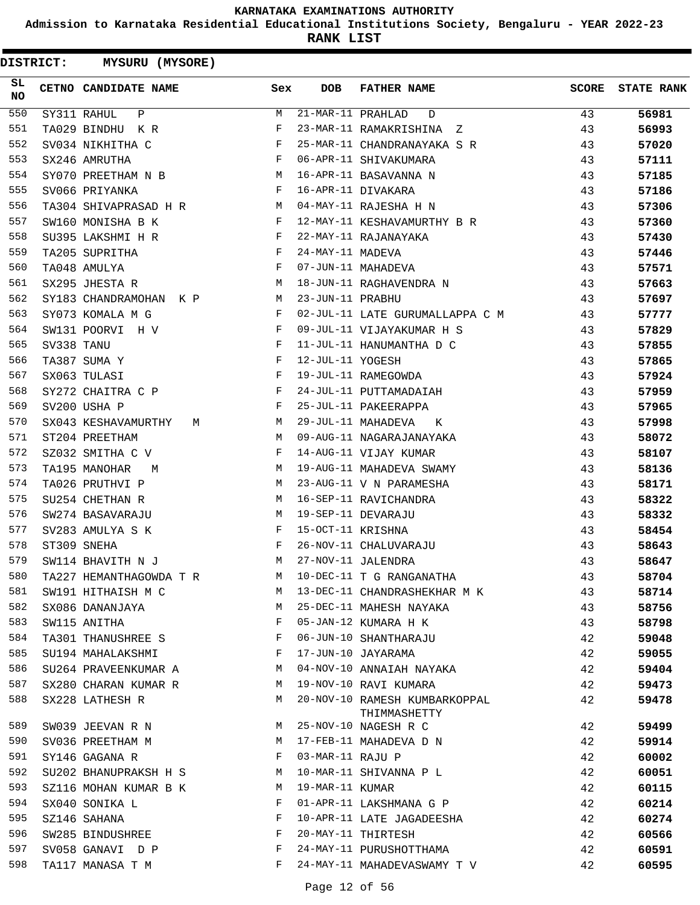**Admission to Karnataka Residential Educational Institutions Society, Bengaluru - YEAR 2022-23**

|                 | <b>DISTRICT:</b> | <b>MYSURU (MYSORE)</b>   |     |                   |                                 |              |                   |
|-----------------|------------------|--------------------------|-----|-------------------|---------------------------------|--------------|-------------------|
| SL<br><b>NO</b> |                  | CETNO CANDIDATE NAME     | Sex | <b>DOB</b>        | <b>FATHER NAME</b>              | <b>SCORE</b> | <b>STATE RANK</b> |
| 550             |                  | SY311 RAHUL<br>Ρ         | М   | 21-MAR-11 PRAHLAD | D                               | 43           | 56981             |
| 551             |                  | TA029 BINDHU<br>K R      | F   |                   | 23-MAR-11 RAMAKRISHINA Z        | 43           | 56993             |
| 552             |                  | SV034 NIKHITHA C         | F   |                   | 25-MAR-11 CHANDRANAYAKA S R     | 43           | 57020             |
| 553             |                  | SX246 AMRUTHA            | F   |                   | 06-APR-11 SHIVAKUMARA           | 43           | 57111             |
| 554             |                  | SY070 PREETHAM N B       | М   |                   | 16-APR-11 BASAVANNA N           | 43           | 57185             |
| 555             |                  | SV066 PRIYANKA           | F   |                   | 16-APR-11 DIVAKARA              | 43           | 57186             |
| 556             |                  | TA304 SHIVAPRASAD H R    | М   |                   | 04-MAY-11 RAJESHA H N           | 43           | 57306             |
| 557             |                  | SW160 MONISHA B K        | F   |                   | 12-MAY-11 KESHAVAMURTHY B R     | 43           | 57360             |
| 558             |                  | SU395 LAKSHMI H R        | F   |                   | 22-MAY-11 RAJANAYAKA            | 43           | 57430             |
| 559             |                  | TA205 SUPRITHA           | F   | 24-MAY-11 MADEVA  |                                 | 43           | 57446             |
| 560             |                  | TA048 AMULYA             | F   |                   | 07-JUN-11 MAHADEVA              | 43           | 57571             |
| 561             |                  | SX295 JHESTA R           | М   |                   | 18-JUN-11 RAGHAVENDRA N         | 43           | 57663             |
| 562             |                  | SY183 CHANDRAMOHAN K P   | М   | 23-JUN-11 PRABHU  |                                 | 43           | 57697             |
| 563             |                  | SY073 KOMALA M G         | F   |                   | 02-JUL-11 LATE GURUMALLAPPA C M | 43           | 57777             |
| 564             |                  | SW131 POORVI H V         | F   |                   | 09-JUL-11 VIJAYAKUMAR H S       | 43           | 57829             |
| 565             | SV338 TANU       |                          | F   |                   | 11-JUL-11 HANUMANTHA D C        | 43           | 57855             |
| 566             |                  | TA387 SUMA Y             | F   | 12-JUL-11 YOGESH  |                                 | 43           | 57865             |
| 567             |                  | SX063 TULASI             | F   |                   | 19-JUL-11 RAMEGOWDA             | 43           | 57924             |
| 568             |                  | SY272 CHAITRA C P        | F   |                   | 24-JUL-11 PUTTAMADAIAH          | 43           | 57959             |
| 569             |                  | SV200 USHA P             | F   |                   | 25-JUL-11 PAKEERAPPA            | 43           | 57965             |
| 570             |                  | SX043 KESHAVAMURTHY<br>М | М   |                   | 29-JUL-11 MAHADEVA<br>K         | 43           | 57998             |
| 571             |                  | ST204 PREETHAM           | M   |                   | 09-AUG-11 NAGARAJANAYAKA        | 43           | 58072             |
| 572             |                  | SZ032 SMITHA C V         | F   |                   | 14-AUG-11 VIJAY KUMAR           | 43           | 58107             |
| 573             |                  | TA195 MANOHAR<br>M       | M   |                   | 19-AUG-11 MAHADEVA SWAMY        | 43           | 58136             |
| 574             |                  | TA026 PRUTHVI P          | М   |                   | 23-AUG-11 V N PARAMESHA         | 43           | 58171             |
| 575             |                  | SU254 CHETHAN R          | М   |                   | 16-SEP-11 RAVICHANDRA           | 43           | 58322             |
| 576             |                  | SW274 BASAVARAJU         | М   |                   | 19-SEP-11 DEVARAJU              | 43           | 58332             |
| 577             |                  | SV283 AMULYA S K         | F   | 15-OCT-11 KRISHNA |                                 | 43           | 58454             |
| 578             |                  | ST309 SNEHA              | F   |                   | 26-NOV-11 CHALUVARAJU           | 43           | 58643             |
| 579             |                  | SW114 BHAVITH N J        | М   |                   | 27-NOV-11 JALENDRA              | 43           | 58647             |
| 580             |                  | TA227 HEMANTHAGOWDA T R  | М   |                   | 10-DEC-11 T G RANGANATHA        | 43           | 58704             |
| 581             |                  | SW191 HITHAISH M C       | M   |                   | 13-DEC-11 CHANDRASHEKHAR M K    | 43           | 58714             |
| 582             |                  | SX086 DANANJAYA          | М   |                   | 25-DEC-11 MAHESH NAYAKA         | 43           | 58756             |
| 583             |                  | SW115 ANITHA             | F   |                   | 05-JAN-12 KUMARA H K            | 43           | 58798             |
| 584             |                  | TA301 THANUSHREE S       | F   |                   | 06-JUN-10 SHANTHARAJU           | 42           | 59048             |
| 585             |                  | SU194 MAHALAKSHMI        | F   |                   | 17-JUN-10 JAYARAMA              | 42           | 59055             |
| 586             |                  | SU264 PRAVEENKUMAR A     | М   |                   | 04-NOV-10 ANNAIAH NAYAKA        | 42           | 59404             |
| 587             |                  | SX280 CHARAN KUMAR R     | М   |                   | 19-NOV-10 RAVI KUMARA           | 42           | 59473             |
| 588             |                  | SX228 LATHESH R          | М   |                   | 20-NOV-10 RAMESH KUMBARKOPPAL   | 42           | 59478             |
|                 |                  |                          |     |                   | THIMMASHETTY                    |              |                   |
| 589             |                  | SW039 JEEVAN R N         | М   |                   | 25-NOV-10 NAGESH R C            | 42           | 59499             |
| 590             |                  | SV036 PREETHAM M         | М   |                   | 17-FEB-11 MAHADEVA D N          | 42           | 59914             |
| 591             |                  | SY146 GAGANA R           | F   | 03-MAR-11 RAJU P  |                                 | 42           | 60002             |
| 592             |                  | SU202 BHANUPRAKSH H S    | М   |                   | 10-MAR-11 SHIVANNA P L          | 42           | 60051             |
| 593             |                  | SZ116 MOHAN KUMAR B K    | М   | 19-MAR-11 KUMAR   |                                 | 42           | 60115             |
| 594             |                  | SX040 SONIKA L           | F   |                   | 01-APR-11 LAKSHMANA G P         | 42           | 60214             |
| 595             |                  | SZ146 SAHANA             | F   |                   | 10-APR-11 LATE JAGADEESHA       | 42           | 60274             |
| 596             |                  | SW285 BINDUSHREE         | F   |                   | 20-MAY-11 THIRTESH              | 42           | 60566             |
| 597             |                  | SV058 GANAVI D P         | F   |                   | 24-MAY-11 PURUSHOTTHAMA         | 42           | 60591             |
| 598             |                  | TA117 MANASA T M         | F   |                   | 24-MAY-11 MAHADEVASWAMY T V     | 42           | 60595             |
|                 |                  |                          |     |                   |                                 |              |                   |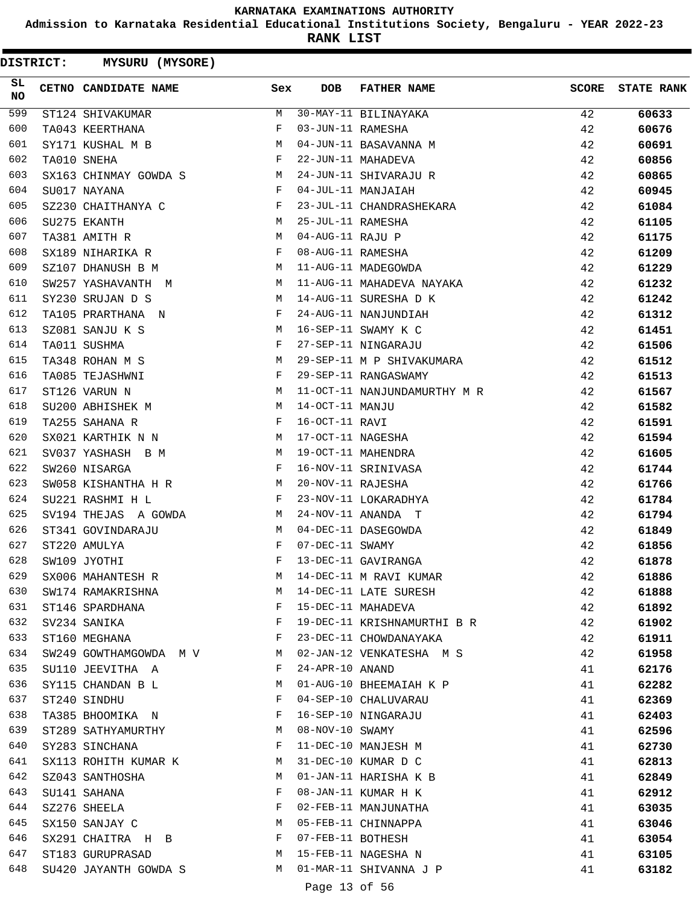**Admission to Karnataka Residential Educational Institutions Society, Bengaluru - YEAR 2022-23**

|                 | <b>DISTRICT:</b> | MYSURU (MYSORE)        |     |                   |                              |              |                   |
|-----------------|------------------|------------------------|-----|-------------------|------------------------------|--------------|-------------------|
| SL<br><b>NO</b> |                  | CETNO CANDIDATE NAME   | Sex | <b>DOB</b>        | <b>FATHER NAME</b>           | <b>SCORE</b> | <b>STATE RANK</b> |
| 599             |                  | ST124 SHIVAKUMAR       | М   |                   | 30-MAY-11 BILINAYAKA         | 42           | 60633             |
| 600             |                  | TA043 KEERTHANA        | F   | 03-JUN-11 RAMESHA |                              | 42           | 60676             |
| 601             |                  | SY171 KUSHAL M B       | М   |                   | 04-JUN-11 BASAVANNA M        | 42           | 60691             |
| 602             |                  | TA010 SNEHA            | F   |                   | 22-JUN-11 MAHADEVA           | 42           | 60856             |
| 603             |                  | SX163 CHINMAY GOWDA S  | М   |                   | 24-JUN-11 SHIVARAJU R        | 42           | 60865             |
| 604             |                  | SU017 NAYANA           | F   |                   | 04-JUL-11 MANJAIAH           | 42           | 60945             |
| 605             |                  | SZ230 CHAITHANYA C     | F   |                   | 23-JUL-11 CHANDRASHEKARA     | 42           | 61084             |
| 606             |                  | SU275 EKANTH           | M   | 25-JUL-11 RAMESHA |                              | 42           | 61105             |
| 607             |                  | TA381 AMITH R          | М   | 04-AUG-11 RAJU P  |                              | 42           | 61175             |
| 608             |                  | SX189 NIHARIKA R       | F   | 08-AUG-11 RAMESHA |                              | 42           | 61209             |
| 609             |                  | SZ107 DHANUSH B M      | М   |                   | 11-AUG-11 MADEGOWDA          | 42           | 61229             |
| 610             |                  | SW257 YASHAVANTH M     | М   |                   | 11-AUG-11 MAHADEVA NAYAKA    | 42           | 61232             |
| 611             |                  | SY230 SRUJAN D S       | М   |                   | 14-AUG-11 SURESHA D K        | 42           | 61242             |
| 612             |                  | TA105 PRARTHANA N      | F   |                   | 24-AUG-11 NANJUNDIAH         | 42           | 61312             |
| 613             |                  | SZ081 SANJU K S        | М   |                   | 16-SEP-11 SWAMY K C          | 42           | 61451             |
| 614             |                  | TA011 SUSHMA           | F   |                   | 27-SEP-11 NINGARAJU          | 42           | 61506             |
| 615             |                  | TA348 ROHAN M S        | М   |                   | 29-SEP-11 M P SHIVAKUMARA    | 42           | 61512             |
| 616             |                  | TA085 TEJASHWNI        | F   |                   | 29-SEP-11 RANGASWAMY         | 42           | 61513             |
| 617             |                  | ST126 VARUN N          | М   |                   | 11-OCT-11 NANJUNDAMURTHY M R | 42           | 61567             |
| 618             |                  | SU200 ABHISHEK M       | М   | 14-OCT-11 MANJU   |                              | 42           | 61582             |
| 619             |                  | TA255 SAHANA R         | F   | 16-OCT-11 RAVI    |                              | 42           | 61591             |
| 620             |                  | SX021 KARTHIK N N      | М   | 17-OCT-11 NAGESHA |                              | 42           | 61594             |
| 621             |                  | SV037 YASHASH B M      | М   |                   | 19-OCT-11 MAHENDRA           | 42           | 61605             |
| 622             |                  | SW260 NISARGA          | F   |                   | 16-NOV-11 SRINIVASA          | 42           | 61744             |
| 623             |                  | SW058 KISHANTHA H R    | М   | 20-NOV-11 RAJESHA |                              | 42           | 61766             |
| 624             |                  | SU221 RASHMI H L       | F   |                   | 23-NOV-11 LOKARADHYA         | 42           | 61784             |
| 625             |                  | SV194 THEJAS A GOWDA   | М   |                   | 24-NOV-11 ANANDA T           | 42           | 61794             |
| 626             |                  | ST341 GOVINDARAJU      | M   |                   | 04-DEC-11 DASEGOWDA          | 42           | 61849             |
| 627             |                  | ST220 AMULYA           | F   | 07-DEC-11 SWAMY   |                              | 42           | 61856             |
| 628             |                  | SW109 JYOTHI           | F   |                   | 13-DEC-11 GAVIRANGA          | 42           | 61878             |
| 629             |                  | SX006 MAHANTESH R      | М   |                   | 14-DEC-11 M RAVI KUMAR       | 42           | 61886             |
| 630             |                  | SW174 RAMAKRISHNA      | M   |                   | 14-DEC-11 LATE SURESH        | 42           | 61888             |
| 631             |                  | ST146 SPARDHANA        | F   |                   | 15-DEC-11 MAHADEVA           | 42           | 61892             |
| 632             |                  | SV234 SANIKA           | F   |                   | 19-DEC-11 KRISHNAMURTHI B R  | 42           | 61902             |
| 633             |                  | ST160 MEGHANA          | F   |                   | 23-DEC-11 CHOWDANAYAKA       | 42           | 61911             |
| 634             |                  | SW249 GOWTHAMGOWDA M V | M   |                   | 02-JAN-12 VENKATESHA M S     | 42           | 61958             |
| 635             |                  | SU110 JEEVITHA A       | F   | 24-APR-10 ANAND   |                              | 41           | 62176             |
| 636             |                  | SY115 CHANDAN B L      | М   |                   | 01-AUG-10 BHEEMAIAH K P      | 41           | 62282             |
| 637             |                  | ST240 SINDHU           | F   |                   | 04-SEP-10 CHALUVARAU         | 41           | 62369             |
| 638             |                  | TA385 BHOOMIKA N       | F   |                   | 16-SEP-10 NINGARAJU          | 41           | 62403             |
| 639             |                  | ST289 SATHYAMURTHY     | M   | $08-NOV-10$ SWAMY |                              | 41           | 62596             |
| 640             |                  | SY283 SINCHANA         | F   |                   | 11-DEC-10 MANJESH M          | 41           | 62730             |
| 641             |                  | SX113 ROHITH KUMAR K   | М   |                   | 31-DEC-10 KUMAR D C          | 41           | 62813             |
| 642             |                  | SZ043 SANTHOSHA        | M   |                   | 01-JAN-11 HARISHA K B        | 41           | 62849             |
| 643             |                  | SU141 SAHANA           | F   |                   | 08-JAN-11 KUMAR H K          | 41           | 62912             |
| 644             |                  | SZ276 SHEELA           | F   |                   | 02-FEB-11 MANJUNATHA         | 41           | 63035             |
| 645             |                  | SX150 SANJAY C         | М   |                   | 05-FEB-11 CHINNAPPA          | 41           | 63046             |
| 646             |                  | SX291 CHAITRA H B      | F   | 07-FEB-11 BOTHESH |                              | 41           | 63054             |
| 647             |                  | ST183 GURUPRASAD       | M   |                   | 15-FEB-11 NAGESHA N          | 41           | 63105             |
| 648             |                  | SU420 JAYANTH GOWDA S  | M   |                   | 01-MAR-11 SHIVANNA J P       | 41           | 63182             |
|                 |                  |                        |     |                   |                              |              |                   |
|                 |                  |                        |     | Page 13 of 56     |                              |              |                   |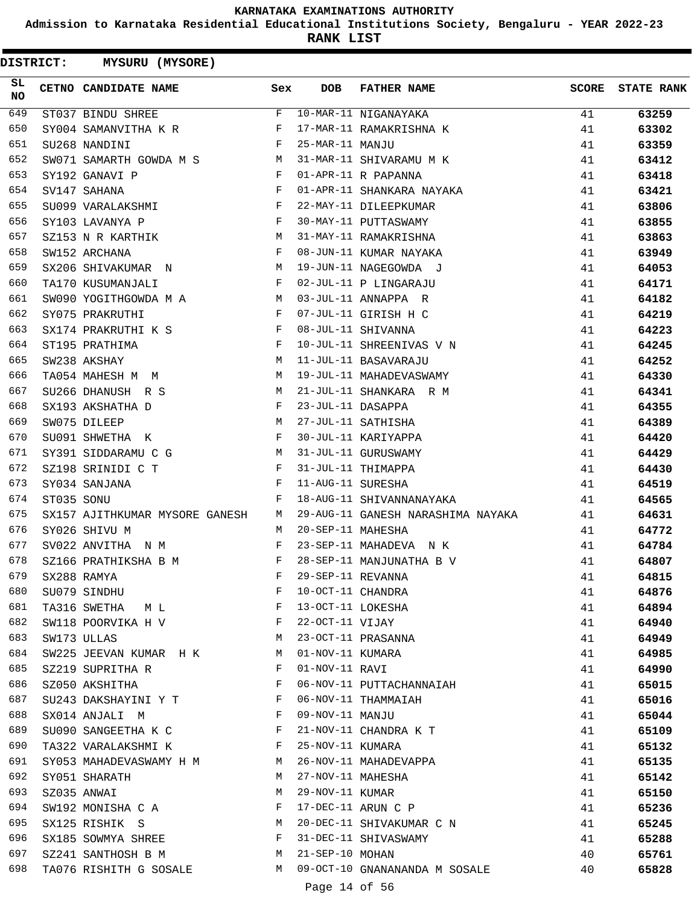**Admission to Karnataka Residential Educational Institutions Society, Bengaluru - YEAR 2022-23**

**RANK LIST**

| SL<br><b>NO</b> |            | <b>CETNO CANDIDATE NAME</b>                                                    | Sex          | DOB               | <b>FATHER NAME</b>                | SCORE | <b>STATE RANK</b> |
|-----------------|------------|--------------------------------------------------------------------------------|--------------|-------------------|-----------------------------------|-------|-------------------|
| 649             |            | ST037 BINDU SHREE                                                              | F            |                   | 10-MAR-11 NIGANAYAKA              | 41    | 63259             |
| 650             |            | SY004 SAMANVITHA K R                                                           | F            |                   | 17-MAR-11 RAMAKRISHNA K           | 41    | 63302             |
| 651             |            | $\mathbf{F}$<br>SU268 NANDINI                                                  |              | 25-MAR-11 MANJU   |                                   | 41    | 63359             |
| 652             |            | SW071 SAMARTH GOWDA M S M                                                      |              |                   | 31-MAR-11 SHIVARAMU M K           | 41    | 63412             |
| 653             |            | SY192 GANAVI P<br>$\mathbf{F}$ and $\mathbf{F}$                                |              |                   | 01-APR-11 R PAPANNA               | 41    | 63418             |
| 654             |            | $\mathbf{F}$ and $\mathbf{F}$<br>SV147 SAHANA                                  |              |                   | 01-APR-11 SHANKARA NAYAKA         | 41    | 63421             |
| 655             |            | SU099 VARALAKSHMI F                                                            |              |                   | 22-MAY-11 DILEEPKUMAR             | 41    | 63806             |
| 656             |            | SY103 LAVANYA P                                                                | $\mathbf{F}$ |                   | 30-MAY-11 PUTTASWAMY              | 41    | 63855             |
| 657             |            | SZ153 N R KARTHIK M                                                            |              |                   | 31-MAY-11 RAMAKRISHNA             | 41    | 63863             |
| 658             |            | SW152 ARCHANA                                                                  | F            |                   | 08-JUN-11 KUMAR NAYAKA            | 41    | 63949             |
| 659             |            | SX206 SHIVAKUMAR N M                                                           |              |                   | 19-JUN-11 NAGEGOWDA J             | 41    | 64053             |
| 660             |            | $\mathbf{F}$<br>TA170 KUSUMANJALI                                              |              |                   | 02-JUL-11 P LINGARAJU             | 41    | 64171             |
| 661             |            | SW090 YOGITHGOWDA M A M                                                        |              |                   | 03-JUL-11 ANNAPPA R               | 41    | 64182             |
| 662             |            | <b>Example 2</b> F<br>SY075 PRAKRUTHI                                          |              |                   | 07-JUL-11 GIRISH H C              | 41    | 64219             |
| 663             |            | $\mathbf{F}$ and $\mathbf{F}$<br>SX174 PRAKRUTHI K S                           |              |                   | 08-JUL-11 SHIVANNA                | 41    | 64223             |
| 664             |            | $\mathbb F$<br>ST195 PRATHIMA                                                  |              |                   | 10-JUL-11 SHREENIVAS V N          | 41    | 64245             |
| 665             |            | SW238 AKSHAY                                                                   | <b>M</b>     |                   | 11-JUL-11 BASAVARAJU              | 41    | 64252             |
| 666             |            | TA054 MAHESH M M                                                               |              |                   | 19-JUL-11 MAHADEVASWAMY           | 41    | 64330             |
| 667             |            | SU266 DHANUSH R S                                                              | M            |                   | 21-JUL-11 SHANKARA R M            | 41    | 64341             |
| 668             |            | SX193 AKSHATHA D                                                               | F            | 23-JUL-11 DASAPPA |                                   | 41    | 64355             |
| 669             |            | SW075 DILEEP                                                                   | M            |                   | 27-JUL-11 SATHISHA                | 41    | 64389             |
| 670             |            | $\mathbf{F}$ . The contract of the contract of $\mathbf{F}$<br>SU091 SHWETHA K |              |                   | 30-JUL-11 KARIYAPPA               | 41    | 64420             |
| 671             |            | $M_{\rm H}$<br>SY391 SIDDARAMU C G                                             |              |                   | 31-JUL-11 GURUSWAMY               | 41    | 64429             |
| 672             |            | SZ198 SRINIDI C T                                                              | F            |                   | 31-JUL-11 THIMAPPA                | 41    | 64430             |
| 673             |            | SY034 SANJANA                                                                  | F            | 11-AUG-11 SURESHA |                                   | 41    | 64519             |
| 674             | ST035 SONU |                                                                                | F            |                   | 18-AUG-11 SHIVANNANAYAKA          | 41    | 64565             |
| 675             |            | SX157 AJITHKUMAR MYSORE GANESH M                                               |              |                   | 29-AUG-11 GANESH NARASHIMA NAYAKA | 41    | 64631             |
| 676             |            | SY026 SHIVU M                                                                  | M            | 20-SEP-11 MAHESHA |                                   | 41    | 64772             |
| 677             |            | SV022 ANVITHA N M                                                              | F            |                   | 23-SEP-11 MAHADEVA N K            | 41    | 64784             |
| 678             |            | SZ166 PRATHIKSHA B M                                                           | F            |                   | 28-SEP-11 MANJUNATHA B V          | 41    | 64807             |
| 679             |            | SX288 RAMYA                                                                    | F            | 29-SEP-11 REVANNA |                                   | 41    | 64815             |
| 680             |            | SU079 SINDHU                                                                   | F            | 10-OCT-11 CHANDRA |                                   | 41    | 64876             |
| 681             |            | TA316 SWETHA<br>M L                                                            | F            | 13-OCT-11 LOKESHA |                                   | 41    | 64894             |
| 682             |            | SW118 POORVIKA H V                                                             | F            | 22-OCT-11 VIJAY   |                                   | 41    | 64940             |
| 683             |            | SW173 ULLAS                                                                    | М            |                   | 23-OCT-11 PRASANNA                | 41    | 64949             |
| 684             |            | SW225 JEEVAN KUMAR H K                                                         | М            | 01-NOV-11 KUMARA  |                                   | 41    | 64985             |
| 685             |            | SZ219 SUPRITHA R                                                               | F            | 01-NOV-11 RAVI    |                                   | 41    | 64990             |
| 686             |            | SZ050 AKSHITHA                                                                 | F            |                   | 06-NOV-11 PUTTACHANNAIAH          | 41    | 65015             |
| 687             |            | SU243 DAKSHAYINI Y T                                                           | F            |                   | 06-NOV-11 THAMMAIAH               | 41    | 65016             |
| 688             |            | SX014 ANJALI M                                                                 | F            | 09-NOV-11 MANJU   |                                   | 41    | 65044             |
| 689             |            | SU090 SANGEETHA K C                                                            | F            |                   | 21-NOV-11 CHANDRA K T             | 41    | 65109             |
| 690             |            | TA322 VARALAKSHMI K                                                            | F            | 25-NOV-11 KUMARA  |                                   | 41    | 65132             |
| 691             |            | SY053 MAHADEVASWAMY H M                                                        | M            |                   | 26-NOV-11 MAHADEVAPPA             | 41    | 65135             |
| 692             |            |                                                                                | M            | 27-NOV-11 MAHESHA |                                   | 41    |                   |
| 693             |            | SY051 SHARATH<br>SZ035 ANWAI                                                   | М            | 29-NOV-11 KUMAR   |                                   | 41    | 65142             |
| 694             |            | SW192 MONISHA C A                                                              | F            |                   | 17-DEC-11 ARUN C P                | 41    | 65150             |
| 695             |            |                                                                                | M            |                   |                                   |       | 65236             |
| 696             |            | SX125 RISHIK S                                                                 | F            |                   | 20-DEC-11 SHIVAKUMAR C N          | 41    | 65245             |
| 697             |            | SX185 SOWMYA SHREE                                                             |              |                   | 31-DEC-11 SHIVASWAMY              | 41    | 65288             |
| 698             |            | SZ241 SANTHOSH B M                                                             | M<br>M       | 21-SEP-10 MOHAN   | 09-OCT-10 GNANANANDA M SOSALE     | 40    | 65761             |
|                 |            | TA076 RISHITH G SOSALE                                                         |              |                   |                                   | 40    | 65828             |
|                 |            |                                                                                |              | Page 14 of 56     |                                   |       |                   |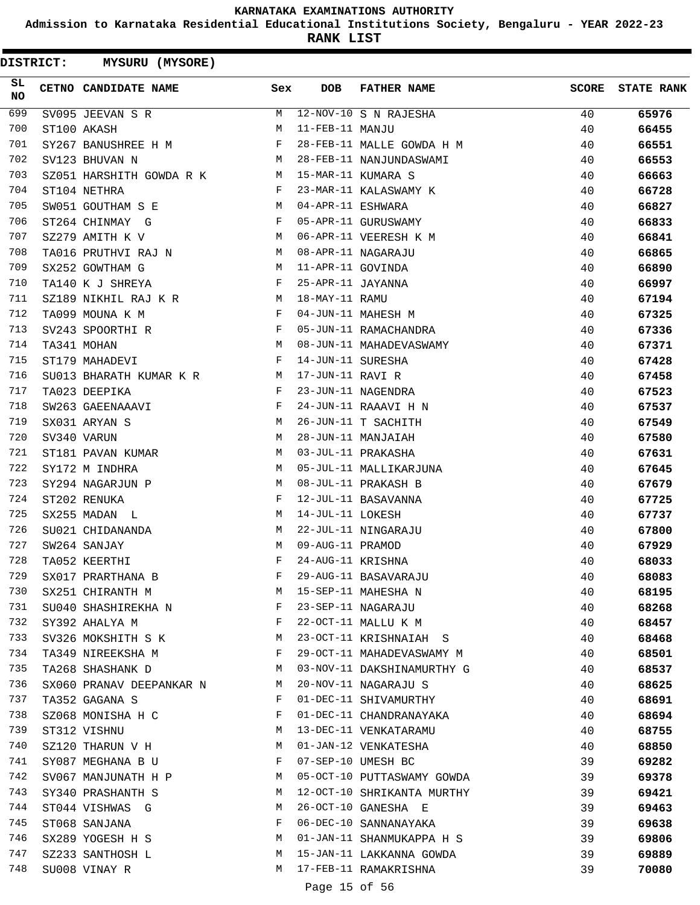**Admission to Karnataka Residential Educational Institutions Society, Bengaluru - YEAR 2022-23**

**RANK LIST**

**DISTRICT:** NN **MYSURU (MYSORE)**

| SL<br><b>NO</b> | CETNO CANDIDATE NAME                                   | Sex          | <b>DOB</b>        | <b>FATHER NAME</b>         | <b>SCORE</b> | <b>STATE RANK</b> |
|-----------------|--------------------------------------------------------|--------------|-------------------|----------------------------|--------------|-------------------|
| 699             | SV095 JEEVAN S R                                       | М            |                   | 12-NOV-10 S N RAJESHA      | 40           | 65976             |
| 700             | ST100 AKASH                                            | М            | 11-FEB-11 MANJU   |                            | 40           | 66455             |
| 701             | SY267 BANUSHREE H M                                    | $\mathbf{F}$ |                   | 28-FEB-11 MALLE GOWDA H M  | 40           | 66551             |
| 702             | M <sub>1</sub><br>SV123 BHUVAN N                       |              |                   | 28-FEB-11 NANJUNDASWAMI    | 40           | 66553             |
| 703             | SZ051 HARSHITH GOWDA R K M                             |              |                   | 15-MAR-11 KUMARA S         | 40           | 66663             |
| 704             | ST104 NETHRA                                           | F            |                   | 23-MAR-11 KALASWAMY K      | 40           | 66728             |
| 705             | SW051 GOUTHAM S E                                      | M            | 04-APR-11 ESHWARA |                            | 40           | 66827             |
| 706             | ST264 CHINMAY G                                        | F            |                   | 05-APR-11 GURUSWAMY        | 40           | 66833             |
| 707             | SZ279 AMITH K V                                        | М            |                   | 06-APR-11 VEERESH K M      | 40           | 66841             |
| 708             | TA016 PRUTHVI RAJ N                                    | M            |                   | 08-APR-11 NAGARAJU         | 40           | 66865             |
| 709             | SX252 GOWTHAM G                                        | M            | 11-APR-11 GOVINDA |                            | 40           | 66890             |
| 710             | TA140 K J SHREYA                                       | F            | 25-APR-11 JAYANNA |                            | 40           | 66997             |
| 711             | SZ189 NIKHIL RAJ K R M                                 |              | 18-MAY-11 RAMU    |                            | 40           | 67194             |
| 712             | TA099 MOUNA K M                                        | F            |                   | 04-JUN-11 MAHESH M         | 40           | 67325             |
| 713             | SV243 SPOORTHI R                                       | $\mathbf{F}$ |                   | 05-JUN-11 RAMACHANDRA      | 40           | 67336             |
| 714             | TA341 MOHAN                                            | M            |                   | 08-JUN-11 MAHADEVASWAMY    | 40           | 67371             |
| 715             | ST179 MAHADEVI                                         | F            | 14-JUN-11 SURESHA |                            | 40           | 67428             |
| 716             | SU013 BHARATH KUMAR K R<br>$M_{\rm H}$ and $M_{\rm H}$ |              | 17-JUN-11 RAVI R  |                            | 40           | 67458             |
| 717             | TA023 DEEPIKA                                          | $\mathbf{F}$ |                   | 23-JUN-11 NAGENDRA         | 40           | 67523             |
| 718             | SW263 GAEENAAAVI                                       | F            |                   | 24-JUN-11 RAAAVI H N       | 40           | 67537             |
| 719             | SX031 ARYAN S                                          | M            |                   | 26-JUN-11 T SACHITH        | 40           | 67549             |
| 720             | SV340 VARUN                                            | М            |                   | 28-JUN-11 MANJAIAH         | 40           | 67580             |
| 721             | ST181 PAVAN KUMAR                                      | M            |                   | 03-JUL-11 PRAKASHA         | 40           | 67631             |
| 722             | SY172 M INDHRA                                         | M            |                   | 05-JUL-11 MALLIKARJUNA     | 40           | 67645             |
| 723             | SY294 NAGARJUN P                                       | М            |                   | 08-JUL-11 PRAKASH B        | 40           | 67679             |
| 724             | ST202 RENUKA                                           | F            |                   | 12-JUL-11 BASAVANNA        | 40           | 67725             |
| 725             | SX255 MADAN L                                          | М            | 14-JUL-11 LOKESH  |                            | 40           | 67737             |
| 726             | SU021 CHIDANANDA                                       | М            |                   | 22-JUL-11 NINGARAJU        | 40           | 67800             |
| 727             | SW264 SANJAY                                           | M            | 09-AUG-11 PRAMOD  |                            | 40           | 67929             |
| 728             | TA052 KEERTHI                                          | F            | 24-AUG-11 KRISHNA |                            | 40           | 68033             |
| 729             | SX017 PRARTHANA B                                      | F            |                   | 29-AUG-11 BASAVARAJU       | 40           | 68083             |
| 730             | SX251 CHIRANTH M                                       | M            |                   | 15-SEP-11 MAHESHA N        | 40           | 68195             |
| 731             | SU040 SHASHIREKHA N                                    | F            |                   | 23-SEP-11 NAGARAJU         | 40           | 68268             |
| 732             | SY392 AHALYA M                                         | F            |                   | 22-OCT-11 MALLU K M        | 40           | 68457             |
| 733             | SV326 MOKSHITH S K                                     | M            |                   | 23-OCT-11 KRISHNAIAH S     | 40           | 68468             |
| 734             | TA349 NIREEKSHA M                                      | F            |                   | 29-OCT-11 MAHADEVASWAMY M  | 40           | 68501             |
| 735             | TA268 SHASHANK D                                       | М            |                   | 03-NOV-11 DAKSHINAMURTHY G | 40           | 68537             |
| 736             | SX060 PRANAV DEEPANKAR N                               | М            |                   | 20-NOV-11 NAGARAJU S       | 40           | 68625             |
| 737             | TA352 GAGANA S                                         | F            |                   | 01-DEC-11 SHIVAMURTHY      | 40           | 68691             |
| 738             | SZ068 MONISHA H C                                      | F            |                   | 01-DEC-11 CHANDRANAYAKA    | 40           | 68694             |
| 739             | ST312 VISHNU                                           | М            |                   | 13-DEC-11 VENKATARAMU      | 40           | 68755             |
| 740             | SZ120 THARUN V H                                       | M            |                   | 01-JAN-12 VENKATESHA       | 40           | 68850             |
| 741             | SY087 MEGHANA B U                                      | F            |                   | 07-SEP-10 UMESH BC         | 39           | 69282             |
| 742             | SV067 MANJUNATH H P                                    | М            |                   | 05-OCT-10 PUTTASWAMY GOWDA | 39           | 69378             |
| 743             | SY340 PRASHANTH S                                      | М            |                   | 12-OCT-10 SHRIKANTA MURTHY | 39           | 69421             |
| 744             | ST044 VISHWAS G                                        | М            |                   | 26-OCT-10 GANESHA E        | 39           | 69463             |
| 745             | ST068 SANJANA                                          | F            |                   | 06-DEC-10 SANNANAYAKA      | 39           | 69638             |
| 746             | SX289 YOGESH H S                                       | M            |                   | 01-JAN-11 SHANMUKAPPA H S  | 39           | 69806             |
| 747             | SZ233 SANTHOSH L                                       | M            |                   | 15-JAN-11 LAKKANNA GOWDA   | 39           | 69889             |
| 748             | SU008 VINAY R                                          | M            |                   | 17-FEB-11 RAMAKRISHNA      | 39           | 70080             |
|                 |                                                        |              |                   |                            |              |                   |

Page 15 of 56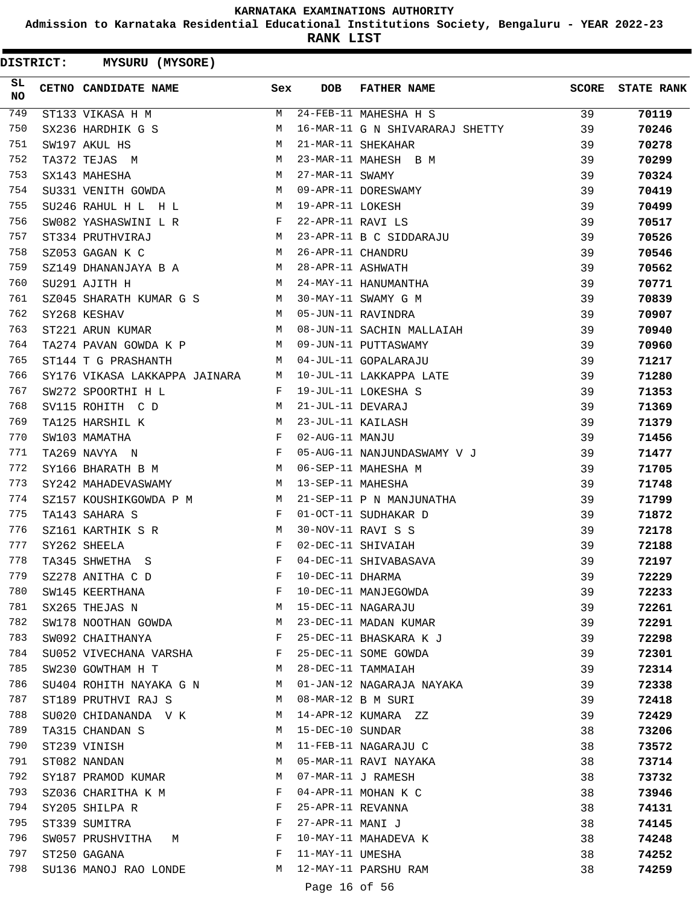**Admission to Karnataka Residential Educational Institutions Society, Bengaluru - YEAR 2022-23**

|                 | <b>DISTRICT:</b> | <b>MYSURU (MYSORE)</b>                      |            |                   |                                 |              |                   |
|-----------------|------------------|---------------------------------------------|------------|-------------------|---------------------------------|--------------|-------------------|
| SL<br><b>NO</b> |                  | CETNO CANDIDATE NAME                        | Sex        | <b>DOB</b>        | <b>FATHER NAME</b>              | <b>SCORE</b> | <b>STATE RANK</b> |
| 749             |                  | ST133 VIKASA H M                            | M          |                   | 24-FEB-11 MAHESHA H S           | 39           | 70119             |
| 750             |                  | SX236 HARDHIK G S                           | M          |                   | 16-MAR-11 G N SHIVARARAJ SHETTY | 39           | 70246             |
| 751             |                  | SW197 AKUL HS                               | M          |                   | 21-MAR-11 SHEKAHAR              | 39           | 70278             |
| 752             |                  | TA372 TEJAS M                               | M          |                   | 23-MAR-11 MAHESH B M            | 39           | 70299             |
| 753             |                  | SX143 MAHESHA                               | M          | 27-MAR-11 SWAMY   |                                 | 39           | 70324             |
| 754             |                  | SU331 VENITH GOWDA                          | М          |                   | 09-APR-11 DORESWAMY             | 39           | 70419             |
| 755             |                  | SU246 RAHUL H L H L                         | М          | 19-APR-11 LOKESH  |                                 | 39           | 70499             |
| 756             |                  | SW082 YASHASWINI L R                        | F          | 22-APR-11 RAVI LS |                                 | 39           | 70517             |
| 757             |                  | ST334 PRUTHVIRAJ                            | М          |                   | 23-APR-11 B C SIDDARAJU         | 39           | 70526             |
| 758             |                  | SZ053 GAGAN K C                             | М          | 26-APR-11 CHANDRU |                                 | 39           | 70546             |
| 759             |                  | SZ149 DHANANJAYA B A                        | М          | 28-APR-11 ASHWATH |                                 | 39           | 70562             |
| 760             |                  | SU291 AJITH H                               | М          |                   | 24-MAY-11 HANUMANTHA            | 39           | 70771             |
| 761             |                  | SZ045 SHARATH KUMAR G S                     | М          |                   | 30-MAY-11 SWAMY G M             | 39           | 70839             |
| 762             |                  | SY268 KESHAV                                | M          |                   | 05-JUN-11 RAVINDRA              | 39           | 70907             |
| 763             |                  | ST221 ARUN KUMAR                            | M          |                   | 08-JUN-11 SACHIN MALLAIAH       | 39           | 70940             |
| 764             |                  | TA274 PAVAN GOWDA K P                       | M          |                   | 09-JUN-11 PUTTASWAMY            | 39           | 70960             |
| 765             |                  | ST144 T G PRASHANTH                         | М          |                   | 04-JUL-11 GOPALARAJU            | 39           | 71217             |
| 766             |                  | SY176 VIKASA LAKKAPPA JAINARA               | М          |                   | 10-JUL-11 LAKKAPPA LATE         | 39           | 71280             |
| 767             |                  | SW272 SPOORTHI H L                          | F          |                   | 19-JUL-11 LOKESHA S             | 39           | 71353             |
| 768             |                  | SV115 ROHITH C D                            | М          | 21-JUL-11 DEVARAJ |                                 | 39           | 71369             |
| 769             |                  | TA125 HARSHIL K                             | M          | 23-JUL-11 KAILASH |                                 | 39           | 71379             |
| 770             |                  | SW103 MAMATHA                               | F          | 02-AUG-11 MANJU   |                                 | 39           | 71456             |
| 771             |                  | TA269 NAVYA N                               | $_{\rm F}$ |                   | 05-AUG-11 NANJUNDASWAMY V J     | 39           | 71477             |
| 772             |                  | SY166 BHARATH B M                           | М          |                   | 06-SEP-11 MAHESHA M             | 39           | 71705             |
| 773             |                  | SY242 MAHADEVASWAMY                         | М          | 13-SEP-11 MAHESHA |                                 | 39           | 71748             |
| 774             |                  | SZ157 KOUSHIKGOWDA P M                      | М          |                   | 21-SEP-11 P N MANJUNATHA        | 39           | 71799             |
| 775             |                  | TA143 SAHARA S                              | $_{\rm F}$ |                   | 01-OCT-11 SUDHAKAR D            | 39           | 71872             |
| 776             |                  | SZ161 KARTHIK S R                           | М          |                   | 30-NOV-11 RAVI S S              | 39           | 72178             |
| 777             |                  | SY262 SHEELA                                | F          |                   | 02-DEC-11 SHIVAIAH              | 39           | 72188             |
| 778             |                  | TA345 SHWETHA S                             | F          |                   | 04-DEC-11 SHIVABASAVA           | 39           | 72197             |
| 779             |                  | SZ278 ANITHA C D                            | F          | 10-DEC-11 DHARMA  |                                 | 39           | 72229             |
| 780             |                  | SW145 KEERTHANA                             | F          |                   | 10-DEC-11 MANJEGOWDA            | 39           | 72233             |
| 781             |                  | SX265 THEJAS N                              | М          |                   | 15-DEC-11 NAGARAJU              | 39           | 72261             |
| 782             |                  | SW178 NOOTHAN GOWDA                         | М          |                   | 23-DEC-11 MADAN KUMAR           | 39           | 72291             |
| 783             |                  | SW092 CHAITHANYA                            | F          |                   | 25-DEC-11 BHASKARA K J          | 39           | 72298             |
| 784             |                  |                                             | F          |                   | 25-DEC-11 SOME GOWDA            | 39           | 72301             |
| 785             |                  | SU052 VIVECHANA VARSHA<br>SW230 GOWTHAM H T | М          |                   | 28-DEC-11 TAMMAIAH              | 39           |                   |
| 786             |                  | SU404 ROHITH NAYAKA G N                     | М          |                   | 01-JAN-12 NAGARAJA NAYAKA       |              | 72314             |
| 787             |                  |                                             |            |                   |                                 | 39           | 72338             |
| 788             |                  | ST189 PRUTHVI RAJ S                         | М          |                   | 08-MAR-12 B M SURI              | 39           | 72418             |
|                 |                  | SU020 CHIDANANDA V K                        | M          |                   | 14-APR-12 KUMARA ZZ             | 39           | 72429             |
| 789             |                  | TA315 CHANDAN S                             | M          | 15-DEC-10 SUNDAR  |                                 | 38           | 73206             |
| 790             |                  | ST239 VINISH                                | М          |                   | 11-FEB-11 NAGARAJU C            | 38           | 73572             |
| 791             |                  | ST082 NANDAN                                | M          |                   | 05-MAR-11 RAVI NAYAKA           | 38           | 73714             |
| 792             |                  | SY187 PRAMOD KUMAR                          | М          |                   | 07-MAR-11 J RAMESH              | 38           | 73732             |
| 793             |                  | SZ036 CHARITHA K M                          | F          |                   | 04-APR-11 MOHAN K C             | 38           | 73946             |
| 794             |                  | SY205 SHILPA R                              | F          | 25-APR-11 REVANNA |                                 | 38           | 74131             |
| 795             |                  | ST339 SUMITRA                               | F          | 27-APR-11 MANI J  |                                 | 38           | 74145             |
| 796             |                  | SW057 PRUSHVITHA<br>M                       | F          |                   | 10-MAY-11 MAHADEVA K            | 38           | 74248             |
| 797             |                  | ST250 GAGANA                                | F          | 11-MAY-11 UMESHA  |                                 | 38           | 74252             |
| 798             |                  | SU136 MANOJ RAO LONDE                       | М          |                   | 12-MAY-11 PARSHU RAM            | 38           | 74259             |
|                 |                  |                                             |            | Page 16 of 56     |                                 |              |                   |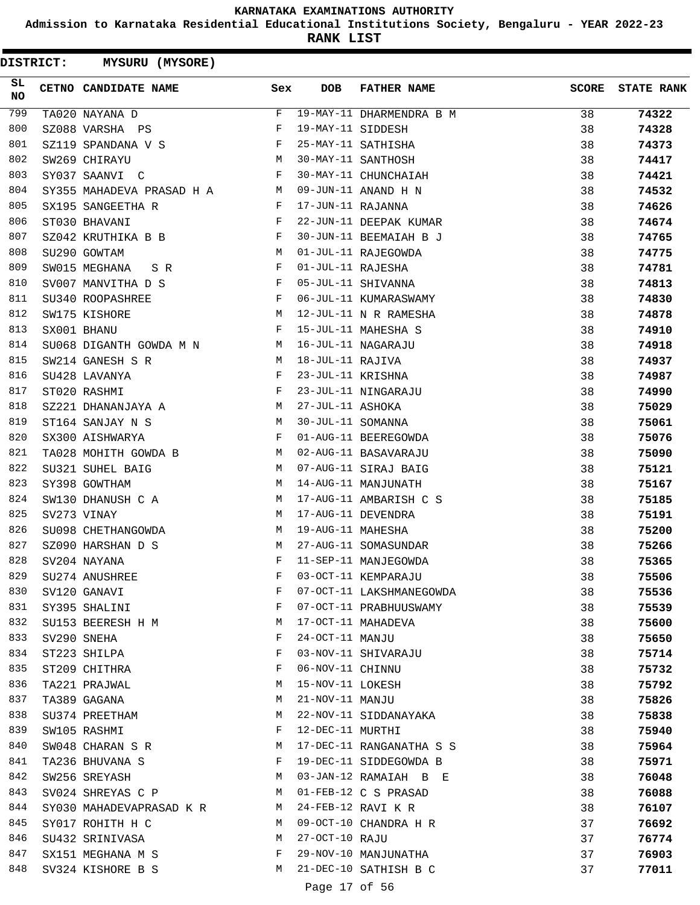**Admission to Karnataka Residential Educational Institutions Society, Bengaluru - YEAR 2022-23**

|          | <b>DISTRICT:</b> | <b>MYSURU (MYSORE)</b>    |            |                   |                          |              |                   |
|----------|------------------|---------------------------|------------|-------------------|--------------------------|--------------|-------------------|
| SL<br>NO |                  | CETNO CANDIDATE NAME      | Sex        | DOB               | <b>FATHER NAME</b>       | <b>SCORE</b> | <b>STATE RANK</b> |
| 799      |                  | TA020 NAYANA D            | F          |                   | 19-MAY-11 DHARMENDRA B M | 38           | 74322             |
| 800      |                  | SZ088 VARSHA PS           | F          | 19-MAY-11 SIDDESH |                          | 38           | 74328             |
| 801      |                  | SZ119 SPANDANA V S        | F          |                   | 25-MAY-11 SATHISHA       | 38           | 74373             |
| 802      |                  | SW269 CHIRAYU             | М          |                   | 30-MAY-11 SANTHOSH       | 38           | 74417             |
| 803      |                  | SY037 SAANVI C            | F          |                   | 30-MAY-11 CHUNCHAIAH     | 38           | 74421             |
| 804      |                  | SY355 MAHADEVA PRASAD H A | М          |                   | 09-JUN-11 ANAND H N      | 38           | 74532             |
| 805      |                  | SX195 SANGEETHA R         | F          | 17-JUN-11 RAJANNA |                          | 38           | 74626             |
| 806      |                  | ST030 BHAVANI             | F          |                   | 22-JUN-11 DEEPAK KUMAR   | 38           | 74674             |
| 807      |                  | SZ042 KRUTHIKA B B        | F          |                   | 30-JUN-11 BEEMAIAH B J   | 38           | 74765             |
| 808      |                  | SU290 GOWTAM              | М          |                   | 01-JUL-11 RAJEGOWDA      | 38           | 74775             |
| 809      |                  | SW015 MEGHANA<br>S R      | F          | 01-JUL-11 RAJESHA |                          | 38           | 74781             |
| 810      |                  | SV007 MANVITHA D S        | F          |                   | 05-JUL-11 SHIVANNA       | 38           | 74813             |
| 811      |                  | SU340 ROOPASHREE          | F          |                   | 06-JUL-11 KUMARASWAMY    | 38           | 74830             |
| 812      |                  | SW175 KISHORE             | М          |                   | 12-JUL-11 N R RAMESHA    | 38           | 74878             |
| 813      |                  | SX001 BHANU               | $_{\rm F}$ |                   | 15-JUL-11 MAHESHA S      | 38           | 74910             |
| 814      |                  | SU068 DIGANTH GOWDA M N   | М          |                   | 16-JUL-11 NAGARAJU       | 38           | 74918             |
| 815      |                  | SW214 GANESH S R          | М          | 18-JUL-11 RAJIVA  |                          | 38           | 74937             |
| 816      |                  | SU428 LAVANYA             | F          | 23-JUL-11 KRISHNA |                          | 38           | 74987             |
| 817      |                  | ST020 RASHMI              | F          |                   | 23-JUL-11 NINGARAJU      | 38           | 74990             |
| 818      |                  | SZ221 DHANANJAYA A        | М          | 27-JUL-11 ASHOKA  |                          | 38           | 75029             |
| 819      |                  | ST164 SANJAY N S          | М          | 30-JUL-11 SOMANNA |                          | 38           | 75061             |
| 820      |                  | SX300 AISHWARYA           | F          |                   | 01-AUG-11 BEEREGOWDA     | 38           | 75076             |
| 821      |                  | TA028 MOHITH GOWDA B      | M          |                   | 02-AUG-11 BASAVARAJU     | 38           | 75090             |
| 822      |                  | SU321 SUHEL BAIG          | М          |                   | 07-AUG-11 SIRAJ BAIG     | 38           | 75121             |
| 823      |                  | SY398 GOWTHAM             | М          |                   | 14-AUG-11 MANJUNATH      | 38           | 75167             |
| 824      |                  | SW130 DHANUSH C A         | М          |                   | 17-AUG-11 AMBARISH C S   | 38           | 75185             |
| 825      |                  | SV273 VINAY               | М          |                   | 17-AUG-11 DEVENDRA       | 38           | 75191             |
| 826      |                  | SU098 CHETHANGOWDA        | М          | 19-AUG-11 MAHESHA |                          | 38           | 75200             |
| 827      |                  | SZ090 HARSHAN D S         | M          |                   | 27-AUG-11 SOMASUNDAR     | 38           | 75266             |
| 828      |                  | SV204 NAYANA              | F          |                   | 11-SEP-11 MANJEGOWDA     | 38           | 75365             |
| 829      |                  | SU274 ANUSHREE            | F          |                   | 03-OCT-11 KEMPARAJU      | 38           | 75506             |
| 830      |                  | SV120 GANAVI              | F          |                   | 07-OCT-11 LAKSHMANEGOWDA | 38           | 75536             |
| 831      |                  | SY395 SHALINI             | F          |                   | 07-OCT-11 PRABHUUSWAMY   | 38           | 75539             |
| 832      |                  | SU153 BEERESH H M         | М          |                   | 17-OCT-11 MAHADEVA       | 38           | 75600             |
| 833      |                  | SV290 SNEHA               | F          | 24-OCT-11 MANJU   |                          | 38           | 75650             |
| 834      |                  | ST223 SHILPA              | F          |                   | 03-NOV-11 SHIVARAJU      | 38           | 75714             |
| 835      |                  | ST209 CHITHRA             | F          | 06-NOV-11 CHINNU  |                          | 38           | 75732             |
| 836      |                  | TA221 PRAJWAL             | М          | 15-NOV-11 LOKESH  |                          | 38           | 75792             |
| 837      |                  | TA389 GAGANA              | М          | 21-NOV-11 MANJU   |                          | 38           | 75826             |
| 838      |                  | SU374 PREETHAM            | М          |                   | 22-NOV-11 SIDDANAYAKA    | 38           | 75838             |
| 839      |                  | SW105 RASHMI              | F          | 12-DEC-11 MURTHI  |                          | 38           | 75940             |
| 840      |                  | SW048 CHARAN S R          | М          |                   | 17-DEC-11 RANGANATHA S S | 38           | 75964             |
| 841      |                  | TA236 BHUVANA S           | F          |                   | 19-DEC-11 SIDDEGOWDA B   | 38           | 75971             |
| 842      |                  | SW256 SREYASH             | М          |                   | 03-JAN-12 RAMAIAH B E    | 38           | 76048             |
| 843      |                  | SV024 SHREYAS C P         | М          |                   | 01-FEB-12 C S PRASAD     | 38           | 76088             |
| 844      |                  | SY030 MAHADEVAPRASAD K R  | M          |                   | 24-FEB-12 RAVI K R       | 38           | 76107             |
| 845      |                  | SY017 ROHITH H C          | М          |                   | 09-OCT-10 CHANDRA H R    | 37           | 76692             |
| 846      |                  | SU432 SRINIVASA           | М          | 27-OCT-10 RAJU    |                          | 37           | 76774             |
| 847      |                  | SX151 MEGHANA M S         | F          |                   | 29-NOV-10 MANJUNATHA     | 37           | 76903             |
| 848      |                  | SV324 KISHORE B S         | M          |                   | 21-DEC-10 SATHISH B C    | 37           | 77011             |
|          |                  |                           |            | Page 17 of 56     |                          |              |                   |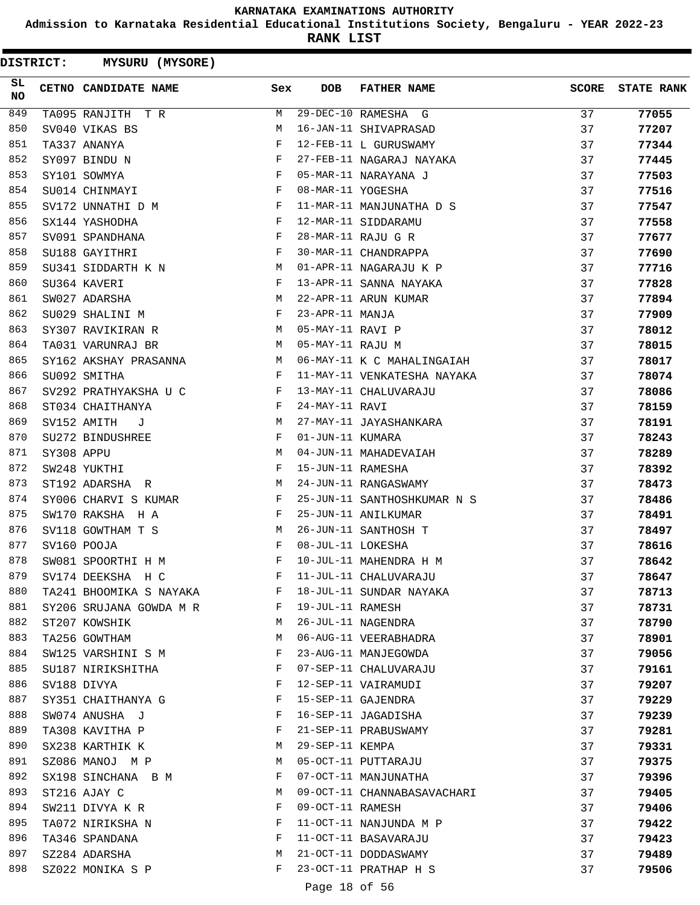**Admission to Karnataka Residential Educational Institutions Society, Bengaluru - YEAR 2022-23**

| <b>DISTRICT:</b> |            | <b>MYSURU (MYSORE)</b>  |     |                   |                             |              |                   |
|------------------|------------|-------------------------|-----|-------------------|-----------------------------|--------------|-------------------|
| SL<br><b>NO</b>  |            | CETNO CANDIDATE NAME    | Sex | <b>DOB</b>        | <b>FATHER NAME</b>          | <b>SCORE</b> | <b>STATE RANK</b> |
| 849              |            | TA095 RANJITH T R       | M   |                   | 29-DEC-10 RAMESHA G         | 37           | 77055             |
| 850              |            | SV040 VIKAS BS          | М   |                   | 16-JAN-11 SHIVAPRASAD       | 37           | 77207             |
| 851              |            | TA337 ANANYA            | F   |                   | 12-FEB-11 L GURUSWAMY       | 37           | 77344             |
| 852              |            | SY097 BINDU N           | F   |                   | 27-FEB-11 NAGARAJ NAYAKA    | 37           | 77445             |
| 853              |            | SY101 SOWMYA            | F   |                   | 05-MAR-11 NARAYANA J        | 37           | 77503             |
| 854              |            | SU014 CHINMAYI          | F   | 08-MAR-11 YOGESHA |                             | 37           | 77516             |
| 855              |            | SV172 UNNATHI D M       | F   |                   | 11-MAR-11 MANJUNATHA D S    | 37           | 77547             |
| 856              |            | SX144 YASHODHA          | F   |                   | 12-MAR-11 SIDDARAMU         | 37           | 77558             |
| 857              |            | SV091 SPANDHANA         | F   |                   | 28-MAR-11 RAJU G R          | 37           | 77677             |
| 858              |            | SU188 GAYITHRI          | F   |                   | 30-MAR-11 CHANDRAPPA        | 37           | 77690             |
| 859              |            | SU341 SIDDARTH K N      | М   |                   | 01-APR-11 NAGARAJU K P      | 37           | 77716             |
| 860              |            | SU364 KAVERI            | F   |                   | 13-APR-11 SANNA NAYAKA      | 37           | 77828             |
| 861              |            | SW027 ADARSHA           | М   |                   | 22-APR-11 ARUN KUMAR        | 37           | 77894             |
| 862              |            | SU029 SHALINI M         | F   | 23-APR-11 MANJA   |                             | 37           | 77909             |
| 863              |            | SY307 RAVIKIRAN R       | M   | 05-MAY-11 RAVI P  |                             | 37           | 78012             |
| 864              |            | TA031 VARUNRAJ BR       | M   | 05-MAY-11 RAJU M  |                             | 37           | 78015             |
| 865              |            | SY162 AKSHAY PRASANNA   | М   |                   | 06-MAY-11 K C MAHALINGAIAH  | 37           | 78017             |
| 866              |            | SU092 SMITHA            | F   |                   | 11-MAY-11 VENKATESHA NAYAKA | 37           | 78074             |
| 867              |            | SV292 PRATHYAKSHA U C   | F   |                   | 13-MAY-11 CHALUVARAJU       | 37           | 78086             |
| 868              |            | ST034 CHAITHANYA        | F   | 24-MAY-11 RAVI    |                             | 37           | 78159             |
| 869              |            | SV152 AMITH<br>J        | М   |                   | 27-MAY-11 JAYASHANKARA      | 37           | 78191             |
| 870              |            | SU272 BINDUSHREE        | F   | 01-JUN-11 KUMARA  |                             | 37           | 78243             |
| 871              | SY308 APPU |                         | М   |                   | 04-JUN-11 MAHADEVAIAH       | 37           | 78289             |
| 872              |            | SW248 YUKTHI            | F   | 15-JUN-11 RAMESHA |                             | 37           | 78392             |
| 873              |            | ST192 ADARSHA R         | М   |                   | 24-JUN-11 RANGASWAMY        | 37           | 78473             |
| 874              |            | SY006 CHARVI S KUMAR    | F   |                   | 25-JUN-11 SANTHOSHKUMAR N S | 37           | 78486             |
| 875              |            | SW170 RAKSHA H A        | F   |                   | 25-JUN-11 ANILKUMAR         | 37           | 78491             |
| 876              |            | SV118 GOWTHAM T S       | М   |                   | 26-JUN-11 SANTHOSH T        | 37           | 78497             |
| 877              |            | SV160 POOJA             | F   | 08-JUL-11 LOKESHA |                             | 37           | 78616             |
| 878              |            | SW081 SPOORTHI H M      | F   |                   | 10-JUL-11 MAHENDRA H M      | 37           | 78642             |
| 879              |            | SV174 DEEKSHA H C       | F   |                   | 11-JUL-11 CHALUVARAJU       | 37           | 78647             |
| 880              |            | TA241 BHOOMIKA S NAYAKA | F   |                   | 18-JUL-11 SUNDAR NAYAKA     | 37           | 78713             |
| 881              |            | SY206 SRUJANA GOWDA M R | F   | 19-JUL-11 RAMESH  |                             | 37           | 78731             |
| 882              |            | ST207 KOWSHIK           | М   |                   | 26-JUL-11 NAGENDRA          | 37           | 78790             |
| 883              |            | TA256 GOWTHAM           | М   |                   | 06-AUG-11 VEERABHADRA       | 37           | 78901             |
| 884              |            | SW125 VARSHINI S M      | F   |                   | 23-AUG-11 MANJEGOWDA        | 37           | 79056             |
| 885              |            | SU187 NIRIKSHITHA       | F   |                   | 07-SEP-11 CHALUVARAJU       | 37           | 79161             |
| 886              |            | SV188 DIVYA             | F   |                   | 12-SEP-11 VAIRAMUDI         | 37           | 79207             |
| 887              |            | SY351 CHAITHANYA G      | F   |                   | 15-SEP-11 GAJENDRA          | 37           | 79229             |
| 888              |            | SW074 ANUSHA J          | F   |                   | 16-SEP-11 JAGADISHA         | 37           | 79239             |
| 889              |            | TA308 KAVITHA P         | F   |                   | 21-SEP-11 PRABUSWAMY        | 37           | 79281             |
| 890              |            | SX238 KARTHIK K         | М   | 29-SEP-11 KEMPA   |                             | 37           | 79331             |
| 891              |            | SZ086 MANOJ M P         | М   |                   | 05-OCT-11 PUTTARAJU         | 37           | 79375             |
| 892              |            | SX198 SINCHANA B M      | F   |                   | 07-OCT-11 MANJUNATHA        | 37           | 79396             |
| 893              |            | ST216 AJAY C            | М   |                   | 09-OCT-11 CHANNABASAVACHARI | 37           | 79405             |
| 894              |            | SW211 DIVYA K R         | F   | 09-OCT-11 RAMESH  |                             | 37           | 79406             |
| 895              |            | TA072 NIRIKSHA N        | F   |                   | 11-OCT-11 NANJUNDA M P      | 37           | 79422             |
| 896              |            | TA346 SPANDANA          | F   |                   | 11-OCT-11 BASAVARAJU        | 37           | 79423             |
| 897              |            | SZ284 ADARSHA           | М   |                   | 21-OCT-11 DODDASWAMY        | 37           | 79489             |
| 898              |            | SZ022 MONIKA S P        | F   |                   | 23-OCT-11 PRATHAP H S       | 37           | 79506             |
|                  |            |                         |     | Page 18 of 56     |                             |              |                   |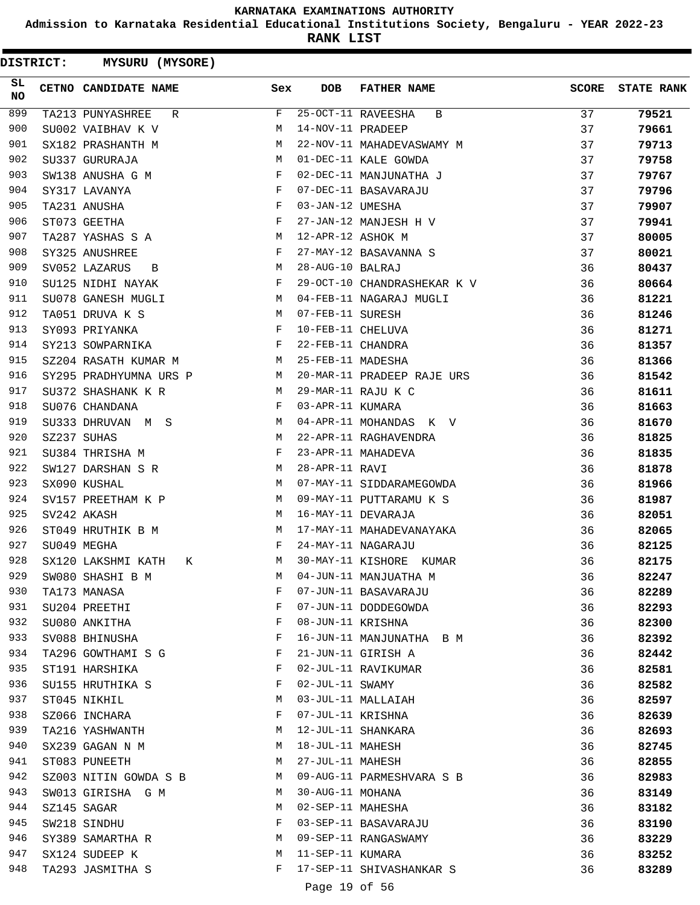**Admission to Karnataka Residential Educational Institutions Society, Bengaluru - YEAR 2022-23**

**RANK LIST**

 $\blacksquare$ 

|                 | <b>DISTRICT:</b> | <b>MYSURU (MYSORE)</b>  |     |                   |                             |              |                   |
|-----------------|------------------|-------------------------|-----|-------------------|-----------------------------|--------------|-------------------|
| SL<br><b>NO</b> |                  | CETNO CANDIDATE NAME    | Sex | <b>DOB</b>        | <b>FATHER NAME</b>          | <b>SCORE</b> | <b>STATE RANK</b> |
| 899             |                  | TA213 PUNYASHREE<br>R   | F   |                   | 25-OCT-11 RAVEESHA<br>B     | 37           | 79521             |
| 900             |                  | SU002 VAIBHAV K V       | М   | 14-NOV-11 PRADEEP |                             | 37           | 79661             |
| 901             |                  | SX182 PRASHANTH M       | M   |                   | 22-NOV-11 MAHADEVASWAMY M   | 37           | 79713             |
| 902             |                  | SU337 GURURAJA          | M   |                   | 01-DEC-11 KALE GOWDA        | 37           | 79758             |
| 903             |                  | SW138 ANUSHA G M        | F   |                   | 02-DEC-11 MANJUNATHA J      | 37           | 79767             |
| 904             |                  | SY317 LAVANYA           | F   |                   | 07-DEC-11 BASAVARAJU        | 37           | 79796             |
| 905             |                  | TA231 ANUSHA            | F   | 03-JAN-12 UMESHA  |                             | 37           | 79907             |
| 906             |                  | ST073 GEETHA            | F   |                   | 27-JAN-12 MANJESH H V       | 37           | 79941             |
| 907             |                  | TA287 YASHAS S A        | M   | 12-APR-12 ASHOK M |                             | 37           | 80005             |
| 908             |                  | SY325 ANUSHREE          | F   |                   | 27-MAY-12 BASAVANNA S       | 37           | 80021             |
| 909             |                  | SV052 LAZARUS<br>В      | М   | 28-AUG-10 BALRAJ  |                             | 36           | 80437             |
| 910             |                  | SU125 NIDHI NAYAK       | F   |                   | 29-OCT-10 CHANDRASHEKAR K V | 36           | 80664             |
| 911             |                  | SU078 GANESH MUGLI      | M   |                   | 04-FEB-11 NAGARAJ MUGLI     | 36           | 81221             |
| 912             |                  | TA051 DRUVA K S         | М   | 07-FEB-11 SURESH  |                             | 36           | 81246             |
| 913             |                  | SY093 PRIYANKA          | F   | 10-FEB-11 CHELUVA |                             | 36           | 81271             |
| 914             |                  | SY213 SOWPARNIKA        | F   | 22-FEB-11 CHANDRA |                             | 36           | 81357             |
| 915             |                  | SZ204 RASATH KUMAR M    | М   | 25-FEB-11 MADESHA |                             | 36           | 81366             |
| 916             |                  | SY295 PRADHYUMNA URS P  | М   |                   | 20-MAR-11 PRADEEP RAJE URS  | 36           | 81542             |
| 917             |                  | SU372 SHASHANK K R      | M   |                   | 29-MAR-11 RAJU K C          | 36           | 81611             |
| 918             |                  | SU076 CHANDANA          | F   | 03-APR-11 KUMARA  |                             | 36           | 81663             |
| 919             |                  | SU333 DHRUVAN M S       | М   |                   | 04-APR-11 MOHANDAS K V      | 36           | 81670             |
| 920             |                  | SZ237 SUHAS             | M   |                   | 22-APR-11 RAGHAVENDRA       | 36           | 81825             |
| 921             |                  | SU384 THRISHA M         | F   |                   | 23-APR-11 MAHADEVA          | 36           | 81835             |
| 922             |                  | SW127 DARSHAN S R       | М   | 28-APR-11 RAVI    |                             | 36           | 81878             |
| 923             |                  | SX090 KUSHAL            | М   |                   | 07-MAY-11 SIDDARAMEGOWDA    | 36           | 81966             |
| 924             |                  | SV157 PREETHAM K P      | M   |                   | 09-MAY-11 PUTTARAMU K S     | 36           | 81987             |
| 925             |                  | SV242 AKASH             | M   |                   | 16-MAY-11 DEVARAJA          | 36           | 82051             |
| 926             |                  | ST049 HRUTHIK B M       | M   |                   | 17-MAY-11 MAHADEVANAYAKA    | 36           | 82065             |
| 927             |                  | SU049 MEGHA             | F   |                   | 24-MAY-11 NAGARAJU          | 36           | 82125             |
| 928             |                  | SX120 LAKSHMI KATH<br>K | M   |                   | 30-MAY-11 KISHORE KUMAR     | 36           | 82175             |
| 929             |                  | SW080 SHASHI B M        | М   |                   | 04-JUN-11 MANJUATHA M       | 36           | 82247             |
| 930             |                  | TA173 MANASA            | F   |                   | 07-JUN-11 BASAVARAJU        | 36           | 82289             |
| 931             |                  | SU204 PREETHI           | F   |                   | 07-JUN-11 DODDEGOWDA        | 36           | 82293             |
| 932             |                  | SU080 ANKITHA           | F   | 08-JUN-11 KRISHNA |                             | 36           | 82300             |
| 933             |                  | SV088 BHINUSHA          | F   |                   | 16-JUN-11 MANJUNATHA B M    | 36           | 82392             |
| 934             |                  | TA296 GOWTHAMI S G      | F   |                   | 21-JUN-11 GIRISH A          | 36           | 82442             |
| 935             |                  | ST191 HARSHIKA          | F   |                   | 02-JUL-11 RAVIKUMAR         | 36           | 82581             |
| 936             |                  | SU155 HRUTHIKA S        | F   | 02-JUL-11 SWAMY   |                             | 36           | 82582             |
| 937             |                  | ST045 NIKHIL            | М   |                   | 03-JUL-11 MALLAIAH          | 36           | 82597             |
| 938             |                  | SZ066 INCHARA           | F   | 07-JUL-11 KRISHNA |                             | 36           | 82639             |
| 939             |                  | TA216 YASHWANTH         | M   |                   | 12-JUL-11 SHANKARA          | 36           | 82693             |
| 940             |                  | SX239 GAGAN N M         | М   | 18-JUL-11 MAHESH  |                             | 36           | 82745             |
| 941             |                  | ST083 PUNEETH           | М   | 27-JUL-11 MAHESH  |                             | 36           | 82855             |
| 942             |                  | SZ003 NITIN GOWDA S B   | M   |                   | 09-AUG-11 PARMESHVARA S B   | 36           | 82983             |
| 943             |                  | SW013 GIRISHA G M       | M   | 30-AUG-11 MOHANA  |                             | 36           | 83149             |
| 944             |                  | SZ145 SAGAR             | M   | 02-SEP-11 MAHESHA |                             | 36           | 83182             |
| 945             |                  | SW218 SINDHU            | F   |                   | 03-SEP-11 BASAVARAJU        | 36           | 83190             |
| 946             |                  | SY389 SAMARTHA R        | M   |                   | 09-SEP-11 RANGASWAMY        | 36           | 83229             |
| 947             |                  | SX124 SUDEEP K          | М   | 11-SEP-11 KUMARA  |                             | 36           | 83252             |
| 948             |                  | TA293 JASMITHA S        | F   |                   | 17-SEP-11 SHIVASHANKAR S    | 36           | 83289             |
|                 |                  |                         |     | Page 19 of 56     |                             |              |                   |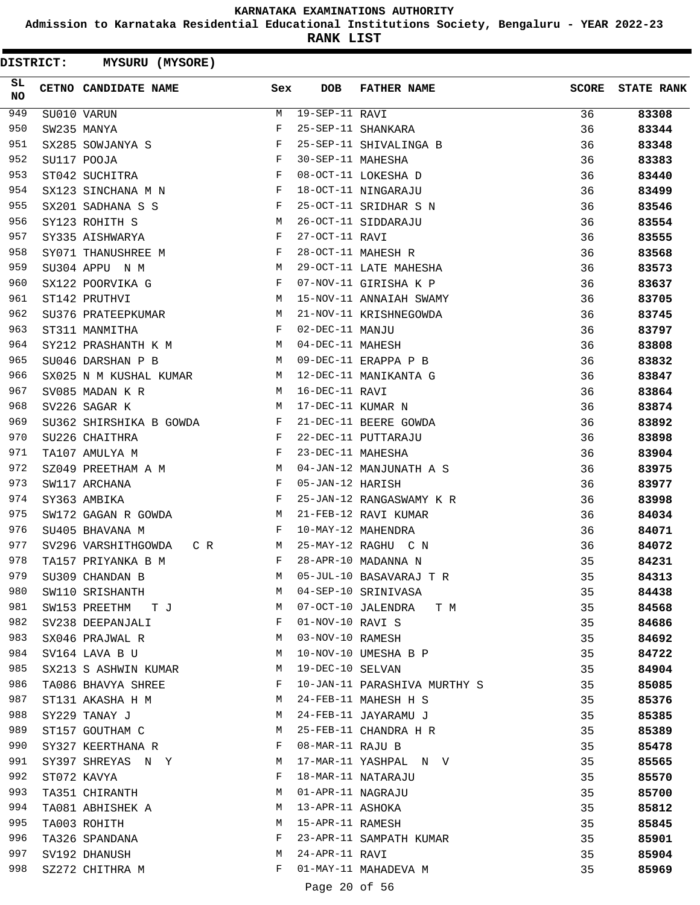**Admission to Karnataka Residential Educational Institutions Society, Bengaluru - YEAR 2022-23**

|                 | <b>DISTRICT:</b> | <b>MYSURU (MYSORE)</b>     |     |                   |                              |              |                   |
|-----------------|------------------|----------------------------|-----|-------------------|------------------------------|--------------|-------------------|
| SL<br><b>NO</b> |                  | CETNO CANDIDATE NAME       | Sex | <b>DOB</b>        | <b>FATHER NAME</b>           | <b>SCORE</b> | <b>STATE RANK</b> |
| 949             |                  | SU010 VARUN                | М   | 19-SEP-11 RAVI    |                              | 36           | 83308             |
| 950             |                  | SW235 MANYA                | F   |                   | 25-SEP-11 SHANKARA           | 36           | 83344             |
| 951             |                  | SX285 SOWJANYA S           | F   |                   | 25-SEP-11 SHIVALINGA B       | 36           | 83348             |
| 952             |                  | SU117 POOJA                | F   | 30-SEP-11 MAHESHA |                              | 36           | 83383             |
| 953             |                  | ST042 SUCHITRA             | F   |                   | 08-OCT-11 LOKESHA D          | 36           | 83440             |
| 954             |                  | SX123 SINCHANA M N         | F   |                   | 18-OCT-11 NINGARAJU          | 36           | 83499             |
| 955             |                  | SX201 SADHANA S S          | F   |                   | 25-OCT-11 SRIDHAR S N        | 36           | 83546             |
| 956             |                  | SY123 ROHITH S             | M   |                   | 26-OCT-11 SIDDARAJU          | 36           | 83554             |
| 957             |                  | SY335 AISHWARYA            | F   | 27-OCT-11 RAVI    |                              | 36           | 83555             |
| 958             |                  | SY071 THANUSHREE M         | F   |                   | 28-OCT-11 MAHESH R           | 36           | 83568             |
| 959             |                  | SU304 APPU N M             | М   |                   | 29-OCT-11 LATE MAHESHA       | 36           | 83573             |
| 960             |                  | SX122 POORVIKA G           | F   |                   | 07-NOV-11 GIRISHA K P        | 36           | 83637             |
| 961             |                  | ST142 PRUTHVI              | М   |                   | 15-NOV-11 ANNAIAH SWAMY      | 36           | 83705             |
| 962             |                  | SU376 PRATEEPKUMAR         | M   |                   | 21-NOV-11 KRISHNEGOWDA       | 36           | 83745             |
| 963             |                  | ST311 MANMITHA             | F   | 02-DEC-11 MANJU   |                              | 36           | 83797             |
| 964             |                  | SY212 PRASHANTH K M        | М   | 04-DEC-11 MAHESH  |                              | 36           | 83808             |
| 965             |                  | SU046 DARSHAN P B          | М   |                   | 09-DEC-11 ERAPPA P B         | 36           | 83832             |
| 966             |                  | SX025 N M KUSHAL KUMAR     | М   |                   | 12-DEC-11 MANIKANTA G        | 36           | 83847             |
| 967             |                  | SV085 MADAN K R            | М   | 16-DEC-11 RAVI    |                              | 36           | 83864             |
| 968             |                  | SV226 SAGAR K              | М   | 17-DEC-11 KUMAR N |                              | 36           | 83874             |
| 969             |                  | SU362 SHIRSHIKA B GOWDA    | F   |                   | 21-DEC-11 BEERE GOWDA        | 36           | 83892             |
| 970             |                  | SU226 CHAITHRA             | F   |                   | 22-DEC-11 PUTTARAJU          | 36           | 83898             |
| 971             |                  | TA107 AMULYA M             | F   | 23-DEC-11 MAHESHA |                              | 36           | 83904             |
| 972             |                  | SZ049 PREETHAM A M         | M   |                   | 04-JAN-12 MANJUNATH A S      | 36           | 83975             |
| 973             |                  | SW117 ARCHANA              | F   | 05-JAN-12 HARISH  |                              | 36           | 83977             |
| 974             |                  | SY363 AMBIKA               | F   |                   | 25-JAN-12 RANGASWAMY K R     | 36           | 83998             |
| 975             |                  | SW172 GAGAN R GOWDA        | M   |                   | 21-FEB-12 RAVI KUMAR         | 36           | 84034             |
| 976             |                  | SU405 BHAVANA M            | F   |                   | 10-MAY-12 MAHENDRA           | 36           | 84071             |
| 977             |                  | SV296 VARSHITHGOWDA<br>C R | М   |                   | 25-MAY-12 RAGHU C N          | 36           | 84072             |
| 978             |                  | TA157 PRIYANKA B M         | F   |                   | 28-APR-10 MADANNA N          | 35           | 84231             |
| 979             |                  | SU309 CHANDAN B            | М   |                   | 05-JUL-10 BASAVARAJ T R      | 35           | 84313             |
| 980             |                  | SW110 SRISHANTH            | M   |                   | 04-SEP-10 SRINIVASA          | 35           | 84438             |
| 981             |                  | SW153 PREETHM TJ           | M   |                   | 07-OCT-10 JALENDRA<br>T M    | 35           | 84568             |
| 982             |                  | SV238 DEEPANJALI           | F   | 01-NOV-10 RAVI S  |                              | 35           | 84686             |
| 983             |                  | SX046 PRAJWAL R            | M   | 03-NOV-10 RAMESH  |                              | 35           | 84692             |
| 984             |                  | SV164 LAVA B U             | M   |                   | 10-NOV-10 UMESHA B P         | 35           | 84722             |
| 985             |                  | SX213 S ASHWIN KUMAR       | М   | 19-DEC-10 SELVAN  |                              | 35           | 84904             |
| 986             |                  | TA086 BHAVYA SHREE         | F   |                   | 10-JAN-11 PARASHIVA MURTHY S | 35           | 85085             |
| 987             |                  | ST131 AKASHA H M           | М   |                   | 24-FEB-11 MAHESH H S         | 35           | 85376             |
| 988             |                  | SY229 TANAY J              | М   |                   | 24-FEB-11 JAYARAMU J         | 35           | 85385             |
| 989             |                  | ST157 GOUTHAM C            | M   |                   | 25-FEB-11 CHANDRA H R        | 35           | 85389             |
| 990             |                  | SY327 KEERTHANA R          | F   | 08-MAR-11 RAJU B  |                              | 35           | 85478             |
| 991             |                  | SY397 SHREYAS N Y          | М   |                   | 17-MAR-11 YASHPAL N V        | 35           | 85565             |
| 992             |                  | ST072 KAVYA                | F   |                   | 18-MAR-11 NATARAJU           | 35           | 85570             |
| 993             |                  | TA351 CHIRANTH             | М   | 01-APR-11 NAGRAJU |                              | 35           | 85700             |
| 994             |                  | TA081 ABHISHEK A           | М   | 13-APR-11 ASHOKA  |                              | 35           | 85812             |
| 995             |                  | TA003 ROHITH               | М   | 15-APR-11 RAMESH  |                              | 35           | 85845             |
| 996             |                  | TA326 SPANDANA             | F   |                   | 23-APR-11 SAMPATH KUMAR      | 35           | 85901             |
| 997             |                  | SV192 DHANUSH              | М   | 24-APR-11 RAVI    |                              | 35           | 85904             |
| 998             |                  | SZ272 CHITHRA M            | F   |                   | 01-MAY-11 MAHADEVA M         | 35           | 85969             |
|                 |                  |                            |     | Page 20 of 56     |                              |              |                   |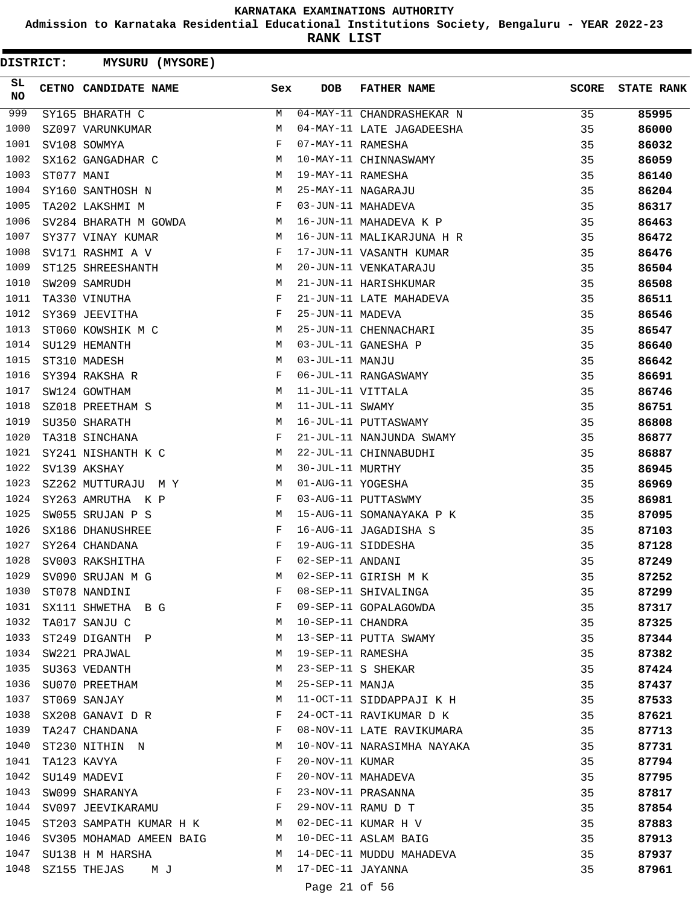**Admission to Karnataka Residential Educational Institutions Society, Bengaluru - YEAR 2022-23**

**RANK LIST**

**DISTRICT:** NN **MYSURU (MYSORE)**

| SL<br><b>NO</b> |            | <b>CETNO CANDIDATE NAME</b> | Sex | <b>DOB</b>        | <b>FATHER NAME</b>         | <b>SCORE</b> | <b>STATE RANK</b> |
|-----------------|------------|-----------------------------|-----|-------------------|----------------------------|--------------|-------------------|
| 999             |            | SY165 BHARATH C             | М   |                   | 04-MAY-11 CHANDRASHEKAR N  | 35           | 85995             |
| 1000            |            | SZ097 VARUNKUMAR            | М   |                   | 04-MAY-11 LATE JAGADEESHA  | 35           | 86000             |
| 1001            |            | SV108 SOWMYA                | F   | 07-MAY-11 RAMESHA |                            | 35           | 86032             |
| 1002            |            | SX162 GANGADHAR C           | M   |                   | 10-MAY-11 CHINNASWAMY      | 35           | 86059             |
| 1003            | ST077 MANI | <b>Example 19</b> M         |     | 19-MAY-11 RAMESHA |                            | 35           | 86140             |
| 1004            |            | SY160 SANTHOSH N            | M   |                   | 25-MAY-11 NAGARAJU         | 35           | 86204             |
| 1005            |            | TA202 LAKSHMI M             | F   |                   | 03-JUN-11 MAHADEVA         | 35           | 86317             |
| 1006            |            | SV284 BHARATH M GOWDA       | М   |                   | 16-JUN-11 MAHADEVA K P     | 35           | 86463             |
| 1007            |            | SY377 VINAY KUMAR           | М   |                   | 16-JUN-11 MALIKARJUNA H R  | 35           | 86472             |
| 1008            |            | SV171 RASHMI A V            | F   |                   | 17-JUN-11 VASANTH KUMAR    | 35           | 86476             |
| 1009            |            | ST125 SHREESHANTH           | M   |                   | 20-JUN-11 VENKATARAJU      | 35           | 86504             |
| 1010            |            | SW209 SAMRUDH               | М   |                   | 21-JUN-11 HARISHKUMAR      | 35           | 86508             |
| 1011            |            | TA330 VINUTHA               | F   |                   | 21-JUN-11 LATE MAHADEVA    | 35           | 86511             |
| 1012            |            | SY369 JEEVITHA              | F   | 25-JUN-11 MADEVA  |                            | 35           | 86546             |
| 1013            |            | ST060 KOWSHIK M C           | M   |                   | 25-JUN-11 CHENNACHARI      | 35           | 86547             |
| 1014            |            | SU129 HEMANTH               | М   |                   | 03-JUL-11 GANESHA P        | 35           | 86640             |
| 1015            |            | ST310 MADESH                | М   | 03-JUL-11 MANJU   |                            | 35           | 86642             |
| 1016            |            | SY394 RAKSHA R              | F   |                   | 06-JUL-11 RANGASWAMY       | 35           | 86691             |
| 1017            |            | SW124 GOWTHAM               | М   | 11-JUL-11 VITTALA |                            | 35           | 86746             |
| 1018            |            | SZ018 PREETHAM S            | М   | 11-JUL-11 SWAMY   |                            | 35           | 86751             |
| 1019            |            | SU350 SHARATH               | M   |                   | 16-JUL-11 PUTTASWAMY       | 35           | 86808             |
| 1020            |            | TA318 SINCHANA              | F   |                   | 21-JUL-11 NANJUNDA SWAMY   | 35           | 86877             |
| 1021            |            | SY241 NISHANTH K C          | M   |                   | 22-JUL-11 CHINNABUDHI      | 35           | 86887             |
| 1022            |            | SV139 AKSHAY                | М   | 30-JUL-11 MURTHY  |                            | 35           | 86945             |
| 1023            |            | SZ262 MUTTURAJU MY          | M   | 01-AUG-11 YOGESHA |                            | 35           | 86969             |
| 1024            |            | SY263 AMRUTHA K P           | F   |                   | 03-AUG-11 PUTTASWMY        | 35           | 86981             |
| 1025            |            | SW055 SRUJAN P S            | M   |                   | 15-AUG-11 SOMANAYAKA P K   | 35           | 87095             |
| 1026            |            | SX186 DHANUSHREE            | F   |                   | 16-AUG-11 JAGADISHA S      | 35           | 87103             |
| 1027            |            | SY264 CHANDANA              | F   |                   | 19-AUG-11 SIDDESHA         | 35           | 87128             |
| 1028            |            | SV003 RAKSHITHA             | F   | 02-SEP-11 ANDANI  |                            | 35           | 87249             |
| 1029            |            | SV090 SRUJAN M G            | М   |                   | 02-SEP-11 GIRISH M K       | 35           | 87252             |
| 1030            |            | ST078 NANDINI               | F   |                   | 08-SEP-11 SHIVALINGA       | 35           | 87299             |
| 1031            |            | SX111 SHWETHA B G           | F   |                   | 09-SEP-11 GOPALAGOWDA      | 35           | 87317             |
| 1032            |            | TA017 SANJU C               | M   | 10-SEP-11 CHANDRA |                            | 35           | 87325             |
| 1033            |            | ST249 DIGANTH P             | М   |                   | 13-SEP-11 PUTTA SWAMY      | 35           | 87344             |
| 1034            |            | SW221 PRAJWAL               | M   | 19-SEP-11 RAMESHA |                            | 35           | 87382             |
| 1035            |            | SU363 VEDANTH               | М   |                   | 23-SEP-11 S SHEKAR         | 35           | 87424             |
| 1036            |            | SU070 PREETHAM              | М   | 25-SEP-11 MANJA   |                            | 35           | 87437             |
| 1037            |            | ST069 SANJAY                | М   |                   | 11-OCT-11 SIDDAPPAJI K H   | 35           | 87533             |
| 1038            |            | SX208 GANAVI D R            | F   |                   | 24-OCT-11 RAVIKUMAR D K    | 35           | 87621             |
| 1039            |            | TA247 CHANDANA              | F   |                   | 08-NOV-11 LATE RAVIKUMARA  | 35           | 87713             |
| 1040            |            | ST230 NITHIN N              | М   |                   | 10-NOV-11 NARASIMHA NAYAKA | 35           | 87731             |
| 1041            |            | TA123 KAVYA                 | F   | 20-NOV-11 KUMAR   |                            | 35           | 87794             |
| 1042            |            | SU149 MADEVI                | F   |                   | 20-NOV-11 MAHADEVA         | 35           | 87795             |
| 1043            |            | SW099 SHARANYA              | F   |                   | 23-NOV-11 PRASANNA         | 35           | 87817             |
| 1044            |            | SV097 JEEVIKARAMU           | F   |                   | 29-NOV-11 RAMU D T         | 35           | 87854             |
| 1045            |            | ST203 SAMPATH KUMAR H K     | M   |                   | 02-DEC-11 KUMAR H V        | 35           |                   |
| 1046            |            |                             | M   |                   | 10-DEC-11 ASLAM BAIG       | 35           | 87883             |
| 1047            |            | SV305 MOHAMAD AMEEN BAIG    |     |                   |                            |              | 87913             |
|                 |            | SU138 H M HARSHA            | M   |                   | 14-DEC-11 MUDDU MAHADEVA   | 35           | 87937             |
| 1048            |            | SZ155 THEJAS<br>M J         | M   | 17-DEC-11 JAYANNA |                            | 35           | 87961             |

Page 21 of 56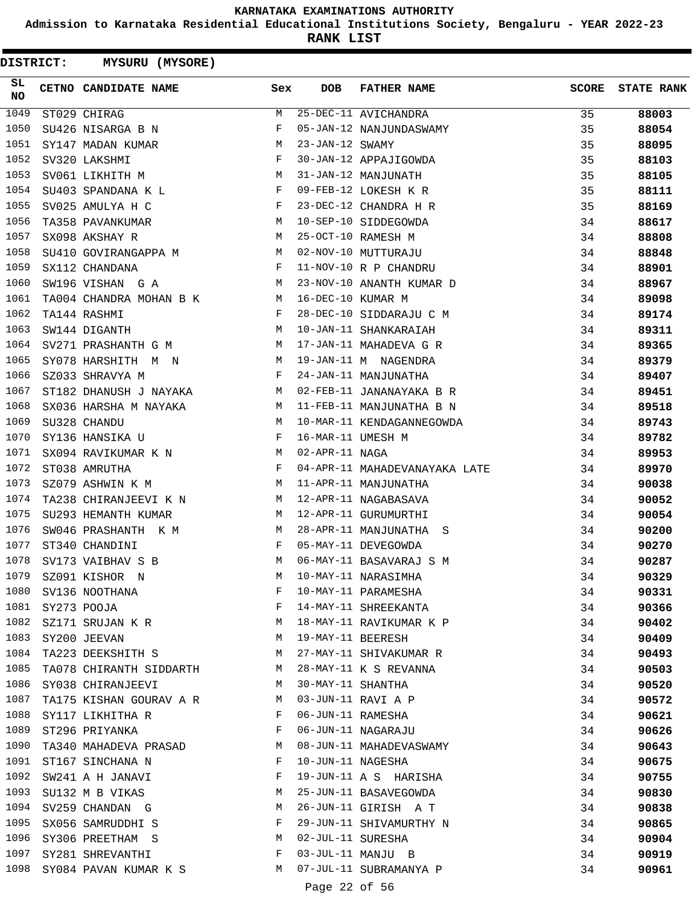**Admission to Karnataka Residential Educational Institutions Society, Bengaluru - YEAR 2022-23**

**RANK LIST**

| <b>DISTRICT:</b> | <b>MYSURU (MYSORE)</b>  |     |                   |                               |              |                   |
|------------------|-------------------------|-----|-------------------|-------------------------------|--------------|-------------------|
| SL.<br>NO        | CETNO CANDIDATE NAME    | Sex | <b>DOB</b>        | <b>FATHER NAME</b>            | <b>SCORE</b> | <b>STATE RANK</b> |
| 1049             | ST029 CHIRAG            | М   |                   | 25-DEC-11 AVICHANDRA          | 35           | 88003             |
| 1050             | SU426 NISARGA B N       | F   |                   | 05-JAN-12 NANJUNDASWAMY       | 35           | 88054             |
| 1051             | SY147 MADAN KUMAR       | М   | 23-JAN-12 SWAMY   |                               | 35           | 88095             |
| 1052             | SV320 LAKSHMI           | F   |                   | 30-JAN-12 APPAJIGOWDA         | 35           | 88103             |
| 1053             | SV061 LIKHITH M         | М   |                   | 31-JAN-12 MANJUNATH           | 35           | 88105             |
| 1054             | SU403 SPANDANA K L      | F   |                   | 09-FEB-12 LOKESH K R          | 35           | 88111             |
| 1055             | SV025 AMULYA H C        | F   |                   | 23-DEC-12 CHANDRA H R         | 35           | 88169             |
| 1056             | TA358 PAVANKUMAR        | M   |                   | 10-SEP-10 SIDDEGOWDA          | 34           | 88617             |
| 1057             | SX098 AKSHAY R          | M   |                   | 25-OCT-10 RAMESH M            | 34           | 88808             |
| 1058             | SU410 GOVIRANGAPPA M    | M   |                   | 02-NOV-10 MUTTURAJU           | 34           | 88848             |
| 1059             | SX112 CHANDANA          | F   |                   | 11-NOV-10 R P CHANDRU         | 34           | 88901             |
| 1060             | SW196 VISHAN G A        | М   |                   | 23-NOV-10 ANANTH KUMAR D      | 34           | 88967             |
| 1061             | TA004 CHANDRA MOHAN B K | M   | 16-DEC-10 KUMAR M |                               | 34           | 89098             |
| 1062             | TA144 RASHMI            | F   |                   | 28-DEC-10 SIDDARAJU C M       | 34           | 89174             |
| 1063             | SW144 DIGANTH           | M   |                   | 10-JAN-11 SHANKARAIAH         | 34           | 89311             |
| 1064             | SV271 PRASHANTH G M     | M   |                   | 17-JAN-11 MAHADEVA G R        | 34           | 89365             |
| 1065             | SY078 HARSHITH M N      | M   |                   | 19-JAN-11 M NAGENDRA          | 34           | 89379             |
| 1066             | SZ033 SHRAVYA M         | F   |                   | 24-JAN-11 MANJUNATHA          | 34           | 89407             |
| 1067             | ST182 DHANUSH J NAYAKA  | M   |                   | 02-FEB-11 JANANAYAKA B R      | 34           | 89451             |
| 1068             | SX036 HARSHA M NAYAKA   | M   |                   | 11-FEB-11 MANJUNATHA B N      | 34           | 89518             |
| 1069             | SU328 CHANDU            | M   |                   | 10-MAR-11 KENDAGANNEGOWDA     | 34           | 89743             |
| 1070             | SY136 HANSIKA U         | F   | 16-MAR-11 UMESH M |                               | 34           | 89782             |
| 1071             | SX094 RAVIKUMAR K N     | M   | 02-APR-11 NAGA    |                               | 34           | 89953             |
| 1072             | ST038 AMRUTHA           | F   |                   | 04-APR-11 MAHADEVANAYAKA LATE | 34           | 89970             |
| 1073             | SZ079 ASHWIN K M        | M   |                   | 11-APR-11 MANJUNATHA          | 34           | 90038             |
| 1074             | TA238 CHIRANJEEVI K N   | M   |                   | 12-APR-11 NAGABASAVA          | 34           | 90052             |
| 1075             | SU293 HEMANTH KUMAR     | M   |                   | 12-APR-11 GURUMURTHI          | 34           | 90054             |
| 1076             | SW046 PRASHANTH K M     | M   |                   | 28-APR-11 MANJUNATHA S        | 34           | 90200             |
| 1077             | ST340 CHANDINI          | F   |                   | 05-MAY-11 DEVEGOWDA           | 34           | 90270             |
| 1078             | SV173 VAIBHAV S B       | M   |                   | 06-MAY-11 BASAVARAJ S M       | 34           | 90287             |
| 1079             | SZ091 KISHOR N          | М   |                   | 10-MAY-11 NARASIMHA           | 34           | 90329             |
| 1080             | SV136 NOOTHANA          | F   |                   | 10-MAY-11 PARAMESHA           | 34           | 90331             |
| 1081             | SY273 POOJA             | F   |                   | 14-MAY-11 SHREEKANTA          | 34           | 90366             |
| 1082             | SZ171 SRUJAN K R        | M   |                   | 18-MAY-11 RAVIKUMAR K P       | 34           | 90402             |
| 1083             | SY200 JEEVAN            | M   | 19-MAY-11 BEERESH |                               | 34           | 90409             |
| 1084             | TA223 DEEKSHITH S       | М   |                   | 27-MAY-11 SHIVAKUMAR R        | 34           | 90493             |
| 1085             | TA078 CHIRANTH SIDDARTH | M   |                   | 28-MAY-11 K S REVANNA         | 34           | 90503             |
| 1086             | SY038 CHIRANJEEVI       | М   | 30-MAY-11 SHANTHA |                               | 34           | 90520             |
| 1087             | TA175 KISHAN GOURAV A R | M   |                   | 03-JUN-11 RAVI A P            | 34           | 90572             |
| 1088             | SY117 LIKHITHA R        | F   | 06-JUN-11 RAMESHA |                               | 34           | 90621             |
| 1089             | ST296 PRIYANKA          | F   |                   | 06-JUN-11 NAGARAJU            | 34           | 90626             |
| 1090             | TA340 MAHADEVA PRASAD   | M   |                   | 08-JUN-11 MAHADEVASWAMY       | 34           | 90643             |
| 1091             | ST167 SINCHANA N        | F   | 10-JUN-11 NAGESHA |                               | 34           | 90675             |
| 1092             | SW241 A H JANAVI        | F   |                   | 19-JUN-11 A S HARISHA         | 34           | 90755             |
| 1093             | SU132 M B VIKAS         | М   |                   | 25-JUN-11 BASAVEGOWDA         | 34           | 90830             |
| 1094             | SV259 CHANDAN G         | М   |                   | 26-JUN-11 GIRISH A T          | 34           | 90838             |
| 1095             | SX056 SAMRUDDHI S       | F   |                   | 29-JUN-11 SHIVAMURTHY N       | 34           | 90865             |
| 1096             | SY306 PREETHAM S        | M   | 02-JUL-11 SURESHA |                               | 34           | 90904             |
| 1097             | SY281 SHREVANTHI        | F   |                   | 03-JUL-11 MANJU B             | 34           | 90919             |
| 1098             | SY084 PAVAN KUMAR K S   | M   |                   | 07-JUL-11 SUBRAMANYA P        | 34           | 90961             |
|                  |                         |     |                   |                               |              |                   |

Page 22 of 56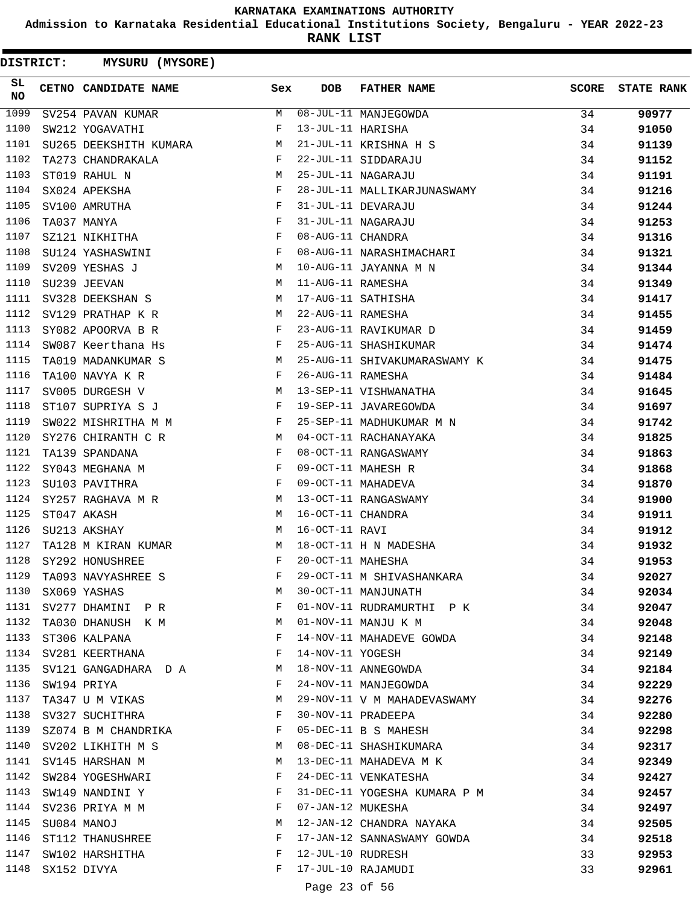**Admission to Karnataka Residential Educational Institutions Society, Bengaluru - YEAR 2022-23**

**RANK LIST**

 $\blacksquare$ 

| <b>DISTRICT:</b> | <b>MYSURU (MYSORE)</b> |            |                   |                              |              |                   |
|------------------|------------------------|------------|-------------------|------------------------------|--------------|-------------------|
| SL<br><b>NO</b>  | CETNO CANDIDATE NAME   | Sex        | <b>DOB</b>        | <b>FATHER NAME</b>           | <b>SCORE</b> | <b>STATE RANK</b> |
| 1099             | SV254 PAVAN KUMAR      | М          |                   | 08-JUL-11 MANJEGOWDA         | 34           | 90977             |
| 1100             | SW212 YOGAVATHI        | F          | 13-JUL-11 HARISHA |                              | 34           | 91050             |
| 1101             | SU265 DEEKSHITH KUMARA | M          |                   | 21-JUL-11 KRISHNA H S        | 34           | 91139             |
| 1102             | TA273 CHANDRAKALA      | F          |                   | 22-JUL-11 SIDDARAJU          | 34           | 91152             |
| 1103             | ST019 RAHUL N          | М          |                   | 25-JUL-11 NAGARAJU           | 34           | 91191             |
| 1104             | SX024 APEKSHA          | F          |                   | 28-JUL-11 MALLIKARJUNASWAMY  | 34           | 91216             |
| 1105             | SV100 AMRUTHA          | F          |                   | 31-JUL-11 DEVARAJU           | 34           | 91244             |
| 1106             | TA037 MANYA            | F          |                   | 31-JUL-11 NAGARAJU           | 34           | 91253             |
| 1107             | SZ121 NIKHITHA         | F          | 08-AUG-11 CHANDRA |                              | 34           | 91316             |
| 1108             | SU124 YASHASWINI       | F          |                   | 08-AUG-11 NARASHIMACHARI     | 34           | 91321             |
| 1109             | SV209 YESHAS J         | М          |                   | 10-AUG-11 JAYANNA M N        | 34           | 91344             |
| 1110             | SU239 JEEVAN           | М          | 11-AUG-11 RAMESHA |                              | 34           | 91349             |
| 1111             | SV328 DEEKSHAN S       | М          |                   | 17-AUG-11 SATHISHA           | 34           | 91417             |
| 1112             | SV129 PRATHAP K R      | M          | 22-AUG-11 RAMESHA |                              | 34           | 91455             |
| 1113             | SY082 APOORVA B R      | F          |                   | 23-AUG-11 RAVIKUMAR D        | 34           | 91459             |
| 1114             | SW087 Keerthana Hs     | F          |                   | 25-AUG-11 SHASHIKUMAR        | 34           | 91474             |
| 1115             | TA019 MADANKUMAR S     | M          |                   | 25-AUG-11 SHIVAKUMARASWAMY K | 34           | 91475             |
| 1116             | TA100 NAVYA K R        | F          | 26-AUG-11 RAMESHA |                              | 34           | 91484             |
| 1117             | SV005 DURGESH V        | М          |                   | 13-SEP-11 VISHWANATHA        | 34           | 91645             |
| 1118             | ST107 SUPRIYA S J      | F          |                   | 19-SEP-11 JAVAREGOWDA        | 34           | 91697             |
| 1119             | SW022 MISHRITHA M M    | F          |                   | 25-SEP-11 MADHUKUMAR M N     | 34           | 91742             |
| 1120             | SY276 CHIRANTH C R     | М          |                   | 04-OCT-11 RACHANAYAKA        | 34           | 91825             |
| 1121             | TA139 SPANDANA         | F          |                   | 08-OCT-11 RANGASWAMY         | 34           | 91863             |
| 1122             | SY043 MEGHANA M        | F          |                   | 09-OCT-11 MAHESH R           | 34           | 91868             |
| 1123             | SU103 PAVITHRA         | F          |                   | 09-OCT-11 MAHADEVA           | 34           | 91870             |
| 1124             | SY257 RAGHAVA M R      | M          |                   | 13-OCT-11 RANGASWAMY         | 34           | 91900             |
| 1125             | ST047 AKASH            | М          | 16-OCT-11 CHANDRA |                              | 34           | 91911             |
| 1126             | SU213 AKSHAY           | M          | 16-OCT-11 RAVI    |                              | 34           | 91912             |
| 1127             | TA128 M KIRAN KUMAR    | М          |                   | 18-OCT-11 H N MADESHA        | 34           | 91932             |
| 1128             | SY292 HONUSHREE        | $_{\rm F}$ | 20-OCT-11 MAHESHA |                              | 34           | 91953             |
| 1129             | TA093 NAVYASHREE S     | F          |                   | 29-OCT-11 M SHIVASHANKARA    | 34           | 92027             |
| 1130             | SX069 YASHAS           | M          |                   | 30-OCT-11 MANJUNATH          | 34           | 92034             |
| 1131             | SV277 DHAMINI P R      | F          |                   | 01-NOV-11 RUDRAMURTHI P K    | 34           | 92047             |
| 1132             | TA030 DHANUSH K M      | M          |                   | 01-NOV-11 MANJU K M          | 34           | 92048             |
| 1133             | ST306 KALPANA          | F          |                   | 14-NOV-11 MAHADEVE GOWDA     | 34           | 92148             |
| 1134             | SV281 KEERTHANA        | F          | 14-NOV-11 YOGESH  |                              | 34           | 92149             |
| 1135             | SV121 GANGADHARA D A   | M          |                   | 18-NOV-11 ANNEGOWDA          | 34           | 92184             |
| 1136             | SW194 PRIYA            | F          |                   | 24-NOV-11 MANJEGOWDA         | 34           | 92229             |
| 1137             | TA347 U M VIKAS        | М          |                   | 29-NOV-11 V M MAHADEVASWAMY  | 34           | 92276             |
| 1138             | SV327 SUCHITHRA        | F          |                   | 30-NOV-11 PRADEEPA           | 34           | 92280             |
| 1139             | SZ074 B M CHANDRIKA    | F          |                   | 05-DEC-11 B S MAHESH         | 34           | 92298             |
| 1140             | SV202 LIKHITH M S      | M          |                   | 08-DEC-11 SHASHIKUMARA       | 34           | 92317             |
| 1141             | SV145 HARSHAN M        | М          |                   | 13-DEC-11 MAHADEVA M K       | 34           | 92349             |
| 1142             | SW284 YOGESHWARI       | F          |                   | 24-DEC-11 VENKATESHA         | 34           | 92427             |
| 1143             | SW149 NANDINI Y        | F          |                   | 31-DEC-11 YOGESHA KUMARA P M | 34           | 92457             |
| 1144             | SV236 PRIYA M M        | F          | 07-JAN-12 MUKESHA |                              | 34           | 92497             |
| 1145             | SU084 MANOJ            | М          |                   | 12-JAN-12 CHANDRA NAYAKA     | 34           | 92505             |
| 1146             | ST112 THANUSHREE       | F          |                   | 17-JAN-12 SANNASWAMY GOWDA   | 34           | 92518             |
| 1147             | SW102 HARSHITHA        | F          | 12-JUL-10 RUDRESH |                              | 33           | 92953             |
| 1148             | SX152 DIVYA            | F          |                   | 17-JUL-10 RAJAMUDI           | 33           | 92961             |
|                  |                        |            |                   |                              |              |                   |

Page 23 of 56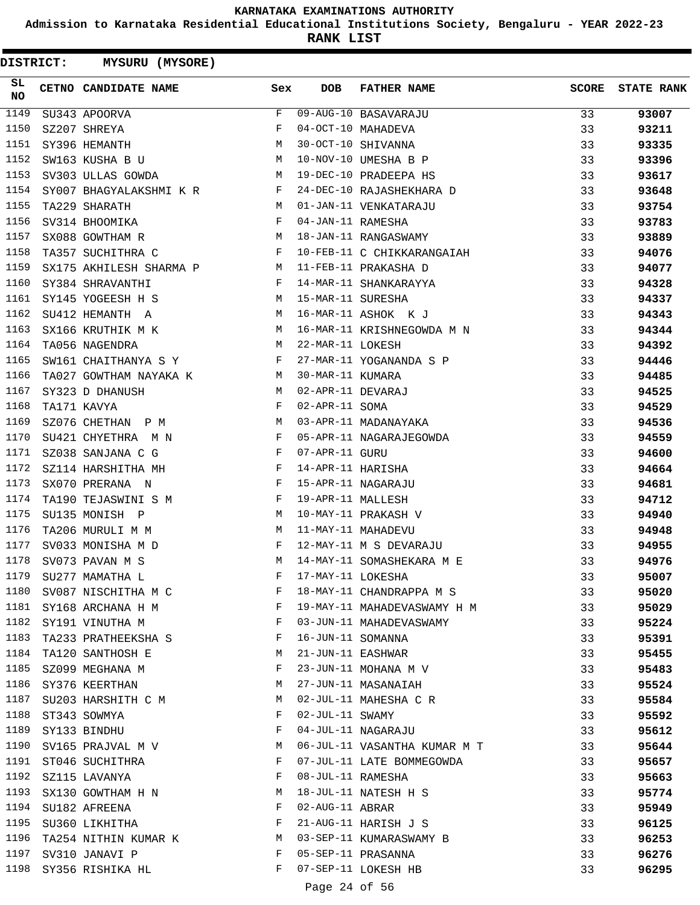**Admission to Karnataka Residential Educational Institutions Society, Bengaluru - YEAR 2022-23**

**RANK LIST**

**DISTRICT:** NN **MYSURU (MYSORE)**

| SL<br>NO | CETNO CANDIDATE NAME                                                                                                                                                                                                                                         | Sex     | <b>DOB</b>        | <b>FATHER NAME</b>                                                                                                | SCORE | <b>STATE RANK</b> |
|----------|--------------------------------------------------------------------------------------------------------------------------------------------------------------------------------------------------------------------------------------------------------------|---------|-------------------|-------------------------------------------------------------------------------------------------------------------|-------|-------------------|
| 1149     | SU343 APOORVA                                                                                                                                                                                                                                                | $F$ and |                   | 09-AUG-10 BASAVARAJU<br>04-OCT-10 MAHADEVA<br>30-OCT-10 SHIVANNA<br>10-NOV-10 UMESHA B P<br>19-DEC-10 PRADEEPA HS | 33    | 93007             |
| 1150     | SZ207 SHREYA                                                                                                                                                                                                                                                 | F       |                   |                                                                                                                   | 33    | 93211             |
| 1151     | SY396 HEMANTH                                                                                                                                                                                                                                                | M       |                   |                                                                                                                   | 33    | 93335             |
| 1152     | $\overline{M}$<br>SW163 KUSHA B U                                                                                                                                                                                                                            |         |                   |                                                                                                                   | 33    | 93396             |
| 1153     | M 19-DEC-10 PRADEEPA HS<br>SV303 ULLAS GOWDA                                                                                                                                                                                                                 |         |                   |                                                                                                                   | 33    | 93617             |
| 1154     | SY007 BHAGYALAKSHMI K R F                                                                                                                                                                                                                                    |         |                   | 24-DEC-10 RAJASHEKHARA D                                                                                          | 33    | 93648             |
| 1155     | M <sub>1</sub><br>TA229 SHARATH                                                                                                                                                                                                                              |         |                   | 01-JAN-11 VENKATARAJU                                                                                             | 33    | 93754             |
| 1156     | $\frac{1}{F}$<br>SV314 BHOOMIKA                                                                                                                                                                                                                              |         | 04-JAN-11 RAMESHA |                                                                                                                   | 33    | 93783             |
| 1157     | M<br>SX088 GOWTHAM R                                                                                                                                                                                                                                         |         |                   | 18-JAN-11 RANGASWAMY                                                                                              | 33    | 93889             |
| 1158     | $\mathbf{F}$ . The set of the set of the set of the $\mathbf{F}$<br>TA357 SUCHITHRA C                                                                                                                                                                        |         |                   | 10-FEB-11 C CHIKKARANGAIAH                                                                                        | 33    | 94076             |
| 1159     | SX175 AKHILESH SHARMA P M                                                                                                                                                                                                                                    |         |                   | 11-FEB-11 PRAKASHA D                                                                                              | 33    | 94077             |
| 1160     | $\mathbf{F}$<br>SY384 SHRAVANTHI                                                                                                                                                                                                                             |         |                   |                                                                                                                   | 33    | 94328             |
| 1161     | M 15-MAR-11 SURESHA<br>SY145 YOGEESH H S                                                                                                                                                                                                                     |         |                   | 14-MAR-11 SHANKARAYYA<br>15-MAR-11 SURESHA<br>16-MAR-11 ASHOK K J                                                 | 33    | 94337             |
| 1162     | <b>M</b><br>SU412 HEMANTH A                                                                                                                                                                                                                                  |         |                   |                                                                                                                   | 33    | 94343             |
| 1163     | SX166 KRUTHIK M K M                                                                                                                                                                                                                                          |         |                   | 16-MAR-11 KRISHNEGOWDA M N                                                                                        | 33    | 94344             |
| 1164     | M 22-MAR-11 LOKESH<br>TA056 NAGENDRA                                                                                                                                                                                                                         |         |                   |                                                                                                                   | 33    | 94392             |
| 1165     | SW161 CHAITHANYA S Y F                                                                                                                                                                                                                                       |         |                   | 22-MAR-11 LOKESH<br>27-MAR-11 YOGANANDA S P                                                                       | 33    | 94446             |
| 1166     | TA027 GOWTHAM NAYAKA K<br>M                                                                                                                                                                                                                                  |         | 30-MAR-11 KUMARA  |                                                                                                                   | 33    | 94485             |
| 1167     | SY323 D DHANUSH M                                                                                                                                                                                                                                            |         | 02-APR-11 DEVARAJ |                                                                                                                   | 33    | 94525             |
| 1168     | $\mathbb{F}^{\mathbb{Z}}$<br>TA171 KAVYA                                                                                                                                                                                                                     |         | 02-APR-11 SOMA    |                                                                                                                   | 33    | 94529             |
| 1169     | SZ076 CHETHAN P M                                                                                                                                                                                                                                            |         |                   | 03-APR-11 MADANAYAKA                                                                                              | 33    | 94536             |
| 1170     | SU421 CHYETHRA M N<br>and the state of the state of the Party                                                                                                                                                                                                |         |                   | 05-APR-11 NAGARAJEGOWDA                                                                                           | 33    | 94559             |
| 1171     | $\mathbb{F}^{\mathbb{Z}}$ . The set of the set of the set of the set of the set of the set of the set of the set of the set of the set of the set of the set of the set of the set of the set of the set of the set of the set of the s<br>SZ038 SANJANA C G |         | 07-APR-11 GURU    |                                                                                                                   | 33    | 94600             |
| 1172     | $\mathbf{F}$<br>SZ114 HARSHITHA MH                                                                                                                                                                                                                           |         | 14-APR-11 HARISHA |                                                                                                                   | 33    | 94664             |
| 1173     | $\mathbb F$ . The set of $\mathbb F$<br>SX070 PRERANA N                                                                                                                                                                                                      |         |                   | 15-APR-11 NAGARAJU                                                                                                | 33    | 94681             |
| 1174     | $\mathbf{F}$ and $\mathbf{F}$ are $\mathbf{F}$ . In the $\mathbf{F}$<br>TA190 TEJASWINI S M                                                                                                                                                                  |         | 19-APR-11 MALLESH |                                                                                                                   | 33    | 94712             |
| 1175     | $M_{\odot}$<br>SU135 MONISH P                                                                                                                                                                                                                                |         |                   | 10-MAY-11 PRAKASH V                                                                                               | 33    | 94940             |
| 1176     | TA206 MURULI M M                                                                                                                                                                                                                                             | M       |                   | 11-MAY-11 MAHADEVU                                                                                                | 33    | 94948             |
| 1177     | F 12-MAY-11 M S DEVARAJU<br>SV033 MONISHA M D                                                                                                                                                                                                                |         |                   |                                                                                                                   | 33    | 94955             |
| 1178     | M <sub>N</sub><br>SV073 PAVAN M S                                                                                                                                                                                                                            |         |                   | 14-MAY-11 SOMASHEKARA M E                                                                                         | 33    | 94976             |
| 1179     | SU277 MAMATHA L                                                                                                                                                                                                                                              | $F -$   | 17-MAY-11 LOKESHA |                                                                                                                   | 33    | 95007             |
| 1180     | SV087 NISCHITHA M C                                                                                                                                                                                                                                          | F       |                   | 18-MAY-11 CHANDRAPPA M S                                                                                          | 33    | 95020             |
| 1181     | SY168 ARCHANA H M                                                                                                                                                                                                                                            | F       |                   | 19-MAY-11 MAHADEVASWAMY H M                                                                                       | 33    | 95029             |
| 1182     | SY191 VINUTHA M                                                                                                                                                                                                                                              | F       |                   | 03-JUN-11 MAHADEVASWAMY                                                                                           | 33    | 95224             |
| 1183     | TA233 PRATHEEKSHA S                                                                                                                                                                                                                                          | F       | 16-JUN-11 SOMANNA |                                                                                                                   | 33    | 95391             |
| 1184     | TA120 SANTHOSH E                                                                                                                                                                                                                                             | M       | 21-JUN-11 EASHWAR |                                                                                                                   | 33    | 95455             |
| 1185     | SZ099 MEGHANA M                                                                                                                                                                                                                                              | F       |                   | 23-JUN-11 MOHANA M V                                                                                              | 33    | 95483             |
| 1186     | SY376 KEERTHAN                                                                                                                                                                                                                                               | M       |                   | 27-JUN-11 MASANAIAH                                                                                               | 33    | 95524             |
| 1187     | SU203 HARSHITH C M                                                                                                                                                                                                                                           | M       |                   | 02-JUL-11 MAHESHA C R                                                                                             | 33    | 95584             |
| 1188     | ST343 SOWMYA                                                                                                                                                                                                                                                 | F       | 02-JUL-11 SWAMY   |                                                                                                                   | 33    | 95592             |
| 1189     | SY133 BINDHU                                                                                                                                                                                                                                                 | F       |                   | 04-JUL-11 NAGARAJU                                                                                                | 33    | 95612             |
| 1190     | SV165 PRAJVAL M V                                                                                                                                                                                                                                            | M       |                   | 06-JUL-11 VASANTHA KUMAR M T                                                                                      | 33    | 95644             |
| 1191     | ST046 SUCHITHRA                                                                                                                                                                                                                                              | F       |                   | 07-JUL-11 LATE BOMMEGOWDA                                                                                         | 33    | 95657             |
| 1192     | SZ115 LAVANYA                                                                                                                                                                                                                                                | F       | 08-JUL-11 RAMESHA |                                                                                                                   | 33    | 95663             |
| 1193     | SX130 GOWTHAM H N                                                                                                                                                                                                                                            | M       |                   | 18-JUL-11 NATESH H S                                                                                              | 33    | 95774             |
| 1194     | SU182 AFREENA                                                                                                                                                                                                                                                | F       | 02-AUG-11 ABRAR   |                                                                                                                   | 33    | 95949             |
| 1195     | SU360 LIKHITHA                                                                                                                                                                                                                                               | F       |                   | 21-AUG-11 HARISH J S                                                                                              | 33    | 96125             |
| 1196     | TA254 NITHIN KUMAR K                                                                                                                                                                                                                                         | M       |                   | 03-SEP-11 KUMARASWAMY B                                                                                           | 33    | 96253             |
| 1197     | SV310 JANAVI P                                                                                                                                                                                                                                               | F       |                   | 05-SEP-11 PRASANNA                                                                                                | 33    | 96276             |
| 1198     | SY356 RISHIKA HL                                                                                                                                                                                                                                             | F       |                   | 07-SEP-11 LOKESH HB                                                                                               | 33    | 96295             |
|          |                                                                                                                                                                                                                                                              |         |                   | $24 - 5$                                                                                                          |       |                   |

Page 24 of 56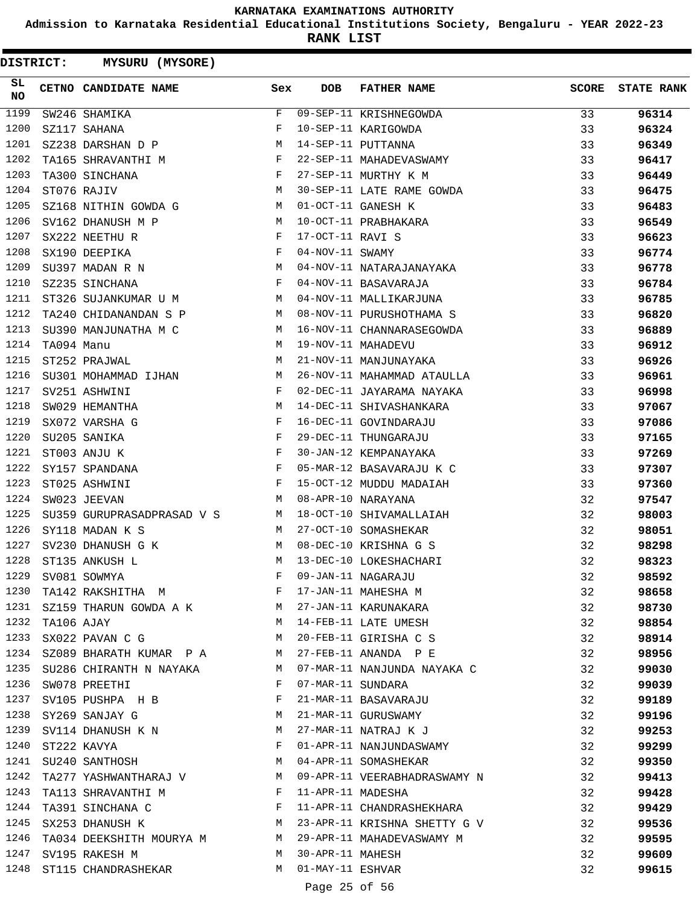**Admission to Karnataka Residential Educational Institutions Society, Bengaluru - YEAR 2022-23**

| <b>DISTRICT:</b> |            | MYSURU (MYSORE)                  |     |                   |                              |              |                   |
|------------------|------------|----------------------------------|-----|-------------------|------------------------------|--------------|-------------------|
| SL<br><b>NO</b>  |            | CETNO CANDIDATE NAME             | Sex | <b>DOB</b>        | <b>FATHER NAME</b>           | <b>SCORE</b> | <b>STATE RANK</b> |
| 1199             |            | SW246 SHAMIKA                    | F   |                   | 09-SEP-11 KRISHNEGOWDA       | 33           | 96314             |
| 1200             |            | SZ117 SAHANA                     | F   |                   | 10-SEP-11 KARIGOWDA          | 33           | 96324             |
| 1201             |            | SZ238 DARSHAN D P                | М   |                   | 14-SEP-11 PUTTANNA           | 33           | 96349             |
| 1202             |            | TA165 SHRAVANTHI M               | F   |                   | 22-SEP-11 MAHADEVASWAMY      | 33           | 96417             |
| 1203             |            | TA300 SINCHANA                   | F   |                   | 27-SEP-11 MURTHY K M         | 33           | 96449             |
| 1204             |            | ST076 RAJIV                      | М   |                   | 30-SEP-11 LATE RAME GOWDA    | 33           | 96475             |
| 1205             |            | SZ168 NITHIN GOWDA G             | М   |                   | 01-OCT-11 GANESH K           | 33           | 96483             |
| 1206             |            | SV162 DHANUSH M P                | М   |                   | 10-OCT-11 PRABHAKARA         | 33           | 96549             |
| 1207             |            | SX222 NEETHU R                   | F   | 17-OCT-11 RAVI S  |                              | 33           | 96623             |
| 1208             |            | SX190 DEEPIKA                    | F   | 04-NOV-11 SWAMY   |                              | 33           | 96774             |
| 1209             |            | SU397 MADAN R N                  | М   |                   | 04-NOV-11 NATARAJANAYAKA     | 33           | 96778             |
| 1210             |            | SZ235 SINCHANA                   | F   |                   | 04-NOV-11 BASAVARAJA         | 33           | 96784             |
| 1211             |            | ST326 SUJANKUMAR U M             | M   |                   | 04-NOV-11 MALLIKARJUNA       | 33           | 96785             |
| 1212             |            | TA240 CHIDANANDAN S P            | M   |                   | 08-NOV-11 PURUSHOTHAMA S     | 33           | 96820             |
| 1213             |            | SU390 MANJUNATHA M C             | М   |                   | 16-NOV-11 CHANNARASEGOWDA    | 33           | 96889             |
| 1214             | TA094 Manu |                                  | M   |                   | 19-NOV-11 MAHADEVU           | 33           | 96912             |
| 1215             |            | ST252 PRAJWAL                    | М   |                   | 21-NOV-11 MANJUNAYAKA        | 33           | 96926             |
| 1216             |            | SU301 MOHAMMAD IJHAN             | М   |                   | 26-NOV-11 MAHAMMAD ATAULLA   | 33           | 96961             |
| 1217             |            | SV251 ASHWINI                    | F   |                   | 02-DEC-11 JAYARAMA NAYAKA    | 33           | 96998             |
| 1218             |            | SW029 HEMANTHA                   | М   |                   | 14-DEC-11 SHIVASHANKARA      | 33           | 97067             |
| 1219             |            | SX072 VARSHA G                   | F   |                   | 16-DEC-11 GOVINDARAJU        | 33           | 97086             |
| 1220             |            | SU205 SANIKA                     | F   |                   | 29-DEC-11 THUNGARAJU         | 33           | 97165             |
| 1221             |            | ST003 ANJU K                     | F   |                   | 30-JAN-12 KEMPANAYAKA        | 33           | 97269             |
| 1222             |            | SY157 SPANDANA                   | F   |                   | 05-MAR-12 BASAVARAJU K C     | 33           | 97307             |
| 1223             |            | ST025 ASHWINI                    | F   |                   | 15-OCT-12 MUDDU MADAIAH      | 33           | 97360             |
| 1224             |            | SW023 JEEVAN                     | М   |                   | 08-APR-10 NARAYANA           | 32           | 97547             |
| 1225             |            | SU359 GURUPRASADPRASAD V S       | M   |                   | 18-OCT-10 SHIVAMALLAIAH      | 32           | 98003             |
| 1226             |            | SY118 MADAN K S                  | M   |                   | 27-OCT-10 SOMASHEKAR         | 32           | 98051             |
| 1227             |            | SV230 DHANUSH G K                | M   |                   | 08-DEC-10 KRISHNA G S        | 32           | 98298             |
| 1228             |            | ST135 ANKUSH L                   | M   |                   | 13-DEC-10 LOKESHACHARI       | 32           | 98323             |
| 1229             |            | SV081 SOWMYA                     | F   |                   | 09-JAN-11 NAGARAJU           | 32           | 98592             |
| 1230             |            | TA142 RAKSHITHA M                | F   |                   | 17-JAN-11 MAHESHA M          | 32           | 98658             |
| 1231             |            | SZ159 THARUN GOWDA A KNOWED MARK |     |                   | 27-JAN-11 KARUNAKARA         | 32           | 98730             |
| 1232             | TA106 AJAY |                                  | M   |                   | 14-FEB-11 LATE UMESH         | 32           | 98854             |
| 1233             |            | SX022 PAVAN C G                  | M   |                   | 20-FEB-11 GIRISHA C S        | 32           | 98914             |
| 1234             |            | SZ089 BHARATH KUMAR PA           | M   |                   | 27-FEB-11 ANANDA P E         | 32           | 98956             |
| 1235             |            | SU286 CHIRANTH N NAYAKA          | M   |                   | 07-MAR-11 NANJUNDA NAYAKA C  | 32           | 99030             |
| 1236             |            | SW078 PREETHI                    | F   | 07-MAR-11 SUNDARA |                              | 32           | 99039             |
| 1237             |            | SV105 PUSHPA H B                 | F   |                   | 21-MAR-11 BASAVARAJU         | 32           | 99189             |
| 1238             |            | SY269 SANJAY G                   | М   |                   | 21-MAR-11 GURUSWAMY          | 32           | 99196             |
| 1239             |            | SV114 DHANUSH K N                | M   |                   | 27-MAR-11 NATRAJ K J         | 32           | 99253             |
| 1240             |            | ST222 KAVYA                      | F   |                   | 01-APR-11 NANJUNDASWAMY      | 32           | 99299             |
|                  |            | 1241 SU240 SANTHOSH              | M   |                   | 04-APR-11 SOMASHEKAR         | 32           | 99350             |
| 1242             |            | TA277 YASHWANTHARAJ V            | M   |                   | 09-APR-11 VEERABHADRASWAMY N | 32           | 99413             |
| 1243             |            | TA113 SHRAVANTHI M               | F   |                   | 11-APR-11 MADESHA            | 32           | 99428             |
| 1244             |            | TA391 SINCHANA C                 | F   |                   | 11-APR-11 CHANDRASHEKHARA    | 32           | 99429             |
| 1245             |            | SX253 DHANUSH K                  | M   |                   | 23-APR-11 KRISHNA SHETTY G V | 32           | 99536             |
| 1246             |            | TA034 DEEKSHITH MOURYA M         | M   |                   | 29-APR-11 MAHADEVASWAMY M    | 32           | 99595             |
| 1247             |            | SV195 RAKESH M                   | M   | 30-APR-11 MAHESH  |                              | 32           | 99609             |
| 1248             |            | ST115 CHANDRASHEKAR              | M   | 01-MAY-11 ESHVAR  |                              | 32           | 99615             |
|                  |            |                                  |     | Page 25 of 56     |                              |              |                   |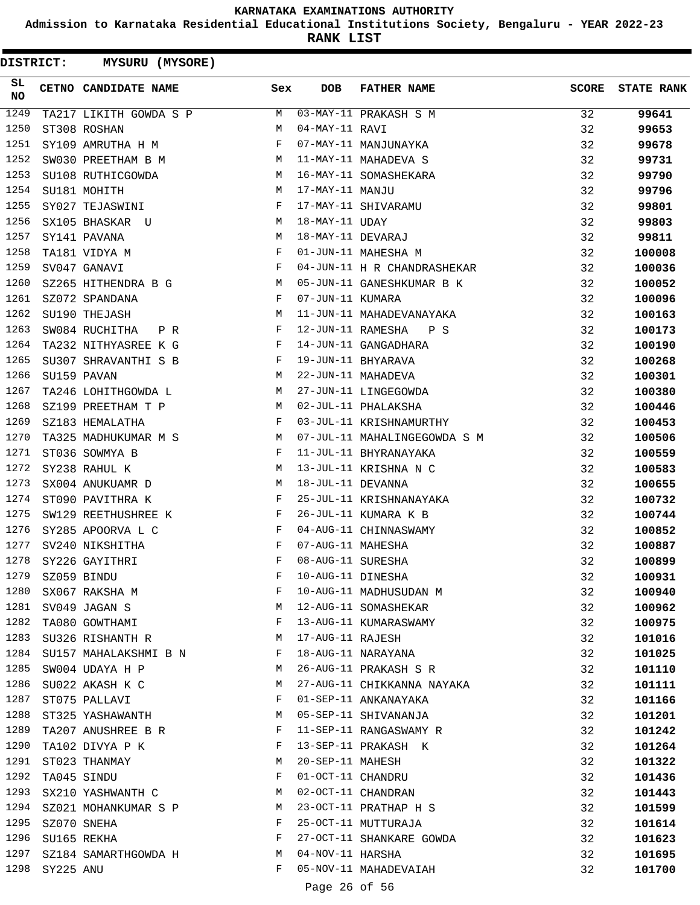**Admission to Karnataka Residential Educational Institutions Society, Bengaluru - YEAR 2022-23**

| <b>DISTRICT:</b> |           | MYSURU (MYSORE)        |     |                   |                              |              |                   |
|------------------|-----------|------------------------|-----|-------------------|------------------------------|--------------|-------------------|
| SL<br><b>NO</b>  |           | CETNO CANDIDATE NAME   | Sex | <b>DOB</b>        | <b>FATHER NAME</b>           | <b>SCORE</b> | <b>STATE RANK</b> |
| 1249             |           | TA217 LIKITH GOWDA S P | М   |                   | 03-MAY-11 PRAKASH S M        | 32           | 99641             |
| 1250             |           | ST308 ROSHAN           | М   | 04-MAY-11 RAVI    |                              | 32           | 99653             |
| 1251             |           | SY109 AMRUTHA H M      | F   |                   | 07-MAY-11 MANJUNAYKA         | 32           | 99678             |
| 1252             |           | SW030 PREETHAM B M     | M   |                   | 11-MAY-11 MAHADEVA S         | 32           | 99731             |
| 1253             |           | SU108 RUTHICGOWDA      | M   |                   | 16-MAY-11 SOMASHEKARA        | 32           | 99790             |
| 1254             |           | SU181 MOHITH           | M   | 17-MAY-11 MANJU   |                              | 32           | 99796             |
| 1255             |           | SY027 TEJASWINI        | F   |                   | 17-MAY-11 SHIVARAMU          | 32           | 99801             |
| 1256             |           | SX105 BHASKAR U        | М   | 18-MAY-11 UDAY    |                              | 32           | 99803             |
| 1257             |           | SY141 PAVANA           | М   | 18-MAY-11 DEVARAJ |                              | 32           | 99811             |
| 1258             |           | TA181 VIDYA M          | F   |                   | 01-JUN-11 MAHESHA M          | 32           | 100008            |
| 1259             |           | SV047 GANAVI           | F   |                   | 04-JUN-11 H R CHANDRASHEKAR  | 32           | 100036            |
| 1260             |           | SZ265 HITHENDRA B G    | М   |                   | 05-JUN-11 GANESHKUMAR B K    | 32           | 100052            |
| 1261             |           | SZ072 SPANDANA         | F   | 07-JUN-11 KUMARA  |                              | 32           | 100096            |
| 1262             |           | SU190 THEJASH          | М   |                   | 11-JUN-11 MAHADEVANAYAKA     | 32           | 100163            |
| 1263             |           | SW084 RUCHITHA<br>P R  | F   | 12-JUN-11 RAMESHA | P S                          | 32           | 100173            |
| 1264             |           | TA232 NITHYASREE K G   | F   |                   | 14-JUN-11 GANGADHARA         | 32           | 100190            |
| 1265             |           | SU307 SHRAVANTHI S B   | F   |                   | 19-JUN-11 BHYARAVA           | 32           | 100268            |
| 1266             |           | SU159 PAVAN            | М   |                   | 22-JUN-11 MAHADEVA           | 32           | 100301            |
| 1267             |           | TA246 LOHITHGOWDA L    | М   |                   | 27-JUN-11 LINGEGOWDA         | 32           | 100380            |
| 1268             |           | SZ199 PREETHAM T P     | M   |                   | 02-JUL-11 PHALAKSHA          | 32           | 100446            |
| 1269             |           | SZ183 HEMALATHA        | F   |                   | 03-JUL-11 KRISHNAMURTHY      | 32           | 100453            |
| 1270             |           | TA325 MADHUKUMAR M S   | M   |                   | 07-JUL-11 MAHALINGEGOWDA S M | 32           | 100506            |
| 1271             |           | ST036 SOWMYA B         | F   |                   | 11-JUL-11 BHYRANAYAKA        | 32           | 100559            |
| 1272             |           | SY238 RAHUL K          | М   |                   | 13-JUL-11 KRISHNA N C        | 32           | 100583            |
| 1273             |           | SX004 ANUKUAMR D       | М   | 18-JUL-11 DEVANNA |                              | 32           | 100655            |
| 1274             |           | ST090 PAVITHRA K       | F   |                   | 25-JUL-11 KRISHNANAYAKA      | 32           | 100732            |
| 1275             |           | SW129 REETHUSHREE K    | F   |                   | 26-JUL-11 KUMARA K B         | 32           | 100744            |
| 1276             |           | SY285 APOORVA L C      | F   |                   | 04-AUG-11 CHINNASWAMY        | 32           | 100852            |
| 1277             |           | SV240 NIKSHITHA        | F   | 07-AUG-11 MAHESHA |                              | 32           | 100887            |
| 1278             |           | SY226 GAYITHRI         | F   | 08-AUG-11 SURESHA |                              | 32           | 100899            |
| 1279             |           | SZ059 BINDU            | F   | 10-AUG-11 DINESHA |                              | 32           | 100931            |
| 1280             |           | SX067 RAKSHA M         | F   |                   | 10-AUG-11 MADHUSUDAN M       | 32           | 100940            |
| 1281             |           | SV049 JAGAN S          | М   |                   | 12-AUG-11 SOMASHEKAR         | 32           | 100962            |
| 1282             |           | TA080 GOWTHAMI         | F   |                   | 13-AUG-11 KUMARASWAMY        | 32           | 100975            |
| 1283             |           | SU326 RISHANTH R       | М   | 17-AUG-11 RAJESH  |                              | 32           | 101016            |
| 1284             |           | SU157 MAHALAKSHMI B N  | F   |                   | 18-AUG-11 NARAYANA           | 32           | 101025            |
| 1285             |           | SW004 UDAYA H P        | М   |                   | 26-AUG-11 PRAKASH S R        | 32           | 101110            |
| 1286             |           | SU022 AKASH K C        | M   |                   | 27-AUG-11 CHIKKANNA NAYAKA   | 32           | 101111            |
| 1287             |           | ST075 PALLAVI          | F   |                   | 01-SEP-11 ANKANAYAKA         | 32           | 101166            |
| 1288             |           | ST325 YASHAWANTH       | M   |                   | 05-SEP-11 SHIVANANJA         | 32           | 101201            |
| 1289             |           | TA207 ANUSHREE B R     | F   |                   | 11-SEP-11 RANGASWAMY R       | 32           | 101242            |
| 1290             |           | TA102 DIVYA P K        | F   |                   | 13-SEP-11 PRAKASH K          | 32           | 101264            |
| 1291             |           | ST023 THANMAY          | М   | 20-SEP-11 MAHESH  |                              | 32           | 101322            |
| 1292             |           | TA045 SINDU            | F   | 01-OCT-11 CHANDRU |                              | 32           | 101436            |
| 1293             |           | SX210 YASHWANTH C      | М   |                   | 02-OCT-11 CHANDRAN           | 32           | 101443            |
| 1294             |           | SZ021 MOHANKUMAR S P   | М   |                   | 23-OCT-11 PRATHAP H S        | 32           | 101599            |
| 1295             |           | SZ070 SNEHA            | F   |                   | 25-OCT-11 MUTTURAJA          | 32           | 101614            |
| 1296             |           | SU165 REKHA            | F   |                   | 27-OCT-11 SHANKARE GOWDA     | 32           | 101623            |
| 1297             |           | SZ184 SAMARTHGOWDA H   | M   | 04-NOV-11 HARSHA  |                              | 32           | 101695            |
| 1298             | SY225 ANU |                        | F   |                   | 05-NOV-11 MAHADEVAIAH        | 32           | 101700            |
|                  |           |                        |     | Page 26 of 56     |                              |              |                   |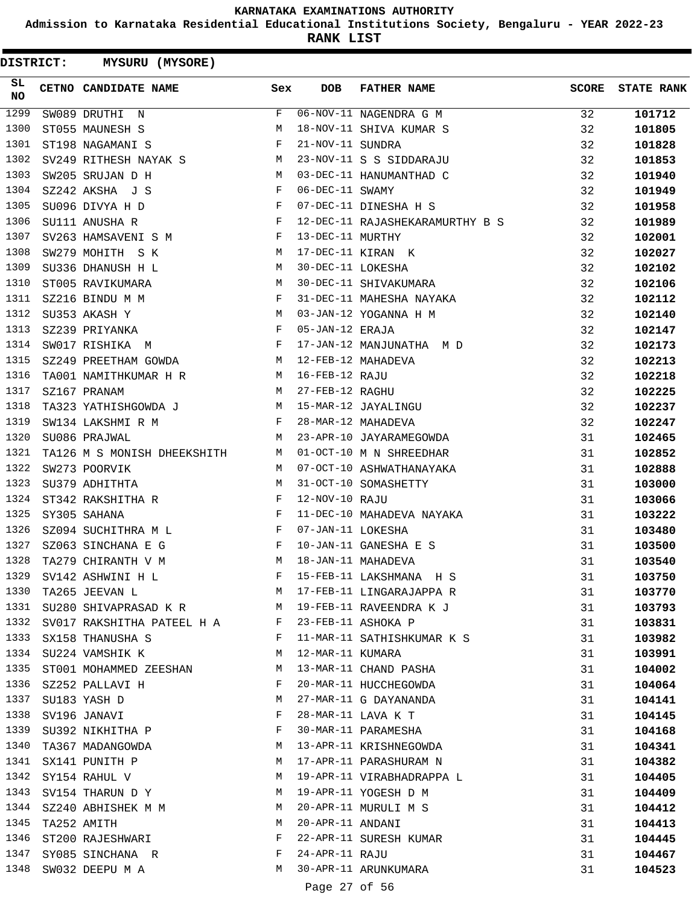**Admission to Karnataka Residential Educational Institutions Society, Bengaluru - YEAR 2022-23**

| <b>DISTRICT:</b> |  | MYSURU (MYSORE)              |              |                   |                                 |              |                   |
|------------------|--|------------------------------|--------------|-------------------|---------------------------------|--------------|-------------------|
| SL<br><b>NO</b>  |  | CETNO CANDIDATE NAME         | Sex          | <b>DOB</b>        | <b>FATHER NAME</b>              | <b>SCORE</b> | <b>STATE RANK</b> |
| 1299             |  | SW089 DRUTHI N               | F            |                   | 06-NOV-11 NAGENDRA G M          | 32           | 101712            |
| 1300             |  | ST055 MAUNESH S              | М            |                   | 18-NOV-11 SHIVA KUMAR S         | 32           | 101805            |
| 1301             |  | ST198 NAGAMANI S             | F            | 21-NOV-11 SUNDRA  |                                 | 32           | 101828            |
| 1302             |  | SV249 RITHESH NAYAK S M      |              |                   | 23-NOV-11 S S SIDDARAJU         | 32           | 101853            |
| 1303             |  | SW205 SRUJAN D H             | M            |                   | 03-DEC-11 HANUMANTHAD C         | 32           | 101940            |
| 1304             |  | SZ242 AKSHA J S              | F            | 06-DEC-11 SWAMY   |                                 | 32           | 101949            |
| 1305             |  | SU096 DIVYA H D              | $\mathbf{F}$ |                   | 07-DEC-11 DINESHA H S           | 32           | 101958            |
| 1306             |  | SU111 ANUSHA R               | F            |                   | 12-DEC-11 RAJASHEKARAMURTHY B S | 32           | 101989            |
| 1307             |  | SV263 HAMSAVENI S M          | F            | 13-DEC-11 MURTHY  |                                 | 32           | 102001            |
| 1308             |  | SW279 MOHITH S K             | M            |                   | 17-DEC-11 KIRAN K               | 32           | 102027            |
| 1309             |  | SU336 DHANUSH H L            | М            | 30-DEC-11 LOKESHA |                                 | 32           | 102102            |
| 1310             |  | ST005 RAVIKUMARA             | М            |                   | 30-DEC-11 SHIVAKUMARA           | 32           | 102106            |
| 1311             |  | SZ216 BINDU M M              | F            |                   | 31-DEC-11 MAHESHA NAYAKA        | 32           | 102112            |
| 1312             |  | SU353 AKASH Y                | М            |                   | 03-JAN-12 YOGANNA H M           | 32           | 102140            |
| 1313             |  | SZ239 PRIYANKA               | F            | 05-JAN-12 ERAJA   |                                 | 32           | 102147            |
| 1314             |  | SW017 RISHIKA M              | F            |                   | 17-JAN-12 MANJUNATHA M D        | 32           | 102173            |
| 1315             |  | SZ249 PREETHAM GOWDA         | M            |                   | 12-FEB-12 MAHADEVA              | 32           | 102213            |
| 1316             |  | TA001 NAMITHKUMAR H R        | M            | 16-FEB-12 RAJU    |                                 | 32           | 102218            |
| 1317             |  | M<br>SZ167 PRANAM            |              | 27-FEB-12 RAGHU   |                                 | 32           | 102225            |
| 1318             |  | TA323 YATHISHGOWDA J M       |              |                   | 15-MAR-12 JAYALINGU             | 32           | 102237            |
| 1319             |  | SW134 LAKSHMI R M            | F            |                   | 28-MAR-12 MAHADEVA              | 32           | 102247            |
| 1320             |  | SU086 PRAJWAL                | M            |                   | 23-APR-10 JAYARAMEGOWDA         | 31           | 102465            |
| 1321             |  | TA126 M S MONISH DHEEKSHITH  | M            |                   | 01-OCT-10 M N SHREEDHAR         | 31           | 102852            |
| 1322             |  | SW273 POORVIK                | M            |                   | 07-OCT-10 ASHWATHANAYAKA        | 31           | 102888            |
| 1323             |  | SU379 ADHITHTA               | М            |                   | 31-OCT-10 SOMASHETTY            | 31           | 103000            |
| 1324             |  | ST342 RAKSHITHA R            | F            | 12-NOV-10 RAJU    |                                 | 31           | 103066            |
| 1325             |  | SY305 SAHANA                 | $\mathbf{F}$ |                   | 11-DEC-10 MAHADEVA NAYAKA       | 31           | 103222            |
| 1326             |  | SZ094 SUCHITHRA M L          | F            | 07-JAN-11 LOKESHA |                                 | 31           | 103480            |
| 1327             |  | SZ063 SINCHANA E G           | F            |                   | 10-JAN-11 GANESHA E S           | 31           | 103500            |
| 1328             |  | TA279 CHIRANTH V M           | М            |                   | 18-JAN-11 MAHADEVA              | 31           | 103540            |
| 1329             |  | SV142 ASHWINI H L            | F            |                   | 15-FEB-11 LAKSHMANA H S         | 31           | 103750            |
| 1330             |  | TA265 JEEVAN L               | M            |                   | 17-FEB-11 LINGARAJAPPA R        | 31           | 103770            |
| 1331             |  | SU280 SHIVAPRASAD K R M      |              |                   | 19-FEB-11 RAVEENDRA K J         | 31           | 103793            |
| 1332             |  | SV017 RAKSHITHA PATEEL H A F |              |                   | 23-FEB-11 ASHOKA P              | 31           | 103831            |
|                  |  | 1333 SX158 THANUSHA S        | F            |                   | 11-MAR-11 SATHISHKUMAR K S      | 31           | 103982            |
| 1334             |  | SU224 VAMSHIK K              | M            | 12-MAR-11 KUMARA  |                                 | 31           | 103991            |
| 1335             |  | ST001 MOHAMMED ZEESHAN       | M            |                   | 13-MAR-11 CHAND PASHA           | 31           | 104002            |
| 1336             |  | SZ252 PALLAVI H              | F            |                   | 20-MAR-11 HUCCHEGOWDA           | 31           | 104064            |
| 1337             |  | SU183 YASH D                 | М            |                   | 27-MAR-11 G DAYANANDA           | 31           | 104141            |
| 1338             |  | SV196 JANAVI                 | F            |                   | 28-MAR-11 LAVA K T              | 31           | 104145            |
| 1339             |  | SU392 NIKHITHA P             | F            |                   | 30-MAR-11 PARAMESHA             | 31           | 104168            |
| 1340             |  | TA367 MADANGOWDA             | M            |                   | 13-APR-11 KRISHNEGOWDA          | 31           | 104341            |
| 1341             |  | SX141 PUNITH P               | M            |                   | 17-APR-11 PARASHURAM N          | 31           | 104382            |
| 1342             |  | SY154 RAHUL V                | M            |                   | 19-APR-11 VIRABHADRAPPA L       | 31           | 104405            |
| 1343             |  | SV154 THARUN D Y             | M            |                   | 19-APR-11 YOGESH D M            | 31           | 104409            |
| 1344             |  | SZ240 ABHISHEK M M           | M            |                   | 20-APR-11 MURULI M S            | 31           | 104412            |
| 1345             |  | TA252 AMITH                  | М            | 20-APR-11 ANDANI  |                                 | 31           | 104413            |
| 1346             |  | ST200 RAJESHWARI             | F            |                   | 22-APR-11 SURESH KUMAR          | 31           | 104445            |
| 1347             |  | SY085 SINCHANA R             | F            | 24-APR-11 RAJU    |                                 | 31           | 104467            |
| 1348             |  | SW032 DEEPU M A              | M            |                   | 30-APR-11 ARUNKUMARA            | 31           | 104523            |
|                  |  |                              |              | Page 27 of 56     |                                 |              |                   |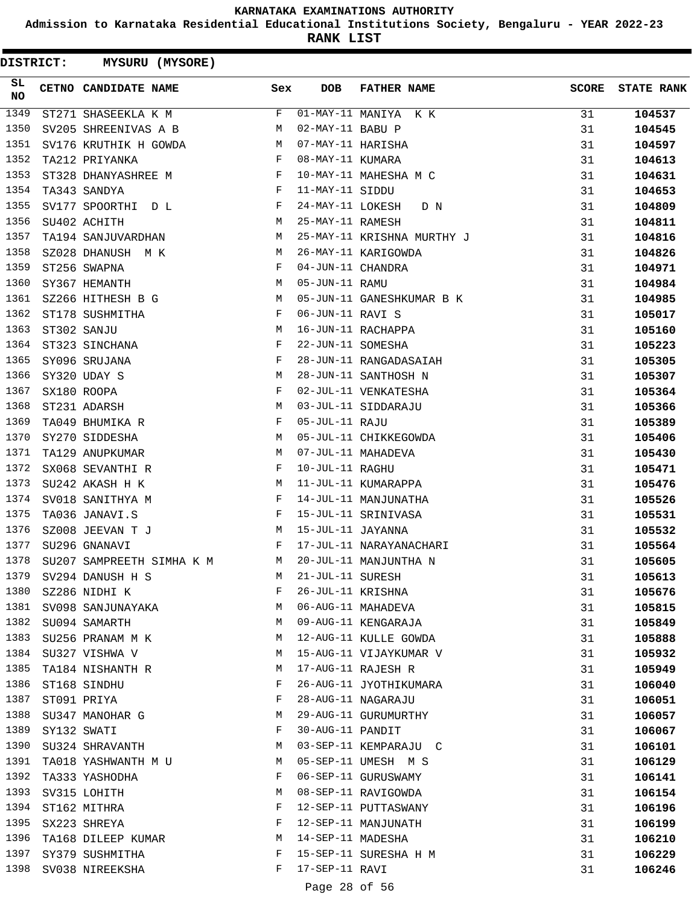**Admission to Karnataka Residential Educational Institutions Society, Bengaluru - YEAR 2022-23**

**RANK LIST**

| DISTRICT: |                           | <b>MYSURU (MYSORE)</b> |     |                   |                                   |              |                   |
|-----------|---------------------------|------------------------|-----|-------------------|-----------------------------------|--------------|-------------------|
| SL<br>NO  | CETNO CANDIDATE NAME      |                        | Sex | <b>DOB</b>        | <b>FATHER NAME</b>                | <b>SCORE</b> | <b>STATE RANK</b> |
| 1349      | ST271 SHASEEKLA K M       |                        | F   |                   | $\overline{01-MAY}-11$ MANIYA K K | 31           | 104537            |
| 1350      | SV205 SHREENIVAS A B      |                        | М   | 02-MAY-11 BABU P  |                                   | 31           | 104545            |
| 1351      | SV176 KRUTHIK H GOWDA     |                        | M   | 07-MAY-11 HARISHA |                                   | 31           | 104597            |
| 1352      | TA212 PRIYANKA            |                        | F   | 08-MAY-11 KUMARA  |                                   | 31           | 104613            |
| 1353      | ST328 DHANYASHREE M       |                        | F   |                   | 10-MAY-11 MAHESHA M C             | 31           | 104631            |
| 1354      | TA343 SANDYA              |                        | F   | 11-MAY-11 SIDDU   |                                   | 31           | 104653            |
| 1355      | SV177 SPOORTHI D L        |                        | F   |                   | 24-MAY-11 LOKESH<br>D N           | 31           | 104809            |
| 1356      | SU402 ACHITH              |                        | M   | 25-MAY-11 RAMESH  |                                   | 31           | 104811            |
| 1357      | TA194 SANJUVARDHAN        |                        | M   |                   | 25-MAY-11 KRISHNA MURTHY J        | 31           | 104816            |
| 1358      | SZ028 DHANUSH M K         |                        | M   |                   | 26-MAY-11 KARIGOWDA               | 31           | 104826            |
| 1359      | ST256 SWAPNA              |                        | F   | 04-JUN-11 CHANDRA |                                   | 31           | 104971            |
| 1360      | SY367 HEMANTH             |                        | М   | 05-JUN-11 RAMU    |                                   | 31           | 104984            |
| 1361      | SZ266 HITHESH B G         |                        | М   |                   | 05-JUN-11 GANESHKUMAR B K         | 31           | 104985            |
| 1362      | ST178 SUSHMITHA           |                        | F   | 06-JUN-11 RAVI S  |                                   | 31           | 105017            |
| 1363      | ST302 SANJU               |                        | M   |                   | 16-JUN-11 RACHAPPA                | 31           | 105160            |
| 1364      | ST323 SINCHANA            |                        | F   | 22-JUN-11 SOMESHA |                                   | 31           | 105223            |
| 1365      | SY096 SRUJANA             |                        | F   |                   | 28-JUN-11 RANGADASAIAH            | 31           | 105305            |
| 1366      | SY320 UDAY S              |                        | М   |                   | 28-JUN-11 SANTHOSH N              | 31           | 105307            |
| 1367      | SX180 ROOPA               |                        | F   |                   | 02-JUL-11 VENKATESHA              | 31           | 105364            |
| 1368      | ST231 ADARSH              |                        | М   |                   | 03-JUL-11 SIDDARAJU               | 31           | 105366            |
| 1369      | TA049 BHUMIKA R           |                        | F   | 05-JUL-11 RAJU    |                                   | 31           | 105389            |
| 1370      | SY270 SIDDESHA            |                        | М   |                   | 05-JUL-11 CHIKKEGOWDA             | 31           | 105406            |
| 1371      | TA129 ANUPKUMAR           |                        | M   |                   | 07-JUL-11 MAHADEVA                | 31           | 105430            |
| 1372      | SX068 SEVANTHI R          |                        | F   | 10-JUL-11 RAGHU   |                                   | 31           | 105471            |
| 1373      | SU242 AKASH H K           |                        | M   |                   | 11-JUL-11 KUMARAPPA               | 31           | 105476            |
| 1374      | SV018 SANITHYA M          |                        | F   |                   | 14-JUL-11 MANJUNATHA              | 31           | 105526            |
| 1375      | TA036 JANAVI.S            |                        | F   |                   | 15-JUL-11 SRINIVASA               | 31           | 105531            |
| 1376      | SZ008 JEEVAN T J          |                        | M   | 15-JUL-11 JAYANNA |                                   | 31           | 105532            |
| 1377      | SU296 GNANAVI             |                        | F   |                   | 17-JUL-11 NARAYANACHARI           | 31           | 105564            |
| 1378      | SU207 SAMPREETH SIMHA K M |                        | M   |                   | 20-JUL-11 MANJUNTHA N             | 31           | 105605            |
| 1379      | SV294 DANUSH H S          |                        | М   | 21-JUL-11 SURESH  |                                   | 31           | 105613            |
| 1380      | SZ286 NIDHI K             |                        | F   | 26-JUL-11 KRISHNA |                                   | 31           | 105676            |
| 1381      |                           | SV098 SANJUNAYAKA      | М   |                   | 06-AUG-11 MAHADEVA                | 31           | 105815            |
| 1382      | SU094 SAMARTH             |                        | М   |                   | 09-AUG-11 KENGARAJA               | 31           | 105849            |
| 1383      | SU256 PRANAM M K          |                        | M   |                   | 12-AUG-11 KULLE GOWDA             | 31           | 105888            |
| 1384      | SU327 VISHWA V            |                        | М   |                   | 15-AUG-11 VIJAYKUMAR V            | 31           | 105932            |
| 1385      | TA184 NISHANTH R          |                        | М   |                   | 17-AUG-11 RAJESH R                | 31           | 105949            |
| 1386      | ST168 SINDHU              |                        | F   |                   | 26-AUG-11 JYOTHIKUMARA            | 31           | 106040            |
| 1387      | ST091 PRIYA               |                        | F   |                   | 28-AUG-11 NAGARAJU                | 31           | 106051            |
| 1388      | SU347 MANOHAR G           |                        | М   |                   | 29-AUG-11 GURUMURTHY              | 31           | 106057            |
| 1389      | SY132 SWATI               |                        | F   | 30-AUG-11 PANDIT  |                                   | 31           | 106067            |
| 1390      | SU324 SHRAVANTH           |                        | M   |                   | 03-SEP-11 KEMPARAJU C             | 31           | 106101            |
| 1391      | TA018 YASHWANTH M U       |                        | M   |                   | 05-SEP-11 UMESH M S               | 31           | 106129            |
| 1392      | TA333 YASHODHA            |                        | F   |                   | 06-SEP-11 GURUSWAMY               | 31           | 106141            |
| 1393      | SV315 LOHITH              |                        | М   |                   | 08-SEP-11 RAVIGOWDA               | 31           | 106154            |
| 1394      | ST162 MITHRA              |                        | F   |                   | 12-SEP-11 PUTTASWANY              | 31           | 106196            |
| 1395      | SX223 SHREYA              |                        | F   |                   | 12-SEP-11 MANJUNATH               | 31           | 106199            |
| 1396      | TA168 DILEEP KUMAR        |                        | M   | 14-SEP-11 MADESHA |                                   | 31           | 106210            |
| 1397      | SY379 SUSHMITHA           |                        | F   |                   | 15-SEP-11 SURESHA H M             | 31           | 106229            |
| 1398      | SV038 NIREEKSHA           |                        | F   | 17-SEP-11 RAVI    |                                   | 31           | 106246            |
|           |                           |                        |     |                   |                                   |              |                   |

## Page 28 of 56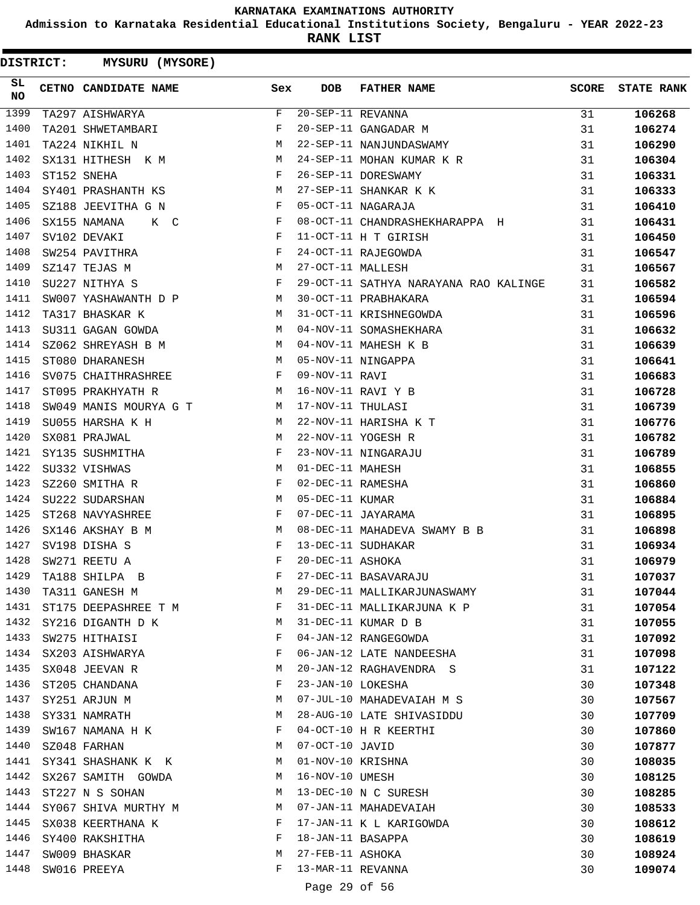**Admission to Karnataka Residential Educational Institutions Society, Bengaluru - YEAR 2022-23**

| <b>DISTRICT:</b> | MYSURU (MYSORE)        |            |                   |                                       |              |                   |
|------------------|------------------------|------------|-------------------|---------------------------------------|--------------|-------------------|
| SL<br>NO         | CETNO CANDIDATE NAME   | Sex        | <b>DOB</b>        | <b>FATHER NAME</b>                    | <b>SCORE</b> | <b>STATE RANK</b> |
| 1399             | TA297 AISHWARYA        | F          | 20-SEP-11 REVANNA |                                       | 31           | 106268            |
| 1400             | TA201 SHWETAMBARI      | F          |                   | 20-SEP-11 GANGADAR M                  | 31           | 106274            |
| 1401             | TA224 NIKHIL N         | М          |                   | 22-SEP-11 NANJUNDASWAMY               | 31           | 106290            |
| 1402             | SX131 HITHESH K M      | М          |                   | 24-SEP-11 MOHAN KUMAR K R             | 31           | 106304            |
| 1403             | ST152 SNEHA            | F          |                   | 26-SEP-11 DORESWAMY                   | 31           | 106331            |
| 1404             | SY401 PRASHANTH KS     | М          |                   | 27-SEP-11 SHANKAR K K                 | 31           | 106333            |
| 1405             | SZ188 JEEVITHA G N     | F          |                   | 05-OCT-11 NAGARAJA                    | 31           | 106410            |
| 1406             | SX155 NAMANA<br>K C    | F          |                   | 08-OCT-11 CHANDRASHEKHARAPPA H        | 31           | 106431            |
| 1407             | SV102 DEVAKI           | F          |                   | 11-OCT-11 H T GIRISH                  | 31           | 106450            |
| 1408             | SW254 PAVITHRA         | F          |                   | 24-OCT-11 RAJEGOWDA                   | 31           | 106547            |
| 1409             | SZ147 TEJAS M          | М          | 27-OCT-11 MALLESH |                                       | 31           | 106567            |
| 1410             | SU227 NITHYA S         | $_{\rm F}$ |                   | 29-OCT-11 SATHYA NARAYANA RAO KALINGE | 31           | 106582            |
| 1411             | SW007 YASHAWANTH D P   | М          |                   | 30-OCT-11 PRABHAKARA                  | 31           | 106594            |
| 1412             | TA317 BHASKAR K        | М          |                   | 31-OCT-11 KRISHNEGOWDA                | 31           | 106596            |
| 1413             | SU311 GAGAN GOWDA      | M          |                   | 04-NOV-11 SOMASHEKHARA                | 31           | 106632            |
| 1414             | SZ062 SHREYASH B M     | M          |                   | 04-NOV-11 MAHESH K B                  | 31           | 106639            |
| 1415             | ST080 DHARANESH        | М          |                   | 05-NOV-11 NINGAPPA                    | 31           | 106641            |
| 1416             | SV075 CHAITHRASHREE    | F          | 09-NOV-11 RAVI    |                                       | 31           | 106683            |
| 1417             | ST095 PRAKHYATH R      | М          |                   | 16-NOV-11 RAVI Y B                    | 31           | 106728            |
| 1418             | SW049 MANIS MOURYA G T | M          | 17-NOV-11 THULASI |                                       | 31           | 106739            |
| 1419             | SU055 HARSHA K H       | M          |                   | 22-NOV-11 HARISHA K T                 | 31           | 106776            |
| 1420             | SX081 PRAJWAL          | М          |                   | 22-NOV-11 YOGESH R                    | 31           | 106782            |
| 1421             | SY135 SUSHMITHA        | F          |                   | 23-NOV-11 NINGARAJU                   | 31           | 106789            |
| 1422             | SU332 VISHWAS          | М          | 01-DEC-11 MAHESH  |                                       | 31           | 106855            |
| 1423             | SZ260 SMITHA R         | F          | 02-DEC-11 RAMESHA |                                       | 31           | 106860            |
| 1424             | SU222 SUDARSHAN        | М          | 05-DEC-11 KUMAR   |                                       | 31           | 106884            |
| 1425             | ST268 NAVYASHREE       | F          |                   | 07-DEC-11 JAYARAMA                    | 31           | 106895            |
| 1426             | SX146 AKSHAY B M       | М          |                   | 08-DEC-11 MAHADEVA SWAMY B B          | 31           | 106898            |
| 1427             | SV198 DISHA S          | F          |                   | 13-DEC-11 SUDHAKAR                    | 31           | 106934            |
| 1428             | SW271 REETU A          | F          | 20-DEC-11 ASHOKA  |                                       | 31           | 106979            |
| 1429             | TA188 SHILPA B         | F          |                   | 27-DEC-11 BASAVARAJU                  | 31           | 107037            |
| 1430             | TA311 GANESH M         | М          |                   | 29-DEC-11 MALLIKARJUNASWAMY           | 31           | 107044            |
| 1431             | ST175 DEEPASHREE T M   | F          |                   | 31-DEC-11 MALLIKARJUNA K P            | 31           | 107054            |
| 1432             | SY216 DIGANTH D K      | М          |                   | 31-DEC-11 KUMAR D B                   | 31           | 107055            |
| 1433             | SW275 HITHAISI         | F          |                   | 04-JAN-12 RANGEGOWDA                  | 31           | 107092            |
| 1434             | SX203 AISHWARYA        | F          |                   | 06-JAN-12 LATE NANDEESHA              | 31           | 107098            |
| 1435             | SX048 JEEVAN R         | М          |                   | 20-JAN-12 RAGHAVENDRA S               | 31           | 107122            |
| 1436             | ST205 CHANDANA         | F          |                   | 23-JAN-10 LOKESHA                     | 30           | 107348            |
| 1437             | SY251 ARJUN M          | М          |                   | 07-JUL-10 MAHADEVAIAH M S             | 30           | 107567            |
| 1438             | SY331 NAMRATH          | М          |                   | 28-AUG-10 LATE SHIVASIDDU             | 30           | 107709            |
| 1439             | SW167 NAMANA H K       | F          |                   | 04-OCT-10 H R KEERTHI                 | 30           | 107860            |
| 1440             | SZ048 FARHAN           | M          | 07-OCT-10 JAVID   |                                       | 30           | 107877            |
| 1441             | SY341 SHASHANK K K     | М          | 01-NOV-10 KRISHNA |                                       | 30           | 108035            |
| 1442             | SX267 SAMITH GOWDA     | M          | 16-NOV-10 UMESH   |                                       | 30           | 108125            |
| 1443             | ST227 N S SOHAN        | М          |                   | 13-DEC-10 N C SURESH                  | 30           | 108285            |
| 1444             | SY067 SHIVA MURTHY M   | M          |                   | 07-JAN-11 MAHADEVAIAH                 | 30           | 108533            |
| 1445             | SX038 KEERTHANA K      | F          |                   | 17-JAN-11 K L KARIGOWDA               | 30           | 108612            |
| 1446             | SY400 RAKSHITHA        | F          | 18-JAN-11 BASAPPA |                                       | 30           | 108619            |
| 1447             | SW009 BHASKAR          | М          | 27-FEB-11 ASHOKA  |                                       | 30           | 108924            |
| 1448             | SW016 PREEYA           | F          | 13-MAR-11 REVANNA |                                       | 30           | 109074            |
|                  |                        |            | Page 29 of 56     |                                       |              |                   |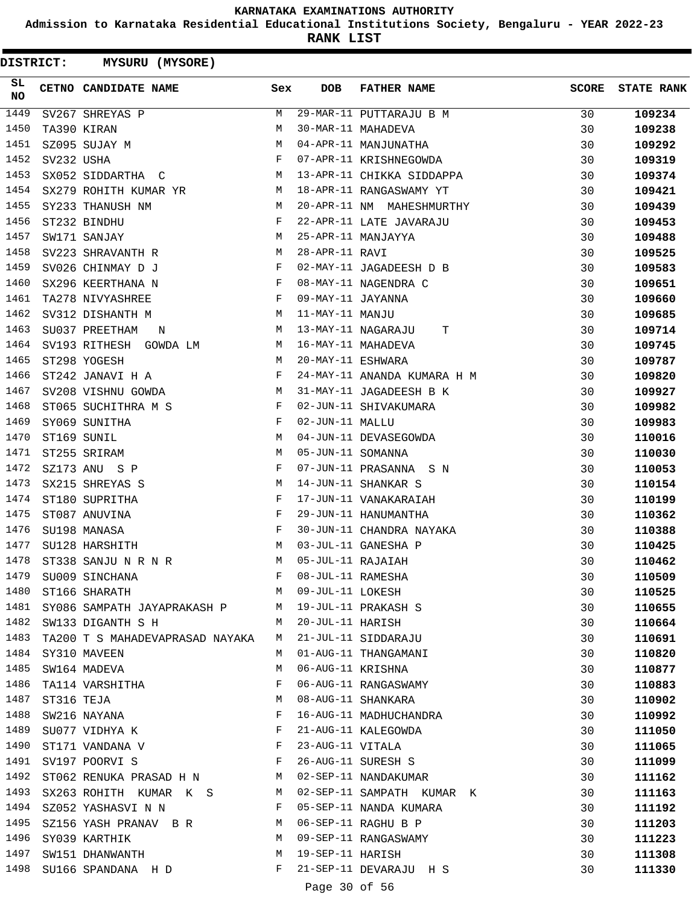**Admission to Karnataka Residential Educational Institutions Society, Bengaluru - YEAR 2022-23**

**RANK LIST**

| SL<br><b>NO</b> |            | CETNO CANDIDATE NAME Sex                                                                                                                                                                                                                              |              | <b>DOB</b>        | FATHER NAME                                                                                     | <b>SCORE</b> | <b>STATE RANK</b> |
|-----------------|------------|-------------------------------------------------------------------------------------------------------------------------------------------------------------------------------------------------------------------------------------------------------|--------------|-------------------|-------------------------------------------------------------------------------------------------|--------------|-------------------|
| 1449            |            | SV267 SHREYAS P                                                                                                                                                                                                                                       | М            |                   | 29-MAR-11 PUTTARAJU B M<br>30-MAR-11 MAHADEVA<br>04-APR-11 MANJUNATHA<br>07-APR-11 KRISHNEGOWDA | 30           | 109234            |
| 1450            |            | TA390 KIRAN                                                                                                                                                                                                                                           |              |                   |                                                                                                 | 30           | 109238            |
| 1451            |            | $\begin{array}{c} \mathbf{M} \\ \mathbf{M} \\ \mathbf{M} \\ \mathbf{F} \end{array}$<br>SZ095 SUJAY M                                                                                                                                                  |              |                   |                                                                                                 | 30           | 109292            |
| 1452            | SV232 USHA |                                                                                                                                                                                                                                                       |              |                   |                                                                                                 | 30           | 109319            |
| 1453            |            | M <sub>N</sub><br>SX052 SIDDARTHA C                                                                                                                                                                                                                   |              |                   | 13-APR-11 CHIKKA SIDDAPPA                                                                       | 30           | 109374            |
| 1454            |            | SX279 ROHITH KUMAR YR M                                                                                                                                                                                                                               |              |                   | 18-APR-11 RANGASWAMY YT                                                                         | 30           | 109421            |
| 1455            |            | $\begin{aligned} \mathbb{M} \\ \mathbb{F} \end{aligned}$<br>SY233 THANUSH NM                                                                                                                                                                          | M            |                   | 20-APR-11 NM MAHESHMURTHY                                                                       | 30           | 109439            |
| 1456            |            | ST232 BINDHU                                                                                                                                                                                                                                          |              |                   | 22-APR-11 LATE JAVARAJU                                                                         | 30           | 109453            |
| 1457            |            | $\mathbb{M}$<br>SW171 SANJAY                                                                                                                                                                                                                          |              |                   | 25-APR-11 MANJAYYA                                                                              | 30           | 109488            |
| 1458            |            | <b>M</b><br>SV223 SHRAVANTH R                                                                                                                                                                                                                         |              | 28-APR-11 RAVI    |                                                                                                 | 30           | 109525            |
| 1459            |            | SV026 CHINMAY D J                                                                                                                                                                                                                                     | $\mathbb{F}$ |                   | 02-MAY-11 JAGADEESH D B                                                                         | 30           | 109583            |
| 1460            |            | SX296 KEERTHANA N                                                                                                                                                                                                                                     | $\mathbf{F}$ |                   | 08-MAY-11 NAGENDRA C                                                                            | 30           | 109651            |
| 1461            |            | $\mathbf{F}$ and the set of the set of the set of the set of the set of the set of the set of the set of the set of the set of the set of the set of the set of the set of the set of the set of the set of the set of the set of<br>TA278 NIVYASHREE |              | 09-MAY-11 JAYANNA |                                                                                                 | 30           | 109660            |
| 1462            |            | <b>M</b><br>SV312 DISHANTH M                                                                                                                                                                                                                          |              | 11-MAY-11 MANJU   |                                                                                                 | 30           | 109685            |
| 1463            |            | SU037 PREETHAM<br>N                                                                                                                                                                                                                                   | M            |                   | 13-MAY-11 NAGARAJU<br>T                                                                         | 30           | 109714            |
| 1464            |            | SV193 RITHESH GOWDA LM M                                                                                                                                                                                                                              |              |                   | 16-MAY-11 MAHADEVA                                                                              | 30           | 109745            |
| 1465            |            | M <sub>1</sub><br>ST298 YOGESH                                                                                                                                                                                                                        |              | 20-MAY-11 ESHWARA |                                                                                                 | 30           | 109787            |
| 1466            |            | $\mathbf{F}$ and $\mathbf{F}$ and $\mathbf{F}$<br>ST242 JANAVI H A                                                                                                                                                                                    |              |                   | 24-MAY-11 ANANDA KUMARA H M                                                                     | 30           | 109820            |
| 1467            |            | M<br>SV208 VISHNU GOWDA                                                                                                                                                                                                                               |              |                   | 31-MAY-11 JAGADEESH B K                                                                         | 30           | 109927            |
| 1468            |            | ST065 SUCHITHRA M S<br>$\mathbf{F}_{\mathbf{r}}$ and $\mathbf{F}_{\mathbf{r}}$ and $\mathbf{F}_{\mathbf{r}}$                                                                                                                                          |              |                   | 02-JUN-11 SHIVAKUMARA                                                                           | 30           | 109982            |
| 1469            |            | $\mathbf{F}_{\mathbf{r}}$ and $\mathbf{F}_{\mathbf{r}}$ and $\mathbf{F}_{\mathbf{r}}$<br>SY069 SUNITHA                                                                                                                                                |              | 02-JUN-11 MALLU   |                                                                                                 | 30           | 109983            |
| 1470            |            | M <sub>1</sub><br>ST169 SUNIL                                                                                                                                                                                                                         |              |                   | 04-JUN-11 DEVASEGOWDA                                                                           | 30           | 110016            |
| 1471            |            | ST255 SRIRAM                                                                                                                                                                                                                                          | M            | 05-JUN-11 SOMANNA |                                                                                                 | 30           | 110030            |
| 1472            |            | SZ173 ANU S P                                                                                                                                                                                                                                         | F            |                   | 07-JUN-11 PRASANNA S N                                                                          | 30           | 110053            |
| 1473            |            | SX215 SHREYAS S                                                                                                                                                                                                                                       | М            |                   | 14-JUN-11 SHANKAR S                                                                             | 30           | 110154            |
| 1474            |            | ST180 SUPRITHA                                                                                                                                                                                                                                        | F            |                   | 17-JUN-11 VANAKARAIAH                                                                           | 30           | 110199            |
| 1475            |            | ST087 ANUVINA                                                                                                                                                                                                                                         | $\mathbf{F}$ |                   | 29-JUN-11 HANUMANTHA                                                                            | 30           | 110362            |
| 1476            |            | SU198 MANASA                                                                                                                                                                                                                                          | F            |                   | 30-JUN-11 CHANDRA NAYAKA                                                                        | 30           | 110388            |
| 1477            |            | <b>M</b><br>SU128 HARSHITH                                                                                                                                                                                                                            |              |                   | 03-JUL-11 GANESHA P                                                                             | 30           | 110425            |
| 1478            |            | ST338 SANJU N R N R                                                                                                                                                                                                                                   | M            | 05-JUL-11 RAJAIAH |                                                                                                 | 30           | 110462            |
| 1479            |            | SU009 SINCHANA                                                                                                                                                                                                                                        | F            | 08-JUL-11 RAMESHA |                                                                                                 | 30           | 110509            |
| 1480            |            | ST166 SHARATH                                                                                                                                                                                                                                         | M            | 09-JUL-11 LOKESH  |                                                                                                 | 30           | 110525            |
| 1481            |            | SY086 SAMPATH JAYAPRAKASH P                                                                                                                                                                                                                           | M            |                   | 19-JUL-11 PRAKASH S                                                                             | 30           | 110655            |
| 1482            |            | SW133 DIGANTH S H                                                                                                                                                                                                                                     | M            | 20-JUL-11 HARISH  |                                                                                                 | 30           | 110664            |
| 1483            |            | TA200 T S MAHADEVAPRASAD NAYAKA                                                                                                                                                                                                                       | M            |                   | 21-JUL-11 SIDDARAJU                                                                             | 30           | 110691            |
| 1484            |            | SY310 MAVEEN                                                                                                                                                                                                                                          | M            |                   | 01-AUG-11 THANGAMANI                                                                            | 30           | 110820            |
| 1485            |            | SW164 MADEVA                                                                                                                                                                                                                                          | М            | 06-AUG-11 KRISHNA |                                                                                                 | 30           | 110877            |
| 1486            |            | TA114 VARSHITHA                                                                                                                                                                                                                                       | F            |                   | 06-AUG-11 RANGASWAMY                                                                            | 30           | 110883            |
| 1487            | ST316 TEJA |                                                                                                                                                                                                                                                       | М            |                   | 08-AUG-11 SHANKARA                                                                              | 30           | 110902            |
| 1488            |            | SW216 NAYANA                                                                                                                                                                                                                                          | F            |                   | 16-AUG-11 MADHUCHANDRA                                                                          | 30           | 110992            |
| 1489            |            | SU077 VIDHYA K                                                                                                                                                                                                                                        | F            |                   | 21-AUG-11 KALEGOWDA                                                                             | 30           | 111050            |
| 1490            |            | $\mathbf{F}$ and $\mathbf{F}$ and $\mathbf{F}$<br>ST171 VANDANA V                                                                                                                                                                                     |              | 23-AUG-11 VITALA  |                                                                                                 | 30           | 111065            |
|                 |            | 1491 SV197 POORVI S                                                                                                                                                                                                                                   | $\mathbf{F}$ |                   | 26-AUG-11 SURESH S                                                                              | 30           |                   |
| 1492            |            | ST062 RENUKA PRASAD H N                                                                                                                                                                                                                               | M            |                   | 02-SEP-11 NANDAKUMAR                                                                            | 30           | 111099<br>111162  |
| 1493            |            | SX263 ROHITH KUMAR K S                                                                                                                                                                                                                                | M            |                   | 02-SEP-11 SAMPATH KUMAR K                                                                       | 30           |                   |
| 1494            |            |                                                                                                                                                                                                                                                       | F            |                   | 05-SEP-11 NANDA KUMARA                                                                          | 30           | 111163            |
| 1495            |            | SZ052 YASHASVI N N                                                                                                                                                                                                                                    | M            |                   | 06-SEP-11 RAGHU B P                                                                             |              | 111192            |
| 1496            |            | SZ156 YASH PRANAV B R                                                                                                                                                                                                                                 |              |                   |                                                                                                 | 30           | 111203            |
| 1497            |            | SY039 KARTHIK                                                                                                                                                                                                                                         | M<br>M       | 19-SEP-11 HARISH  | 09-SEP-11 RANGASWAMY                                                                            | 30           | 111223            |
| 1498            |            | SW151 DHANWANTH                                                                                                                                                                                                                                       | F            |                   | 21-SEP-11 DEVARAJU H S                                                                          | 30           | 111308            |
|                 |            | SU166 SPANDANA H D                                                                                                                                                                                                                                    |              |                   |                                                                                                 | 30           | 111330            |
|                 |            |                                                                                                                                                                                                                                                       |              | Page 30 of 56     |                                                                                                 |              |                   |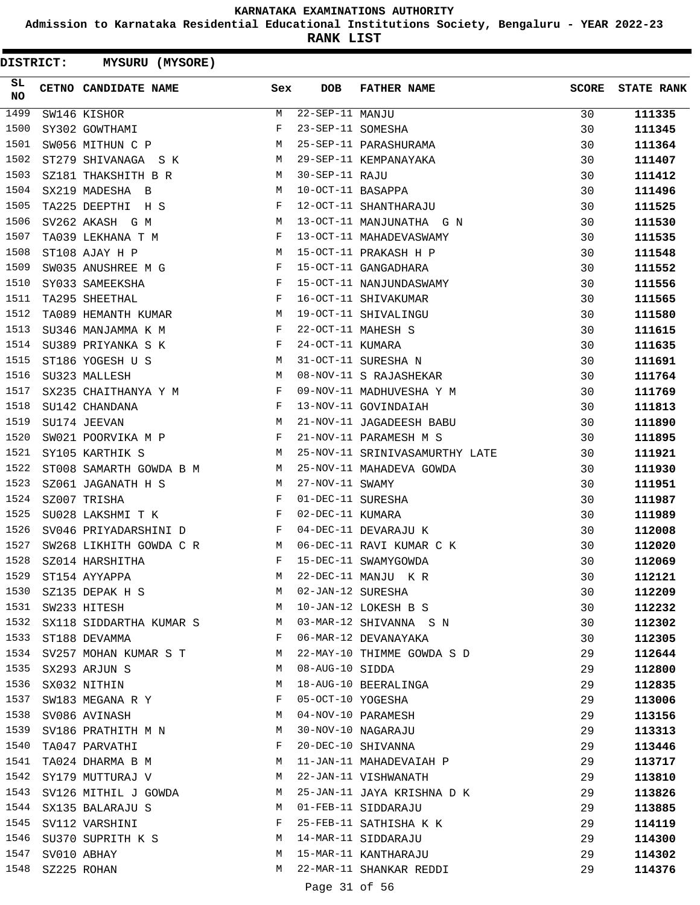**Admission to Karnataka Residential Educational Institutions Society, Bengaluru - YEAR 2022-23**

|                  | DISTRICT: |                       | <b>MYSURU (MYSORE)</b>    |              |                       |                                                  |              |                   |
|------------------|-----------|-----------------------|---------------------------|--------------|-----------------------|--------------------------------------------------|--------------|-------------------|
| SL.<br><b>NO</b> |           | CETNO CANDIDATE NAME  |                           | Sex          | <b>DOB</b>            | <b>FATHER NAME</b>                               | <b>SCORE</b> | <b>STATE RANK</b> |
| 1499             |           | SW146 KISHOR          |                           | M            | $22 - SEP - 11$ MANJU |                                                  | 30           | 111335            |
| 1500             |           | SY302 GOWTHAMI        |                           | F            | 23-SEP-11 SOMESHA     |                                                  | 30           | 111345            |
| 1501             |           | SW056 MITHUN C P      |                           | M            |                       | 25-SEP-11 PARASHURAMA                            | 30           | 111364            |
| 1502             |           |                       | ST279 SHIVANAGA S K       | M            |                       | 29-SEP-11 KEMPANAYAKA                            | 30           | 111407            |
| 1503             |           | SZ181 THAKSHITH B R   |                           | М            | 30-SEP-11 RAJU        |                                                  | 30           | 111412            |
| 1504             |           | SX219 MADESHA B       |                           | M            | 10-OCT-11 BASAPPA     |                                                  | 30           | 111496            |
| 1505             |           | TA225 DEEPTHI         | H S                       | F            |                       | 12-OCT-11 SHANTHARAJU                            | 30           | 111525            |
| 1506             |           | SV262 AKASH G M       |                           | М            |                       | 13-OCT-11 MANJUNATHA G N                         | 30           | 111530            |
| 1507             |           | TA039 LEKHANA T M     |                           | F            |                       | 13-OCT-11 MAHADEVASWAMY                          | 30           | 111535            |
| 1508             |           | ST108 AJAY H P        |                           | М            |                       | 15-OCT-11 PRAKASH H P                            | 30           | 111548            |
| 1509             |           | SW035 ANUSHREE M G    |                           | F            |                       | 15-OCT-11 GANGADHARA                             | 30           | 111552            |
| 1510             |           | SY033 SAMEEKSHA       |                           | F            |                       | 15-OCT-11 NANJUNDASWAMY                          | 30           | 111556            |
| 1511             |           | TA295 SHEETHAL        |                           | F            |                       | 16-OCT-11 SHIVAKUMAR                             | 30           | 111565            |
| 1512             |           | TA089 HEMANTH KUMAR   |                           | М            |                       | 19-OCT-11 SHIVALINGU                             | 30           | 111580            |
| 1513             |           | SU346 MANJAMMA K M    |                           | F            |                       | 22-OCT-11 MAHESH S                               | 30           | 111615            |
| 1514             |           | SU389 PRIYANKA S K    |                           | F            | 24-OCT-11 KUMARA      |                                                  | 30           | 111635            |
| 1515             |           | ST186 YOGESH U S      |                           | M            |                       | 31-OCT-11 SURESHA N                              | 30           | 111691            |
| 1516             |           | SU323 MALLESH         |                           | М            |                       | 08-NOV-11 S RAJASHEKAR                           | 30           | 111764            |
| 1517             |           |                       | SX235 CHAITHANYA Y M      | $\mathbf{F}$ |                       | 09-NOV-11 MADHUVESHA Y M<br>13-NOV-11 GOVINDAIAH | 30           | 111769            |
| 1518             |           | SU142 CHANDANA        |                           | $_{\rm F}$   |                       | 13-NOV-11 GOVINDAIAH                             | 30           | 111813            |
| 1519             |           | SU174 JEEVAN          |                           | M            |                       | 21-NOV-11 JAGADEESH BABU                         | 30           | 111890            |
| 1520             |           |                       | SW021 POORVIKA M P        | F            |                       | 21-NOV-11 PARAMESH M S                           | 30           | 111895            |
| 1521             |           | SY105 KARTHIK S       |                           | M            |                       | 25-NOV-11 SRINIVASAMURTHY LATE                   | 30           | 111921            |
| 1522             |           |                       | ST008 SAMARTH GOWDA B M   | M            |                       | 25-NOV-11 MAHADEVA GOWDA                         | 30           | 111930            |
| 1523             |           | SZ061 JAGANATH H S    |                           | M            | 27-NOV-11 SWAMY       |                                                  | 30           | 111951            |
| 1524             |           | SZ007 TRISHA          |                           | F            | 01-DEC-11 SURESHA     |                                                  | 30           | 111987            |
| 1525             |           | SU028 LAKSHMI T K     |                           | F            | 02-DEC-11 KUMARA      |                                                  | 30           | 111989            |
| 1526             |           | SV046 PRIYADARSHINI D |                           | F            |                       | 04-DEC-11 DEVARAJU K                             | 30           | 112008            |
| 1527             |           |                       | SW268 LIKHITH GOWDA C R   | M            |                       | 06-DEC-11 RAVI KUMAR C K                         | 30           | 112020            |
| 1528             |           | SZ014 HARSHITHA       |                           | F            |                       | 15-DEC-11 SWAMYGOWDA                             | 30           | 112069            |
| 1529             |           | ST154 AYYAPPA         |                           | M            |                       | 22-DEC-11 MANJU KR                               | 30           | 112121            |
| 1530             |           |                       | SZ135 DEPAK H S           | M            | 02-JAN-12 SURESHA     |                                                  | 30           | 112209            |
| 1531             |           | SW233 HITESH          |                           | M            |                       | 10-JAN-12 LOKESH B S                             | 30           | 112232            |
| 1532             |           |                       | SX118 SIDDARTHA KUMAR S M |              |                       | 03-MAR-12 SHIVANNA S N                           | 30           | 112302            |
| 1533             |           | ST188 DEVAMMA         |                           | $\mathbf{F}$ |                       | 06-MAR-12 DEVANAYAKA                             | 30           | 112305            |
| 1534             |           |                       | SV257 MOHAN KUMAR S T     | M            |                       | 22-MAY-10 THIMME GOWDA S D                       | 29           | 112644            |
| 1535             |           | SX293 ARJUN S         |                           | M            | 08-AUG-10 SIDDA       |                                                  | 29           | 112800            |
| 1536             |           | SX032 NITHIN          |                           | М            |                       | 18-AUG-10 BEERALINGA                             | 29           | 112835            |
| 1537             |           | SW183 MEGANA R Y      |                           | F            |                       | 05-OCT-10 YOGESHA                                | 29           | 113006            |
| 1538             |           | SV086 AVINASH         |                           | М            |                       | 04-NOV-10 PARAMESH                               | 29           | 113156            |
| 1539             |           |                       | SV186 PRATHITH M N        | М            |                       | 30-NOV-10 NAGARAJU                               | 29           | 113313            |
| 1540             |           | TA047 PARVATHI        |                           | F            |                       | 20-DEC-10 SHIVANNA                               | 29           | 113446            |
| 1541             |           | TA024 DHARMA B M      |                           | M            |                       | 11-JAN-11 MAHADEVAIAH P                          | 29           | 113717            |
| 1542             |           | SY179 MUTTURAJ V      |                           | М            |                       | 22-JAN-11 VISHWANATH                             | 29           | 113810            |
| 1543             |           |                       | SV126 MITHIL J GOWDA      | М            |                       | 25-JAN-11 JAYA KRISHNA D K                       | 29           | 113826            |
| 1544             |           | SX135 BALARAJU S      |                           | M            |                       | 01-FEB-11 SIDDARAJU                              | 29           | 113885            |
| 1545             |           | SV112 VARSHINI        |                           | F            |                       | 25-FEB-11 SATHISHA K K                           | 29           | 114119            |
| 1546             |           |                       | SU370 SUPRITH K S         | M            |                       | 14-MAR-11 SIDDARAJU                              | 29           | 114300            |
| 1547             |           | SV010 ABHAY           |                           | M            |                       | 15-MAR-11 KANTHARAJU                             | 29           | 114302            |
| 1548             |           | SZ225 ROHAN           |                           | M            |                       | 22-MAR-11 SHANKAR REDDI                          | 29           | 114376            |
|                  |           |                       |                           |              | Page 31 of 56         |                                                  |              |                   |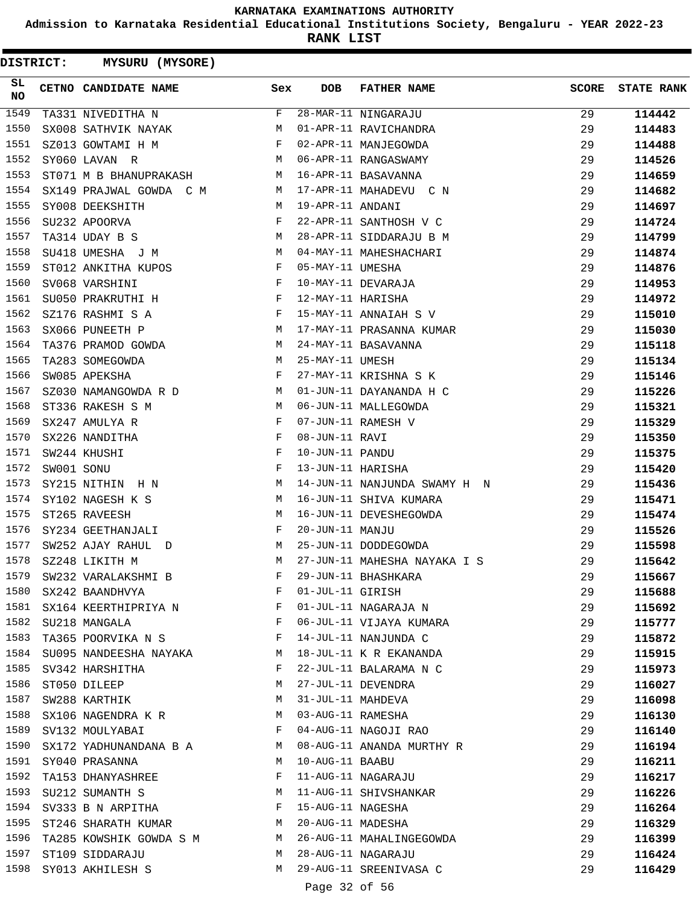**Admission to Karnataka Residential Educational Institutions Society, Bengaluru - YEAR 2022-23**

| <b>DISTRICT:</b> |            | MYSURU (MYSORE)                                                     |     |                   |                              |              |                   |
|------------------|------------|---------------------------------------------------------------------|-----|-------------------|------------------------------|--------------|-------------------|
| SL<br><b>NO</b>  |            | CETNO CANDIDATE NAME                                                | Sex | <b>DOB</b>        | <b>FATHER NAME</b>           | <b>SCORE</b> | <b>STATE RANK</b> |
| 1549             |            | TA331 NIVEDITHA N                                                   | F   |                   | 28-MAR-11 NINGARAJU          | 29           | 114442            |
| 1550             |            | SX008 SATHVIK NAYAK                                                 | М   |                   | 01-APR-11 RAVICHANDRA        | 29           | 114483            |
| 1551             |            | SZ013 GOWTAMI H M                                                   | F   |                   | 02-APR-11 MANJEGOWDA         | 29           | 114488            |
| 1552             |            | SY060 LAVAN R                                                       | М   |                   | 06-APR-11 RANGASWAMY         | 29           | 114526            |
| 1553             |            | ST071 M B BHANUPRAKASH                                              | М   |                   | 16-APR-11 BASAVANNA          | 29           | 114659            |
| 1554             |            | SX149 PRAJWAL GOWDA C M                                             | M   |                   | 17-APR-11 MAHADEVU C N       | 29           | 114682            |
| 1555             |            | SY008 DEEKSHITH                                                     | M   | 19-APR-11 ANDANI  |                              | 29           | 114697            |
| 1556             |            | SU232 APOORVA                                                       | F   |                   | 22-APR-11 SANTHOSH V C       | 29           | 114724            |
| 1557             |            | TA314 UDAY B S                                                      | М   |                   | 28-APR-11 SIDDARAJU B M      | 29           | 114799            |
| 1558             |            | SU418 UMESHA J M                                                    | M   |                   | 04-MAY-11 MAHESHACHARI       | 29           | 114874            |
| 1559             |            | ST012 ANKITHA KUPOS                                                 | F   | 05-MAY-11 UMESHA  |                              | 29           | 114876            |
| 1560             |            | SV068 VARSHINI                                                      | F   |                   | 10-MAY-11 DEVARAJA           | 29           | 114953            |
| 1561             |            | $\mathbf{F}$ and $\mathbf{F}$ are $\mathbf{F}$<br>SU050 PRAKRUTHI H |     | 12-MAY-11 HARISHA |                              | 29           | 114972            |
| 1562             |            | $\mathbf{F}$ and $\mathbf{F}$ and $\mathbf{F}$<br>SZ176 RASHMI S A  |     |                   | 15-MAY-11 ANNAIAH S V        | 29           | 115010            |
| 1563             |            | SX066 PUNEETH P                                                     | M   |                   | 17-MAY-11 PRASANNA KUMAR     | 29           | 115030            |
| 1564             |            | TA376 PRAMOD GOWDA                                                  | M   |                   | 24-MAY-11 BASAVANNA          | 29           | 115118            |
| 1565             |            | TA283 SOMEGOWDA                                                     | M   | 25-MAY-11 UMESH   |                              | 29           | 115134            |
| 1566             |            | SW085 APEKSHA                                                       | F   |                   | 27-MAY-11 KRISHNA S K        | 29           | 115146            |
| 1567             |            | SZ030 NAMANGOWDA R D                                                | M   |                   | 01-JUN-11 DAYANANDA H C      | 29           | 115226            |
| 1568             |            | ST336 RAKESH S M                                                    | M   |                   | 06-JUN-11 MALLEGOWDA         | 29           | 115321            |
| 1569             |            | SX247 AMULYA R                                                      | F   |                   | 07-JUN-11 RAMESH V           | 29           | 115329            |
| 1570             |            | SX226 NANDITHA                                                      | F   | 08-JUN-11 RAVI    |                              | 29           | 115350            |
| 1571             |            | SW244 KHUSHI                                                        | F   | 10-JUN-11 PANDU   |                              | 29           | 115375            |
| 1572             | SW001 SONU |                                                                     | F   | 13-JUN-11 HARISHA |                              | 29           | 115420            |
| 1573             |            | SY215 NITHIN H N                                                    | М   |                   | 14-JUN-11 NANJUNDA SWAMY H N | 29           | 115436            |
| 1574             |            | SY102 NAGESH K S                                                    | M   |                   | 16-JUN-11 SHIVA KUMARA       | 29           | 115471            |
| 1575             |            | ST265 RAVEESH                                                       | М   |                   | 16-JUN-11 DEVESHEGOWDA       | 29           | 115474            |
| 1576             |            | SY234 GEETHANJALI                                                   | F   | 20-JUN-11 MANJU   |                              | 29           | 115526            |
| 1577             |            | SW252 AJAY RAHUL D                                                  | М   |                   | 25-JUN-11 DODDEGOWDA         | 29           | 115598            |
| 1578             |            | SZ248 LIKITH M                                                      | M   |                   | 27-JUN-11 MAHESHA NAYAKA I S | 29           | 115642            |
| 1579             |            | SW232 VARALAKSHMI B                                                 | F   |                   | 29-JUN-11 BHASHKARA          | 29           | 115667            |
| 1580             |            | SX242 BAANDHVYA                                                     | F   | 01-JUL-11 GIRISH  |                              | 29           | 115688            |
| 1581             |            | SX164 KEERTHIPRIYA N                                                | F   |                   | 01-JUL-11 NAGARAJA N         | 29           | 115692            |
| 1582             |            | SU218 MANGALA                                                       | F   |                   | 06-JUL-11 VIJAYA KUMARA      | 29           | 115777            |
| 1583             |            | TA365 POORVIKA N S                                                  | F   |                   | 14-JUL-11 NANJUNDA C         | 29           | 115872            |
| 1584             |            | SU095 NANDEESHA NAYAKA                                              | M   |                   | 18-JUL-11 K R EKANANDA       | 29           | 115915            |
| 1585             |            | SV342 HARSHITHA                                                     | F   |                   | 22-JUL-11 BALARAMA N C       | 29           | 115973            |
| 1586             |            | ST050 DILEEP                                                        | M   |                   | 27-JUL-11 DEVENDRA           | 29           | 116027            |
| 1587             |            | SW288 KARTHIK                                                       | М   | 31-JUL-11 MAHDEVA |                              | 29           | 116098            |
| 1588             |            | SX106 NAGENDRA K R                                                  | M   | 03-AUG-11 RAMESHA |                              | 29           | 116130            |
| 1589             |            | SV132 MOULYABAI                                                     | F   |                   | 04-AUG-11 NAGOJI RAO         | 29           | 116140            |
| 1590             |            | SX172 YADHUNANDANA B A                                              | M   |                   | 08-AUG-11 ANANDA MURTHY R    | 29           | 116194            |
|                  |            | 1591 SY040 PRASANNA                                                 | M   | 10-AUG-11 BAABU   |                              | 29           | 116211            |
| 1592             |            | TA153 DHANYASHREE                                                   | F   |                   | 11-AUG-11 NAGARAJU           | 29           | 116217            |
| 1593             |            | SU212 SUMANTH S                                                     | M   |                   | 11-AUG-11 SHIVSHANKAR        | 29           | 116226            |
| 1594             |            | SV333 B N ARPITHA                                                   | F   | 15-AUG-11 NAGESHA |                              | 29           | 116264            |
| 1595             |            | ST246 SHARATH KUMAR                                                 | M   | 20-AUG-11 MADESHA |                              | 29           | 116329            |
| 1596             |            | TA285 KOWSHIK GOWDA S M                                             | M   |                   | 26-AUG-11 MAHALINGEGOWDA     | 29           | 116399            |
| 1597             |            | ST109 SIDDARAJU                                                     | M   |                   | 28-AUG-11 NAGARAJU           | 29           | 116424            |
| 1598             |            | SY013 AKHILESH S                                                    | M   |                   | 29-AUG-11 SREENIVASA C       | 29           | 116429            |
|                  |            |                                                                     |     | Page 32 of 56     |                              |              |                   |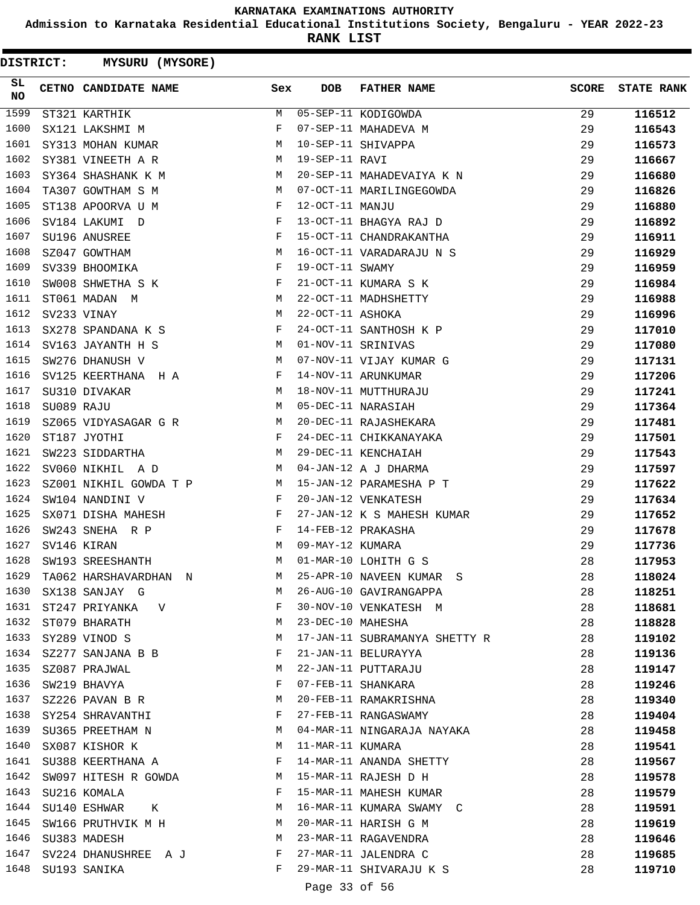**Admission to Karnataka Residential Educational Institutions Society, Bengaluru - YEAR 2022-23**

|                 | <b>DISTRICT:</b> | MYSURU (MYSORE)        |     |                   |                               |              |                   |
|-----------------|------------------|------------------------|-----|-------------------|-------------------------------|--------------|-------------------|
| SL<br><b>NO</b> |                  | CETNO CANDIDATE NAME   | Sex | <b>DOB</b>        | <b>FATHER NAME</b>            | <b>SCORE</b> | <b>STATE RANK</b> |
| 1599            |                  | ST321 KARTHIK          | M   |                   | 05-SEP-11 KODIGOWDA           | 29           | 116512            |
| 1600            |                  | SX121 LAKSHMI M        | F   |                   | 07-SEP-11 MAHADEVA M          | 29           | 116543            |
| 1601            |                  | SY313 MOHAN KUMAR      | М   |                   | 10-SEP-11 SHIVAPPA            | 29           | 116573            |
| 1602            |                  | SY381 VINEETH A R      | M   | 19-SEP-11 RAVI    |                               | 29           | 116667            |
| 1603            |                  | SY364 SHASHANK K M     | M   |                   | 20-SEP-11 MAHADEVAIYA K N     | 29           | 116680            |
| 1604            |                  | TA307 GOWTHAM S M      | М   |                   | 07-OCT-11 MARILINGEGOWDA      | 29           | 116826            |
| 1605            |                  | ST138 APOORVA U M      | F   | 12-OCT-11 MANJU   |                               | 29           | 116880            |
| 1606            |                  | SV184 LAKUMI D         | F   |                   | 13-OCT-11 BHAGYA RAJ D        | 29           | 116892            |
| 1607            |                  | SU196 ANUSREE          | F   |                   | 15-OCT-11 CHANDRAKANTHA       | 29           | 116911            |
| 1608            |                  | SZ047 GOWTHAM          | М   |                   | 16-OCT-11 VARADARAJU N S      | 29           | 116929            |
| 1609            |                  | SV339 BHOOMIKA         | F   | 19-OCT-11 SWAMY   |                               | 29           | 116959            |
| 1610            |                  | SW008 SHWETHA S K      | F   |                   | 21-OCT-11 KUMARA S K          | 29           | 116984            |
| 1611            |                  | ST061 MADAN M          | М   |                   | 22-OCT-11 MADHSHETTY          | 29           | 116988            |
| 1612            |                  | SV233 VINAY            | М   | 22-OCT-11 ASHOKA  |                               | 29           | 116996            |
| 1613            |                  | SX278 SPANDANA K S     | F   |                   | 24-OCT-11 SANTHOSH K P        | 29           | 117010            |
| 1614            |                  | SV163 JAYANTH H S      | M   |                   | 01-NOV-11 SRINIVAS            | 29           | 117080            |
| 1615            |                  | SW276 DHANUSH V        | M   |                   | 07-NOV-11 VIJAY KUMAR G       | 29           | 117131            |
| 1616            |                  | SV125 KEERTHANA H A    | F   |                   | 14-NOV-11 ARUNKUMAR           | 29           | 117206            |
| 1617            |                  | SU310 DIVAKAR          | М   |                   | 18-NOV-11 MUTTHURAJU          | 29           | 117241            |
| 1618            | SU089 RAJU       |                        | М   |                   | 05-DEC-11 NARASIAH            | 29           | 117364            |
| 1619            |                  | SZ065 VIDYASAGAR G R   | M   |                   | 20-DEC-11 RAJASHEKARA         | 29           | 117481            |
| 1620            |                  | ST187 JYOTHI           | F   |                   | 24-DEC-11 CHIKKANAYAKA        | 29           | 117501            |
| 1621            |                  | SW223 SIDDARTHA        | M   |                   | 29-DEC-11 KENCHAIAH           | 29           | 117543            |
| 1622            |                  | SV060 NIKHIL A D       | M   |                   | 04-JAN-12 A J DHARMA          | 29           | 117597            |
| 1623            |                  | SZ001 NIKHIL GOWDA T P | M   |                   | 15-JAN-12 PARAMESHA P T       | 29           | 117622            |
| 1624            |                  | SW104 NANDINI V        | F   |                   | 20-JAN-12 VENKATESH           | 29           | 117634            |
| 1625            |                  | SX071 DISHA MAHESH     | F   |                   | 27-JAN-12 K S MAHESH KUMAR    | 29           | 117652            |
| 1626            |                  | SW243 SNEHA R P        | F   |                   | 14-FEB-12 PRAKASHA            | 29           | 117678            |
| 1627            |                  | SV146 KIRAN            | М   | 09-MAY-12 KUMARA  |                               | 29           | 117736            |
| 1628            |                  | SW193 SREESHANTH       | М   |                   | 01-MAR-10 LOHITH G S          | 28           | 117953            |
| 1629            |                  | TA062 HARSHAVARDHAN N  | М   |                   | 25-APR-10 NAVEEN KUMAR S      | 28           | 118024            |
| 1630            |                  | SX138 SANJAY G         | M   |                   | 26-AUG-10 GAVIRANGAPPA        | 28           | 118251            |
| 1631            |                  | ST247 PRIYANKA<br>V    | F   |                   | 30-NOV-10 VENKATESH M         | 28           | 118681            |
| 1632            |                  | ST079 BHARATH          | М   | 23-DEC-10 MAHESHA |                               | 28           | 118828            |
| 1633            |                  | SY289 VINOD S          | М   |                   | 17-JAN-11 SUBRAMANYA SHETTY R | 28           | 119102            |
| 1634            |                  | SZ277 SANJANA B B      | F   |                   | 21-JAN-11 BELURAYYA           | 28           | 119136            |
| 1635            |                  | SZ087 PRAJWAL          | М   |                   | 22-JAN-11 PUTTARAJU           | 28           | 119147            |
| 1636            |                  | SW219 BHAVYA           | F   |                   | 07-FEB-11 SHANKARA            | 28           | 119246            |
| 1637            |                  | SZ226 PAVAN B R        | M   |                   | 20-FEB-11 RAMAKRISHNA         | 28           | 119340            |
| 1638            |                  | SY254 SHRAVANTHI       | F   |                   | 27-FEB-11 RANGASWAMY          | 28           | 119404            |
| 1639            |                  | SU365 PREETHAM N       | M   |                   | 04-MAR-11 NINGARAJA NAYAKA    | 28           | 119458            |
| 1640            |                  | SX087 KISHOR K         | М   | 11-MAR-11 KUMARA  |                               | 28           | 119541            |
| 1641            |                  | SU388 KEERTHANA A      | F   |                   | 14-MAR-11 ANANDA SHETTY       | 28           | 119567            |
| 1642            |                  | SW097 HITESH R GOWDA   | M   |                   | 15-MAR-11 RAJESH D H          | 28           | 119578            |
| 1643            |                  | SU216 KOMALA           | F   |                   | 15-MAR-11 MAHESH KUMAR        | 28           | 119579            |
| 1644            |                  | SU140 ESHWAR<br>K      | М   |                   | 16-MAR-11 KUMARA SWAMY C      | 28           | 119591            |
| 1645            |                  | SW166 PRUTHVIK M H     | M   |                   | 20-MAR-11 HARISH G M          | 28           | 119619            |
| 1646            |                  | SU383 MADESH           | M   |                   | 23-MAR-11 RAGAVENDRA          | 28           | 119646            |
| 1647            |                  | SV224 DHANUSHREE A J   | F   |                   | 27-MAR-11 JALENDRA C          | 28           | 119685            |
| 1648            |                  | SU193 SANIKA           | F   |                   | 29-MAR-11 SHIVARAJU K S       | 28           | 119710            |
|                 |                  |                        |     | Page 33 of 56     |                               |              |                   |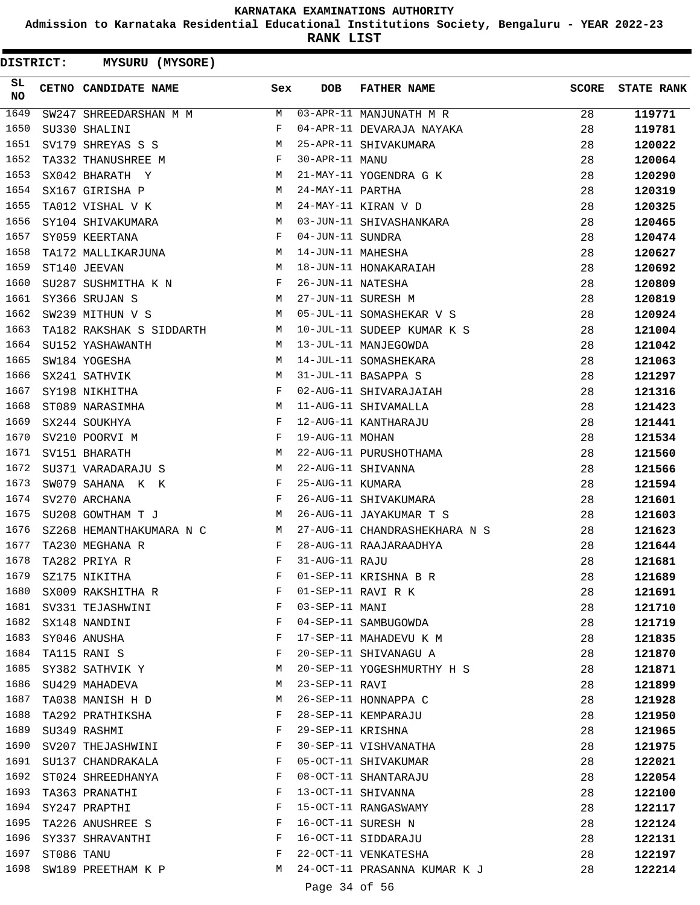**Admission to Karnataka Residential Educational Institutions Society, Bengaluru - YEAR 2022-23**

| DISTRICT:       |            | MYSURU (MYSORE)          |            |                   |                               |              |                   |
|-----------------|------------|--------------------------|------------|-------------------|-------------------------------|--------------|-------------------|
| SL<br><b>NO</b> |            | CETNO CANDIDATE NAME     | Sex        | <b>DOB</b>        | <b>FATHER NAME</b>            | <b>SCORE</b> | <b>STATE RANK</b> |
| 1649            |            | SW247 SHREEDARSHAN M M   | М          |                   | 03-APR-11 MANJUNATH M R       | 28           | 119771            |
| 1650            |            | SU330 SHALINI            | F          |                   | 04-APR-11 DEVARAJA NAYAKA     | 28           | 119781            |
| 1651            |            | SV179 SHREYAS S S        | М          |                   | 25-APR-11 SHIVAKUMARA         | 28           | 120022            |
| 1652            |            | TA332 THANUSHREE M       | F          | 30-APR-11 MANU    |                               | 28           | 120064            |
| 1653            |            | SX042 BHARATH Y          | M          |                   | 21-MAY-11 YOGENDRA G K        | 28           | 120290            |
| 1654            |            | SX167 GIRISHA P          | М          | 24-MAY-11 PARTHA  |                               | 28           | 120319            |
| 1655            |            | TA012 VISHAL V K         | M          |                   | 24-MAY-11 KIRAN V D           | 28           | 120325            |
| 1656            |            | SY104 SHIVAKUMARA        | М          |                   | 03-JUN-11 SHIVASHANKARA       | 28           | 120465            |
| 1657            |            | SY059 KEERTANA           | F          | 04-JUN-11 SUNDRA  |                               | 28           | 120474            |
| 1658            |            | TA172 MALLIKARJUNA       | М          | 14-JUN-11 MAHESHA |                               | 28           | 120627            |
| 1659            |            | ST140 JEEVAN             | М          |                   | 18-JUN-11 HONAKARAIAH         | 28           | 120692            |
| 1660            |            | SU287 SUSHMITHA K N      | F          | 26-JUN-11 NATESHA |                               | 28           | 120809            |
| 1661            |            | SY366 SRUJAN S           | M          |                   | 27-JUN-11 SURESH M            | 28           | 120819            |
| 1662            |            | SW239 MITHUN V S         | М          |                   | 05-JUL-11 SOMASHEKAR V S      | 28           | 120924            |
| 1663            |            | TA182 RAKSHAK S SIDDARTH | М          |                   | 10-JUL-11 SUDEEP KUMAR K S    | 28           | 121004            |
| 1664            |            | SU152 YASHAWANTH         | M          |                   | 13-JUL-11 MANJEGOWDA          | 28           | 121042            |
| 1665            |            | SW184 YOGESHA            | М          |                   | 14-JUL-11 SOMASHEKARA         | 28           | 121063            |
| 1666            |            | SX241 SATHVIK            | М          |                   | 31-JUL-11 BASAPPA S           | 28           | 121297            |
| 1667            |            | SY198 NIKHITHA           | $_{\rm F}$ |                   | 02-AUG-11 SHIVARAJAIAH        | 28           | 121316            |
| 1668            |            | ST089 NARASIMHA          | М          |                   | 11-AUG-11 SHIVAMALLA          | 28           | 121423            |
| 1669            |            | SX244 SOUKHYA            | F          |                   | 12-AUG-11 KANTHARAJU          | 28           | 121441            |
| 1670            |            | SV210 POORVI M           | F          | 19-AUG-11 MOHAN   |                               | 28           | 121534            |
| 1671            |            | SV151 BHARATH            | M          |                   | 22-AUG-11 PURUSHOTHAMA        | 28           | 121560            |
| 1672            |            | SU371 VARADARAJU S       | M          |                   | 22-AUG-11 SHIVANNA            | 28           | 121566            |
| 1673            |            | SW079 SAHANA K K         | F          | 25-AUG-11 KUMARA  |                               | 28           | 121594            |
| 1674            |            | SV270 ARCHANA            | F          |                   | 26-AUG-11 SHIVAKUMARA         | 28           | 121601            |
| 1675            |            | SU208 GOWTHAM T J        | М          |                   | 26-AUG-11 JAYAKUMAR T S       | 28           | 121603            |
| 1676            |            | SZ268 HEMANTHAKUMARA N C | M          |                   | 27-AUG-11 CHANDRASHEKHARA N S | 28           | 121623            |
| 1677            |            | TA230 MEGHANA R          | F          |                   | 28-AUG-11 RAAJARAADHYA        | 28           | 121644            |
| 1678            |            | TA282 PRIYA R            | F          | 31-AUG-11 RAJU    |                               | 28           | 121681            |
| 1679            |            | SZ175 NIKITHA            | F          |                   | 01-SEP-11 KRISHNA B R         | 28           | 121689            |
| 1680            |            | SX009 RAKSHITHA R        | F          |                   | 01-SEP-11 RAVI R K            | 28           | 121691            |
| 1681            |            | SV331 TEJASHWINI         | F          | 03-SEP-11 MANI    |                               | 28           | 121710            |
| 1682            |            | SX148 NANDINI            | F          |                   | 04-SEP-11 SAMBUGOWDA          | 28           | 121719            |
| 1683            |            | SY046 ANUSHA             | F          |                   | 17-SEP-11 MAHADEVU K M        | 28           | 121835            |
| 1684            |            | TA115 RANI S             | F          |                   | 20-SEP-11 SHIVANAGU A         | 28           | 121870            |
| 1685            |            | SY382 SATHVIK Y          | М          |                   | 20-SEP-11 YOGESHMURTHY H S    | 28           | 121871            |
| 1686            |            | SU429 MAHADEVA           | М          | 23-SEP-11 RAVI    |                               | 28           | 121899            |
| 1687            |            | TA038 MANISH H D         | М          |                   | 26-SEP-11 HONNAPPA C          | 28           | 121928            |
| 1688            |            | TA292 PRATHIKSHA         | F          |                   | 28-SEP-11 KEMPARAJU           | 28           | 121950            |
| 1689            |            | SU349 RASHMI             | F          | 29-SEP-11 KRISHNA |                               | 28           | 121965            |
| 1690            |            | SV207 THEJASHWINI        | F          |                   | 30-SEP-11 VISHVANATHA         | 28           | 121975            |
| 1691            |            | SU137 CHANDRAKALA        | F          |                   | 05-OCT-11 SHIVAKUMAR          | 28           | 122021            |
| 1692            |            | ST024 SHREEDHANYA        | F          |                   | 08-OCT-11 SHANTARAJU          | 28           | 122054            |
| 1693            |            | TA363 PRANATHI           | F          |                   | 13-OCT-11 SHIVANNA            | 28           | 122100            |
| 1694            |            | SY247 PRAPTHI            | F          |                   | 15-OCT-11 RANGASWAMY          | 28           | 122117            |
| 1695            |            | TA226 ANUSHREE S         | F          |                   | 16-OCT-11 SURESH N            | 28           | 122124            |
| 1696            |            | SY337 SHRAVANTHI         | F          |                   | 16-OCT-11 SIDDARAJU           | 28           | 122131            |
| 1697            | ST086 TANU |                          | F          |                   | 22-OCT-11 VENKATESHA          | 28           | 122197            |
| 1698            |            | SW189 PREETHAM K P       | М          |                   | 24-OCT-11 PRASANNA KUMAR K J  | 28           | 122214            |
|                 |            |                          |            | Page 34 of 56     |                               |              |                   |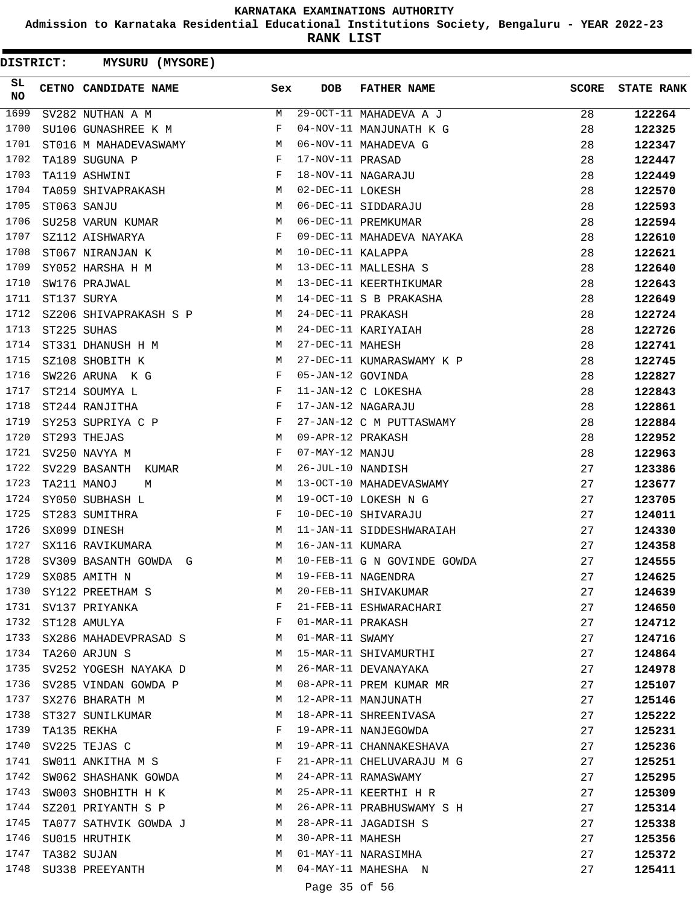**Admission to Karnataka Residential Educational Institutions Society, Bengaluru - YEAR 2022-23**

| DISTRICT:       |  | <b>MYSURU (MYSORE)</b>     |     |                   |                             |              |                   |
|-----------------|--|----------------------------|-----|-------------------|-----------------------------|--------------|-------------------|
| SL<br><b>NO</b> |  | CETNO CANDIDATE NAME       | Sex | <b>DOB</b>        | <b>FATHER NAME</b>          | <b>SCORE</b> | <b>STATE RANK</b> |
| 1699            |  | SV282 NUTHAN A M           | M   |                   | 29-OCT-11 MAHADEVA A J      | 28           | 122264            |
| 1700            |  | SU106 GUNASHREE K M        | F   |                   | 04-NOV-11 MANJUNATH K G     | 28           | 122325            |
| 1701            |  | ST016 M MAHADEVASWAMY      | M   |                   | 06-NOV-11 MAHADEVA G        | 28           | 122347            |
| 1702            |  | TA189 SUGUNA P             | F   | 17-NOV-11 PRASAD  |                             | 28           | 122447            |
| 1703            |  | TA119 ASHWINI              | F   |                   | 18-NOV-11 NAGARAJU          | 28           | 122449            |
| 1704            |  | TA059 SHIVAPRAKASH         | М   | 02-DEC-11 LOKESH  |                             | 28           | 122570            |
| 1705            |  | ST063 SANJU                | M   |                   | 06-DEC-11 SIDDARAJU         | 28           | 122593            |
| 1706            |  | SU258 VARUN KUMAR          | M   |                   | 06-DEC-11 PREMKUMAR         | 28           | 122594            |
| 1707            |  | SZ112 AISHWARYA            | F   |                   | 09-DEC-11 MAHADEVA NAYAKA   | 28           | 122610            |
| 1708            |  | ST067 NIRANJAN K           | М   | 10-DEC-11 KALAPPA |                             | 28           | 122621            |
| 1709            |  | SY052 HARSHA H M           | М   |                   | 13-DEC-11 MALLESHA S        | 28           | 122640            |
| 1710            |  | SW176 PRAJWAL              | М   |                   | 13-DEC-11 KEERTHIKUMAR      | 28           | 122643            |
| 1711            |  | ST137 SURYA                | M   |                   | 14-DEC-11 S B PRAKASHA      | 28           | 122649            |
| 1712            |  | SZ206 SHIVAPRAKASH S P     | M   | 24-DEC-11 PRAKASH |                             | 28           | 122724            |
| 1713            |  | ST225 SUHAS                | М   |                   | 24-DEC-11 KARIYAIAH         | 28           | 122726            |
| 1714            |  | ST331 DHANUSH H M          | М   | 27-DEC-11 MAHESH  |                             | 28           | 122741            |
| 1715            |  | SZ108 SHOBITH K            | М   |                   | 27-DEC-11 KUMARASWAMY K P   | 28           | 122745            |
| 1716            |  | SW226 ARUNA K G            | F   | 05-JAN-12 GOVINDA |                             | 28           | 122827            |
| 1717            |  | ST214 SOUMYA L             | F   |                   | 11-JAN-12 C LOKESHA         | 28           | 122843            |
| 1718            |  | ST244 RANJITHA             | F   |                   | 17-JAN-12 NAGARAJU          | 28           | 122861            |
| 1719            |  | SY253 SUPRIYA C P          | F   |                   | 27-JAN-12 C M PUTTASWAMY    | 28           | 122884            |
| 1720            |  | ST293 THEJAS               | М   | 09-APR-12 PRAKASH |                             | 28           | 122952            |
| 1721            |  | SV250 NAVYA M              | F   | 07-MAY-12 MANJU   |                             | 28           | 122963            |
| 1722            |  | SV229 BASANTH KUMAR        | М   | 26-JUL-10 NANDISH |                             | 27           | 123386            |
| 1723            |  | TA211 MANOJ<br>М           | M   |                   | 13-OCT-10 MAHADEVASWAMY     | 27           | 123677            |
| 1724            |  | SY050 SUBHASH L            | M   |                   | 19-OCT-10 LOKESH N G        | 27           | 123705            |
| 1725            |  | ST283 SUMITHRA             | F   |                   | 10-DEC-10 SHIVARAJU         | 27           | 124011            |
| 1726            |  | SX099 DINESH               | М   |                   | 11-JAN-11 SIDDESHWARAIAH    | 27           | 124330            |
| 1727            |  | SX116 RAVIKUMARA           | М   | 16-JAN-11 KUMARA  |                             | 27           | 124358            |
| 1728            |  | SV309 BASANTH GOWDA G      | M   |                   | 10-FEB-11 G N GOVINDE GOWDA | 27           | 124555            |
| 1729            |  | SX085 AMITH N              | М   |                   | 19-FEB-11 NAGENDRA          | 27           | 124625            |
| 1730            |  | SY122 PREETHAM S           | M   |                   | 20-FEB-11 SHIVAKUMAR        | 27           | 124639            |
| 1731            |  | SV137 PRIYANKA             | F   |                   | 21-FEB-11 ESHWARACHARI      | 27           | 124650            |
| 1732            |  | ST128 AMULYA               | F   | 01-MAR-11 PRAKASH |                             | 27           | 124712            |
|                 |  | 1733 SX286 MAHADEVPRASAD S | М   | 01-MAR-11 SWAMY   |                             | 27           | 124716            |
| 1734            |  | TA260 ARJUN S              | M   |                   | 15-MAR-11 SHIVAMURTHI       | 27           | 124864            |
| 1735            |  | SV252 YOGESH NAYAKA D      | M   |                   | 26-MAR-11 DEVANAYAKA        | 27           | 124978            |
| 1736            |  | SV285 VINDAN GOWDA P       | M   |                   | 08-APR-11 PREM KUMAR MR     | 27           | 125107            |
| 1737            |  | SX276 BHARATH M            | М   |                   | 12-APR-11 MANJUNATH         | 27           | 125146            |
| 1738            |  | ST327 SUNILKUMAR           | M   |                   | 18-APR-11 SHREENIVASA       | 27           | 125222            |
| 1739            |  | TA135 REKHA                | F   |                   | 19-APR-11 NANJEGOWDA        | 27           | 125231            |
| 1740            |  | SV225 TEJAS C              | M   |                   | 19-APR-11 CHANNAKESHAVA     | 27           | 125236            |
| 1741            |  | SW011 ANKITHA M S          | F   |                   | 21-APR-11 CHELUVARAJU M G   | 27           | 125251            |
| 1742            |  | SW062 SHASHANK GOWDA       | M   |                   | 24-APR-11 RAMASWAMY         | 27           | 125295            |
| 1743            |  | SW003 SHOBHITH H K         | M   |                   | 25-APR-11 KEERTHI H R       | 27           | 125309            |
| 1744            |  | SZ201 PRIYANTH S P         | M   |                   | 26-APR-11 PRABHUSWAMY S H   | 27           | 125314            |
| 1745            |  | TA077 SATHVIK GOWDA J      | M   |                   | 28-APR-11 JAGADISH S        | 27           | 125338            |
| 1746            |  | SU015 HRUTHIK              | M   | 30-APR-11 MAHESH  |                             | 27           | 125356            |
| 1747            |  | TA382 SUJAN                | M   |                   | 01-MAY-11 NARASIMHA         | 27           | 125372            |
| 1748            |  | SU338 PREEYANTH            | M   |                   | 04-MAY-11 MAHESHA N         | 27           | 125411            |
|                 |  |                            |     | Page 35 of 56     |                             |              |                   |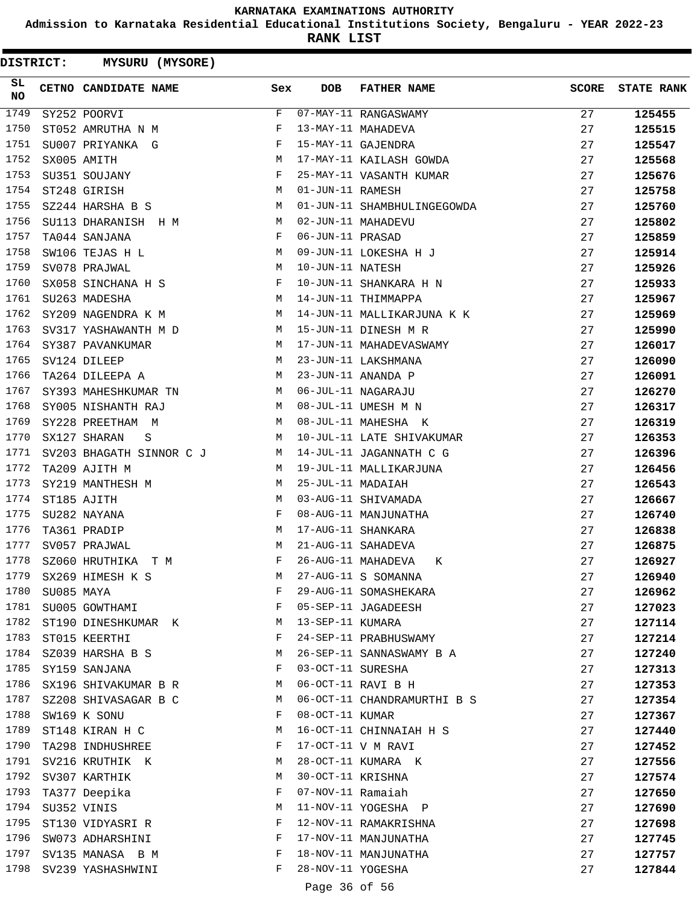**Admission to Karnataka Residential Educational Institutions Society, Bengaluru - YEAR 2022-23**

|          | DISTRICT:  |                          | <b>MYSURU (MYSORE)</b> |             |                   |                             |              |                   |
|----------|------------|--------------------------|------------------------|-------------|-------------------|-----------------------------|--------------|-------------------|
| SL<br>NO |            | CETNO CANDIDATE NAME     |                        | Sex         | <b>DOB</b>        | <b>FATHER NAME</b>          | <b>SCORE</b> | <b>STATE RANK</b> |
| 1749     |            | SY252 POORVI             |                        | $\mathbf F$ |                   | 07-MAY-11 RANGASWAMY        | 27           | 125455            |
| 1750     |            | ST052 AMRUTHA N M        |                        | F           |                   | 13-MAY-11 MAHADEVA          | 27           | 125515            |
| 1751     |            | SU007 PRIYANKA G         |                        | F           |                   | 15-MAY-11 GAJENDRA          | 27           | 125547            |
| 1752     |            | SX005 AMITH              |                        | М           |                   | 17-MAY-11 KAILASH GOWDA     | 27           | 125568            |
| 1753     |            | SU351 SOUJANY            |                        | F           |                   | 25-MAY-11 VASANTH KUMAR     | 27           | 125676            |
| 1754     |            | ST248 GIRISH             |                        | М           | 01-JUN-11 RAMESH  |                             | 27           | 125758            |
| 1755     |            | SZ244 HARSHA B S         |                        | M           |                   | 01-JUN-11 SHAMBHULINGEGOWDA | 27           | 125760            |
| 1756     |            |                          | SU113 DHARANISH H M    | M           |                   | 02-JUN-11 MAHADEVU          | 27           | 125802            |
| 1757     |            | TA044 SANJANA            |                        | F           | 06-JUN-11 PRASAD  |                             | 27           | 125859            |
| 1758     |            | SW106 TEJAS H L          |                        | М           |                   | 09-JUN-11 LOKESHA H J       | 27           | 125914            |
| 1759     |            | SV078 PRAJWAL            |                        | M           | 10-JUN-11 NATESH  |                             | 27           | 125926            |
| 1760     |            | SX058 SINCHANA H S       |                        | F           |                   | 10-JUN-11 SHANKARA H N      | 27           | 125933            |
| 1761     |            | SU263 MADESHA            |                        | М           |                   | 14-JUN-11 THIMMAPPA         | 27           | 125967            |
| 1762     |            | SY209 NAGENDRA K M       |                        | М           |                   | 14-JUN-11 MALLIKARJUNA K K  | 27           | 125969            |
| 1763     |            | SV317 YASHAWANTH M D     |                        | M           |                   | 15-JUN-11 DINESH M R        | 27           | 125990            |
| 1764     |            | SY387 PAVANKUMAR         |                        | M           |                   | 17-JUN-11 MAHADEVASWAMY     | 27           | 126017            |
| 1765     |            | SV124 DILEEP             |                        | M           |                   | 23-JUN-11 LAKSHMANA         | 27           | 126090            |
| 1766     |            | TA264 DILEEPA A          |                        | М           |                   | 23-JUN-11 ANANDA P          | 27           | 126091            |
| 1767     |            | SY393 MAHESHKUMAR TN     |                        | М           |                   | 06-JUL-11 NAGARAJU          | 27           | 126270            |
| 1768     |            | SY005 NISHANTH RAJ       |                        | M           |                   | 08-JUL-11 UMESH M N         | 27           | 126317            |
| 1769     |            | SY228 PREETHAM           | M                      | М           |                   | 08-JUL-11 MAHESHA K         | 27           | 126319            |
| 1770     |            | SX127 SHARAN             | S                      | M           |                   | 10-JUL-11 LATE SHIVAKUMAR   | 27           | 126353            |
| 1771     |            | SV203 BHAGATH SINNOR C J |                        | M           |                   | 14-JUL-11 JAGANNATH C G     | 27           | 126396            |
| 1772     |            | TA209 AJITH M            |                        | M           |                   | 19-JUL-11 MALLIKARJUNA      | 27           | 126456            |
| 1773     |            | SY219 MANTHESH M         |                        | M           | 25-JUL-11 MADAIAH |                             | 27           | 126543            |
| 1774     |            | ST185 AJITH              |                        | М           |                   | 03-AUG-11 SHIVAMADA         | 27           | 126667            |
| 1775     |            | SU282 NAYANA             |                        | F           |                   | 08-AUG-11 MANJUNATHA        | 27           | 126740            |
| 1776     |            | TA361 PRADIP             |                        | М           |                   | 17-AUG-11 SHANKARA          | 27           | 126838            |
| 1777     |            | SV057 PRAJWAL            |                        | M           |                   | 21-AUG-11 SAHADEVA          | 27           | 126875            |
| 1778     |            | SZ060 HRUTHIKA           | Т М                    | F           |                   | 26-AUG-11 MAHADEVA<br>Κ     | 27           | 126927            |
| 1779     |            | SX269 HIMESH K S         |                        | М           |                   | 27-AUG-11 S SOMANNA         | 27           | 126940            |
| 1780     | SU085 MAYA |                          |                        | F           |                   | 29-AUG-11 SOMASHEKARA       | 27           | 126962            |
| 1781     |            | SU005 GOWTHAMI           |                        | F           |                   | 05-SEP-11 JAGADEESH         | 27           | 127023            |
| 1782     |            | ST190 DINESHKUMAR K      |                        | M           | 13-SEP-11 KUMARA  |                             | 27           | 127114            |
| 1783     |            | ST015 KEERTHI            |                        | F           |                   | 24-SEP-11 PRABHUSWAMY       | 27           | 127214            |
| 1784     |            | SZ039 HARSHA B S         |                        | М           |                   | 26-SEP-11 SANNASWAMY B A    | 27           | 127240            |
| 1785     |            | SY159 SANJANA            |                        | F           | 03-OCT-11 SURESHA |                             | 27           | 127313            |
| 1786     |            | SX196 SHIVAKUMAR B R     |                        | М           |                   | 06-OCT-11 RAVI B H          | 27           | 127353            |
| 1787     |            | SZ208 SHIVASAGAR B C     |                        | М           |                   | 06-OCT-11 CHANDRAMURTHI B S | 27           | 127354            |
| 1788     |            | SW169 K SONU             |                        | F           | 08-OCT-11 KUMAR   |                             | 27           | 127367            |
| 1789     |            | ST148 KIRAN H C          |                        | М           |                   | 16-OCT-11 CHINNAIAH H S     | 27           | 127440            |
| 1790     |            | TA298 INDHUSHREE         |                        | F           |                   | 17-OCT-11 V M RAVI          | 27           | 127452            |
| 1791     |            | SV216 KRUTHIK K          |                        | М           |                   | 28-OCT-11 KUMARA K          | 27           | 127556            |
| 1792     |            | SV307 KARTHIK            |                        | М           | 30-OCT-11 KRISHNA |                             | 27           | 127574            |
| 1793     |            | TA377 Deepika            |                        | F           | 07-NOV-11 Ramaiah |                             | 27           | 127650            |
| 1794     |            | SU352 VINIS              |                        | М           |                   | 11-NOV-11 YOGESHA P         | 27           | 127690            |
| 1795     |            |                          |                        | F           |                   | 12-NOV-11 RAMAKRISHNA       | 27           |                   |
| 1796     |            | ST130 VIDYASRI R         |                        | F           |                   | 17-NOV-11 MANJUNATHA        | 27           | 127698            |
| 1797     |            | SW073 ADHARSHINI         |                        | F           |                   | 18-NOV-11 MANJUNATHA        | 27           | 127745            |
| 1798     |            | SV135 MANASA B M         |                        | F           | 28-NOV-11 YOGESHA |                             | 27           | 127757            |
|          |            | SV239 YASHASHWINI        |                        |             |                   |                             |              | 127844            |
|          |            |                          |                        |             | Page 36 of 56     |                             |              |                   |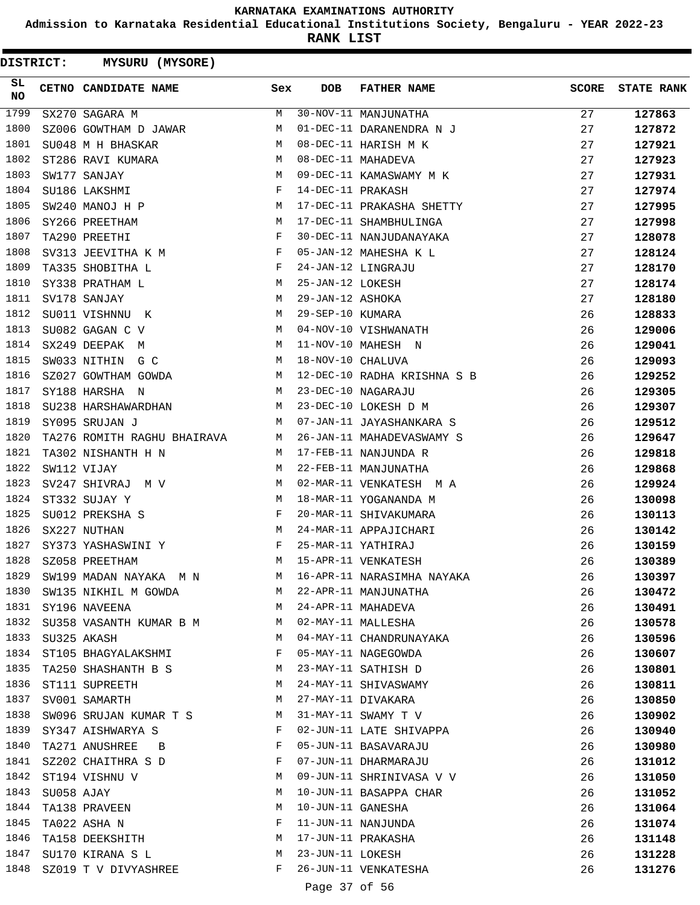**Admission to Karnataka Residential Educational Institutions Society, Bengaluru - YEAR 2022-23**

**RANK LIST**

| 1799<br>30-NOV-11 MANJUNATHA<br>27<br>SX270 SAGARA M<br>M<br>127863<br>SZ006 GOWTHAM D JAWAR<br>1800<br>01-DEC-11 DARANENDRA N J<br>27<br>М<br>127872<br>M<br>1801<br>08-DEC-11 HARISH M K<br>27<br>SU048 M H BHASKAR<br>127921<br>1802<br>08-DEC-11 MAHADEVA<br>ST286 RAVI KUMARA<br>$\begin{array}{ccc} & & M \\ & M \\ & M \\ & F \\ \end{array}$<br>27<br>127923<br>09-DEC-11 KAMASWAMY M K<br>1803<br>27<br>SW177 SANJAY<br>127931<br>1804<br>SU186 LAKSHMI<br>14-DEC-11 PRAKASH<br>27<br>127974<br>$\begin{aligned} \mathbf{M} \\ \mathbf{M} \end{aligned}$<br>17-DEC-11 PRAKASHA SHETTY<br>1805<br>27<br>SW240 MANOJ H P<br>127995<br>1806<br>27<br>SY266 PREETHAM<br>17-DEC-11 SHAMBHULINGA<br>127998<br>1807<br>$\mathbf{F}$ and the contract of the contract of $\mathbf{F}$<br>30-DEC-11 NANJUDANAYAKA<br>27<br>TA290 PREETHI<br>128078<br>SV313 JEEVITHA K M $$\rm F$$<br>1808<br>05-JAN-12 MAHESHA K L<br>27<br>128124<br>$\mathbb{F}^{\mathbb{Z}}$ . The $\mathbb{F}^{\mathbb{Z}}$<br>1809<br>24-JAN-12 LINGRAJU<br>27<br>TA335 SHOBITHA L<br>128170<br>1810<br>$M_{\odot}$<br>25-JAN-12 LOKESH<br>27<br>SY338 PRATHAM L<br>128174<br><b>M</b><br>1811<br>29-JAN-12 ASHOKA<br>27<br>SV178 SANJAY<br>128180<br>M<br>1812<br>29-SEP-10 KUMARA<br>SU011 VISHNNU K<br>26<br>128833<br>1813<br>M<br>04-NOV-10 VISHWANATH<br>26<br>SU082 GAGAN C V<br>129006<br>1814<br>11-NOV-10 MAHESH N<br>26<br>SX249 DEEPAK M<br>M<br>129041<br>1815<br>SW033 NITHIN G C<br>18-NOV-10 CHALUVA<br>26<br>М<br>129093<br>SZ027 GOWTHAM GOWDA M<br>12-DEC-10 RADHA KRISHNA S B<br>23-DEC-10 NAGARAJU<br>23-DEC-10 LOKESH D M<br>1816<br>26<br>129252<br>M<br>1817<br>26<br>SY188 HARSHA N<br>129305<br>1818<br>26<br>SU238 HARSHAWARDHAN<br><b>M</b><br>129307<br><b>M</b><br>1819<br>SY095 SRUJAN J<br>07-JAN-11 JAYASHANKARA S<br>26<br>129512<br>1820<br>TA276 ROMITH RAGHU BHAIRAVA M<br>26-JAN-11 MAHADEVASWAMY S<br>26<br>129647<br>1821<br>17-FEB-11 NANJUNDA R<br>26<br>TA302 NISHANTH H N<br>M<br>129818<br>1822<br>26<br>SW112 VIJAY<br>M<br>22-FEB-11 MANJUNATHA<br>129868<br>1823<br>SV247 SHIVRAJ M V M<br>02-MAR-11 VENKATESH M A<br>26<br>129924<br><b>M</b><br>1824<br>ST332 SUJAY Y<br>18-MAR-11 YOGANANDA M<br>26<br>130098<br>$\begin{aligned} \mathbf{F} \\ \mathbf{M} \end{aligned}$<br>1825<br>26<br>SU012 PREKSHA S<br>20-MAR-11 SHIVAKUMARA<br>130113<br>1826<br>26<br>SX227 NUTHAN<br>24-MAR-11 APPAJICHARI<br>130142<br>SY373 YASHASWINI Y F<br>1827<br>25-MAR-11 YATHIRAJ<br>26<br>130159<br>M <sub>N</sub><br>1828<br>SZ058 PREETHAM<br>15-APR-11 VENKATESH<br>26<br>130389<br>SW199 MADAN NAYAKA M N<br>1829<br>16-APR-11 NARASIMHA NAYAKA<br>26<br>130397<br>1830<br>22-APR-11 MANJUNATHA<br>SW135 NIKHIL M GOWDA<br>26<br>M<br>130472<br>1831<br>24-APR-11 MAHADEVA<br>SY196 NAVEENA<br>M<br>26<br>130491<br>1832<br>SU358 VASANTH KUMAR B M M<br>02-MAY-11 MALLESHA<br>26<br>130578<br>1833<br>04-MAY-11 CHANDRUNAYAKA<br>26<br>SU325 AKASH<br>M<br>130596<br>1834<br>05-MAY-11 NAGEGOWDA<br>26<br>ST105 BHAGYALAKSHMI<br>F<br>130607<br>1835<br>23-MAY-11 SATHISH D<br>26<br>TA250 SHASHANTH B S<br>M<br>130801<br>1836<br>24-MAY-11 SHIVASWAMY<br>ST111 SUPREETH<br>М<br>26<br>130811<br>1837<br>27-MAY-11 DIVAKARA<br>26<br>SV001 SAMARTH<br>М<br>130850<br>1838<br>SW096 SRUJAN KUMAR T S<br>31-MAY-11 SWAMY T V<br>26<br>M<br>130902<br>1839<br>SY347 AISHWARYA S<br>F<br>02-JUN-11 LATE SHIVAPPA<br>26<br>130940<br>1840<br>05-JUN-11 BASAVARAJU<br>TA271 ANUSHREE<br>F<br>26<br>130980<br>$\overline{B}$<br>1841<br>07-JUN-11 DHARMARAJU<br>26<br>SZ202 CHAITHRA S D<br>F<br>131012<br>1842<br>09-JUN-11 SHRINIVASA V V<br>26<br>ST194 VISHNU V<br>М<br>131050<br>1843<br>10-JUN-11 BASAPPA CHAR<br>SU058 AJAY<br>М<br>26<br>131052<br>1844<br>10-JUN-11 GANESHA<br>TA138 PRAVEEN<br>М<br>26<br>131064<br>1845<br>11-JUN-11 NANJUNDA<br>26<br>TA022 ASHA N<br>F<br>131074<br>1846<br>TA158 DEEKSHITH<br>М<br>17-JUN-11 PRAKASHA<br>26<br>131148<br>1847<br>SU170 KIRANA S L<br>23-JUN-11 LOKESH<br>26<br>M<br>131228<br>1848<br>26-JUN-11 VENKATESHA<br>SZ019 T V DIVYASHREE<br>F<br>26<br>131276<br>Page 37 of 56 | SL<br><b>NO</b> | CETNO CANDIDATE NAME Sex | <b>DOB</b> | <b>FATHER NAME</b> | <b>SCORE</b> | <b>STATE RANK</b> |
|----------------------------------------------------------------------------------------------------------------------------------------------------------------------------------------------------------------------------------------------------------------------------------------------------------------------------------------------------------------------------------------------------------------------------------------------------------------------------------------------------------------------------------------------------------------------------------------------------------------------------------------------------------------------------------------------------------------------------------------------------------------------------------------------------------------------------------------------------------------------------------------------------------------------------------------------------------------------------------------------------------------------------------------------------------------------------------------------------------------------------------------------------------------------------------------------------------------------------------------------------------------------------------------------------------------------------------------------------------------------------------------------------------------------------------------------------------------------------------------------------------------------------------------------------------------------------------------------------------------------------------------------------------------------------------------------------------------------------------------------------------------------------------------------------------------------------------------------------------------------------------------------------------------------------------------------------------------------------------------------------------------------------------------------------------------------------------------------------------------------------------------------------------------------------------------------------------------------------------------------------------------------------------------------------------------------------------------------------------------------------------------------------------------------------------------------------------------------------------------------------------------------------------------------------------------------------------------------------------------------------------------------------------------------------------------------------------------------------------------------------------------------------------------------------------------------------------------------------------------------------------------------------------------------------------------------------------------------------------------------------------------------------------------------------------------------------------------------------------------------------------------------------------------------------------------------------------------------------------------------------------------------------------------------------------------------------------------------------------------------------------------------------------------------------------------------------------------------------------------------------------------------------------------------------------------------------------------------------------------------------------------------------------------------------------------------------------------------------------------------------------------------------------------------------------------------------------------------------------------------------------------------------------------------------------------------------------------------------------------------------------------------------------------------------------------------------------------------------------------------------------------------------|-----------------|--------------------------|------------|--------------------|--------------|-------------------|
|                                                                                                                                                                                                                                                                                                                                                                                                                                                                                                                                                                                                                                                                                                                                                                                                                                                                                                                                                                                                                                                                                                                                                                                                                                                                                                                                                                                                                                                                                                                                                                                                                                                                                                                                                                                                                                                                                                                                                                                                                                                                                                                                                                                                                                                                                                                                                                                                                                                                                                                                                                                                                                                                                                                                                                                                                                                                                                                                                                                                                                                                                                                                                                                                                                                                                                                                                                                                                                                                                                                                                                                                                                                                                                                                                                                                                                                                                                                                                                                                                                                                                                                                                    |                 |                          |            |                    |              |                   |
|                                                                                                                                                                                                                                                                                                                                                                                                                                                                                                                                                                                                                                                                                                                                                                                                                                                                                                                                                                                                                                                                                                                                                                                                                                                                                                                                                                                                                                                                                                                                                                                                                                                                                                                                                                                                                                                                                                                                                                                                                                                                                                                                                                                                                                                                                                                                                                                                                                                                                                                                                                                                                                                                                                                                                                                                                                                                                                                                                                                                                                                                                                                                                                                                                                                                                                                                                                                                                                                                                                                                                                                                                                                                                                                                                                                                                                                                                                                                                                                                                                                                                                                                                    |                 |                          |            |                    |              |                   |
|                                                                                                                                                                                                                                                                                                                                                                                                                                                                                                                                                                                                                                                                                                                                                                                                                                                                                                                                                                                                                                                                                                                                                                                                                                                                                                                                                                                                                                                                                                                                                                                                                                                                                                                                                                                                                                                                                                                                                                                                                                                                                                                                                                                                                                                                                                                                                                                                                                                                                                                                                                                                                                                                                                                                                                                                                                                                                                                                                                                                                                                                                                                                                                                                                                                                                                                                                                                                                                                                                                                                                                                                                                                                                                                                                                                                                                                                                                                                                                                                                                                                                                                                                    |                 |                          |            |                    |              |                   |
|                                                                                                                                                                                                                                                                                                                                                                                                                                                                                                                                                                                                                                                                                                                                                                                                                                                                                                                                                                                                                                                                                                                                                                                                                                                                                                                                                                                                                                                                                                                                                                                                                                                                                                                                                                                                                                                                                                                                                                                                                                                                                                                                                                                                                                                                                                                                                                                                                                                                                                                                                                                                                                                                                                                                                                                                                                                                                                                                                                                                                                                                                                                                                                                                                                                                                                                                                                                                                                                                                                                                                                                                                                                                                                                                                                                                                                                                                                                                                                                                                                                                                                                                                    |                 |                          |            |                    |              |                   |
|                                                                                                                                                                                                                                                                                                                                                                                                                                                                                                                                                                                                                                                                                                                                                                                                                                                                                                                                                                                                                                                                                                                                                                                                                                                                                                                                                                                                                                                                                                                                                                                                                                                                                                                                                                                                                                                                                                                                                                                                                                                                                                                                                                                                                                                                                                                                                                                                                                                                                                                                                                                                                                                                                                                                                                                                                                                                                                                                                                                                                                                                                                                                                                                                                                                                                                                                                                                                                                                                                                                                                                                                                                                                                                                                                                                                                                                                                                                                                                                                                                                                                                                                                    |                 |                          |            |                    |              |                   |
|                                                                                                                                                                                                                                                                                                                                                                                                                                                                                                                                                                                                                                                                                                                                                                                                                                                                                                                                                                                                                                                                                                                                                                                                                                                                                                                                                                                                                                                                                                                                                                                                                                                                                                                                                                                                                                                                                                                                                                                                                                                                                                                                                                                                                                                                                                                                                                                                                                                                                                                                                                                                                                                                                                                                                                                                                                                                                                                                                                                                                                                                                                                                                                                                                                                                                                                                                                                                                                                                                                                                                                                                                                                                                                                                                                                                                                                                                                                                                                                                                                                                                                                                                    |                 |                          |            |                    |              |                   |
|                                                                                                                                                                                                                                                                                                                                                                                                                                                                                                                                                                                                                                                                                                                                                                                                                                                                                                                                                                                                                                                                                                                                                                                                                                                                                                                                                                                                                                                                                                                                                                                                                                                                                                                                                                                                                                                                                                                                                                                                                                                                                                                                                                                                                                                                                                                                                                                                                                                                                                                                                                                                                                                                                                                                                                                                                                                                                                                                                                                                                                                                                                                                                                                                                                                                                                                                                                                                                                                                                                                                                                                                                                                                                                                                                                                                                                                                                                                                                                                                                                                                                                                                                    |                 |                          |            |                    |              |                   |
|                                                                                                                                                                                                                                                                                                                                                                                                                                                                                                                                                                                                                                                                                                                                                                                                                                                                                                                                                                                                                                                                                                                                                                                                                                                                                                                                                                                                                                                                                                                                                                                                                                                                                                                                                                                                                                                                                                                                                                                                                                                                                                                                                                                                                                                                                                                                                                                                                                                                                                                                                                                                                                                                                                                                                                                                                                                                                                                                                                                                                                                                                                                                                                                                                                                                                                                                                                                                                                                                                                                                                                                                                                                                                                                                                                                                                                                                                                                                                                                                                                                                                                                                                    |                 |                          |            |                    |              |                   |
|                                                                                                                                                                                                                                                                                                                                                                                                                                                                                                                                                                                                                                                                                                                                                                                                                                                                                                                                                                                                                                                                                                                                                                                                                                                                                                                                                                                                                                                                                                                                                                                                                                                                                                                                                                                                                                                                                                                                                                                                                                                                                                                                                                                                                                                                                                                                                                                                                                                                                                                                                                                                                                                                                                                                                                                                                                                                                                                                                                                                                                                                                                                                                                                                                                                                                                                                                                                                                                                                                                                                                                                                                                                                                                                                                                                                                                                                                                                                                                                                                                                                                                                                                    |                 |                          |            |                    |              |                   |
|                                                                                                                                                                                                                                                                                                                                                                                                                                                                                                                                                                                                                                                                                                                                                                                                                                                                                                                                                                                                                                                                                                                                                                                                                                                                                                                                                                                                                                                                                                                                                                                                                                                                                                                                                                                                                                                                                                                                                                                                                                                                                                                                                                                                                                                                                                                                                                                                                                                                                                                                                                                                                                                                                                                                                                                                                                                                                                                                                                                                                                                                                                                                                                                                                                                                                                                                                                                                                                                                                                                                                                                                                                                                                                                                                                                                                                                                                                                                                                                                                                                                                                                                                    |                 |                          |            |                    |              |                   |
|                                                                                                                                                                                                                                                                                                                                                                                                                                                                                                                                                                                                                                                                                                                                                                                                                                                                                                                                                                                                                                                                                                                                                                                                                                                                                                                                                                                                                                                                                                                                                                                                                                                                                                                                                                                                                                                                                                                                                                                                                                                                                                                                                                                                                                                                                                                                                                                                                                                                                                                                                                                                                                                                                                                                                                                                                                                                                                                                                                                                                                                                                                                                                                                                                                                                                                                                                                                                                                                                                                                                                                                                                                                                                                                                                                                                                                                                                                                                                                                                                                                                                                                                                    |                 |                          |            |                    |              |                   |
|                                                                                                                                                                                                                                                                                                                                                                                                                                                                                                                                                                                                                                                                                                                                                                                                                                                                                                                                                                                                                                                                                                                                                                                                                                                                                                                                                                                                                                                                                                                                                                                                                                                                                                                                                                                                                                                                                                                                                                                                                                                                                                                                                                                                                                                                                                                                                                                                                                                                                                                                                                                                                                                                                                                                                                                                                                                                                                                                                                                                                                                                                                                                                                                                                                                                                                                                                                                                                                                                                                                                                                                                                                                                                                                                                                                                                                                                                                                                                                                                                                                                                                                                                    |                 |                          |            |                    |              |                   |
|                                                                                                                                                                                                                                                                                                                                                                                                                                                                                                                                                                                                                                                                                                                                                                                                                                                                                                                                                                                                                                                                                                                                                                                                                                                                                                                                                                                                                                                                                                                                                                                                                                                                                                                                                                                                                                                                                                                                                                                                                                                                                                                                                                                                                                                                                                                                                                                                                                                                                                                                                                                                                                                                                                                                                                                                                                                                                                                                                                                                                                                                                                                                                                                                                                                                                                                                                                                                                                                                                                                                                                                                                                                                                                                                                                                                                                                                                                                                                                                                                                                                                                                                                    |                 |                          |            |                    |              |                   |
|                                                                                                                                                                                                                                                                                                                                                                                                                                                                                                                                                                                                                                                                                                                                                                                                                                                                                                                                                                                                                                                                                                                                                                                                                                                                                                                                                                                                                                                                                                                                                                                                                                                                                                                                                                                                                                                                                                                                                                                                                                                                                                                                                                                                                                                                                                                                                                                                                                                                                                                                                                                                                                                                                                                                                                                                                                                                                                                                                                                                                                                                                                                                                                                                                                                                                                                                                                                                                                                                                                                                                                                                                                                                                                                                                                                                                                                                                                                                                                                                                                                                                                                                                    |                 |                          |            |                    |              |                   |
|                                                                                                                                                                                                                                                                                                                                                                                                                                                                                                                                                                                                                                                                                                                                                                                                                                                                                                                                                                                                                                                                                                                                                                                                                                                                                                                                                                                                                                                                                                                                                                                                                                                                                                                                                                                                                                                                                                                                                                                                                                                                                                                                                                                                                                                                                                                                                                                                                                                                                                                                                                                                                                                                                                                                                                                                                                                                                                                                                                                                                                                                                                                                                                                                                                                                                                                                                                                                                                                                                                                                                                                                                                                                                                                                                                                                                                                                                                                                                                                                                                                                                                                                                    |                 |                          |            |                    |              |                   |
|                                                                                                                                                                                                                                                                                                                                                                                                                                                                                                                                                                                                                                                                                                                                                                                                                                                                                                                                                                                                                                                                                                                                                                                                                                                                                                                                                                                                                                                                                                                                                                                                                                                                                                                                                                                                                                                                                                                                                                                                                                                                                                                                                                                                                                                                                                                                                                                                                                                                                                                                                                                                                                                                                                                                                                                                                                                                                                                                                                                                                                                                                                                                                                                                                                                                                                                                                                                                                                                                                                                                                                                                                                                                                                                                                                                                                                                                                                                                                                                                                                                                                                                                                    |                 |                          |            |                    |              |                   |
|                                                                                                                                                                                                                                                                                                                                                                                                                                                                                                                                                                                                                                                                                                                                                                                                                                                                                                                                                                                                                                                                                                                                                                                                                                                                                                                                                                                                                                                                                                                                                                                                                                                                                                                                                                                                                                                                                                                                                                                                                                                                                                                                                                                                                                                                                                                                                                                                                                                                                                                                                                                                                                                                                                                                                                                                                                                                                                                                                                                                                                                                                                                                                                                                                                                                                                                                                                                                                                                                                                                                                                                                                                                                                                                                                                                                                                                                                                                                                                                                                                                                                                                                                    |                 |                          |            |                    |              |                   |
|                                                                                                                                                                                                                                                                                                                                                                                                                                                                                                                                                                                                                                                                                                                                                                                                                                                                                                                                                                                                                                                                                                                                                                                                                                                                                                                                                                                                                                                                                                                                                                                                                                                                                                                                                                                                                                                                                                                                                                                                                                                                                                                                                                                                                                                                                                                                                                                                                                                                                                                                                                                                                                                                                                                                                                                                                                                                                                                                                                                                                                                                                                                                                                                                                                                                                                                                                                                                                                                                                                                                                                                                                                                                                                                                                                                                                                                                                                                                                                                                                                                                                                                                                    |                 |                          |            |                    |              |                   |
|                                                                                                                                                                                                                                                                                                                                                                                                                                                                                                                                                                                                                                                                                                                                                                                                                                                                                                                                                                                                                                                                                                                                                                                                                                                                                                                                                                                                                                                                                                                                                                                                                                                                                                                                                                                                                                                                                                                                                                                                                                                                                                                                                                                                                                                                                                                                                                                                                                                                                                                                                                                                                                                                                                                                                                                                                                                                                                                                                                                                                                                                                                                                                                                                                                                                                                                                                                                                                                                                                                                                                                                                                                                                                                                                                                                                                                                                                                                                                                                                                                                                                                                                                    |                 |                          |            |                    |              |                   |
|                                                                                                                                                                                                                                                                                                                                                                                                                                                                                                                                                                                                                                                                                                                                                                                                                                                                                                                                                                                                                                                                                                                                                                                                                                                                                                                                                                                                                                                                                                                                                                                                                                                                                                                                                                                                                                                                                                                                                                                                                                                                                                                                                                                                                                                                                                                                                                                                                                                                                                                                                                                                                                                                                                                                                                                                                                                                                                                                                                                                                                                                                                                                                                                                                                                                                                                                                                                                                                                                                                                                                                                                                                                                                                                                                                                                                                                                                                                                                                                                                                                                                                                                                    |                 |                          |            |                    |              |                   |
|                                                                                                                                                                                                                                                                                                                                                                                                                                                                                                                                                                                                                                                                                                                                                                                                                                                                                                                                                                                                                                                                                                                                                                                                                                                                                                                                                                                                                                                                                                                                                                                                                                                                                                                                                                                                                                                                                                                                                                                                                                                                                                                                                                                                                                                                                                                                                                                                                                                                                                                                                                                                                                                                                                                                                                                                                                                                                                                                                                                                                                                                                                                                                                                                                                                                                                                                                                                                                                                                                                                                                                                                                                                                                                                                                                                                                                                                                                                                                                                                                                                                                                                                                    |                 |                          |            |                    |              |                   |
|                                                                                                                                                                                                                                                                                                                                                                                                                                                                                                                                                                                                                                                                                                                                                                                                                                                                                                                                                                                                                                                                                                                                                                                                                                                                                                                                                                                                                                                                                                                                                                                                                                                                                                                                                                                                                                                                                                                                                                                                                                                                                                                                                                                                                                                                                                                                                                                                                                                                                                                                                                                                                                                                                                                                                                                                                                                                                                                                                                                                                                                                                                                                                                                                                                                                                                                                                                                                                                                                                                                                                                                                                                                                                                                                                                                                                                                                                                                                                                                                                                                                                                                                                    |                 |                          |            |                    |              |                   |
|                                                                                                                                                                                                                                                                                                                                                                                                                                                                                                                                                                                                                                                                                                                                                                                                                                                                                                                                                                                                                                                                                                                                                                                                                                                                                                                                                                                                                                                                                                                                                                                                                                                                                                                                                                                                                                                                                                                                                                                                                                                                                                                                                                                                                                                                                                                                                                                                                                                                                                                                                                                                                                                                                                                                                                                                                                                                                                                                                                                                                                                                                                                                                                                                                                                                                                                                                                                                                                                                                                                                                                                                                                                                                                                                                                                                                                                                                                                                                                                                                                                                                                                                                    |                 |                          |            |                    |              |                   |
|                                                                                                                                                                                                                                                                                                                                                                                                                                                                                                                                                                                                                                                                                                                                                                                                                                                                                                                                                                                                                                                                                                                                                                                                                                                                                                                                                                                                                                                                                                                                                                                                                                                                                                                                                                                                                                                                                                                                                                                                                                                                                                                                                                                                                                                                                                                                                                                                                                                                                                                                                                                                                                                                                                                                                                                                                                                                                                                                                                                                                                                                                                                                                                                                                                                                                                                                                                                                                                                                                                                                                                                                                                                                                                                                                                                                                                                                                                                                                                                                                                                                                                                                                    |                 |                          |            |                    |              |                   |
|                                                                                                                                                                                                                                                                                                                                                                                                                                                                                                                                                                                                                                                                                                                                                                                                                                                                                                                                                                                                                                                                                                                                                                                                                                                                                                                                                                                                                                                                                                                                                                                                                                                                                                                                                                                                                                                                                                                                                                                                                                                                                                                                                                                                                                                                                                                                                                                                                                                                                                                                                                                                                                                                                                                                                                                                                                                                                                                                                                                                                                                                                                                                                                                                                                                                                                                                                                                                                                                                                                                                                                                                                                                                                                                                                                                                                                                                                                                                                                                                                                                                                                                                                    |                 |                          |            |                    |              |                   |
|                                                                                                                                                                                                                                                                                                                                                                                                                                                                                                                                                                                                                                                                                                                                                                                                                                                                                                                                                                                                                                                                                                                                                                                                                                                                                                                                                                                                                                                                                                                                                                                                                                                                                                                                                                                                                                                                                                                                                                                                                                                                                                                                                                                                                                                                                                                                                                                                                                                                                                                                                                                                                                                                                                                                                                                                                                                                                                                                                                                                                                                                                                                                                                                                                                                                                                                                                                                                                                                                                                                                                                                                                                                                                                                                                                                                                                                                                                                                                                                                                                                                                                                                                    |                 |                          |            |                    |              |                   |
|                                                                                                                                                                                                                                                                                                                                                                                                                                                                                                                                                                                                                                                                                                                                                                                                                                                                                                                                                                                                                                                                                                                                                                                                                                                                                                                                                                                                                                                                                                                                                                                                                                                                                                                                                                                                                                                                                                                                                                                                                                                                                                                                                                                                                                                                                                                                                                                                                                                                                                                                                                                                                                                                                                                                                                                                                                                                                                                                                                                                                                                                                                                                                                                                                                                                                                                                                                                                                                                                                                                                                                                                                                                                                                                                                                                                                                                                                                                                                                                                                                                                                                                                                    |                 |                          |            |                    |              |                   |
|                                                                                                                                                                                                                                                                                                                                                                                                                                                                                                                                                                                                                                                                                                                                                                                                                                                                                                                                                                                                                                                                                                                                                                                                                                                                                                                                                                                                                                                                                                                                                                                                                                                                                                                                                                                                                                                                                                                                                                                                                                                                                                                                                                                                                                                                                                                                                                                                                                                                                                                                                                                                                                                                                                                                                                                                                                                                                                                                                                                                                                                                                                                                                                                                                                                                                                                                                                                                                                                                                                                                                                                                                                                                                                                                                                                                                                                                                                                                                                                                                                                                                                                                                    |                 |                          |            |                    |              |                   |
|                                                                                                                                                                                                                                                                                                                                                                                                                                                                                                                                                                                                                                                                                                                                                                                                                                                                                                                                                                                                                                                                                                                                                                                                                                                                                                                                                                                                                                                                                                                                                                                                                                                                                                                                                                                                                                                                                                                                                                                                                                                                                                                                                                                                                                                                                                                                                                                                                                                                                                                                                                                                                                                                                                                                                                                                                                                                                                                                                                                                                                                                                                                                                                                                                                                                                                                                                                                                                                                                                                                                                                                                                                                                                                                                                                                                                                                                                                                                                                                                                                                                                                                                                    |                 |                          |            |                    |              |                   |
|                                                                                                                                                                                                                                                                                                                                                                                                                                                                                                                                                                                                                                                                                                                                                                                                                                                                                                                                                                                                                                                                                                                                                                                                                                                                                                                                                                                                                                                                                                                                                                                                                                                                                                                                                                                                                                                                                                                                                                                                                                                                                                                                                                                                                                                                                                                                                                                                                                                                                                                                                                                                                                                                                                                                                                                                                                                                                                                                                                                                                                                                                                                                                                                                                                                                                                                                                                                                                                                                                                                                                                                                                                                                                                                                                                                                                                                                                                                                                                                                                                                                                                                                                    |                 |                          |            |                    |              |                   |
|                                                                                                                                                                                                                                                                                                                                                                                                                                                                                                                                                                                                                                                                                                                                                                                                                                                                                                                                                                                                                                                                                                                                                                                                                                                                                                                                                                                                                                                                                                                                                                                                                                                                                                                                                                                                                                                                                                                                                                                                                                                                                                                                                                                                                                                                                                                                                                                                                                                                                                                                                                                                                                                                                                                                                                                                                                                                                                                                                                                                                                                                                                                                                                                                                                                                                                                                                                                                                                                                                                                                                                                                                                                                                                                                                                                                                                                                                                                                                                                                                                                                                                                                                    |                 |                          |            |                    |              |                   |
|                                                                                                                                                                                                                                                                                                                                                                                                                                                                                                                                                                                                                                                                                                                                                                                                                                                                                                                                                                                                                                                                                                                                                                                                                                                                                                                                                                                                                                                                                                                                                                                                                                                                                                                                                                                                                                                                                                                                                                                                                                                                                                                                                                                                                                                                                                                                                                                                                                                                                                                                                                                                                                                                                                                                                                                                                                                                                                                                                                                                                                                                                                                                                                                                                                                                                                                                                                                                                                                                                                                                                                                                                                                                                                                                                                                                                                                                                                                                                                                                                                                                                                                                                    |                 |                          |            |                    |              |                   |
|                                                                                                                                                                                                                                                                                                                                                                                                                                                                                                                                                                                                                                                                                                                                                                                                                                                                                                                                                                                                                                                                                                                                                                                                                                                                                                                                                                                                                                                                                                                                                                                                                                                                                                                                                                                                                                                                                                                                                                                                                                                                                                                                                                                                                                                                                                                                                                                                                                                                                                                                                                                                                                                                                                                                                                                                                                                                                                                                                                                                                                                                                                                                                                                                                                                                                                                                                                                                                                                                                                                                                                                                                                                                                                                                                                                                                                                                                                                                                                                                                                                                                                                                                    |                 |                          |            |                    |              |                   |
|                                                                                                                                                                                                                                                                                                                                                                                                                                                                                                                                                                                                                                                                                                                                                                                                                                                                                                                                                                                                                                                                                                                                                                                                                                                                                                                                                                                                                                                                                                                                                                                                                                                                                                                                                                                                                                                                                                                                                                                                                                                                                                                                                                                                                                                                                                                                                                                                                                                                                                                                                                                                                                                                                                                                                                                                                                                                                                                                                                                                                                                                                                                                                                                                                                                                                                                                                                                                                                                                                                                                                                                                                                                                                                                                                                                                                                                                                                                                                                                                                                                                                                                                                    |                 |                          |            |                    |              |                   |
|                                                                                                                                                                                                                                                                                                                                                                                                                                                                                                                                                                                                                                                                                                                                                                                                                                                                                                                                                                                                                                                                                                                                                                                                                                                                                                                                                                                                                                                                                                                                                                                                                                                                                                                                                                                                                                                                                                                                                                                                                                                                                                                                                                                                                                                                                                                                                                                                                                                                                                                                                                                                                                                                                                                                                                                                                                                                                                                                                                                                                                                                                                                                                                                                                                                                                                                                                                                                                                                                                                                                                                                                                                                                                                                                                                                                                                                                                                                                                                                                                                                                                                                                                    |                 |                          |            |                    |              |                   |
|                                                                                                                                                                                                                                                                                                                                                                                                                                                                                                                                                                                                                                                                                                                                                                                                                                                                                                                                                                                                                                                                                                                                                                                                                                                                                                                                                                                                                                                                                                                                                                                                                                                                                                                                                                                                                                                                                                                                                                                                                                                                                                                                                                                                                                                                                                                                                                                                                                                                                                                                                                                                                                                                                                                                                                                                                                                                                                                                                                                                                                                                                                                                                                                                                                                                                                                                                                                                                                                                                                                                                                                                                                                                                                                                                                                                                                                                                                                                                                                                                                                                                                                                                    |                 |                          |            |                    |              |                   |
|                                                                                                                                                                                                                                                                                                                                                                                                                                                                                                                                                                                                                                                                                                                                                                                                                                                                                                                                                                                                                                                                                                                                                                                                                                                                                                                                                                                                                                                                                                                                                                                                                                                                                                                                                                                                                                                                                                                                                                                                                                                                                                                                                                                                                                                                                                                                                                                                                                                                                                                                                                                                                                                                                                                                                                                                                                                                                                                                                                                                                                                                                                                                                                                                                                                                                                                                                                                                                                                                                                                                                                                                                                                                                                                                                                                                                                                                                                                                                                                                                                                                                                                                                    |                 |                          |            |                    |              |                   |
|                                                                                                                                                                                                                                                                                                                                                                                                                                                                                                                                                                                                                                                                                                                                                                                                                                                                                                                                                                                                                                                                                                                                                                                                                                                                                                                                                                                                                                                                                                                                                                                                                                                                                                                                                                                                                                                                                                                                                                                                                                                                                                                                                                                                                                                                                                                                                                                                                                                                                                                                                                                                                                                                                                                                                                                                                                                                                                                                                                                                                                                                                                                                                                                                                                                                                                                                                                                                                                                                                                                                                                                                                                                                                                                                                                                                                                                                                                                                                                                                                                                                                                                                                    |                 |                          |            |                    |              |                   |
|                                                                                                                                                                                                                                                                                                                                                                                                                                                                                                                                                                                                                                                                                                                                                                                                                                                                                                                                                                                                                                                                                                                                                                                                                                                                                                                                                                                                                                                                                                                                                                                                                                                                                                                                                                                                                                                                                                                                                                                                                                                                                                                                                                                                                                                                                                                                                                                                                                                                                                                                                                                                                                                                                                                                                                                                                                                                                                                                                                                                                                                                                                                                                                                                                                                                                                                                                                                                                                                                                                                                                                                                                                                                                                                                                                                                                                                                                                                                                                                                                                                                                                                                                    |                 |                          |            |                    |              |                   |
|                                                                                                                                                                                                                                                                                                                                                                                                                                                                                                                                                                                                                                                                                                                                                                                                                                                                                                                                                                                                                                                                                                                                                                                                                                                                                                                                                                                                                                                                                                                                                                                                                                                                                                                                                                                                                                                                                                                                                                                                                                                                                                                                                                                                                                                                                                                                                                                                                                                                                                                                                                                                                                                                                                                                                                                                                                                                                                                                                                                                                                                                                                                                                                                                                                                                                                                                                                                                                                                                                                                                                                                                                                                                                                                                                                                                                                                                                                                                                                                                                                                                                                                                                    |                 |                          |            |                    |              |                   |
|                                                                                                                                                                                                                                                                                                                                                                                                                                                                                                                                                                                                                                                                                                                                                                                                                                                                                                                                                                                                                                                                                                                                                                                                                                                                                                                                                                                                                                                                                                                                                                                                                                                                                                                                                                                                                                                                                                                                                                                                                                                                                                                                                                                                                                                                                                                                                                                                                                                                                                                                                                                                                                                                                                                                                                                                                                                                                                                                                                                                                                                                                                                                                                                                                                                                                                                                                                                                                                                                                                                                                                                                                                                                                                                                                                                                                                                                                                                                                                                                                                                                                                                                                    |                 |                          |            |                    |              |                   |
|                                                                                                                                                                                                                                                                                                                                                                                                                                                                                                                                                                                                                                                                                                                                                                                                                                                                                                                                                                                                                                                                                                                                                                                                                                                                                                                                                                                                                                                                                                                                                                                                                                                                                                                                                                                                                                                                                                                                                                                                                                                                                                                                                                                                                                                                                                                                                                                                                                                                                                                                                                                                                                                                                                                                                                                                                                                                                                                                                                                                                                                                                                                                                                                                                                                                                                                                                                                                                                                                                                                                                                                                                                                                                                                                                                                                                                                                                                                                                                                                                                                                                                                                                    |                 |                          |            |                    |              |                   |
|                                                                                                                                                                                                                                                                                                                                                                                                                                                                                                                                                                                                                                                                                                                                                                                                                                                                                                                                                                                                                                                                                                                                                                                                                                                                                                                                                                                                                                                                                                                                                                                                                                                                                                                                                                                                                                                                                                                                                                                                                                                                                                                                                                                                                                                                                                                                                                                                                                                                                                                                                                                                                                                                                                                                                                                                                                                                                                                                                                                                                                                                                                                                                                                                                                                                                                                                                                                                                                                                                                                                                                                                                                                                                                                                                                                                                                                                                                                                                                                                                                                                                                                                                    |                 |                          |            |                    |              |                   |
|                                                                                                                                                                                                                                                                                                                                                                                                                                                                                                                                                                                                                                                                                                                                                                                                                                                                                                                                                                                                                                                                                                                                                                                                                                                                                                                                                                                                                                                                                                                                                                                                                                                                                                                                                                                                                                                                                                                                                                                                                                                                                                                                                                                                                                                                                                                                                                                                                                                                                                                                                                                                                                                                                                                                                                                                                                                                                                                                                                                                                                                                                                                                                                                                                                                                                                                                                                                                                                                                                                                                                                                                                                                                                                                                                                                                                                                                                                                                                                                                                                                                                                                                                    |                 |                          |            |                    |              |                   |
|                                                                                                                                                                                                                                                                                                                                                                                                                                                                                                                                                                                                                                                                                                                                                                                                                                                                                                                                                                                                                                                                                                                                                                                                                                                                                                                                                                                                                                                                                                                                                                                                                                                                                                                                                                                                                                                                                                                                                                                                                                                                                                                                                                                                                                                                                                                                                                                                                                                                                                                                                                                                                                                                                                                                                                                                                                                                                                                                                                                                                                                                                                                                                                                                                                                                                                                                                                                                                                                                                                                                                                                                                                                                                                                                                                                                                                                                                                                                                                                                                                                                                                                                                    |                 |                          |            |                    |              |                   |
|                                                                                                                                                                                                                                                                                                                                                                                                                                                                                                                                                                                                                                                                                                                                                                                                                                                                                                                                                                                                                                                                                                                                                                                                                                                                                                                                                                                                                                                                                                                                                                                                                                                                                                                                                                                                                                                                                                                                                                                                                                                                                                                                                                                                                                                                                                                                                                                                                                                                                                                                                                                                                                                                                                                                                                                                                                                                                                                                                                                                                                                                                                                                                                                                                                                                                                                                                                                                                                                                                                                                                                                                                                                                                                                                                                                                                                                                                                                                                                                                                                                                                                                                                    |                 |                          |            |                    |              |                   |
|                                                                                                                                                                                                                                                                                                                                                                                                                                                                                                                                                                                                                                                                                                                                                                                                                                                                                                                                                                                                                                                                                                                                                                                                                                                                                                                                                                                                                                                                                                                                                                                                                                                                                                                                                                                                                                                                                                                                                                                                                                                                                                                                                                                                                                                                                                                                                                                                                                                                                                                                                                                                                                                                                                                                                                                                                                                                                                                                                                                                                                                                                                                                                                                                                                                                                                                                                                                                                                                                                                                                                                                                                                                                                                                                                                                                                                                                                                                                                                                                                                                                                                                                                    |                 |                          |            |                    |              |                   |
|                                                                                                                                                                                                                                                                                                                                                                                                                                                                                                                                                                                                                                                                                                                                                                                                                                                                                                                                                                                                                                                                                                                                                                                                                                                                                                                                                                                                                                                                                                                                                                                                                                                                                                                                                                                                                                                                                                                                                                                                                                                                                                                                                                                                                                                                                                                                                                                                                                                                                                                                                                                                                                                                                                                                                                                                                                                                                                                                                                                                                                                                                                                                                                                                                                                                                                                                                                                                                                                                                                                                                                                                                                                                                                                                                                                                                                                                                                                                                                                                                                                                                                                                                    |                 |                          |            |                    |              |                   |
|                                                                                                                                                                                                                                                                                                                                                                                                                                                                                                                                                                                                                                                                                                                                                                                                                                                                                                                                                                                                                                                                                                                                                                                                                                                                                                                                                                                                                                                                                                                                                                                                                                                                                                                                                                                                                                                                                                                                                                                                                                                                                                                                                                                                                                                                                                                                                                                                                                                                                                                                                                                                                                                                                                                                                                                                                                                                                                                                                                                                                                                                                                                                                                                                                                                                                                                                                                                                                                                                                                                                                                                                                                                                                                                                                                                                                                                                                                                                                                                                                                                                                                                                                    |                 |                          |            |                    |              |                   |
|                                                                                                                                                                                                                                                                                                                                                                                                                                                                                                                                                                                                                                                                                                                                                                                                                                                                                                                                                                                                                                                                                                                                                                                                                                                                                                                                                                                                                                                                                                                                                                                                                                                                                                                                                                                                                                                                                                                                                                                                                                                                                                                                                                                                                                                                                                                                                                                                                                                                                                                                                                                                                                                                                                                                                                                                                                                                                                                                                                                                                                                                                                                                                                                                                                                                                                                                                                                                                                                                                                                                                                                                                                                                                                                                                                                                                                                                                                                                                                                                                                                                                                                                                    |                 |                          |            |                    |              |                   |
|                                                                                                                                                                                                                                                                                                                                                                                                                                                                                                                                                                                                                                                                                                                                                                                                                                                                                                                                                                                                                                                                                                                                                                                                                                                                                                                                                                                                                                                                                                                                                                                                                                                                                                                                                                                                                                                                                                                                                                                                                                                                                                                                                                                                                                                                                                                                                                                                                                                                                                                                                                                                                                                                                                                                                                                                                                                                                                                                                                                                                                                                                                                                                                                                                                                                                                                                                                                                                                                                                                                                                                                                                                                                                                                                                                                                                                                                                                                                                                                                                                                                                                                                                    |                 |                          |            |                    |              |                   |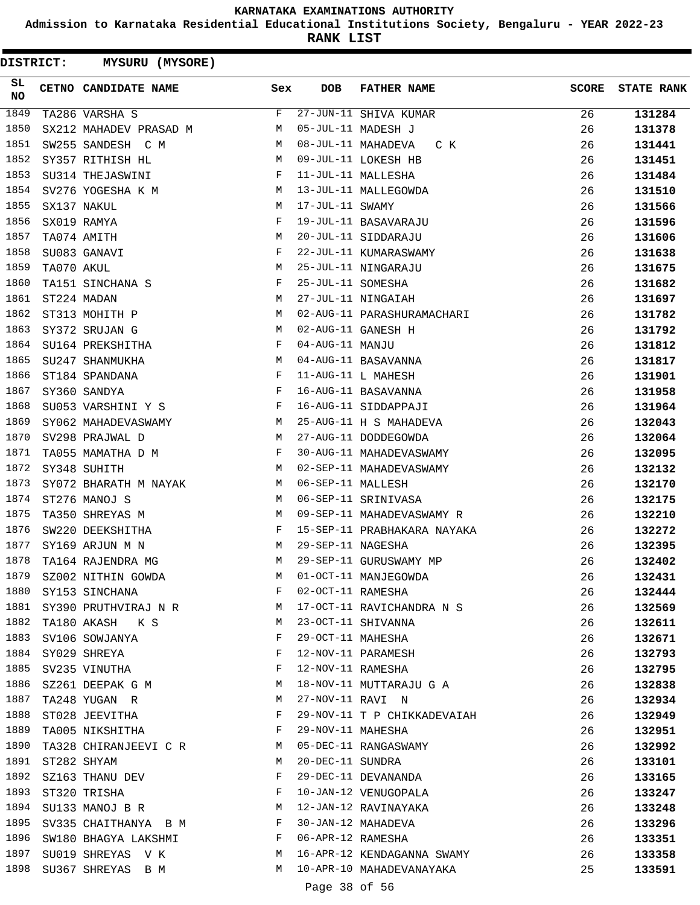**Admission to Karnataka Residential Educational Institutions Society, Bengaluru - YEAR 2022-23**

| DISTRICT: |                  | MYSURU (MYSORE)           |     |                   |                             |              |                   |
|-----------|------------------|---------------------------|-----|-------------------|-----------------------------|--------------|-------------------|
| SL<br>NO  |                  | CETNO CANDIDATE NAME      | Sex | <b>DOB</b>        | <b>FATHER NAME</b>          | <b>SCORE</b> | <b>STATE RANK</b> |
| 1849      |                  | TA286 VARSHA S            | F   |                   | 27-JUN-11 SHIVA KUMAR       | 26           | 131284            |
| 1850      |                  | SX212 MAHADEV PRASAD M    | М   |                   | 05-JUL-11 MADESH J          | 26           | 131378            |
| 1851      |                  | SW255 SANDESH C M         | М   |                   | 08-JUL-11 MAHADEVA<br>с к   | 26           | 131441            |
| 1852      |                  | SY357 RITHISH HL          | М   |                   | 09-JUL-11 LOKESH HB         | 26           | 131451            |
| 1853      |                  | SU314 THEJASWINI          | F   |                   | 11-JUL-11 MALLESHA          | 26           | 131484            |
| 1854      |                  | SV276 YOGESHA K M         | М   |                   | 13-JUL-11 MALLEGOWDA        | 26           | 131510            |
| 1855      |                  | SX137 NAKUL               | М   | 17-JUL-11 SWAMY   |                             | 26           | 131566            |
| 1856      |                  | SX019 RAMYA               | F   |                   | 19-JUL-11 BASAVARAJU        | 26           | 131596            |
| 1857      |                  | TA074 AMITH               | М   |                   | 20-JUL-11 SIDDARAJU         | 26           | 131606            |
| 1858      |                  | SU083 GANAVI              | F   |                   | 22-JUL-11 KUMARASWAMY       | 26           | 131638            |
| 1859      | TA070 AKUL       |                           | М   |                   | 25-JUL-11 NINGARAJU         | 26           | 131675            |
| 1860      |                  | TA151 SINCHANA S          | F   | 25-JUL-11 SOMESHA |                             | 26           | 131682            |
| 1861      |                  | ST224 MADAN               | М   |                   | 27-JUL-11 NINGAIAH          | 26           | 131697            |
| 1862      |                  | ST313 MOHITH P            | М   |                   | 02-AUG-11 PARASHURAMACHARI  | 26           | 131782            |
| 1863      |                  | SY372 SRUJAN G            | M   |                   | 02-AUG-11 GANESH H          | 26           | 131792            |
| 1864      |                  | SU164 PREKSHITHA          | F   | 04-AUG-11 MANJU   |                             | 26           | 131812            |
| 1865      |                  | SU247 SHANMUKHA           | М   |                   | 04-AUG-11 BASAVANNA         | 26           | 131817            |
| 1866      |                  | ST184 SPANDANA            | F   |                   | 11-AUG-11 L MAHESH          | 26           | 131901            |
| 1867      |                  | SY360 SANDYA              | F   |                   | 16-AUG-11 BASAVANNA         | 26           | 131958            |
| 1868      |                  | SU053 VARSHINI Y S        | F   |                   | 16-AUG-11 SIDDAPPAJI        | 26           | 131964            |
| 1869      |                  | SY062 MAHADEVASWAMY       | М   |                   | 25-AUG-11 H S MAHADEVA      | 26           | 132043            |
| 1870      |                  | SV298 PRAJWAL D           | М   |                   | 27-AUG-11 DODDEGOWDA        | 26           | 132064            |
| 1871      |                  | TA055 MAMATHA D M         | F   |                   | 30-AUG-11 MAHADEVASWAMY     | 26           | 132095            |
| 1872      |                  | SY348 SUHITH              | M   |                   | 02-SEP-11 MAHADEVASWAMY     | 26           | 132132            |
| 1873      |                  | SY072 BHARATH M NAYAK     | M   | 06-SEP-11 MALLESH |                             | 26           | 132170            |
| 1874      |                  | ST276 MANOJ S             | M   |                   | 06-SEP-11 SRINIVASA         | 26           | 132175            |
| 1875      |                  | TA350 SHREYAS M           | M   |                   | 09-SEP-11 MAHADEVASWAMY R   | 26           | 132210            |
| 1876      |                  | SW220 DEEKSHITHA          | F   |                   | 15-SEP-11 PRABHAKARA NAYAKA | 26           | 132272            |
| 1877      |                  | SY169 ARJUN M N           | М   | 29-SEP-11 NAGESHA |                             | 26           | 132395            |
| 1878      |                  | TA164 RAJENDRA MG         | М   |                   | 29-SEP-11 GURUSWAMY MP      | 26           | 132402            |
| 1879      |                  | SZ002 NITHIN GOWDA        | M   |                   | 01-OCT-11 MANJEGOWDA        | 26           | 132431            |
| 1880      |                  | SY153 SINCHANA            | F   | 02-OCT-11 RAMESHA |                             | 26           | 132444            |
|           |                  | 1881 SY390 PRUTHVIRAJ N R | M   |                   | 17-OCT-11 RAVICHANDRA N S   | 26           | 132569            |
| 1882      |                  | TA180 AKASH K S           | M   |                   | 23-OCT-11 SHIVANNA          | 26           | 132611            |
| 1883      |                  | SV106 SOWJANYA            | F   | 29-OCT-11 MAHESHA |                             | 26           | 132671            |
| 1884      |                  | SY029 SHREYA              | F   |                   | 12-NOV-11 PARAMESH          | 26           | 132793            |
| 1885      |                  | SV235 VINUTHA             | F   | 12-NOV-11 RAMESHA |                             | 26           | 132795            |
| 1886      |                  | SZ261 DEEPAK G M          | М   |                   | 18-NOV-11 MUTTARAJU G A     | 26           | 132838            |
| 1887      |                  | TA248 YUGAN R             | М   | 27-NOV-11 RAVI N  |                             | 26           | 132934            |
| 1888      |                  | ST028 JEEVITHA            | F   |                   | 29-NOV-11 T P CHIKKADEVAIAH | 26           | 132949            |
| 1889      |                  | TA005 NIKSHITHA           | F   | 29-NOV-11 MAHESHA |                             | 26           | 132951            |
| 1890      |                  | TA328 CHIRANJEEVI C R     | M   |                   | 05-DEC-11 RANGASWAMY        | 26           | 132992            |
|           | 1891 ST282 SHYAM |                           | М   | 20-DEC-11 SUNDRA  |                             | 26           | 133101            |
| 1892      |                  | SZ163 THANU DEV           | F   |                   | 29-DEC-11 DEVANANDA         | 26           | 133165            |
| 1893      |                  | ST320 TRISHA              | F   |                   | 10-JAN-12 VENUGOPALA        | 26           | 133247            |
| 1894      |                  | SU133 MANOJ B R           | М   |                   | 12-JAN-12 RAVINAYAKA        | 26           | 133248            |
| 1895      |                  | SV335 CHAITHANYA B M      | F   |                   | 30-JAN-12 MAHADEVA          | 26           | 133296            |
| 1896      |                  | SW180 BHAGYA LAKSHMI      | F   | 06-APR-12 RAMESHA |                             | 26           | 133351            |
| 1897      |                  | SU019 SHREYAS V K         | M   |                   | 16-APR-12 KENDAGANNA SWAMY  | 26           | 133358            |
| 1898      |                  | SU367 SHREYAS B M         |     |                   | M 10-APR-10 MAHADEVANAYAKA  | 25           | 133591            |
|           |                  |                           |     |                   |                             |              |                   |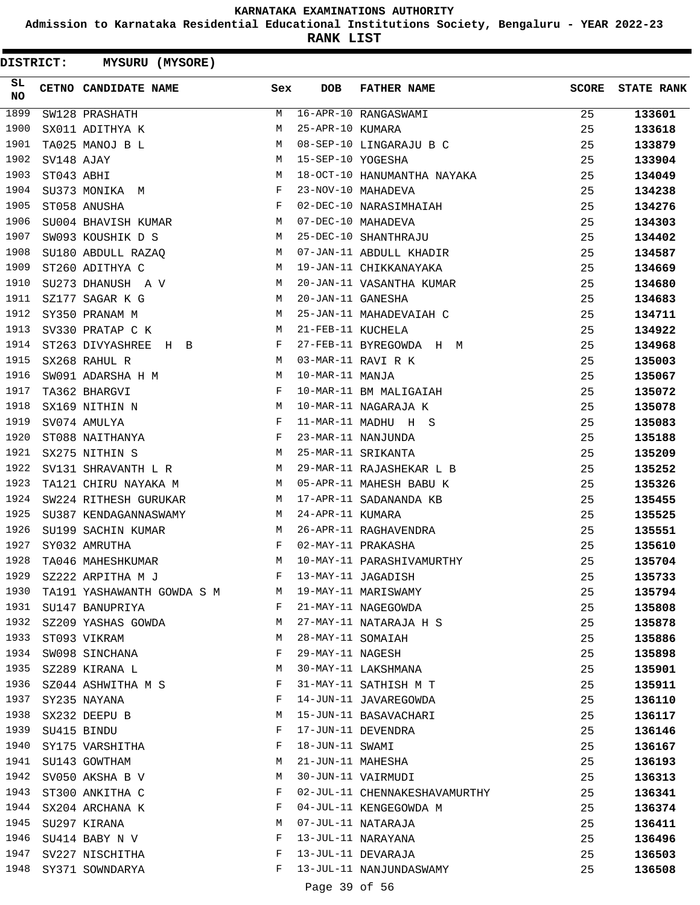**Admission to Karnataka Residential Educational Institutions Society, Bengaluru - YEAR 2022-23**

|                 | DISTRICT:  | <b>MYSURU (MYSORE)</b>     |     |                   |                               |              |                   |
|-----------------|------------|----------------------------|-----|-------------------|-------------------------------|--------------|-------------------|
| SL<br><b>NO</b> |            | CETNO CANDIDATE NAME       | Sex | <b>DOB</b>        | <b>FATHER NAME</b>            | <b>SCORE</b> | <b>STATE RANK</b> |
| 1899            |            | SW128 PRASHATH             | M   |                   | 16-APR-10 RANGASWAMI          | 25           | 133601            |
| 1900            |            | SX011 ADITHYA K            | М   | 25-APR-10 KUMARA  |                               | 25           | 133618            |
| 1901            |            | TA025 MANOJ B L            | М   |                   | 08-SEP-10 LINGARAJU B C       | 25           | 133879            |
| 1902            | SV148 AJAY |                            | М   | 15-SEP-10 YOGESHA |                               | 25           | 133904            |
| 1903            | ST043 ABHI |                            | М   |                   | 18-OCT-10 HANUMANTHA NAYAKA   | 25           | 134049            |
| 1904            |            | SU373 MONIKA M             | F   |                   | 23-NOV-10 MAHADEVA            | 25           | 134238            |
| 1905            |            | ST058 ANUSHA               | F   |                   | 02-DEC-10 NARASIMHAIAH        | 25           | 134276            |
| 1906            |            | SU004 BHAVISH KUMAR        | М   |                   | 07-DEC-10 MAHADEVA            | 25           | 134303            |
| 1907            |            | SW093 KOUSHIK D S          | М   |                   | 25-DEC-10 SHANTHRAJU          | 25           | 134402            |
| 1908            |            | SU180 ABDULL RAZAQ         | M   |                   | 07-JAN-11 ABDULL KHADIR       | 25           | 134587            |
| 1909            |            | ST260 ADITHYA C            | М   |                   | 19-JAN-11 CHIKKANAYAKA        | 25           | 134669            |
| 1910            |            | SU273 DHANUSH A V          | М   |                   | 20-JAN-11 VASANTHA KUMAR      | 25           | 134680            |
| 1911            |            | SZ177 SAGAR K G            | М   | 20-JAN-11 GANESHA |                               | 25           | 134683            |
| 1912            |            | SY350 PRANAM M             | М   |                   | 25-JAN-11 MAHADEVAIAH C       | 25           | 134711            |
| 1913            |            | SV330 PRATAP C K           | М   | 21-FEB-11 KUCHELA |                               | 25           | 134922            |
| 1914            |            | ST263 DIVYASHREE H B       | F   |                   | 27-FEB-11 BYREGOWDA H M       | 25           | 134968            |
| 1915            |            | SX268 RAHUL R              | М   |                   | 03-MAR-11 RAVI R K            | 25           | 135003            |
| 1916            |            | SW091 ADARSHA H M          | М   | 10-MAR-11 MANJA   |                               | 25           | 135067            |
| 1917            |            | TA362 BHARGVI              | F   |                   | 10-MAR-11 BM MALIGAIAH        | 25           | 135072            |
| 1918            |            | SX169 NITHIN N             | M   |                   | 10-MAR-11 NAGARAJA K          | 25           | 135078            |
| 1919            |            | SV074 AMULYA               | F   |                   | 11-MAR-11 MADHU H S           | 25           | 135083            |
| 1920            |            | ST088 NAITHANYA            | F   |                   | 23-MAR-11 NANJUNDA            | 25           | 135188            |
| 1921            |            | SX275 NITHIN S             | М   |                   | 25-MAR-11 SRIKANTA            | 25           | 135209            |
| 1922            |            | SV131 SHRAVANTH L R        | M   |                   | 29-MAR-11 RAJASHEKAR L B      | 25           | 135252            |
| 1923            |            | TA121 CHIRU NAYAKA M       | M   |                   | 05-APR-11 MAHESH BABU K       | 25           | 135326            |
| 1924            |            | SW224 RITHESH GURUKAR      | М   |                   | 17-APR-11 SADANANDA KB        | 25           | 135455            |
| 1925            |            | SU387 KENDAGANNASWAMY      | M   | 24-APR-11 KUMARA  |                               | 25           | 135525            |
| 1926            |            | SU199 SACHIN KUMAR         | М   |                   | 26-APR-11 RAGHAVENDRA         | 25           | 135551            |
| 1927            |            | SY032 AMRUTHA              | F   |                   | 02-MAY-11 PRAKASHA            | 25           | 135610            |
| 1928            |            | TA046 MAHESHKUMAR          | M   |                   | 10-MAY-11 PARASHIVAMURTHY     | 25           | 135704            |
| 1929            |            | SZ222 ARPITHA M J          | F   |                   | 13-MAY-11 JAGADISH            | 25           | 135733            |
| 1930            |            | TA191 YASHAWANTH GOWDA S M | M   |                   | 19-MAY-11 MARISWAMY           | 25           | 135794            |
| 1931            |            | SU147 BANUPRIYA            | F   |                   | 21-MAY-11 NAGEGOWDA           | 25           | 135808            |
| 1932            |            | SZ209 YASHAS GOWDA         | M   |                   | 27-MAY-11 NATARAJA H S        | 25           | 135878            |
| 1933            |            | ST093 VIKRAM               | М   | 28-MAY-11 SOMAIAH |                               | 25           | 135886            |
| 1934            |            | SW098 SINCHANA             | F   | 29-MAY-11 NAGESH  |                               | 25           | 135898            |
| 1935            |            | SZ289 KIRANA L             | М   |                   | 30-MAY-11 LAKSHMANA           | 25           | 135901            |
| 1936            |            | SZ044 ASHWITHA M S         | F   |                   | 31-MAY-11 SATHISH M T         | 25           | 135911            |
| 1937            |            | SY235 NAYANA               | F   |                   | 14-JUN-11 JAVAREGOWDA         | 25           | 136110            |
| 1938            |            | SX232 DEEPU B              | М   |                   | 15-JUN-11 BASAVACHARI         | 25           | 136117            |
| 1939            |            | SU415 BINDU                | F   |                   | 17-JUN-11 DEVENDRA            | 25           | 136146            |
| 1940            |            | SY175 VARSHITHA            | F   | 18-JUN-11 SWAMI   |                               | 25           | 136167            |
| 1941            |            | SU143 GOWTHAM              | М   | 21-JUN-11 MAHESHA |                               | 25           | 136193            |
| 1942            |            | SV050 AKSHA B V            | М   |                   | 30-JUN-11 VAIRMUDI            | 25           | 136313            |
| 1943            |            | ST300 ANKITHA C            | F   |                   | 02-JUL-11 CHENNAKESHAVAMURTHY | 25           | 136341            |
| 1944            |            | SX204 ARCHANA K            | F   |                   | 04-JUL-11 KENGEGOWDA M        | 25           | 136374            |
| 1945            |            | SU297 KIRANA               | М   |                   | 07-JUL-11 NATARAJA            | 25           | 136411            |
| 1946            |            | SU414 BABY N V             | F   |                   | 13-JUL-11 NARAYANA            | 25           | 136496            |
| 1947            |            | SV227 NISCHITHA            | F   |                   | 13-JUL-11 DEVARAJA            | 25           | 136503            |
| 1948            |            | SY371 SOWNDARYA            | F   |                   | 13-JUL-11 NANJUNDASWAMY       | 25           | 136508            |
|                 |            |                            |     | Page 39 of 56     |                               |              |                   |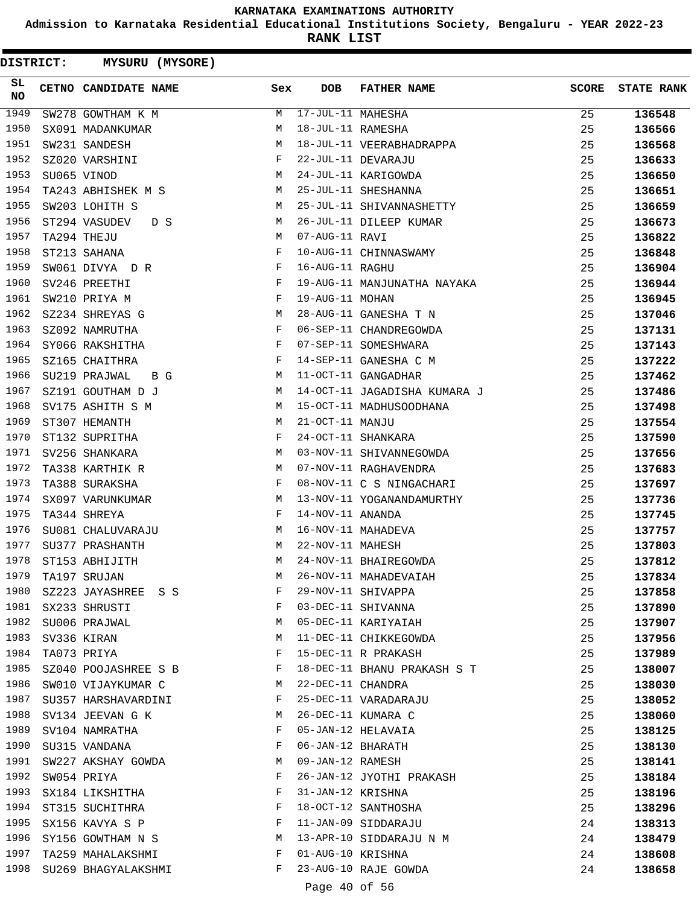**Admission to Karnataka Residential Educational Institutions Society, Bengaluru - YEAR 2022-23**

**RANK LIST**

 $\blacksquare$ 

| <b>DISTRICT:</b> | <b>MYSURU (MYSORE)</b> |     |                   |                              |              |                   |
|------------------|------------------------|-----|-------------------|------------------------------|--------------|-------------------|
| SL<br>NO         | CETNO CANDIDATE NAME   | Sex | <b>DOB</b>        | <b>FATHER NAME</b>           | <b>SCORE</b> | <b>STATE RANK</b> |
| 1949             | SW278 GOWTHAM K M      | М   | 17-JUL-11 MAHESHA |                              | 25           | 136548            |
| 1950             | SX091 MADANKUMAR       | М   | 18-JUL-11 RAMESHA |                              | 25           | 136566            |
| 1951             | SW231 SANDESH          | M   |                   | 18-JUL-11 VEERABHADRAPPA     | 25           | 136568            |
| 1952             | SZ020 VARSHINI         | F   |                   | 22-JUL-11 DEVARAJU           | 25           | 136633            |
| 1953             | SU065 VINOD            | М   |                   | 24-JUL-11 KARIGOWDA          | 25           | 136650            |
| 1954             | TA243 ABHISHEK M S     | М   |                   | 25-JUL-11 SHESHANNA          | 25           | 136651            |
| 1955             | SW203 LOHITH S         | M   |                   | 25-JUL-11 SHIVANNASHETTY     | 25           | 136659            |
| 1956             | ST294 VASUDEV<br>D S   | М   |                   | 26-JUL-11 DILEEP KUMAR       | 25           | 136673            |
| 1957             | TA294 THEJU            | M   | 07-AUG-11 RAVI    |                              | 25           | 136822            |
| 1958             | ST213 SAHANA           | F   |                   | 10-AUG-11 CHINNASWAMY        | 25           | 136848            |
| 1959             | SW061 DIVYA D R        | F   | 16-AUG-11 RAGHU   |                              | 25           | 136904            |
| 1960             | SV246 PREETHI          | F   |                   | 19-AUG-11 MANJUNATHA NAYAKA  | 25           | 136944            |
| 1961             | SW210 PRIYA M          | F   | 19-AUG-11 MOHAN   |                              | 25           | 136945            |
| 1962             | SZ234 SHREYAS G        | М   |                   | 28-AUG-11 GANESHA T N        | 25           | 137046            |
| 1963             | SZ092 NAMRUTHA         | F   |                   | 06-SEP-11 CHANDREGOWDA       | 25           | 137131            |
| 1964             | SY066 RAKSHITHA        | F   |                   | 07-SEP-11 SOMESHWARA         | 25           | 137143            |
| 1965             | SZ165 CHAITHRA         | F   |                   | 14-SEP-11 GANESHA C M        | 25           | 137222            |
| 1966             | SU219 PRAJWAL<br>B G   | М   |                   | 11-OCT-11 GANGADHAR          | 25           | 137462            |
| 1967             | SZ191 GOUTHAM D J      | М   |                   | 14-OCT-11 JAGADISHA KUMARA J | 25           | 137486            |
| 1968             | SV175 ASHITH S M       | М   |                   | 15-OCT-11 MADHUSOODHANA      | 25           | 137498            |
| 1969             | ST307 HEMANTH          | M   | 21-OCT-11 MANJU   |                              | 25           | 137554            |
| 1970             | ST132 SUPRITHA         | F   |                   | 24-OCT-11 SHANKARA           | 25           | 137590            |
| 1971             | SV256 SHANKARA         | M   |                   | 03-NOV-11 SHIVANNEGOWDA      | 25           | 137656            |
| 1972             | TA338 KARTHIK R        | М   |                   | 07-NOV-11 RAGHAVENDRA        | 25           | 137683            |
| 1973             | TA388 SURAKSHA         | F   |                   | 08-NOV-11 C S NINGACHARI     | 25           | 137697            |
| 1974             | SX097 VARUNKUMAR       | М   |                   | 13-NOV-11 YOGANANDAMURTHY    | 25           | 137736            |
| 1975             | TA344 SHREYA           | F   | 14-NOV-11 ANANDA  |                              | 25           | 137745            |
| 1976             | SU081 CHALUVARAJU      | М   |                   | 16-NOV-11 MAHADEVA           | 25           | 137757            |
| 1977             | SU377 PRASHANTH        | M   | 22-NOV-11 MAHESH  |                              | 25           | 137803            |
| 1978             | ST153 ABHIJITH         | М   |                   | 24-NOV-11 BHAIREGOWDA        | 25           | 137812            |
| 1979             | TA197 SRUJAN           | М   |                   | 26-NOV-11 MAHADEVAIAH        | 25           | 137834            |
| 1980             | SZ223 JAYASHREE S S    | F   |                   | 29-NOV-11 SHIVAPPA           | 25           | 137858            |
| 1981             | SX233 SHRUSTI          | F   |                   | 03-DEC-11 SHIVANNA           | 25           | 137890            |
| 1982             | SU006 PRAJWAL          | М   |                   | 05-DEC-11 KARIYAIAH          | 25           | 137907            |
| 1983             | SV336 KIRAN            | M   |                   | 11-DEC-11 CHIKKEGOWDA        | 25           | 137956            |
| 1984             | TA073 PRIYA            | F   |                   | 15-DEC-11 R PRAKASH          | 25           | 137989            |
| 1985             | SZ040 POOJASHREE S B   | F   |                   | 18-DEC-11 BHANU PRAKASH S T  | 25           | 138007            |
| 1986             | SW010 VIJAYKUMAR C     | М   | 22-DEC-11 CHANDRA |                              | 25           | 138030            |
| 1987             | SU357 HARSHAVARDINI    | F   |                   | 25-DEC-11 VARADARAJU         | 25           | 138052            |
| 1988             | SV134 JEEVAN G K       | М   |                   | 26-DEC-11 KUMARA C           | 25           | 138060            |
| 1989             | SV104 NAMRATHA         | F   |                   | 05-JAN-12 HELAVAIA           | 25           | 138125            |
| 1990             | SU315 VANDANA          | F   | 06-JAN-12 BHARATH |                              | 25           | 138130            |
| 1991             | SW227 AKSHAY GOWDA     | М   | 09-JAN-12 RAMESH  |                              | 25           | 138141            |
| 1992             | SW054 PRIYA            | F   |                   | 26-JAN-12 JYOTHI PRAKASH     | 25           | 138184            |
| 1993             | SX184 LIKSHITHA        | F   | 31-JAN-12 KRISHNA |                              | 25           | 138196            |
| 1994             | ST315 SUCHITHRA        | F   |                   | 18-OCT-12 SANTHOSHA          | 25           | 138296            |
| 1995             | SX156 KAVYA S P        | F   |                   | 11-JAN-09 SIDDARAJU          | 24           | 138313            |
| 1996             | SY156 GOWTHAM N S      | M   |                   | 13-APR-10 SIDDARAJU N M      | 24           | 138479            |
| 1997             | TA259 MAHALAKSHMI      | F   | 01-AUG-10 KRISHNA |                              | 24           | 138608            |
| 1998             | SU269 BHAGYALAKSHMI    | F   |                   | 23-AUG-10 RAJE GOWDA         | 24           | 138658            |
|                  |                        |     | Page 40 of 56     |                              |              |                   |
|                  |                        |     |                   |                              |              |                   |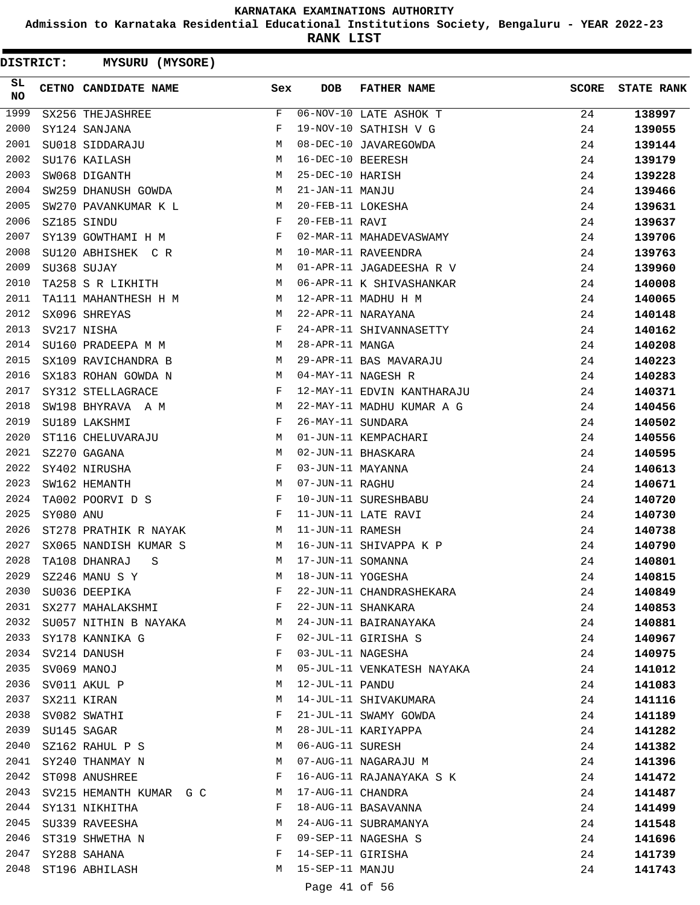**Admission to Karnataka Residential Educational Institutions Society, Bengaluru - YEAR 2022-23**

| <b>DISTRICT:</b> |           | <b>MYSURU (MYSORE)</b>  |            |                   |                            |              |                   |
|------------------|-----------|-------------------------|------------|-------------------|----------------------------|--------------|-------------------|
| SL<br><b>NO</b>  |           | CETNO CANDIDATE NAME    | Sex        | <b>DOB</b>        | <b>FATHER NAME</b>         | <b>SCORE</b> | <b>STATE RANK</b> |
| 1999             |           | SX256 THEJASHREE        | $_{\rm F}$ |                   | 06-NOV-10 LATE ASHOK T     | 24           | 138997            |
| 2000             |           | SY124 SANJANA           | F          |                   | 19-NOV-10 SATHISH V G      | 24           | 139055            |
| 2001             |           | SU018 SIDDARAJU         | М          |                   | 08-DEC-10 JAVAREGOWDA      | 24           | 139144            |
| 2002             |           | SU176 KAILASH           | М          | 16-DEC-10 BEERESH |                            | 24           | 139179            |
| 2003             |           | SW068 DIGANTH           | М          | 25-DEC-10 HARISH  |                            | 24           | 139228            |
| 2004             |           | SW259 DHANUSH GOWDA     | M          | 21-JAN-11 MANJU   |                            | 24           | 139466            |
| 2005             |           | SW270 PAVANKUMAR K L    | M          | 20-FEB-11 LOKESHA |                            | 24           | 139631            |
| 2006             |           | SZ185 SINDU             | F          | 20-FEB-11 RAVI    |                            | 24           | 139637            |
| 2007             |           | SY139 GOWTHAMI H M      | F          |                   | 02-MAR-11 MAHADEVASWAMY    | 24           | 139706            |
| 2008             |           | SU120 ABHISHEK C R      | M          |                   | 10-MAR-11 RAVEENDRA        | 24           | 139763            |
| 2009             |           | SU368 SUJAY             | М          |                   | 01-APR-11 JAGADEESHA R V   | 24           | 139960            |
| 2010             |           | TA258 S R LIKHITH       | М          |                   | 06-APR-11 K SHIVASHANKAR   | 24           | 140008            |
| 2011             |           | TA111 MAHANTHESH H M    | M          |                   | 12-APR-11 MADHU H M        | 24           | 140065            |
| 2012             |           | SX096 SHREYAS           | M          |                   | 22-APR-11 NARAYANA         | 24           | 140148            |
| 2013             |           | SV217 NISHA             | F          |                   | 24-APR-11 SHIVANNASETTY    | 24           | 140162            |
| 2014             |           | SU160 PRADEEPA M M      | М          | 28-APR-11 MANGA   |                            | 24           | 140208            |
| 2015             |           | SX109 RAVICHANDRA B     | М          |                   | 29-APR-11 BAS MAVARAJU     | 24           | 140223            |
| 2016             |           | SX183 ROHAN GOWDA N     | М          |                   | 04-MAY-11 NAGESH R         | 24           | 140283            |
| 2017             |           | SY312 STELLAGRACE       | F          |                   | 12-MAY-11 EDVIN KANTHARAJU | 24           | 140371            |
| 2018             |           | SW198 BHYRAVA A M       | M          |                   | 22-MAY-11 MADHU KUMAR A G  | 24           | 140456            |
| 2019             |           | SU189 LAKSHMI           | F          | 26-MAY-11 SUNDARA |                            | 24           | 140502            |
| 2020             |           | ST116 CHELUVARAJU       | М          |                   | 01-JUN-11 KEMPACHARI       | 24           | 140556            |
| 2021             |           | SZ270 GAGANA            | М          |                   | 02-JUN-11 BHASKARA         | 24           | 140595            |
| 2022             |           | SY402 NIRUSHA           | F          | 03-JUN-11 MAYANNA |                            | 24           | 140613            |
| 2023             |           | SW162 HEMANTH           | М          | 07-JUN-11 RAGHU   |                            | 24           | 140671            |
| 2024             |           | TA002 POORVI D S        | F          |                   | 10-JUN-11 SURESHBABU       | 24           | 140720            |
| 2025             | SY080 ANU |                         | F          |                   | 11-JUN-11 LATE RAVI        | 24           | 140730            |
| 2026             |           | ST278 PRATHIK R NAYAK   | M          | 11-JUN-11 RAMESH  |                            | 24           | 140738            |
| 2027             |           | SX065 NANDISH KUMAR S   | М          |                   | 16-JUN-11 SHIVAPPA K P     | 24           | 140790            |
| 2028             |           | TA108 DHANRAJ<br>S      | M          | 17-JUN-11 SOMANNA |                            | 24           | 140801            |
| 2029             |           | SZ246 MANU S Y          | М          | 18-JUN-11 YOGESHA |                            | 24           | 140815            |
| 2030             |           | SU036 DEEPIKA           | F          |                   | 22-JUN-11 CHANDRASHEKARA   | 24           | 140849            |
| 2031             |           | SX277 MAHALAKSHMI       | F          |                   | 22-JUN-11 SHANKARA         | 24           | 140853            |
| 2032             |           | SU057 NITHIN B NAYAKA   | М          |                   | 24-JUN-11 BAIRANAYAKA      | 24           | 140881            |
| 2033             |           | SY178 KANNIKA G         | F          |                   | 02-JUL-11 GIRISHA S        | 24           | 140967            |
| 2034             |           | SV214 DANUSH            | F          | 03-JUL-11 NAGESHA |                            | 24           | 140975            |
| 2035             |           | SV069 MANOJ             | М          |                   | 05-JUL-11 VENKATESH NAYAKA | 24           | 141012            |
| 2036             |           | SV011 AKUL P            | М          | 12-JUL-11 PANDU   |                            | 24           | 141083            |
| 2037             |           | SX211 KIRAN             | М          |                   | 14-JUL-11 SHIVAKUMARA      | 24           | 141116            |
| 2038             |           | SV082 SWATHI            | F          |                   | 21-JUL-11 SWAMY GOWDA      | 24           | 141189            |
| 2039             |           | SU145 SAGAR             | М          |                   | 28-JUL-11 KARIYAPPA        | 24           | 141282            |
| 2040             |           | SZ162 RAHUL P S         | M          | 06-AUG-11 SURESH  |                            | 24           | 141382            |
| 2041             |           | SY240 THANMAY N         | М          |                   | 07-AUG-11 NAGARAJU M       | 24           | 141396            |
| 2042             |           | ST098 ANUSHREE          | F          |                   | 16-AUG-11 RAJANAYAKA S K   | 24           | 141472            |
| 2043             |           | SV215 HEMANTH KUMAR G C | М          | 17-AUG-11 CHANDRA |                            | 24           | 141487            |
| 2044             |           | SY131 NIKHITHA          | F          |                   | 18-AUG-11 BASAVANNA        | 24           | 141499            |
| 2045             |           | SU339 RAVEESHA          | М          |                   | 24-AUG-11 SUBRAMANYA       | 24           | 141548            |
| 2046             |           | ST319 SHWETHA N         | F          |                   | 09-SEP-11 NAGESHA S        | 24           | 141696            |
| 2047             |           | SY288 SAHANA            | F          | 14-SEP-11 GIRISHA |                            | 24           | 141739            |
| 2048             |           | ST196 ABHILASH          | M          | 15-SEP-11 MANJU   |                            | 24           | 141743            |
|                  |           |                         |            | Page 41 of 56     |                            |              |                   |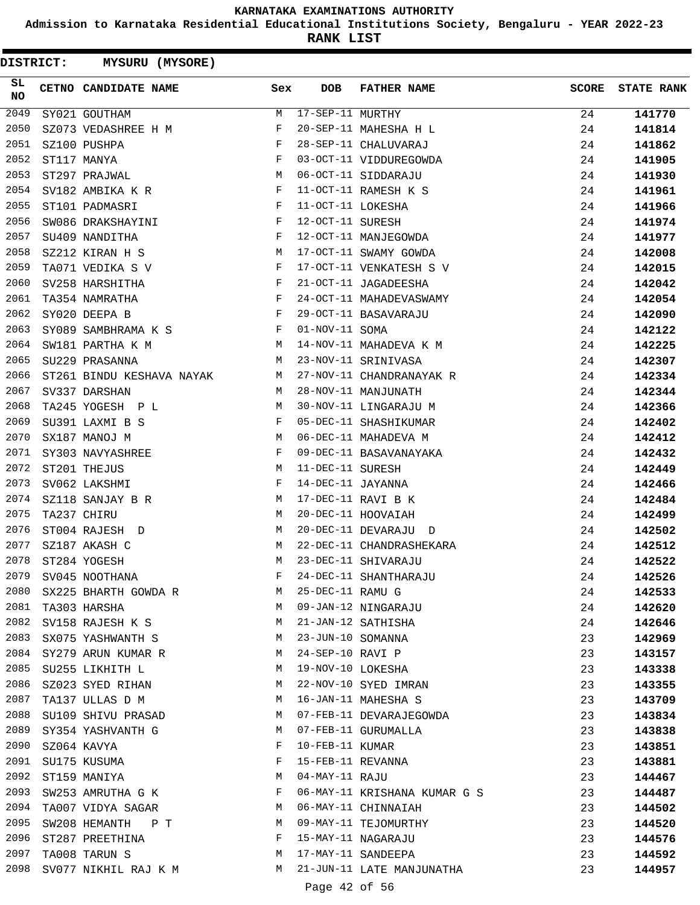**Admission to Karnataka Residential Educational Institutions Society, Bengaluru - YEAR 2022-23**

**RANK LIST**

| SL<br><b>NO</b> | CETNO CANDIDATE NAME Sex                                                                                                                                                                                                                            |              | <b>DOB</b>        | <b>FATHER NAME</b>           | SCORE | <b>STATE RANK</b> |
|-----------------|-----------------------------------------------------------------------------------------------------------------------------------------------------------------------------------------------------------------------------------------------------|--------------|-------------------|------------------------------|-------|-------------------|
| 2049            | SY021 GOUTHAM                                                                                                                                                                                                                                       | M            | 17-SEP-11 MURTHY  |                              | 24    | 141770            |
| 2050            | SZ073 VEDASHREE H M                                                                                                                                                                                                                                 | F            |                   | 20-SEP-11 MAHESHA H L        | 24    | 141814            |
| 2051            | $\mathbf{F}$<br>SZ100 PUSHPA                                                                                                                                                                                                                        |              |                   | 28-SEP-11 CHALUVARAJ         | 24    | 141862            |
| 2052            | ST117 MANYA                                                                                                                                                                                                                                         | F            |                   | 03-OCT-11 VIDDUREGOWDA       | 24    | 141905            |
| 2053            | <b>M</b><br>ST297 PRAJWAL                                                                                                                                                                                                                           |              |                   | 06-OCT-11 SIDDARAJU          | 24    | 141930            |
| 2054            | SV182 AMBIKA K $R$                                                                                                                                                                                                                                  |              |                   | 11-OCT-11 RAMESH K S         | 24    | 141961            |
| 2055            | $\mathbf{F}$ and $\mathbf{F}$<br>ST101 PADMASRI                                                                                                                                                                                                     |              | 11-OCT-11 LOKESHA |                              | 24    | 141966            |
| 2056            | $\mathbf{F}$ and $\mathbf{F}$<br>SW086 DRAKSHAYINI                                                                                                                                                                                                  |              | 12-OCT-11 SURESH  |                              | 24    | 141974            |
| 2057            | SU409 NANDITHA<br>$\mathbf{F}$ and the set of the set of the set of the set of the set of the set of the set of the set of the set of the set of the set of the set of the set of the set of the set of the set of the set of the set of the set of |              |                   | 12-OCT-11 MANJEGOWDA         | 24    | 141977            |
| 2058            | SZ212 KIRAN H S<br><b>M</b>                                                                                                                                                                                                                         |              |                   | 17-OCT-11 SWAMY GOWDA        | 24    | 142008            |
| 2059            | TA071 VEDIKA S V                                                                                                                                                                                                                                    | $\mathbf{F}$ |                   | 17-OCT-11 VENKATESH S V      | 24    | 142015            |
| 2060            | SV258 HARSHITHA                                                                                                                                                                                                                                     | $\mathbf{F}$ |                   | 21-OCT-11 JAGADEESHA         | 24    | 142042            |
| 2061            | $\mathbf{F}$ and the contract of the contract of $\mathbf{F}$<br>TA354 NAMRATHA                                                                                                                                                                     |              |                   | 24-OCT-11 MAHADEVASWAMY      | 24    | 142054            |
| 2062            | $\mathbf{F}$ and $\mathbf{F}$ and $\mathbf{F}$<br>SY020 DEEPA B                                                                                                                                                                                     |              |                   | 29-OCT-11 BASAVARAJU         | 24    | 142090            |
| 2063            | SY089 SAMBHRAMA K S F                                                                                                                                                                                                                               |              | 01-NOV-11 SOMA    |                              | 24    | 142122            |
| 2064            | SW181 PARTHA K M                                                                                                                                                                                                                                    | M            |                   | 14-NOV-11 MAHADEVA K M       | 24    | 142225            |
| 2065            | SU229 PRASANNA<br><b>Example 19</b> M                                                                                                                                                                                                               |              |                   | 23-NOV-11 SRINIVASA          | 24    | 142307            |
| 2066            | ST261 BINDU KESHAVA NAYAK M                                                                                                                                                                                                                         |              |                   | 27-NOV-11 CHANDRANAYAK R     | 24    | 142334            |
| 2067            | SV337 DARSHAN                                                                                                                                                                                                                                       | M            |                   | 28-NOV-11 MANJUNATH          | 24    | 142344            |
| 2068            | TA245 YOGESH P L<br>M <sub>1</sub>                                                                                                                                                                                                                  |              |                   | 30-NOV-11 LINGARAJU M        | 24    | 142366            |
| 2069            | SU391 LAXMI B S<br>$\mathbf{F}$ and $\mathbf{F}$ are the set of $\mathbf{F}$                                                                                                                                                                        |              |                   | 05-DEC-11 SHASHIKUMAR        | 24    | 142402            |
| 2070            | M<br>SX187 MANOJ M                                                                                                                                                                                                                                  |              |                   | 06-DEC-11 MAHADEVA M         | 24    | 142412            |
| 2071            | $\mathbf{F}$<br>SY303 NAVYASHREE                                                                                                                                                                                                                    |              |                   | 09-DEC-11 BASAVANAYAKA       | 24    | 142432            |
| 2072            | ST201 THEJUS                                                                                                                                                                                                                                        | M            | 11-DEC-11 SURESH  |                              | 24    | 142449            |
| 2073            | SV062 LAKSHMI                                                                                                                                                                                                                                       | F            | 14-DEC-11 JAYANNA |                              | 24    | 142466            |
| 2074            | M <sub>N</sub><br>SZ118 SANJAY B R                                                                                                                                                                                                                  |              |                   | 17-DEC-11 RAVI B K           | 24    | 142484            |
| 2075            | TA237 CHIRU                                                                                                                                                                                                                                         | M            |                   | 20-DEC-11 HOOVAIAH           | 24    | 142499            |
| 2076            | ST004 RAJESH D                                                                                                                                                                                                                                      | M            |                   | 20-DEC-11 DEVARAJU D         | 24    | 142502            |
| 2077            | SZ187 AKASH C                                                                                                                                                                                                                                       | M            |                   | 22-DEC-11 CHANDRASHEKARA     | 24    | 142512            |
| 2078            | ST284 YOGESH                                                                                                                                                                                                                                        | М            |                   | 23-DEC-11 SHIVARAJU          | 24    | 142522            |
| 2079            | SV045 NOOTHANA                                                                                                                                                                                                                                      | F            |                   | 24-DEC-11 SHANTHARAJU        | 24    | 142526            |
| 2080            | SX225 BHARTH GOWDA R                                                                                                                                                                                                                                | M            | 25-DEC-11 RAMU G  |                              | 24    | 142533            |
| 2081            | TA303 HARSHA                                                                                                                                                                                                                                        | M            |                   | 09-JAN-12 NINGARAJU          | 24    | 142620            |
| 2082            | SV158 RAJESH K S                                                                                                                                                                                                                                    | M            |                   | 21-JAN-12 SATHISHA           | 24    | 142646            |
| 2083            | SX075 YASHWANTH S                                                                                                                                                                                                                                   | M            | 23-JUN-10 SOMANNA |                              | 23    | 142969            |
| 2084            | SY279 ARUN KUMAR R                                                                                                                                                                                                                                  | M            | 24-SEP-10 RAVI P  |                              | 23    | 143157            |
| 2085            | SU255 LIKHITH L                                                                                                                                                                                                                                     | M            | 19-NOV-10 LOKESHA |                              | 23    | 143338            |
| 2086            | SZ023 SYED RIHAN                                                                                                                                                                                                                                    | M            |                   | 22-NOV-10 SYED IMRAN         | 23    | 143355            |
| 2087            | TA137 ULLAS D M                                                                                                                                                                                                                                     | М            |                   | 16-JAN-11 MAHESHA S          | 23    | 143709            |
| 2088            | SU109 SHIVU PRASAD                                                                                                                                                                                                                                  | M            |                   | 07-FEB-11 DEVARAJEGOWDA      | 23    | 143834            |
| 2089            | SY354 YASHVANTH G                                                                                                                                                                                                                                   | M            |                   | 07-FEB-11 GURUMALLA          | 23    | 143838            |
| 2090            | SZ064 KAVYA                                                                                                                                                                                                                                         | F            | 10-FEB-11 KUMAR   |                              | 23    | 143851            |
| 2091            | SU175 KUSUMA                                                                                                                                                                                                                                        | F            |                   | 15-FEB-11 REVANNA            | 23    | 143881            |
| 2092            | ST159 MANIYA                                                                                                                                                                                                                                        | М            | 04-MAY-11 RAJU    |                              | 23    | 144467            |
| 2093            | SW253 AMRUTHA G K                                                                                                                                                                                                                                   | F            |                   | 06-MAY-11 KRISHANA KUMAR G S | 23    | 144487            |
| 2094            | TA007 VIDYA SAGAR                                                                                                                                                                                                                                   | M            |                   | 06-MAY-11 CHINNAIAH          | 23    | 144502            |
| 2095            | SW208 HEMANTH P T                                                                                                                                                                                                                                   | M            |                   | 09-MAY-11 TEJOMURTHY         | 23    | 144520            |
| 2096            | ST287 PREETHINA                                                                                                                                                                                                                                     | F            |                   | 15-MAY-11 NAGARAJU           | 23    | 144576            |
| 2097            | TA008 TARUN S                                                                                                                                                                                                                                       | M            |                   | 17-MAY-11 SANDEEPA           | 23    | 144592            |
| 2098            | SV077 NIKHIL RAJ K M                                                                                                                                                                                                                                | M            |                   | 21-JUN-11 LATE MANJUNATHA    | 23    | 144957            |
|                 |                                                                                                                                                                                                                                                     |              |                   |                              |       |                   |
|                 |                                                                                                                                                                                                                                                     |              | Page 42 of 56     |                              |       |                   |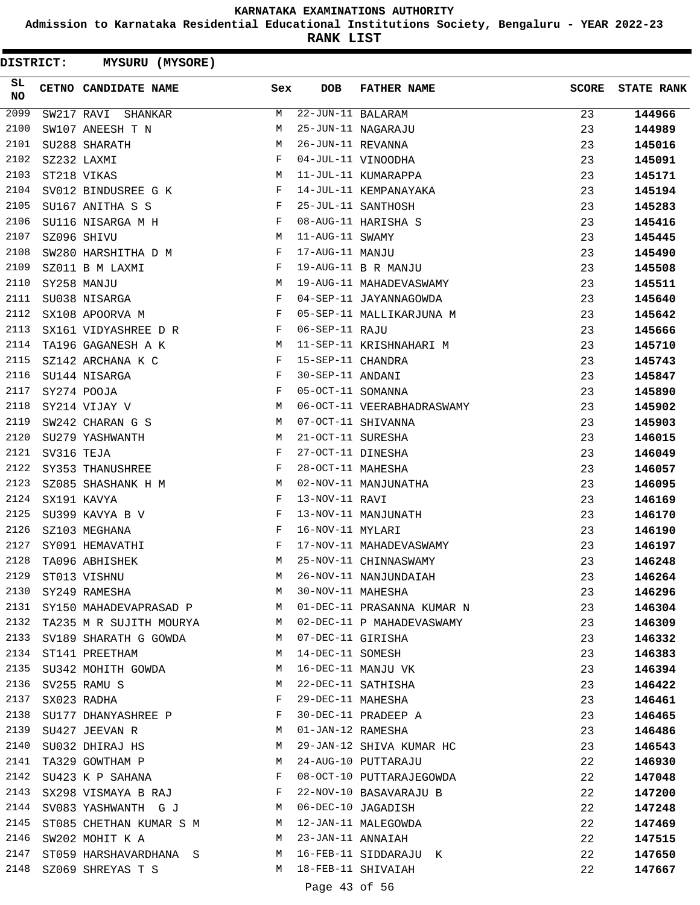**Admission to Karnataka Residential Educational Institutions Society, Bengaluru - YEAR 2022-23**

| <b>DISTRICT:</b> |            | <b>MYSURU (MYSORE)</b>     |            |                     |                            |              |                   |
|------------------|------------|----------------------------|------------|---------------------|----------------------------|--------------|-------------------|
| SL.<br><b>NO</b> |            | CETNO CANDIDATE NAME       | Sex        | <b>DOB</b>          | <b>FATHER NAME</b>         | <b>SCORE</b> | <b>STATE RANK</b> |
| 2099             |            | SW217 RAVI SHANKAR         | М          | 22-JUN-11 BALARAM   |                            | 23           | 144966            |
| 2100             |            | SW107 ANEESH T N           | М          |                     | 25-JUN-11 NAGARAJU         | 23           | 144989            |
| 2101             |            | SU288 SHARATH              | М          | 26-JUN-11 REVANNA   |                            | 23           | 145016            |
| 2102             |            | SZ232 LAXMI                | F          |                     | 04-JUL-11 VINOODHA         | 23           | 145091            |
| 2103             |            | ST218 VIKAS                | M          |                     | 11-JUL-11 KUMARAPPA        | 23           | 145171            |
| 2104             |            | SV012 BINDUSREE G K        | F          |                     | 14-JUL-11 KEMPANAYAKA      | 23           | 145194            |
| 2105             |            | SU167 ANITHA S S           | F          |                     | 25-JUL-11 SANTHOSH         | 23           | 145283            |
| 2106             |            | SU116 NISARGA M H          | F          |                     | 08-AUG-11 HARISHA S        | 23           | 145416            |
| 2107             |            | SZ096 SHIVU                | М          | 11-AUG-11 SWAMY     |                            | 23           | 145445            |
| 2108             |            | SW280 HARSHITHA D M        | F          | 17-AUG-11 MANJU     |                            | 23           | 145490            |
| 2109             |            | SZ011 B M LAXMI            | F          |                     | 19-AUG-11 B R MANJU        | 23           | 145508            |
| 2110             |            | SY258 MANJU                | М          |                     | 19-AUG-11 MAHADEVASWAMY    | 23           | 145511            |
| 2111             |            | SU038 NISARGA              | F          |                     | 04-SEP-11 JAYANNAGOWDA     | 23           | 145640            |
| 2112             |            | SX108 APOORVA M            | F          |                     | 05-SEP-11 MALLIKARJUNA M   | 23           | 145642            |
| 2113             |            | SX161 VIDYASHREE D R       | F          | 06-SEP-11 RAJU      |                            | 23           | 145666            |
| 2114             |            | TA196 GAGANESH A K         | М          |                     | 11-SEP-11 KRISHNAHARI M    | 23           | 145710            |
| 2115             |            | SZ142 ARCHANA K C          | F          | 15-SEP-11 CHANDRA   |                            | 23           | 145743            |
| 2116             |            | SU144 NISARGA              | F          | 30-SEP-11 ANDANI    |                            | 23           | 145847            |
| 2117             |            | SY274 POOJA                | F          | 05-OCT-11 SOMANNA   |                            | 23           | 145890            |
| 2118             |            | SY214 VIJAY V              | М          |                     | 06-OCT-11 VEERABHADRASWAMY | 23           | 145902            |
| 2119             |            | SW242 CHARAN G S           | M          |                     | 07-OCT-11 SHIVANNA         | 23           | 145903            |
| 2120             |            | SU279 YASHWANTH            | М          | 21-OCT-11 SURESHA   |                            | 23           | 146015            |
| 2121             | SV316 TEJA |                            | F          | 27-OCT-11 DINESHA   |                            | 23           | 146049            |
| 2122             |            | SY353 THANUSHREE           | F          | 28-OCT-11 MAHESHA   |                            | 23           | 146057            |
| 2123             |            | SZ085 SHASHANK H M         | М          |                     | 02-NOV-11 MANJUNATHA       | 23           | 146095            |
| 2124             |            | SX191 KAVYA                | F          | 13-NOV-11 RAVI      |                            | 23           | 146169            |
| 2125             |            | SU399 KAVYA B V            | $_{\rm F}$ |                     | 13-NOV-11 MANJUNATH        | 23           | 146170            |
| 2126             |            | SZ103 MEGHANA              | F          | 16-NOV-11 MYLARI    |                            | 23           | 146190            |
| 2127             |            | SY091 HEMAVATHI            | F          |                     | 17-NOV-11 MAHADEVASWAMY    | 23           | 146197            |
| 2128             |            | TA096 ABHISHEK             | М          |                     | 25-NOV-11 CHINNASWAMY      | 23           | 146248            |
| 2129             |            | ST013 VISHNU               | M          |                     | 26-NOV-11 NANJUNDAIAH      | 23           | 146264            |
| 2130             |            | SY249 RAMESHA              | M          | 30-NOV-11 MAHESHA   |                            | 23           | 146296            |
| 2131             |            | SY150 MAHADEVAPRASAD P     | M          |                     | 01-DEC-11 PRASANNA KUMAR N | 23           | 146304            |
| 2132             |            | TA235 M R SUJITH MOURYA M  |            |                     | 02-DEC-11 P MAHADEVASWAMY  | 23           | 146309            |
|                  |            | 2133 SV189 SHARATH G GOWDA |            | M 07-DEC-11 GIRISHA |                            | 23           | 146332            |
| 2134             |            | ST141 PREETHAM             | M          | 14-DEC-11 SOMESH    |                            | 23           | 146383            |
| 2135             |            | SU342 MOHITH GOWDA         | М          |                     | 16-DEC-11 MANJU VK         | 23           | 146394            |
| 2136             |            | SV255 RAMU S               | М          |                     | 22-DEC-11 SATHISHA         | 23           | 146422            |
| 2137             |            | SX023 RADHA                | F          |                     | 29-DEC-11 MAHESHA          | 23           | 146461            |
| 2138             |            | SU177 DHANYASHREE P        | F          |                     | 30-DEC-11 PRADEEP A        | 23           | 146465            |
| 2139             |            | SU427 JEEVAN R             | M          | 01-JAN-12 RAMESHA   |                            | 23           | 146486            |
| 2140             |            | SU032 DHIRAJ HS            | M          |                     | 29-JAN-12 SHIVA KUMAR HC   | 23           | 146543            |
| 2141             |            | TA329 GOWTHAM P            | M          |                     | 24-AUG-10 PUTTARAJU        | 22           | 146930            |
| 2142             |            | SU423 K P SAHANA           | F          |                     | 08-OCT-10 PUTTARAJEGOWDA   | 22           | 147048            |
| 2143             |            | SX298 VISMAYA B RAJ        | F          |                     | 22-NOV-10 BASAVARAJU B     | 22           | 147200            |
| 2144             |            | SV083 YASHWANTH G J        | M          |                     | 06-DEC-10 JAGADISH         | 22           | 147248            |
| 2145             |            | ST085 CHETHAN KUMAR S M    | M          |                     | 12-JAN-11 MALEGOWDA        | 22           | 147469            |
| 2146             |            | SW202 MOHIT K A            | M          | 23-JAN-11 ANNAIAH   |                            | 22           | 147515            |
| 2147             |            | ST059 HARSHAVARDHANA S     | M          |                     | 16-FEB-11 SIDDARAJU K      | 22           | 147650            |
| 2148             |            | SZ069 SHREYAS T S          | М          |                     | 18-FEB-11 SHIVAIAH         | 22           | 147667            |
|                  |            |                            |            | Page 43 of 56       |                            |              |                   |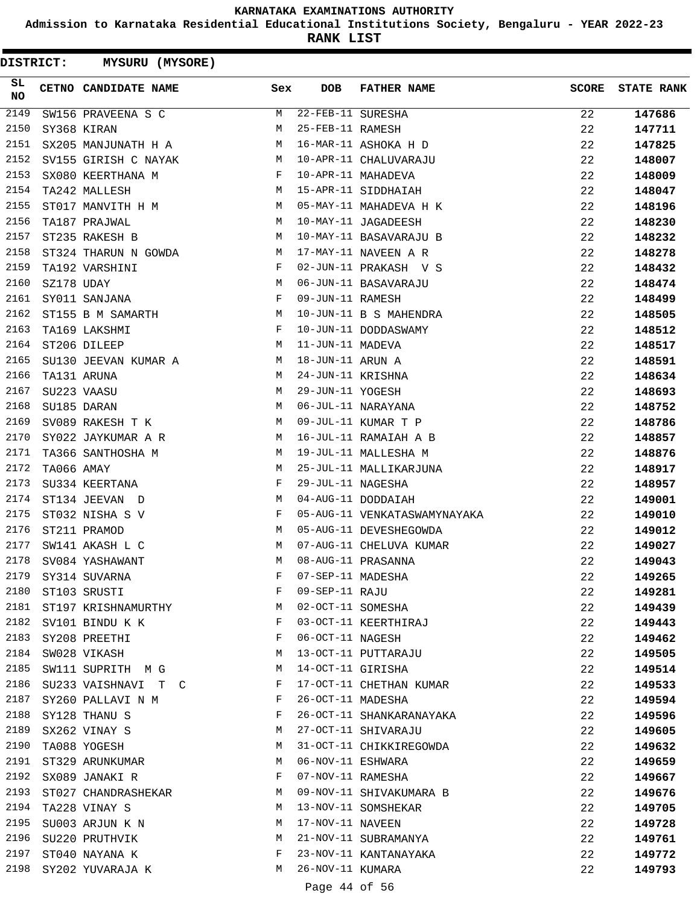**Admission to Karnataka Residential Educational Institutions Society, Bengaluru - YEAR 2022-23**

| <b>DISTRICT:</b> |            | MYSURU (MYSORE)      |     |                   |                              |              |                   |
|------------------|------------|----------------------|-----|-------------------|------------------------------|--------------|-------------------|
| SL<br><b>NO</b>  |            | CETNO CANDIDATE NAME | Sex | <b>DOB</b>        | <b>FATHER NAME</b>           | <b>SCORE</b> | <b>STATE RANK</b> |
| 2149             |            | SW156 PRAVEENA S C   | М   | 22-FEB-11 SURESHA |                              | 22           | 147686            |
| 2150             |            | SY368 KIRAN          | М   | 25-FEB-11 RAMESH  |                              | 22           | 147711            |
| 2151             |            | SX205 MANJUNATH H A  | М   |                   | 16-MAR-11 ASHOKA H D         | 22           | 147825            |
| 2152             |            | SV155 GIRISH C NAYAK | M   |                   | 10-APR-11 CHALUVARAJU        | 22           | 148007            |
| 2153             |            | SX080 KEERTHANA M    | F   |                   | 10-APR-11 MAHADEVA           | 22           | 148009            |
| 2154             |            | TA242 MALLESH        | M   |                   | 15-APR-11 SIDDHAIAH          | 22           | 148047            |
| 2155             |            | ST017 MANVITH H M    | M   |                   | 05-MAY-11 MAHADEVA H K       | 22           | 148196            |
| 2156             |            | TA187 PRAJWAL        | M   |                   | 10-MAY-11 JAGADEESH          | 22           | 148230            |
| 2157             |            | ST235 RAKESH B       | М   |                   | 10-MAY-11 BASAVARAJU B       | 22           | 148232            |
| 2158             |            | ST324 THARUN N GOWDA | М   |                   | 17-MAY-11 NAVEEN A R         | 22           | 148278            |
| 2159             |            | TA192 VARSHINI       | F   |                   | 02-JUN-11 PRAKASH V S        | 22           | 148432            |
| 2160             | SZ178 UDAY |                      | М   |                   | 06-JUN-11 BASAVARAJU         | 22           | 148474            |
| 2161             |            | SY011 SANJANA        | F   | 09-JUN-11 RAMESH  |                              | 22           | 148499            |
| 2162             |            | ST155 B M SAMARTH    | M   |                   | 10-JUN-11 B S MAHENDRA       | 22           | 148505            |
| 2163             |            | TA169 LAKSHMI        | F   |                   | 10-JUN-11 DODDASWAMY         | 22           | 148512            |
| 2164             |            | ST206 DILEEP         | М   | 11-JUN-11 MADEVA  |                              | 22           | 148517            |
| 2165             |            | SU130 JEEVAN KUMAR A | М   | 18-JUN-11 ARUN A  |                              | 22           | 148591            |
| 2166             |            | TA131 ARUNA          | М   | 24-JUN-11 KRISHNA |                              | 22           | 148634            |
| 2167             |            | SU223 VAASU          | М   | 29-JUN-11 YOGESH  |                              | 22           | 148693            |
| 2168             |            | SU185 DARAN          | М   |                   | 06-JUL-11 NARAYANA           | 22           | 148752            |
| 2169             |            | SV089 RAKESH T K     | M   |                   | 09-JUL-11 KUMAR T P          | 22           | 148786            |
| 2170             |            | SY022 JAYKUMAR A R   | M   |                   | 16-JUL-11 RAMAIAH A B        | 22           | 148857            |
| 2171             |            | TA366 SANTHOSHA M    | M   |                   | 19-JUL-11 MALLESHA M         | 22           | 148876            |
| 2172             | TA066 AMAY |                      | М   |                   | 25-JUL-11 MALLIKARJUNA       | 22           | 148917            |
| 2173             |            | SU334 KEERTANA       | F   | 29-JUL-11 NAGESHA |                              | 22           | 148957            |
| 2174             |            | ST134 JEEVAN D       | M   |                   | 04-AUG-11 DODDAIAH           | 22           | 149001            |
| 2175             |            | ST032 NISHA S V      | F   |                   | 05-AUG-11 VENKATASWAMYNAYAKA | 22           | 149010            |
| 2176             |            | ST211 PRAMOD         | М   |                   | 05-AUG-11 DEVESHEGOWDA       | 22           | 149012            |
| 2177             |            | SW141 AKASH L C      | М   |                   | 07-AUG-11 CHELUVA KUMAR      | 22           | 149027            |
| 2178             |            | SV084 YASHAWANT      | M   |                   | 08-AUG-11 PRASANNA           | 22           | 149043            |
| 2179             |            | SY314 SUVARNA        | F   | 07-SEP-11 MADESHA |                              | 22           | 149265            |
| 2180             |            | ST103 SRUSTI         | F   | 09-SEP-11 RAJU    |                              | 22           | 149281            |
| 2181             |            | ST197 KRISHNAMURTHY  | М   | 02-OCT-11 SOMESHA |                              | 22           | 149439            |
| 2182             |            | SV101 BINDU K K      | F   |                   | 03-OCT-11 KEERTHIRAJ         | 22           | 149443            |
| 2183             |            | SY208 PREETHI        | F   | 06-OCT-11 NAGESH  |                              | 22           | 149462            |
| 2184             |            | SW028 VIKASH         | М   |                   | 13-OCT-11 PUTTARAJU          | 22           | 149505            |
| 2185             |            | SW111 SUPRITH MG     | М   | 14-OCT-11 GIRISHA |                              | 22           | 149514            |
| 2186             |            | SU233 VAISHNAVI T C  | F   |                   | 17-OCT-11 CHETHAN KUMAR      | 22           | 149533            |
| 2187             |            | SY260 PALLAVI N M    | F   |                   | 26-OCT-11 MADESHA            | 22           | 149594            |
| 2188             |            | SY128 THANU S        | F   |                   | 26-OCT-11 SHANKARANAYAKA     | 22           | 149596            |
| 2189             |            | SX262 VINAY S        | М   |                   | 27-OCT-11 SHIVARAJU          | 22           | 149605            |
| 2190             |            | TA088 YOGESH         | М   |                   | 31-OCT-11 CHIKKIREGOWDA      | 22           | 149632            |
|                  |            | 2191 ST329 ARUNKUMAR | М   | 06-NOV-11 ESHWARA |                              | 22           | 149659            |
| 2192             |            | SX089 JANAKI R       | F   | 07-NOV-11 RAMESHA |                              | 22           | 149667            |
| 2193             |            | ST027 CHANDRASHEKAR  | М   |                   | 09-NOV-11 SHIVAKUMARA B      | 22           | 149676            |
| 2194             |            | TA228 VINAY S        | М   |                   | 13-NOV-11 SOMSHEKAR          | 22           | 149705            |
| 2195             |            | SU003 ARJUN K N      | М   | 17-NOV-11 NAVEEN  |                              | 22           | 149728            |
| 2196             |            | SU220 PRUTHVIK       | М   |                   | 21-NOV-11 SUBRAMANYA         | 22           | 149761            |
| 2197             |            | ST040 NAYANA K       | F   |                   | 23-NOV-11 KANTANAYAKA        | 22           | 149772            |
| 2198             |            | SY202 YUVARAJA K     | M   | 26-NOV-11 KUMARA  |                              | 22           | 149793            |
|                  |            |                      |     | Page 44 of 56     |                              |              |                   |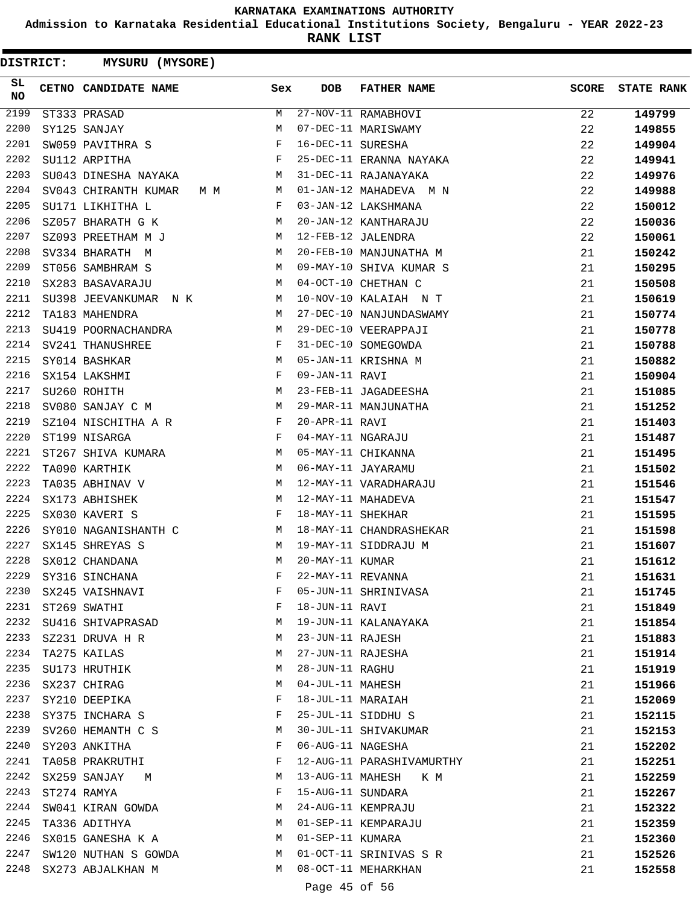**Admission to Karnataka Residential Educational Institutions Society, Bengaluru - YEAR 2022-23**

| <b>DISTRICT:</b> | MYSURU (MYSORE)                           |        |                   |                           |              |                   |
|------------------|-------------------------------------------|--------|-------------------|---------------------------|--------------|-------------------|
| SL<br><b>NO</b>  | CETNO CANDIDATE NAME                      | Sex    | <b>DOB</b>        | <b>FATHER NAME</b>        | <b>SCORE</b> | <b>STATE RANK</b> |
| 2199             | ST333 PRASAD                              | M      |                   | 27-NOV-11 RAMABHOVI       | 22           | 149799            |
| 2200             | SY125 SANJAY                              | М      |                   | 07-DEC-11 MARISWAMY       | 22           | 149855            |
| 2201             | SW059 PAVITHRA S                          | F      | 16-DEC-11 SURESHA |                           | 22           | 149904            |
| 2202             | SU112 ARPITHA                             | F      |                   | 25-DEC-11 ERANNA NAYAKA   | 22           | 149941            |
| 2203             | SU043 DINESHA NAYAKA                      | М      |                   | 31-DEC-11 RAJANAYAKA      | 22           | 149976            |
| 2204             | SV043 CHIRANTH KUMAR M M                  | M      |                   | 01-JAN-12 MAHADEVA M N    | 22           | 149988            |
| 2205             | SU171 LIKHITHA L                          | F      |                   | 03-JAN-12 LAKSHMANA       | 22           | 150012            |
| 2206             | SZ057 BHARATH G K                         | М      |                   | 20-JAN-12 KANTHARAJU      | 22           | 150036            |
| 2207             | SZ093 PREETHAM M J                        | M      |                   | 12-FEB-12 JALENDRA        | 22           | 150061            |
| 2208             | SV334 BHARATH M                           | M      |                   | 20-FEB-10 MANJUNATHA M    | 21           | 150242            |
| 2209             | ST056 SAMBHRAM S                          | M      |                   | 09-MAY-10 SHIVA KUMAR S   | 21           | 150295            |
| 2210             | SX283 BASAVARAJU                          | M      |                   | 04-OCT-10 CHETHAN C       | 21           | 150508            |
| 2211             | SU398 JEEVANKUMAR N K                     | M      |                   | 10-NOV-10 KALAIAH N T     | 21           | 150619            |
| 2212             | TA183 MAHENDRA                            | M      |                   | 27-DEC-10 NANJUNDASWAMY   | 21           | 150774            |
| 2213             | SU419 POORNACHANDRA                       | М      |                   | 29-DEC-10 VEERAPPAJI      | 21           | 150778            |
| 2214             | SV241 THANUSHREE                          | F      |                   | 31-DEC-10 SOMEGOWDA       | 21           | 150788            |
| 2215             | SY014 BASHKAR                             | М      |                   | 05-JAN-11 KRISHNA M       | 21           | 150882            |
| 2216             | SX154 LAKSHMI                             | F      | 09-JAN-11 RAVI    |                           | 21           | 150904            |
| 2217             | SU260 ROHITH                              | М      |                   | 23-FEB-11 JAGADEESHA      | 21           | 151085            |
| 2218             | SV080 SANJAY C M                          | М      |                   | 29-MAR-11 MANJUNATHA      | 21           | 151252            |
| 2219             | SZ104 NISCHITHA A R                       | F      | 20-APR-11 RAVI    |                           | 21           | 151403            |
| 2220             | ST199 NISARGA                             | F      | 04-MAY-11 NGARAJU |                           | 21           | 151487            |
| 2221             | ST267 SHIVA KUMARA                        | М      |                   | 05-MAY-11 CHIKANNA        | 21           | 151495            |
| 2222             | TA090 KARTHIK                             | M      |                   | 06-MAY-11 JAYARAMU        | 21           | 151502            |
| 2223             | TA035 ABHINAV V                           | М      |                   | 12-MAY-11 VARADHARAJU     | 21           | 151546            |
| 2224             | SX173 ABHISHEK                            | M      |                   | 12-MAY-11 MAHADEVA        | 21           | 151547            |
| 2225             | SX030 KAVERI S                            | F      | 18-MAY-11 SHEKHAR |                           | 21           | 151595            |
| 2226             | SY010 NAGANISHANTH C                      | M      |                   | 18-MAY-11 CHANDRASHEKAR   | 21           | 151598            |
| 2227             | SX145 SHREYAS S                           | M      |                   | 19-MAY-11 SIDDRAJU M      | 21           | 151607            |
| 2228             | SX012 CHANDANA                            | M      | 20-MAY-11 KUMAR   |                           | 21           | 151612            |
| 2229             | SY316 SINCHANA                            | F      | 22-MAY-11 REVANNA |                           | 21           | 151631            |
| 2230             | SX245 VAISHNAVI                           | F      |                   | 05-JUN-11 SHRINIVASA      | 21           | 151745            |
| 2231             | ST269 SWATHI                              | F      | 18-JUN-11 RAVI    |                           | 21           | 151849            |
| 2232             | SU416 SHIVAPRASAD                         | М      |                   | 19-JUN-11 KALANAYAKA      | 21           | 151854            |
| 2233             | SZ231 DRUVA H R                           | М      | 23-JUN-11 RAJESH  |                           | 21           | 151883            |
| 2234             | TA275 KAILAS                              | М      | 27-JUN-11 RAJESHA |                           | 21           | 151914            |
| 2235             | SU173 HRUTHIK                             | М      | 28-JUN-11 RAGHU   |                           | 21           | 151919            |
| 2236             | SX237 CHIRAG                              | М      | 04-JUL-11 MAHESH  |                           | 21           | 151966            |
| 2237             | SY210 DEEPIKA                             | F      | 18-JUL-11 MARAIAH |                           | 21           | 152069            |
| 2238             | SY375 INCHARA S                           | F      |                   | 25-JUL-11 SIDDHU S        | 21           | 152115            |
| 2239             | SV260 HEMANTH C S                         | M      |                   | 30-JUL-11 SHIVAKUMAR      | 21           | 152153            |
| 2240             | SY203 ANKITHA                             | F      | 06-AUG-11 NAGESHA |                           | 21           | 152202            |
| 2241             | TA058 PRAKRUTHI                           | F      |                   | 12-AUG-11 PARASHIVAMURTHY | 21           | 152251            |
| 2242             | SX259 SANJAY<br>M                         | М      |                   | 13-AUG-11 MAHESH K M      | 21           | 152259            |
| 2243             | ST274 RAMYA                               | F      | 15-AUG-11 SUNDARA |                           | 21           | 152267            |
| 2244<br>2245     | SW041 KIRAN GOWDA                         | М      |                   | 24-AUG-11 KEMPRAJU        | 21           | 152322            |
| 2246             | TA336 ADITHYA                             | М<br>M |                   | 01-SEP-11 KEMPARAJU       | 21           | 152359            |
| 2247             | SX015 GANESHA K A                         | M      | 01-SEP-11 KUMARA  | 01-OCT-11 SRINIVAS S R    | 21<br>21     | 152360            |
| 2248             | SW120 NUTHAN S GOWDA<br>SX273 ABJALKHAN M | M      |                   | 08-OCT-11 MEHARKHAN       | 21           | 152526<br>152558  |
|                  |                                           |        |                   |                           |              |                   |
|                  |                                           |        | Page 45 of 56     |                           |              |                   |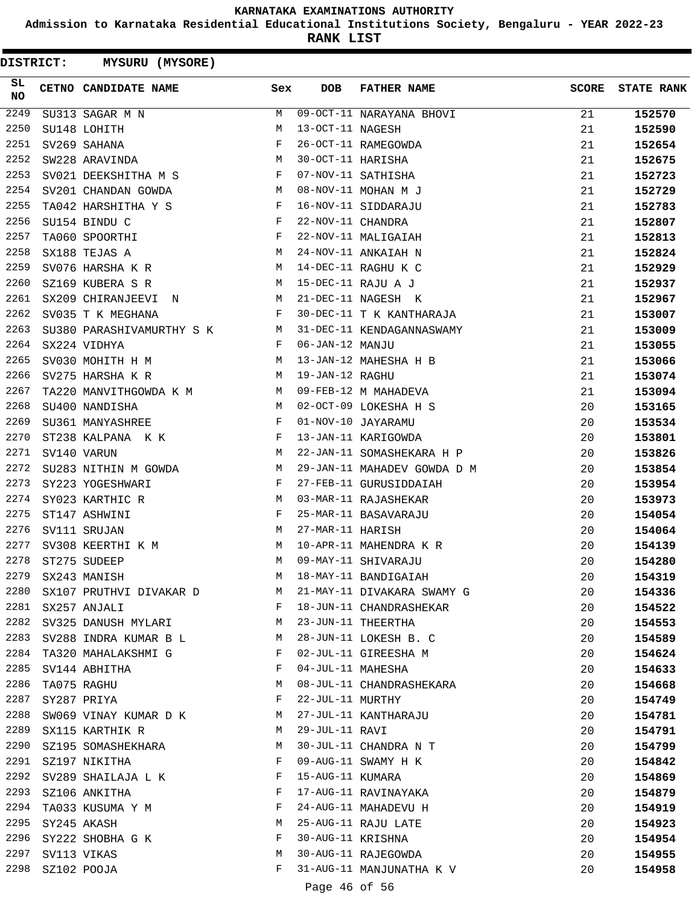**Admission to Karnataka Residential Educational Institutions Society, Bengaluru - YEAR 2022-23**

**RANK LIST**

| 2249<br>09-OCT-11 NARAYANA BHOVI<br>M<br>21<br>152570<br>SU313 SAGAR M N<br>2250<br>13-OCT-11 NAGESH<br>SU148 LOHITH<br>М<br>21<br>152590<br>2251<br>$_{\rm F}$<br>26-OCT-11 RAMEGOWDA<br>SV269 SAHANA<br>21<br>152654<br>$\overline{M}$<br>2252<br>30-OCT-11 HARISHA<br>SW228 ARAVINDA<br>21<br>152675<br>2253<br>SV021 DEEKSHITHA M S F<br>07-NOV-11 SATHISHA<br>21<br>152723<br>2254<br>M<br>SV201 CHANDAN GOWDA<br>08-NOV-11 MOHAN M J<br>21<br>152729<br>$\mathbb{F}$<br>2255<br>16-NOV-11 SIDDARAJU<br>TA042 HARSHITHA Y S<br>21<br>152783<br>$\begin{array}{c}\n\mathbf{F} \\ \mathbf{F}\n\end{array}$<br>2256<br>SU154 BINDU C<br>22-NOV-11 CHANDRA<br>21<br>152807<br>2257<br>22-NOV-11 MALIGAIAH<br>TA060 SPOORTHI<br>21<br>152813<br><b>M</b><br>2258<br>24-NOV-11 ANKAIAH N<br>SX188 TEJAS A<br>21<br>152824<br>M<br>2259<br>14-DEC-11 RAGHU K C<br>SV076 HARSHA K R<br>21<br>152929<br>M<br>2260<br>SZ169 KUBERA S R<br>15-DEC-11 RAJU A J<br>21<br>152937<br>2261<br>SX209 CHIRANJEEVI N M<br>21-DEC-11 NAGESH K<br>21<br>152967<br>30-DEC-11 T K KANTHARAJA<br>2262<br>SV035 T K MEGHANA<br>and the state of the state of the Party<br>21<br>153007<br>31-DEC-11 KENDAGANNASWAMY<br>2263<br>SU380 PARASHIVAMURTHY S K M<br>21<br>153009<br>2264<br>$\mathbf{F}$<br>06-JAN-12 MANJU<br>SX224 VIDHYA<br>21<br>153055<br>2265<br>13-JAN-12 MAHESHA H B<br>SV030 MOHITH H M<br><b>M</b><br>21<br>153066<br>2266<br>$\mathbf M$<br>19-JAN-12 RAGHU<br>SV275 HARSHA K R<br>21<br>153074<br>TA220 MANVITHGOWDA K M M<br>2267<br>09-FEB-12 M MAHADEVA<br>21<br>153094<br>M<br>2268<br>02-OCT-09 LOKESHA H S<br>SU400 NANDISHA<br>20<br>153165<br>2269<br>$\mathbf{F}$ and the contract of the contract of $\mathbf{F}$<br>01-NOV-10 JAYARAMU<br>SU361 MANYASHREE<br>20<br>153534<br>ST238 KALPANA K K $\overline{F}$<br>2270<br>13-JAN-11 KARIGOWDA<br>20<br>153801<br>M<br>2271<br>22-JAN-11 SOMASHEKARA H P<br>SV140 VARUN<br>20<br>153826<br>SU283 NITHIN M GOWDA M<br>2272<br>29-JAN-11 MAHADEV GOWDA D M<br>20<br>153854<br>2273<br>SY223 YOGESHWARI<br>$\mathbf{F}$<br>27-FEB-11 GURUSIDDAIAH<br>20<br>153954<br>2274<br><b>M</b><br>SY023 KARTHIC R<br>03-MAR-11 RAJASHEKAR<br>20<br>153973<br>2275<br>25-MAR-11 BASAVARAJU<br>ST147 ASHWINI<br>$\mathbf{F}$<br>20<br>154054<br>2276<br>M<br>27-MAR-11 HARISH<br>20<br>SV111 SRUJAN<br>154064<br>M <sub>N</sub><br>2277<br>SV308 KEERTHI K M<br>10-APR-11 MAHENDRA K R<br>20<br>154139<br>2278<br>09-MAY-11 SHIVARAJU<br>ST275 SUDEEP<br>М<br>20<br>154280<br>2279<br>M<br>18-MAY-11 BANDIGAIAH<br>20<br>SX243 MANISH<br>154319<br>2280<br>SX107 PRUTHVI DIVAKAR D<br>21-MAY-11 DIVAKARA SWAMY G<br>154336<br>M<br>20<br>2281<br>SX257 ANJALI<br>F<br>18-JUN-11 CHANDRASHEKAR<br>20<br>154522<br>2282<br>SV325 DANUSH MYLARI MW<br>23-JUN-11 THEERTHA<br>20<br>154553<br>2283 SV288 INDRA KUMAR B L<br>28-JUN-11 LOKESH B. C<br>M<br>20<br>154589<br>2284<br>02-JUL-11 GIREESHA M<br>TA320 MAHALAKSHMI G<br>F<br>20<br>154624<br>2285<br>04-JUL-11 MAHESHA<br>SV144 ABHITHA<br>F<br>20<br>154633<br>2286<br>08-JUL-11 CHANDRASHEKARA<br>TA075 RAGHU<br>М<br>20<br>154668<br>2287<br>F<br>22-JUL-11 MURTHY<br>SY287 PRIYA<br>20<br>154749<br>2288<br>SW069 VINAY KUMAR D K<br>27-JUL-11 KANTHARAJU<br>20<br>M<br>154781<br>2289<br>29-JUL-11 RAVI<br>SX115 KARTHIK R<br>M<br>20<br>154791<br>2290<br>30-JUL-11 CHANDRA N T<br>SZ195 SOMASHEKHARA<br>20<br>M<br>154799<br>2291 SZ197 NIKITHA<br>09-AUG-11 SWAMY H K<br>F<br>20<br>154842<br>2292<br>SV289 SHAILAJA L K<br>F<br>15-AUG-11 KUMARA<br>20<br>154869<br>2293<br>17-AUG-11 RAVINAYAKA<br>SZ106 ANKITHA<br>F<br>20<br>154879<br>2294<br>24-AUG-11 MAHADEVU H<br>TA033 KUSUMA Y M<br>F<br>20<br>154919<br>2295<br>25-AUG-11 RAJU LATE<br>SY245 AKASH<br>М<br>20<br>154923<br>2296<br>SY222 SHOBHA G K<br>F<br>30-AUG-11 KRISHNA<br>20<br>154954<br>2297<br>30-AUG-11 RAJEGOWDA<br>SV113 VIKAS<br>М<br>20<br>154955<br>2298<br>SZ102 POOJA<br>F<br>31-AUG-11 MANJUNATHA K V<br>20<br>154958<br>Page 46 of 56 | SL<br><b>NO</b> | CETNO CANDIDATE NAME Sex | <b>DOB</b> | FATHER NAME | <b>SCORE</b> | <b>STATE RANK</b> |
|---------------------------------------------------------------------------------------------------------------------------------------------------------------------------------------------------------------------------------------------------------------------------------------------------------------------------------------------------------------------------------------------------------------------------------------------------------------------------------------------------------------------------------------------------------------------------------------------------------------------------------------------------------------------------------------------------------------------------------------------------------------------------------------------------------------------------------------------------------------------------------------------------------------------------------------------------------------------------------------------------------------------------------------------------------------------------------------------------------------------------------------------------------------------------------------------------------------------------------------------------------------------------------------------------------------------------------------------------------------------------------------------------------------------------------------------------------------------------------------------------------------------------------------------------------------------------------------------------------------------------------------------------------------------------------------------------------------------------------------------------------------------------------------------------------------------------------------------------------------------------------------------------------------------------------------------------------------------------------------------------------------------------------------------------------------------------------------------------------------------------------------------------------------------------------------------------------------------------------------------------------------------------------------------------------------------------------------------------------------------------------------------------------------------------------------------------------------------------------------------------------------------------------------------------------------------------------------------------------------------------------------------------------------------------------------------------------------------------------------------------------------------------------------------------------------------------------------------------------------------------------------------------------------------------------------------------------------------------------------------------------------------------------------------------------------------------------------------------------------------------------------------------------------------------------------------------------------------------------------------------------------------------------------------------------------------------------------------------------------------------------------------------------------------------------------------------------------------------------------------------------------------------------------------------------------------------------------------------------------------------------------------------------------------------------------------------------------------------------------------------------------------------------------------------------------------------------------------------------------------------------------------------------------------------------------------------------------------------------------------------------------------------------|-----------------|--------------------------|------------|-------------|--------------|-------------------|
|                                                                                                                                                                                                                                                                                                                                                                                                                                                                                                                                                                                                                                                                                                                                                                                                                                                                                                                                                                                                                                                                                                                                                                                                                                                                                                                                                                                                                                                                                                                                                                                                                                                                                                                                                                                                                                                                                                                                                                                                                                                                                                                                                                                                                                                                                                                                                                                                                                                                                                                                                                                                                                                                                                                                                                                                                                                                                                                                                                                                                                                                                                                                                                                                                                                                                                                                                                                                                                                                                                                                                                                                                                                                                                                                                                                                                                                                                                                                                                                                                                 |                 |                          |            |             |              |                   |
|                                                                                                                                                                                                                                                                                                                                                                                                                                                                                                                                                                                                                                                                                                                                                                                                                                                                                                                                                                                                                                                                                                                                                                                                                                                                                                                                                                                                                                                                                                                                                                                                                                                                                                                                                                                                                                                                                                                                                                                                                                                                                                                                                                                                                                                                                                                                                                                                                                                                                                                                                                                                                                                                                                                                                                                                                                                                                                                                                                                                                                                                                                                                                                                                                                                                                                                                                                                                                                                                                                                                                                                                                                                                                                                                                                                                                                                                                                                                                                                                                                 |                 |                          |            |             |              |                   |
|                                                                                                                                                                                                                                                                                                                                                                                                                                                                                                                                                                                                                                                                                                                                                                                                                                                                                                                                                                                                                                                                                                                                                                                                                                                                                                                                                                                                                                                                                                                                                                                                                                                                                                                                                                                                                                                                                                                                                                                                                                                                                                                                                                                                                                                                                                                                                                                                                                                                                                                                                                                                                                                                                                                                                                                                                                                                                                                                                                                                                                                                                                                                                                                                                                                                                                                                                                                                                                                                                                                                                                                                                                                                                                                                                                                                                                                                                                                                                                                                                                 |                 |                          |            |             |              |                   |
|                                                                                                                                                                                                                                                                                                                                                                                                                                                                                                                                                                                                                                                                                                                                                                                                                                                                                                                                                                                                                                                                                                                                                                                                                                                                                                                                                                                                                                                                                                                                                                                                                                                                                                                                                                                                                                                                                                                                                                                                                                                                                                                                                                                                                                                                                                                                                                                                                                                                                                                                                                                                                                                                                                                                                                                                                                                                                                                                                                                                                                                                                                                                                                                                                                                                                                                                                                                                                                                                                                                                                                                                                                                                                                                                                                                                                                                                                                                                                                                                                                 |                 |                          |            |             |              |                   |
|                                                                                                                                                                                                                                                                                                                                                                                                                                                                                                                                                                                                                                                                                                                                                                                                                                                                                                                                                                                                                                                                                                                                                                                                                                                                                                                                                                                                                                                                                                                                                                                                                                                                                                                                                                                                                                                                                                                                                                                                                                                                                                                                                                                                                                                                                                                                                                                                                                                                                                                                                                                                                                                                                                                                                                                                                                                                                                                                                                                                                                                                                                                                                                                                                                                                                                                                                                                                                                                                                                                                                                                                                                                                                                                                                                                                                                                                                                                                                                                                                                 |                 |                          |            |             |              |                   |
|                                                                                                                                                                                                                                                                                                                                                                                                                                                                                                                                                                                                                                                                                                                                                                                                                                                                                                                                                                                                                                                                                                                                                                                                                                                                                                                                                                                                                                                                                                                                                                                                                                                                                                                                                                                                                                                                                                                                                                                                                                                                                                                                                                                                                                                                                                                                                                                                                                                                                                                                                                                                                                                                                                                                                                                                                                                                                                                                                                                                                                                                                                                                                                                                                                                                                                                                                                                                                                                                                                                                                                                                                                                                                                                                                                                                                                                                                                                                                                                                                                 |                 |                          |            |             |              |                   |
|                                                                                                                                                                                                                                                                                                                                                                                                                                                                                                                                                                                                                                                                                                                                                                                                                                                                                                                                                                                                                                                                                                                                                                                                                                                                                                                                                                                                                                                                                                                                                                                                                                                                                                                                                                                                                                                                                                                                                                                                                                                                                                                                                                                                                                                                                                                                                                                                                                                                                                                                                                                                                                                                                                                                                                                                                                                                                                                                                                                                                                                                                                                                                                                                                                                                                                                                                                                                                                                                                                                                                                                                                                                                                                                                                                                                                                                                                                                                                                                                                                 |                 |                          |            |             |              |                   |
|                                                                                                                                                                                                                                                                                                                                                                                                                                                                                                                                                                                                                                                                                                                                                                                                                                                                                                                                                                                                                                                                                                                                                                                                                                                                                                                                                                                                                                                                                                                                                                                                                                                                                                                                                                                                                                                                                                                                                                                                                                                                                                                                                                                                                                                                                                                                                                                                                                                                                                                                                                                                                                                                                                                                                                                                                                                                                                                                                                                                                                                                                                                                                                                                                                                                                                                                                                                                                                                                                                                                                                                                                                                                                                                                                                                                                                                                                                                                                                                                                                 |                 |                          |            |             |              |                   |
|                                                                                                                                                                                                                                                                                                                                                                                                                                                                                                                                                                                                                                                                                                                                                                                                                                                                                                                                                                                                                                                                                                                                                                                                                                                                                                                                                                                                                                                                                                                                                                                                                                                                                                                                                                                                                                                                                                                                                                                                                                                                                                                                                                                                                                                                                                                                                                                                                                                                                                                                                                                                                                                                                                                                                                                                                                                                                                                                                                                                                                                                                                                                                                                                                                                                                                                                                                                                                                                                                                                                                                                                                                                                                                                                                                                                                                                                                                                                                                                                                                 |                 |                          |            |             |              |                   |
|                                                                                                                                                                                                                                                                                                                                                                                                                                                                                                                                                                                                                                                                                                                                                                                                                                                                                                                                                                                                                                                                                                                                                                                                                                                                                                                                                                                                                                                                                                                                                                                                                                                                                                                                                                                                                                                                                                                                                                                                                                                                                                                                                                                                                                                                                                                                                                                                                                                                                                                                                                                                                                                                                                                                                                                                                                                                                                                                                                                                                                                                                                                                                                                                                                                                                                                                                                                                                                                                                                                                                                                                                                                                                                                                                                                                                                                                                                                                                                                                                                 |                 |                          |            |             |              |                   |
|                                                                                                                                                                                                                                                                                                                                                                                                                                                                                                                                                                                                                                                                                                                                                                                                                                                                                                                                                                                                                                                                                                                                                                                                                                                                                                                                                                                                                                                                                                                                                                                                                                                                                                                                                                                                                                                                                                                                                                                                                                                                                                                                                                                                                                                                                                                                                                                                                                                                                                                                                                                                                                                                                                                                                                                                                                                                                                                                                                                                                                                                                                                                                                                                                                                                                                                                                                                                                                                                                                                                                                                                                                                                                                                                                                                                                                                                                                                                                                                                                                 |                 |                          |            |             |              |                   |
|                                                                                                                                                                                                                                                                                                                                                                                                                                                                                                                                                                                                                                                                                                                                                                                                                                                                                                                                                                                                                                                                                                                                                                                                                                                                                                                                                                                                                                                                                                                                                                                                                                                                                                                                                                                                                                                                                                                                                                                                                                                                                                                                                                                                                                                                                                                                                                                                                                                                                                                                                                                                                                                                                                                                                                                                                                                                                                                                                                                                                                                                                                                                                                                                                                                                                                                                                                                                                                                                                                                                                                                                                                                                                                                                                                                                                                                                                                                                                                                                                                 |                 |                          |            |             |              |                   |
|                                                                                                                                                                                                                                                                                                                                                                                                                                                                                                                                                                                                                                                                                                                                                                                                                                                                                                                                                                                                                                                                                                                                                                                                                                                                                                                                                                                                                                                                                                                                                                                                                                                                                                                                                                                                                                                                                                                                                                                                                                                                                                                                                                                                                                                                                                                                                                                                                                                                                                                                                                                                                                                                                                                                                                                                                                                                                                                                                                                                                                                                                                                                                                                                                                                                                                                                                                                                                                                                                                                                                                                                                                                                                                                                                                                                                                                                                                                                                                                                                                 |                 |                          |            |             |              |                   |
|                                                                                                                                                                                                                                                                                                                                                                                                                                                                                                                                                                                                                                                                                                                                                                                                                                                                                                                                                                                                                                                                                                                                                                                                                                                                                                                                                                                                                                                                                                                                                                                                                                                                                                                                                                                                                                                                                                                                                                                                                                                                                                                                                                                                                                                                                                                                                                                                                                                                                                                                                                                                                                                                                                                                                                                                                                                                                                                                                                                                                                                                                                                                                                                                                                                                                                                                                                                                                                                                                                                                                                                                                                                                                                                                                                                                                                                                                                                                                                                                                                 |                 |                          |            |             |              |                   |
|                                                                                                                                                                                                                                                                                                                                                                                                                                                                                                                                                                                                                                                                                                                                                                                                                                                                                                                                                                                                                                                                                                                                                                                                                                                                                                                                                                                                                                                                                                                                                                                                                                                                                                                                                                                                                                                                                                                                                                                                                                                                                                                                                                                                                                                                                                                                                                                                                                                                                                                                                                                                                                                                                                                                                                                                                                                                                                                                                                                                                                                                                                                                                                                                                                                                                                                                                                                                                                                                                                                                                                                                                                                                                                                                                                                                                                                                                                                                                                                                                                 |                 |                          |            |             |              |                   |
|                                                                                                                                                                                                                                                                                                                                                                                                                                                                                                                                                                                                                                                                                                                                                                                                                                                                                                                                                                                                                                                                                                                                                                                                                                                                                                                                                                                                                                                                                                                                                                                                                                                                                                                                                                                                                                                                                                                                                                                                                                                                                                                                                                                                                                                                                                                                                                                                                                                                                                                                                                                                                                                                                                                                                                                                                                                                                                                                                                                                                                                                                                                                                                                                                                                                                                                                                                                                                                                                                                                                                                                                                                                                                                                                                                                                                                                                                                                                                                                                                                 |                 |                          |            |             |              |                   |
|                                                                                                                                                                                                                                                                                                                                                                                                                                                                                                                                                                                                                                                                                                                                                                                                                                                                                                                                                                                                                                                                                                                                                                                                                                                                                                                                                                                                                                                                                                                                                                                                                                                                                                                                                                                                                                                                                                                                                                                                                                                                                                                                                                                                                                                                                                                                                                                                                                                                                                                                                                                                                                                                                                                                                                                                                                                                                                                                                                                                                                                                                                                                                                                                                                                                                                                                                                                                                                                                                                                                                                                                                                                                                                                                                                                                                                                                                                                                                                                                                                 |                 |                          |            |             |              |                   |
|                                                                                                                                                                                                                                                                                                                                                                                                                                                                                                                                                                                                                                                                                                                                                                                                                                                                                                                                                                                                                                                                                                                                                                                                                                                                                                                                                                                                                                                                                                                                                                                                                                                                                                                                                                                                                                                                                                                                                                                                                                                                                                                                                                                                                                                                                                                                                                                                                                                                                                                                                                                                                                                                                                                                                                                                                                                                                                                                                                                                                                                                                                                                                                                                                                                                                                                                                                                                                                                                                                                                                                                                                                                                                                                                                                                                                                                                                                                                                                                                                                 |                 |                          |            |             |              |                   |
|                                                                                                                                                                                                                                                                                                                                                                                                                                                                                                                                                                                                                                                                                                                                                                                                                                                                                                                                                                                                                                                                                                                                                                                                                                                                                                                                                                                                                                                                                                                                                                                                                                                                                                                                                                                                                                                                                                                                                                                                                                                                                                                                                                                                                                                                                                                                                                                                                                                                                                                                                                                                                                                                                                                                                                                                                                                                                                                                                                                                                                                                                                                                                                                                                                                                                                                                                                                                                                                                                                                                                                                                                                                                                                                                                                                                                                                                                                                                                                                                                                 |                 |                          |            |             |              |                   |
|                                                                                                                                                                                                                                                                                                                                                                                                                                                                                                                                                                                                                                                                                                                                                                                                                                                                                                                                                                                                                                                                                                                                                                                                                                                                                                                                                                                                                                                                                                                                                                                                                                                                                                                                                                                                                                                                                                                                                                                                                                                                                                                                                                                                                                                                                                                                                                                                                                                                                                                                                                                                                                                                                                                                                                                                                                                                                                                                                                                                                                                                                                                                                                                                                                                                                                                                                                                                                                                                                                                                                                                                                                                                                                                                                                                                                                                                                                                                                                                                                                 |                 |                          |            |             |              |                   |
|                                                                                                                                                                                                                                                                                                                                                                                                                                                                                                                                                                                                                                                                                                                                                                                                                                                                                                                                                                                                                                                                                                                                                                                                                                                                                                                                                                                                                                                                                                                                                                                                                                                                                                                                                                                                                                                                                                                                                                                                                                                                                                                                                                                                                                                                                                                                                                                                                                                                                                                                                                                                                                                                                                                                                                                                                                                                                                                                                                                                                                                                                                                                                                                                                                                                                                                                                                                                                                                                                                                                                                                                                                                                                                                                                                                                                                                                                                                                                                                                                                 |                 |                          |            |             |              |                   |
|                                                                                                                                                                                                                                                                                                                                                                                                                                                                                                                                                                                                                                                                                                                                                                                                                                                                                                                                                                                                                                                                                                                                                                                                                                                                                                                                                                                                                                                                                                                                                                                                                                                                                                                                                                                                                                                                                                                                                                                                                                                                                                                                                                                                                                                                                                                                                                                                                                                                                                                                                                                                                                                                                                                                                                                                                                                                                                                                                                                                                                                                                                                                                                                                                                                                                                                                                                                                                                                                                                                                                                                                                                                                                                                                                                                                                                                                                                                                                                                                                                 |                 |                          |            |             |              |                   |
|                                                                                                                                                                                                                                                                                                                                                                                                                                                                                                                                                                                                                                                                                                                                                                                                                                                                                                                                                                                                                                                                                                                                                                                                                                                                                                                                                                                                                                                                                                                                                                                                                                                                                                                                                                                                                                                                                                                                                                                                                                                                                                                                                                                                                                                                                                                                                                                                                                                                                                                                                                                                                                                                                                                                                                                                                                                                                                                                                                                                                                                                                                                                                                                                                                                                                                                                                                                                                                                                                                                                                                                                                                                                                                                                                                                                                                                                                                                                                                                                                                 |                 |                          |            |             |              |                   |
|                                                                                                                                                                                                                                                                                                                                                                                                                                                                                                                                                                                                                                                                                                                                                                                                                                                                                                                                                                                                                                                                                                                                                                                                                                                                                                                                                                                                                                                                                                                                                                                                                                                                                                                                                                                                                                                                                                                                                                                                                                                                                                                                                                                                                                                                                                                                                                                                                                                                                                                                                                                                                                                                                                                                                                                                                                                                                                                                                                                                                                                                                                                                                                                                                                                                                                                                                                                                                                                                                                                                                                                                                                                                                                                                                                                                                                                                                                                                                                                                                                 |                 |                          |            |             |              |                   |
|                                                                                                                                                                                                                                                                                                                                                                                                                                                                                                                                                                                                                                                                                                                                                                                                                                                                                                                                                                                                                                                                                                                                                                                                                                                                                                                                                                                                                                                                                                                                                                                                                                                                                                                                                                                                                                                                                                                                                                                                                                                                                                                                                                                                                                                                                                                                                                                                                                                                                                                                                                                                                                                                                                                                                                                                                                                                                                                                                                                                                                                                                                                                                                                                                                                                                                                                                                                                                                                                                                                                                                                                                                                                                                                                                                                                                                                                                                                                                                                                                                 |                 |                          |            |             |              |                   |
|                                                                                                                                                                                                                                                                                                                                                                                                                                                                                                                                                                                                                                                                                                                                                                                                                                                                                                                                                                                                                                                                                                                                                                                                                                                                                                                                                                                                                                                                                                                                                                                                                                                                                                                                                                                                                                                                                                                                                                                                                                                                                                                                                                                                                                                                                                                                                                                                                                                                                                                                                                                                                                                                                                                                                                                                                                                                                                                                                                                                                                                                                                                                                                                                                                                                                                                                                                                                                                                                                                                                                                                                                                                                                                                                                                                                                                                                                                                                                                                                                                 |                 |                          |            |             |              |                   |
|                                                                                                                                                                                                                                                                                                                                                                                                                                                                                                                                                                                                                                                                                                                                                                                                                                                                                                                                                                                                                                                                                                                                                                                                                                                                                                                                                                                                                                                                                                                                                                                                                                                                                                                                                                                                                                                                                                                                                                                                                                                                                                                                                                                                                                                                                                                                                                                                                                                                                                                                                                                                                                                                                                                                                                                                                                                                                                                                                                                                                                                                                                                                                                                                                                                                                                                                                                                                                                                                                                                                                                                                                                                                                                                                                                                                                                                                                                                                                                                                                                 |                 |                          |            |             |              |                   |
|                                                                                                                                                                                                                                                                                                                                                                                                                                                                                                                                                                                                                                                                                                                                                                                                                                                                                                                                                                                                                                                                                                                                                                                                                                                                                                                                                                                                                                                                                                                                                                                                                                                                                                                                                                                                                                                                                                                                                                                                                                                                                                                                                                                                                                                                                                                                                                                                                                                                                                                                                                                                                                                                                                                                                                                                                                                                                                                                                                                                                                                                                                                                                                                                                                                                                                                                                                                                                                                                                                                                                                                                                                                                                                                                                                                                                                                                                                                                                                                                                                 |                 |                          |            |             |              |                   |
|                                                                                                                                                                                                                                                                                                                                                                                                                                                                                                                                                                                                                                                                                                                                                                                                                                                                                                                                                                                                                                                                                                                                                                                                                                                                                                                                                                                                                                                                                                                                                                                                                                                                                                                                                                                                                                                                                                                                                                                                                                                                                                                                                                                                                                                                                                                                                                                                                                                                                                                                                                                                                                                                                                                                                                                                                                                                                                                                                                                                                                                                                                                                                                                                                                                                                                                                                                                                                                                                                                                                                                                                                                                                                                                                                                                                                                                                                                                                                                                                                                 |                 |                          |            |             |              |                   |
|                                                                                                                                                                                                                                                                                                                                                                                                                                                                                                                                                                                                                                                                                                                                                                                                                                                                                                                                                                                                                                                                                                                                                                                                                                                                                                                                                                                                                                                                                                                                                                                                                                                                                                                                                                                                                                                                                                                                                                                                                                                                                                                                                                                                                                                                                                                                                                                                                                                                                                                                                                                                                                                                                                                                                                                                                                                                                                                                                                                                                                                                                                                                                                                                                                                                                                                                                                                                                                                                                                                                                                                                                                                                                                                                                                                                                                                                                                                                                                                                                                 |                 |                          |            |             |              |                   |
|                                                                                                                                                                                                                                                                                                                                                                                                                                                                                                                                                                                                                                                                                                                                                                                                                                                                                                                                                                                                                                                                                                                                                                                                                                                                                                                                                                                                                                                                                                                                                                                                                                                                                                                                                                                                                                                                                                                                                                                                                                                                                                                                                                                                                                                                                                                                                                                                                                                                                                                                                                                                                                                                                                                                                                                                                                                                                                                                                                                                                                                                                                                                                                                                                                                                                                                                                                                                                                                                                                                                                                                                                                                                                                                                                                                                                                                                                                                                                                                                                                 |                 |                          |            |             |              |                   |
|                                                                                                                                                                                                                                                                                                                                                                                                                                                                                                                                                                                                                                                                                                                                                                                                                                                                                                                                                                                                                                                                                                                                                                                                                                                                                                                                                                                                                                                                                                                                                                                                                                                                                                                                                                                                                                                                                                                                                                                                                                                                                                                                                                                                                                                                                                                                                                                                                                                                                                                                                                                                                                                                                                                                                                                                                                                                                                                                                                                                                                                                                                                                                                                                                                                                                                                                                                                                                                                                                                                                                                                                                                                                                                                                                                                                                                                                                                                                                                                                                                 |                 |                          |            |             |              |                   |
|                                                                                                                                                                                                                                                                                                                                                                                                                                                                                                                                                                                                                                                                                                                                                                                                                                                                                                                                                                                                                                                                                                                                                                                                                                                                                                                                                                                                                                                                                                                                                                                                                                                                                                                                                                                                                                                                                                                                                                                                                                                                                                                                                                                                                                                                                                                                                                                                                                                                                                                                                                                                                                                                                                                                                                                                                                                                                                                                                                                                                                                                                                                                                                                                                                                                                                                                                                                                                                                                                                                                                                                                                                                                                                                                                                                                                                                                                                                                                                                                                                 |                 |                          |            |             |              |                   |
|                                                                                                                                                                                                                                                                                                                                                                                                                                                                                                                                                                                                                                                                                                                                                                                                                                                                                                                                                                                                                                                                                                                                                                                                                                                                                                                                                                                                                                                                                                                                                                                                                                                                                                                                                                                                                                                                                                                                                                                                                                                                                                                                                                                                                                                                                                                                                                                                                                                                                                                                                                                                                                                                                                                                                                                                                                                                                                                                                                                                                                                                                                                                                                                                                                                                                                                                                                                                                                                                                                                                                                                                                                                                                                                                                                                                                                                                                                                                                                                                                                 |                 |                          |            |             |              |                   |
|                                                                                                                                                                                                                                                                                                                                                                                                                                                                                                                                                                                                                                                                                                                                                                                                                                                                                                                                                                                                                                                                                                                                                                                                                                                                                                                                                                                                                                                                                                                                                                                                                                                                                                                                                                                                                                                                                                                                                                                                                                                                                                                                                                                                                                                                                                                                                                                                                                                                                                                                                                                                                                                                                                                                                                                                                                                                                                                                                                                                                                                                                                                                                                                                                                                                                                                                                                                                                                                                                                                                                                                                                                                                                                                                                                                                                                                                                                                                                                                                                                 |                 |                          |            |             |              |                   |
|                                                                                                                                                                                                                                                                                                                                                                                                                                                                                                                                                                                                                                                                                                                                                                                                                                                                                                                                                                                                                                                                                                                                                                                                                                                                                                                                                                                                                                                                                                                                                                                                                                                                                                                                                                                                                                                                                                                                                                                                                                                                                                                                                                                                                                                                                                                                                                                                                                                                                                                                                                                                                                                                                                                                                                                                                                                                                                                                                                                                                                                                                                                                                                                                                                                                                                                                                                                                                                                                                                                                                                                                                                                                                                                                                                                                                                                                                                                                                                                                                                 |                 |                          |            |             |              |                   |
|                                                                                                                                                                                                                                                                                                                                                                                                                                                                                                                                                                                                                                                                                                                                                                                                                                                                                                                                                                                                                                                                                                                                                                                                                                                                                                                                                                                                                                                                                                                                                                                                                                                                                                                                                                                                                                                                                                                                                                                                                                                                                                                                                                                                                                                                                                                                                                                                                                                                                                                                                                                                                                                                                                                                                                                                                                                                                                                                                                                                                                                                                                                                                                                                                                                                                                                                                                                                                                                                                                                                                                                                                                                                                                                                                                                                                                                                                                                                                                                                                                 |                 |                          |            |             |              |                   |
|                                                                                                                                                                                                                                                                                                                                                                                                                                                                                                                                                                                                                                                                                                                                                                                                                                                                                                                                                                                                                                                                                                                                                                                                                                                                                                                                                                                                                                                                                                                                                                                                                                                                                                                                                                                                                                                                                                                                                                                                                                                                                                                                                                                                                                                                                                                                                                                                                                                                                                                                                                                                                                                                                                                                                                                                                                                                                                                                                                                                                                                                                                                                                                                                                                                                                                                                                                                                                                                                                                                                                                                                                                                                                                                                                                                                                                                                                                                                                                                                                                 |                 |                          |            |             |              |                   |
|                                                                                                                                                                                                                                                                                                                                                                                                                                                                                                                                                                                                                                                                                                                                                                                                                                                                                                                                                                                                                                                                                                                                                                                                                                                                                                                                                                                                                                                                                                                                                                                                                                                                                                                                                                                                                                                                                                                                                                                                                                                                                                                                                                                                                                                                                                                                                                                                                                                                                                                                                                                                                                                                                                                                                                                                                                                                                                                                                                                                                                                                                                                                                                                                                                                                                                                                                                                                                                                                                                                                                                                                                                                                                                                                                                                                                                                                                                                                                                                                                                 |                 |                          |            |             |              |                   |
|                                                                                                                                                                                                                                                                                                                                                                                                                                                                                                                                                                                                                                                                                                                                                                                                                                                                                                                                                                                                                                                                                                                                                                                                                                                                                                                                                                                                                                                                                                                                                                                                                                                                                                                                                                                                                                                                                                                                                                                                                                                                                                                                                                                                                                                                                                                                                                                                                                                                                                                                                                                                                                                                                                                                                                                                                                                                                                                                                                                                                                                                                                                                                                                                                                                                                                                                                                                                                                                                                                                                                                                                                                                                                                                                                                                                                                                                                                                                                                                                                                 |                 |                          |            |             |              |                   |
|                                                                                                                                                                                                                                                                                                                                                                                                                                                                                                                                                                                                                                                                                                                                                                                                                                                                                                                                                                                                                                                                                                                                                                                                                                                                                                                                                                                                                                                                                                                                                                                                                                                                                                                                                                                                                                                                                                                                                                                                                                                                                                                                                                                                                                                                                                                                                                                                                                                                                                                                                                                                                                                                                                                                                                                                                                                                                                                                                                                                                                                                                                                                                                                                                                                                                                                                                                                                                                                                                                                                                                                                                                                                                                                                                                                                                                                                                                                                                                                                                                 |                 |                          |            |             |              |                   |
|                                                                                                                                                                                                                                                                                                                                                                                                                                                                                                                                                                                                                                                                                                                                                                                                                                                                                                                                                                                                                                                                                                                                                                                                                                                                                                                                                                                                                                                                                                                                                                                                                                                                                                                                                                                                                                                                                                                                                                                                                                                                                                                                                                                                                                                                                                                                                                                                                                                                                                                                                                                                                                                                                                                                                                                                                                                                                                                                                                                                                                                                                                                                                                                                                                                                                                                                                                                                                                                                                                                                                                                                                                                                                                                                                                                                                                                                                                                                                                                                                                 |                 |                          |            |             |              |                   |
|                                                                                                                                                                                                                                                                                                                                                                                                                                                                                                                                                                                                                                                                                                                                                                                                                                                                                                                                                                                                                                                                                                                                                                                                                                                                                                                                                                                                                                                                                                                                                                                                                                                                                                                                                                                                                                                                                                                                                                                                                                                                                                                                                                                                                                                                                                                                                                                                                                                                                                                                                                                                                                                                                                                                                                                                                                                                                                                                                                                                                                                                                                                                                                                                                                                                                                                                                                                                                                                                                                                                                                                                                                                                                                                                                                                                                                                                                                                                                                                                                                 |                 |                          |            |             |              |                   |
|                                                                                                                                                                                                                                                                                                                                                                                                                                                                                                                                                                                                                                                                                                                                                                                                                                                                                                                                                                                                                                                                                                                                                                                                                                                                                                                                                                                                                                                                                                                                                                                                                                                                                                                                                                                                                                                                                                                                                                                                                                                                                                                                                                                                                                                                                                                                                                                                                                                                                                                                                                                                                                                                                                                                                                                                                                                                                                                                                                                                                                                                                                                                                                                                                                                                                                                                                                                                                                                                                                                                                                                                                                                                                                                                                                                                                                                                                                                                                                                                                                 |                 |                          |            |             |              |                   |
|                                                                                                                                                                                                                                                                                                                                                                                                                                                                                                                                                                                                                                                                                                                                                                                                                                                                                                                                                                                                                                                                                                                                                                                                                                                                                                                                                                                                                                                                                                                                                                                                                                                                                                                                                                                                                                                                                                                                                                                                                                                                                                                                                                                                                                                                                                                                                                                                                                                                                                                                                                                                                                                                                                                                                                                                                                                                                                                                                                                                                                                                                                                                                                                                                                                                                                                                                                                                                                                                                                                                                                                                                                                                                                                                                                                                                                                                                                                                                                                                                                 |                 |                          |            |             |              |                   |
|                                                                                                                                                                                                                                                                                                                                                                                                                                                                                                                                                                                                                                                                                                                                                                                                                                                                                                                                                                                                                                                                                                                                                                                                                                                                                                                                                                                                                                                                                                                                                                                                                                                                                                                                                                                                                                                                                                                                                                                                                                                                                                                                                                                                                                                                                                                                                                                                                                                                                                                                                                                                                                                                                                                                                                                                                                                                                                                                                                                                                                                                                                                                                                                                                                                                                                                                                                                                                                                                                                                                                                                                                                                                                                                                                                                                                                                                                                                                                                                                                                 |                 |                          |            |             |              |                   |
|                                                                                                                                                                                                                                                                                                                                                                                                                                                                                                                                                                                                                                                                                                                                                                                                                                                                                                                                                                                                                                                                                                                                                                                                                                                                                                                                                                                                                                                                                                                                                                                                                                                                                                                                                                                                                                                                                                                                                                                                                                                                                                                                                                                                                                                                                                                                                                                                                                                                                                                                                                                                                                                                                                                                                                                                                                                                                                                                                                                                                                                                                                                                                                                                                                                                                                                                                                                                                                                                                                                                                                                                                                                                                                                                                                                                                                                                                                                                                                                                                                 |                 |                          |            |             |              |                   |
|                                                                                                                                                                                                                                                                                                                                                                                                                                                                                                                                                                                                                                                                                                                                                                                                                                                                                                                                                                                                                                                                                                                                                                                                                                                                                                                                                                                                                                                                                                                                                                                                                                                                                                                                                                                                                                                                                                                                                                                                                                                                                                                                                                                                                                                                                                                                                                                                                                                                                                                                                                                                                                                                                                                                                                                                                                                                                                                                                                                                                                                                                                                                                                                                                                                                                                                                                                                                                                                                                                                                                                                                                                                                                                                                                                                                                                                                                                                                                                                                                                 |                 |                          |            |             |              |                   |
|                                                                                                                                                                                                                                                                                                                                                                                                                                                                                                                                                                                                                                                                                                                                                                                                                                                                                                                                                                                                                                                                                                                                                                                                                                                                                                                                                                                                                                                                                                                                                                                                                                                                                                                                                                                                                                                                                                                                                                                                                                                                                                                                                                                                                                                                                                                                                                                                                                                                                                                                                                                                                                                                                                                                                                                                                                                                                                                                                                                                                                                                                                                                                                                                                                                                                                                                                                                                                                                                                                                                                                                                                                                                                                                                                                                                                                                                                                                                                                                                                                 |                 |                          |            |             |              |                   |
|                                                                                                                                                                                                                                                                                                                                                                                                                                                                                                                                                                                                                                                                                                                                                                                                                                                                                                                                                                                                                                                                                                                                                                                                                                                                                                                                                                                                                                                                                                                                                                                                                                                                                                                                                                                                                                                                                                                                                                                                                                                                                                                                                                                                                                                                                                                                                                                                                                                                                                                                                                                                                                                                                                                                                                                                                                                                                                                                                                                                                                                                                                                                                                                                                                                                                                                                                                                                                                                                                                                                                                                                                                                                                                                                                                                                                                                                                                                                                                                                                                 |                 |                          |            |             |              |                   |
|                                                                                                                                                                                                                                                                                                                                                                                                                                                                                                                                                                                                                                                                                                                                                                                                                                                                                                                                                                                                                                                                                                                                                                                                                                                                                                                                                                                                                                                                                                                                                                                                                                                                                                                                                                                                                                                                                                                                                                                                                                                                                                                                                                                                                                                                                                                                                                                                                                                                                                                                                                                                                                                                                                                                                                                                                                                                                                                                                                                                                                                                                                                                                                                                                                                                                                                                                                                                                                                                                                                                                                                                                                                                                                                                                                                                                                                                                                                                                                                                                                 |                 |                          |            |             |              |                   |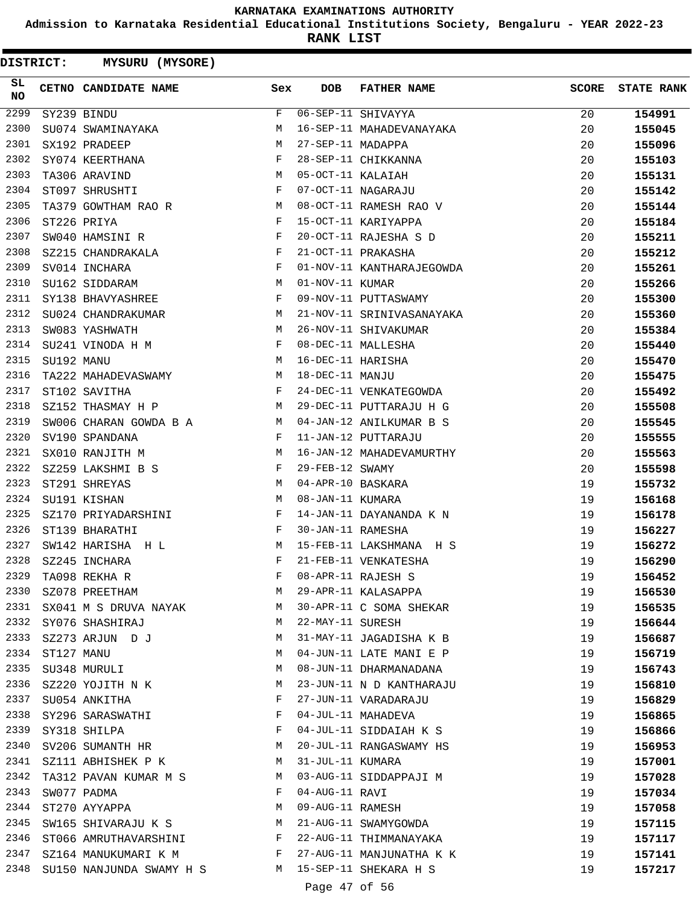**Admission to Karnataka Residential Educational Institutions Society, Bengaluru - YEAR 2022-23**

**RANK LIST**

| <b>DISTRICT:</b> |            | <b>MYSURU (MYSORE)</b>           |             |                   |                           |       |                   |
|------------------|------------|----------------------------------|-------------|-------------------|---------------------------|-------|-------------------|
| SL.<br><b>NO</b> |            | CETNO CANDIDATE NAME             | Sex         | <b>DOB</b>        | <b>FATHER NAME</b>        | SCORE | <b>STATE RANK</b> |
| 2299             |            | SY239 BINDU                      | $\mathbf F$ |                   | 06-SEP-11 SHIVAYYA        | 20    | 154991            |
| 2300             |            | SU074 SWAMINAYAKA                | M           |                   | 16-SEP-11 MAHADEVANAYAKA  | 20    | 155045            |
| 2301             |            | SX192 PRADEEP                    | M           | 27-SEP-11 MADAPPA |                           | 20    | 155096            |
| 2302             |            | SY074 KEERTHANA                  | F           |                   | 28-SEP-11 CHIKKANNA       | 20    | 155103            |
| 2303             |            | TA306 ARAVIND                    | М           | 05-OCT-11 KALAIAH |                           | 20    | 155131            |
| 2304             |            | ST097 SHRUSHTI                   | F           |                   | 07-OCT-11 NAGARAJU        | 20    | 155142            |
| 2305             |            | TA379 GOWTHAM RAO R              | М           |                   | 08-OCT-11 RAMESH RAO V    | 20    | 155144            |
| 2306             |            | ST226 PRIYA                      | F           |                   | 15-OCT-11 KARIYAPPA       | 20    | 155184            |
| 2307             |            | SW040 HAMSINI R                  | F           |                   | 20-OCT-11 RAJESHA S D     | 20    | 155211            |
| 2308             |            | SZ215 CHANDRAKALA                | F           |                   | 21-OCT-11 PRAKASHA        | 20    | 155212            |
| 2309             |            | SV014 INCHARA                    | F           |                   | 01-NOV-11 KANTHARAJEGOWDA | 20    | 155261            |
| 2310             |            | SU162 SIDDARAM                   | М           | 01-NOV-11 KUMAR   |                           | 20    | 155266            |
| 2311             |            | SY138 BHAVYASHREE                | F           |                   | 09-NOV-11 PUTTASWAMY      | 20    | 155300            |
| 2312             |            | SU024 CHANDRAKUMAR               | M           |                   | 21-NOV-11 SRINIVASANAYAKA | 20    | 155360            |
| 2313             |            | SW083 YASHWATH                   | M           |                   | 26-NOV-11 SHIVAKUMAR      | 20    | 155384            |
| 2314             |            | SU241 VINODA H M                 | F           |                   | 08-DEC-11 MALLESHA        | 20    | 155440            |
| 2315             | SU192 MANU |                                  | M           | 16-DEC-11 HARISHA |                           | 20    | 155470            |
| 2316             |            | TA222 MAHADEVASWAMY              | M           | 18-DEC-11 MANJU   |                           | 20    | 155475            |
| 2317             |            | ST102 SAVITHA                    | F           |                   | 24-DEC-11 VENKATEGOWDA    | 20    | 155492            |
| 2318             |            | SZ152 THASMAY H P                | M           |                   | 29-DEC-11 PUTTARAJU H G   | 20    | 155508            |
| 2319             |            | SW006 CHARAN GOWDA B A           | M           |                   | 04-JAN-12 ANILKUMAR B S   | 20    | 155545            |
| 2320             |            | SV190 SPANDANA                   | F           |                   | 11-JAN-12 PUTTARAJU       | 20    | 155555            |
| 2321             |            | SX010 RANJITH M                  | M           |                   | 16-JAN-12 MAHADEVAMURTHY  | 20    | 155563            |
| 2322             |            | SZ259 LAKSHMI B S                | F           | 29-FEB-12 SWAMY   |                           | 20    | 155598            |
| 2323             |            | ST291 SHREYAS                    | M           | 04-APR-10 BASKARA |                           | 19    | 155732            |
| 2324             |            | SU191 KISHAN                     | М           | 08-JAN-11 KUMARA  |                           | 19    | 156168            |
| 2325             |            | SZ170 PRIYADARSHINI              | F           |                   | 14-JAN-11 DAYANANDA K N   | 19    | 156178            |
| 2326             |            | ST139 BHARATHI                   | F           | 30-JAN-11 RAMESHA |                           | 19    | 156227            |
| 2327             |            | SW142 HARISHA H L                | M           |                   | 15-FEB-11 LAKSHMANA H S   | 19    | 156272            |
| 2328             |            | SZ245 INCHARA                    | F           |                   | 21-FEB-11 VENKATESHA      | 19    | 156290            |
| 2329             |            | TA098 REKHA R                    | F           |                   | 08-APR-11 RAJESH S        | 19    | 156452            |
| 2330             |            | SZ078 PREETHAM                   | M           |                   | 29-APR-11 KALASAPPA       | 19    | 156530            |
| 2331             |            | SX041 M S DRUVA NAYAK            | M           |                   | 30-APR-11 C SOMA SHEKAR   | 19    | 156535            |
| 2332             |            | SY076 SHASHIRAJ                  | M           | 22-MAY-11 SURESH  |                           | 19    | 156644            |
| 2333             |            | SZ273 ARJUN DJ                   | M           |                   | 31-MAY-11 JAGADISHA K B   | 19    | 156687            |
| 2334             | ST127 MANU |                                  | M           |                   | 04-JUN-11 LATE MANI E P   | 19    | 156719            |
| 2335             |            | SU348 MURULI                     | М           |                   | 08-JUN-11 DHARMANADANA    | 19    | 156743            |
| 2336             |            | SZ220 YOJITH N K                 | М           |                   | 23-JUN-11 N D KANTHARAJU  | 19    | 156810            |
| 2337             |            | SU054 ANKITHA                    | F           |                   | 27-JUN-11 VARADARAJU      | 19    | 156829            |
| 2338             |            |                                  | F           |                   | 04-JUL-11 MAHADEVA        | 19    |                   |
| 2339             |            | SY296 SARASWATHI<br>SY318 SHILPA | F           |                   | 04-JUL-11 SIDDAIAH K S    | 19    | 156865            |
| 2340             |            |                                  | М           |                   | 20-JUL-11 RANGASWAMY HS   |       | 156866            |
|                  |            | SV206 SUMANTH HR                 |             |                   |                           | 19    | 156953            |
|                  |            | 2341 SZ111 ABHISHEK P K          | M           | 31-JUL-11 KUMARA  |                           | 19    | 157001            |
| 2342             |            | TA312 PAVAN KUMAR M S            | M           |                   | 03-AUG-11 SIDDAPPAJI M    | 19    | 157028            |
| 2343             |            | SW077 PADMA                      | F           | 04-AUG-11 RAVI    |                           | 19    | 157034            |
| 2344             |            | ST270 AYYAPPA                    | М           | 09-AUG-11 RAMESH  |                           | 19    | 157058            |
| 2345             |            | SW165 SHIVARAJU K S              | M           |                   | 21-AUG-11 SWAMYGOWDA      | 19    | 157115            |
| 2346             |            | ST066 AMRUTHAVARSHINI            | F           |                   | 22-AUG-11 THIMMANAYAKA    | 19    | 157117            |
| 2347             |            | SZ164 MANUKUMARI K M             | F           |                   | 27-AUG-11 MANJUNATHA K K  | 19    | 157141            |
| 2348             |            | SU150 NANJUNDA SWAMY H S         |             |                   | M 15-SEP-11 SHEKARA H S   | 19    | 157217            |

Page 47 of 56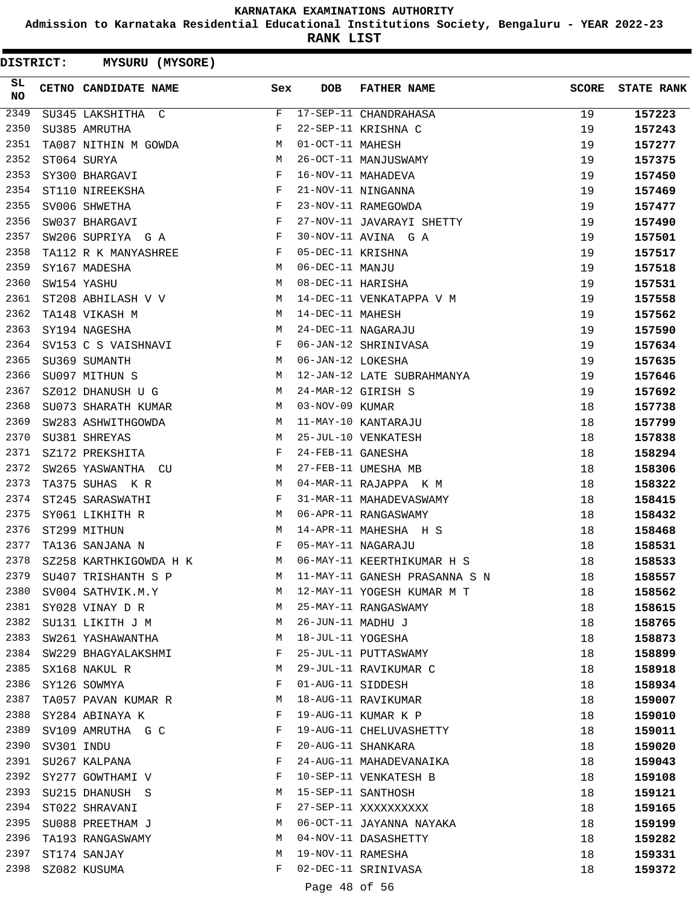**Admission to Karnataka Residential Educational Institutions Society, Bengaluru - YEAR 2022-23**

| DISTRICT:       |            | <b>MYSURU (MYSORE)</b>            |     |                   |                               |              |                   |
|-----------------|------------|-----------------------------------|-----|-------------------|-------------------------------|--------------|-------------------|
| SL<br><b>NO</b> |            | CETNO CANDIDATE NAME              | Sex | <b>DOB</b>        | <b>FATHER NAME</b>            | <b>SCORE</b> | <b>STATE RANK</b> |
| 2349            |            | SU345 LAKSHITHA C                 | F   |                   | 17-SEP-11 CHANDRAHASA         | 19           | 157223            |
| 2350            |            | SU385 AMRUTHA                     | F   |                   | 22-SEP-11 KRISHNA C           | 19           | 157243            |
| 2351            |            | TA087 NITHIN M GOWDA              | М   | 01-OCT-11 MAHESH  |                               | 19           | 157277            |
| 2352            |            | ST064 SURYA                       | М   |                   | 26-OCT-11 MANJUSWAMY          | 19           | 157375            |
| 2353            |            | SY300 BHARGAVI                    | F   |                   | 16-NOV-11 MAHADEVA            | 19           | 157450            |
| 2354            |            | ST110 NIREEKSHA                   | F   |                   | 21-NOV-11 NINGANNA            | 19           | 157469            |
| 2355            |            | SV006 SHWETHA                     | F   |                   | 23-NOV-11 RAMEGOWDA           | 19           | 157477            |
| 2356            |            | SW037 BHARGAVI                    | F   |                   | 27-NOV-11 JAVARAYI SHETTY     | 19           | 157490            |
| 2357            |            | SW206 SUPRIYA G A                 | F   |                   | 30-NOV-11 AVINA G A           | 19           | 157501            |
| 2358            |            | TA112 R K MANYASHREE              | F   | 05-DEC-11 KRISHNA |                               | 19           | 157517            |
| 2359            |            | SY167 MADESHA                     | M   | 06-DEC-11 MANJU   |                               | 19           | 157518            |
| 2360            |            | SW154 YASHU                       | М   | 08-DEC-11 HARISHA |                               | 19           | 157531            |
| 2361            |            | ST208 ABHILASH V V                | М   |                   | 14-DEC-11 VENKATAPPA V M      | 19           | 157558            |
| 2362            |            | TA148 VIKASH M                    | М   | 14-DEC-11 MAHESH  |                               | 19           | 157562            |
| 2363            |            | SY194 NAGESHA                     | M   |                   | 24-DEC-11 NAGARAJU            | 19           | 157590            |
| 2364            |            | SV153 C S VAISHNAVI               | F   |                   | 06-JAN-12 SHRINIVASA          | 19           | 157634            |
| 2365            |            | SU369 SUMANTH                     | М   | 06-JAN-12 LOKESHA |                               | 19           | 157635            |
| 2366            |            | SU097 MITHUN S                    | М   |                   | 12-JAN-12 LATE SUBRAHMANYA    | 19           | 157646            |
| 2367            |            | SZ012 DHANUSH U G                 | M   |                   | 24-MAR-12 GIRISH S            | 19           | 157692            |
| 2368            |            | SU073 SHARATH KUMAR               | М   | 03-NOV-09 KUMAR   |                               | 18           | 157738            |
| 2369            |            | SW283 ASHWITHGOWDA                | М   |                   | 11-MAY-10 KANTARAJU           | 18           | 157799            |
| 2370            |            | SU381 SHREYAS                     | M   |                   | 25-JUL-10 VENKATESH           | 18           | 157838            |
| 2371            |            | SZ172 PREKSHITA                   | F   | 24-FEB-11 GANESHA |                               | 18           | 158294            |
| 2372            |            | SW265 YASWANTHA CU                | М   |                   | 27-FEB-11 UMESHA MB           | 18           | 158306            |
| 2373            |            | TA375 SUHAS K R                   | М   |                   | 04-MAR-11 RAJAPPA K M         | 18           | 158322            |
| 2374            |            | ST245 SARASWATHI                  | F   |                   | 31-MAR-11 MAHADEVASWAMY       | 18           | 158415            |
| 2375            |            | SY061 LIKHITH R                   | M   |                   | 06-APR-11 RANGASWAMY          | 18           | 158432            |
| 2376            |            | ST299 MITHUN                      | М   |                   | 14-APR-11 MAHESHA H S         | 18           | 158468            |
| 2377            |            | TA136 SANJANA N                   | F   |                   | 05-MAY-11 NAGARAJU            | 18           | 158531            |
| 2378            |            | SZ258 KARTHKIGOWDA H K            | M   |                   | 06-MAY-11 KEERTHIKUMAR H S    | 18           | 158533            |
| 2379            |            | SU407 TRISHANTH S P               | M   |                   | 11-MAY-11 GANESH PRASANNA S N | 18           | 158557            |
| 2380            |            | SV004 SATHVIK.M.Y                 | M   |                   | 12-MAY-11 YOGESH KUMAR M T    | 18           | 158562            |
| 2381            |            | SY028 VINAY D R                   | M   |                   | 25-MAY-11 RANGASWAMY          | 18           | 158615            |
| 2382            |            | SU131 LIKITH J M                  | M   | 26-JUN-11 MADHU J |                               | 18           | 158765            |
| 2383            |            | SW261 YASHAWANTHA                 | М   | 18-JUL-11 YOGESHA |                               | 18           | 158873            |
| 2384            |            | SW229 BHAGYALAKSHMI               | F   |                   | 25-JUL-11 PUTTASWAMY          | 18           | 158899            |
| 2385            |            | SX168 NAKUL R                     | М   |                   | 29-JUL-11 RAVIKUMAR C         | 18           | 158918            |
| 2386            |            | SY126 SOWMYA                      | F   | 01-AUG-11 SIDDESH |                               | 18           | 158934            |
| 2387            |            | TA057 PAVAN KUMAR R               | М   |                   | 18-AUG-11 RAVIKUMAR           | 18           | 159007            |
| 2388            |            | SY284 ABINAYA K                   | F   |                   | 19-AUG-11 KUMAR K P           | 18           | 159010            |
| 2389            |            | SV109 AMRUTHA G C                 | F   |                   | 19-AUG-11 CHELUVASHETTY       | 18           | 159011            |
| 2390            | SV301 INDU |                                   | F   |                   | 20-AUG-11 SHANKARA            | 18           | 159020            |
| 2391            |            |                                   | F   |                   | 24-AUG-11 MAHADEVANAIKA       | 18           |                   |
| 2392            |            | SU267 KALPANA<br>SY277 GOWTHAMI V | F   |                   | 10-SEP-11 VENKATESH B         | 18           | 159043            |
| 2393            |            |                                   | М   |                   | 15-SEP-11 SANTHOSH            |              | 159108            |
|                 |            | SU215 DHANUSH S                   | F   |                   |                               | 18           | 159121            |
| 2394<br>2395    |            | ST022 SHRAVANI                    |     |                   | 27-SEP-11 XXXXXXXXXX          | 18           | 159165            |
|                 |            | SU088 PREETHAM J                  | М   |                   | 06-OCT-11 JAYANNA NAYAKA      | 18           | 159199            |
| 2396            |            | TA193 RANGASWAMY                  | М   |                   | 04-NOV-11 DASASHETTY          | 18           | 159282            |
| 2397            |            | ST174 SANJAY                      | М   | 19-NOV-11 RAMESHA |                               | 18           | 159331            |
| 2398            |            | SZ082 KUSUMA                      | F   |                   | 02-DEC-11 SRINIVASA           | 18           | 159372            |
|                 |            |                                   |     | Page 48 of 56     |                               |              |                   |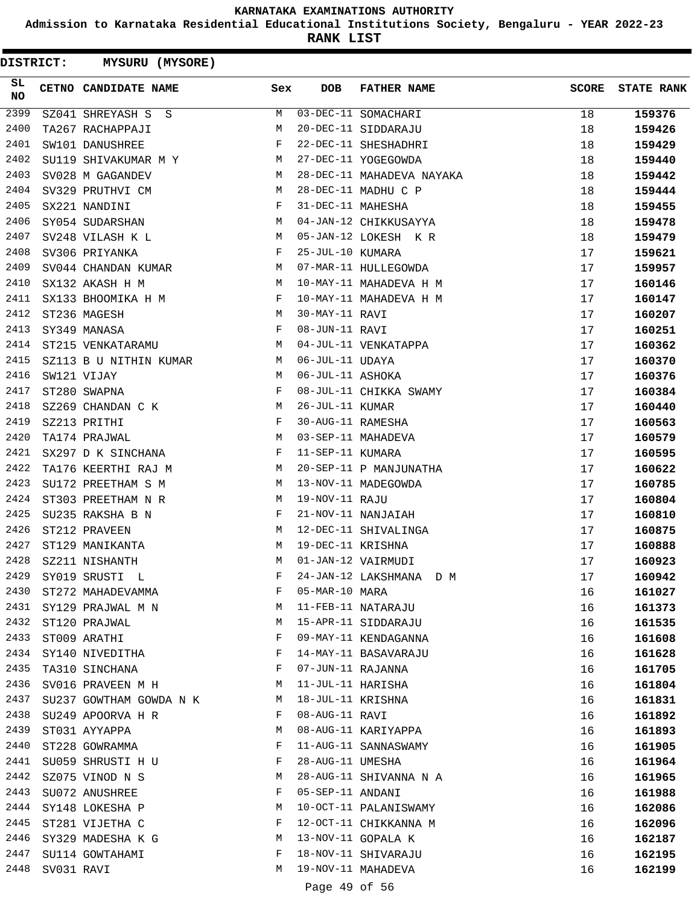**Admission to Karnataka Residential Educational Institutions Society, Bengaluru - YEAR 2022-23**

| DISTRICT: |            | <b>MYSURU (MYSORE)</b>  |     |                   |                           |              |                   |
|-----------|------------|-------------------------|-----|-------------------|---------------------------|--------------|-------------------|
| SL<br>NO  |            | CETNO CANDIDATE NAME    | Sex | <b>DOB</b>        | <b>FATHER NAME</b>        | <b>SCORE</b> | <b>STATE RANK</b> |
| 2399      |            | SZ041 SHREYASH S S      | М   |                   | 03-DEC-11 SOMACHARI       | 18           | 159376            |
| 2400      |            | TA267 RACHAPPAJI        | М   |                   | 20-DEC-11 SIDDARAJU       | 18           | 159426            |
| 2401      |            | SW101 DANUSHREE         | F   |                   | 22-DEC-11 SHESHADHRI      | 18           | 159429            |
| 2402      |            | SU119 SHIVAKUMAR M Y    | M   |                   | 27-DEC-11 YOGEGOWDA       | 18           | 159440            |
| 2403      |            | SV028 M GAGANDEV        | М   |                   | 28-DEC-11 MAHADEVA NAYAKA | 18           | 159442            |
| 2404      |            | SV329 PRUTHVI CM        | М   |                   | 28-DEC-11 MADHU C P       | 18           | 159444            |
| 2405      |            | SX221 NANDINI           | F   | 31-DEC-11 MAHESHA |                           | 18           | 159455            |
| 2406      |            | SY054 SUDARSHAN         | М   |                   | 04-JAN-12 CHIKKUSAYYA     | 18           | 159478            |
| 2407      |            | SV248 VILASH K L        | М   |                   | 05-JAN-12 LOKESH K R      | 18           | 159479            |
| 2408      |            | SV306 PRIYANKA          | F   | 25-JUL-10 KUMARA  |                           | 17           | 159621            |
| 2409      |            | SV044 CHANDAN KUMAR     | М   |                   | 07-MAR-11 HULLEGOWDA      | 17           | 159957            |
| 2410      |            | SX132 AKASH H M         | М   |                   | 10-MAY-11 MAHADEVA H M    | 17           | 160146            |
| 2411      |            | SX133 BHOOMIKA H M      | F   |                   | 10-MAY-11 MAHADEVA H M    | 17           | 160147            |
| 2412      |            | ST236 MAGESH            | М   | 30-MAY-11 RAVI    |                           | 17           | 160207            |
| 2413      |            | SY349 MANASA            | F   | 08-JUN-11 RAVI    |                           | 17           | 160251            |
| 2414      |            | ST215 VENKATARAMU       | М   |                   | 04-JUL-11 VENKATAPPA      | 17           | 160362            |
| 2415      |            | SZ113 B U NITHIN KUMAR  | М   | 06-JUL-11 UDAYA   |                           | 17           | 160370            |
| 2416      |            | SW121 VIJAY             | М   | 06-JUL-11 ASHOKA  |                           | 17           | 160376            |
| 2417      |            | ST280 SWAPNA            | F   |                   | 08-JUL-11 CHIKKA SWAMY    | 17           | 160384            |
| 2418      |            | SZ269 CHANDAN C K       | М   | 26-JUL-11 KUMAR   |                           | 17           | 160440            |
| 2419      |            | SZ213 PRITHI            | F   | 30-AUG-11 RAMESHA |                           | 17           | 160563            |
| 2420      |            | TA174 PRAJWAL           | М   |                   | 03-SEP-11 MAHADEVA        | 17           | 160579            |
| 2421      |            | SX297 D K SINCHANA      | F   | 11-SEP-11 KUMARA  |                           | 17           | 160595            |
| 2422      |            | TA176 KEERTHI RAJ M     | М   |                   | 20-SEP-11 P MANJUNATHA    | 17           | 160622            |
| 2423      |            | SU172 PREETHAM S M      | М   |                   | 13-NOV-11 MADEGOWDA       | 17           | 160785            |
| 2424      |            | ST303 PREETHAM N R      | М   | 19-NOV-11 RAJU    |                           | 17           | 160804            |
| 2425      |            | SU235 RAKSHA B N        | F   |                   | 21-NOV-11 NANJAIAH        | 17           | 160810            |
| 2426      |            | ST212 PRAVEEN           | М   |                   | 12-DEC-11 SHIVALINGA      | 17           | 160875            |
| 2427      |            | ST129 MANIKANTA         | М   | 19-DEC-11 KRISHNA |                           | 17           | 160888            |
| 2428      |            | SZ211 NISHANTH          | М   |                   | 01-JAN-12 VAIRMUDI        | 17           | 160923            |
| 2429      |            | SY019 SRUSTI L          | F   |                   | 24-JAN-12 LAKSHMANA D M   | 17           | 160942            |
| 2430      |            | ST272 MAHADEVAMMA       | F   | 05-MAR-10 MARA    |                           | 16           | 161027            |
| 2431      |            | SY129 PRAJWAL M N       | M   |                   | 11-FEB-11 NATARAJU        | 16           | 161373            |
| 2432      |            | ST120 PRAJWAL           | M   |                   | 15-APR-11 SIDDARAJU       | 16           | 161535            |
| 2433      |            | ST009 ARATHI            | F   |                   | 09-MAY-11 KENDAGANNA      | 16           | 161608            |
| 2434      |            | SY140 NIVEDITHA         | F   |                   | 14-MAY-11 BASAVARAJU      | 16           | 161628            |
| 2435      |            | TA310 SINCHANA          | F   | 07-JUN-11 RAJANNA |                           | 16           | 161705            |
| 2436      |            | SV016 PRAVEEN M H       | М   |                   | 11-JUL-11 HARISHA         | 16           | 161804            |
| 2437      |            | SU237 GOWTHAM GOWDA N K | M   | 18-JUL-11 KRISHNA |                           | 16           | 161831            |
| 2438      |            | SU249 APOORVA H R       | F   | 08-AUG-11 RAVI    |                           | 16           | 161892            |
| 2439      |            | ST031 AYYAPPA           | М   |                   | 08-AUG-11 KARIYAPPA       | 16           | 161893            |
| 2440      |            | ST228 GOWRAMMA          | F   |                   | 11-AUG-11 SANNASWAMY      | 16           | 161905            |
| 2441      |            | SU059 SHRUSTI H U       | F   | 28-AUG-11 UMESHA  |                           | 16           | 161964            |
| 2442      |            | SZ075 VINOD N S         | М   |                   | 28-AUG-11 SHIVANNA N A    | 16           | 161965            |
| 2443      |            | SU072 ANUSHREE          | F   | 05-SEP-11 ANDANI  |                           | 16           | 161988            |
| 2444      |            | SY148 LOKESHA P         | М   |                   | 10-OCT-11 PALANISWAMY     | 16           | 162086            |
| 2445      |            | ST281 VIJETHA C         | F   |                   | 12-OCT-11 CHIKKANNA M     | 16           | 162096            |
| 2446      |            | SY329 MADESHA K G       | М   |                   | 13-NOV-11 GOPALA K        | 16           | 162187            |
| 2447      |            | SU114 GOWTAHAMI         | F   |                   | 18-NOV-11 SHIVARAJU       | 16           | 162195            |
| 2448      | SV031 RAVI |                         | M   |                   | 19-NOV-11 MAHADEVA        | 16           | 162199            |
|           |            |                         |     | Page 49 of 56     |                           |              |                   |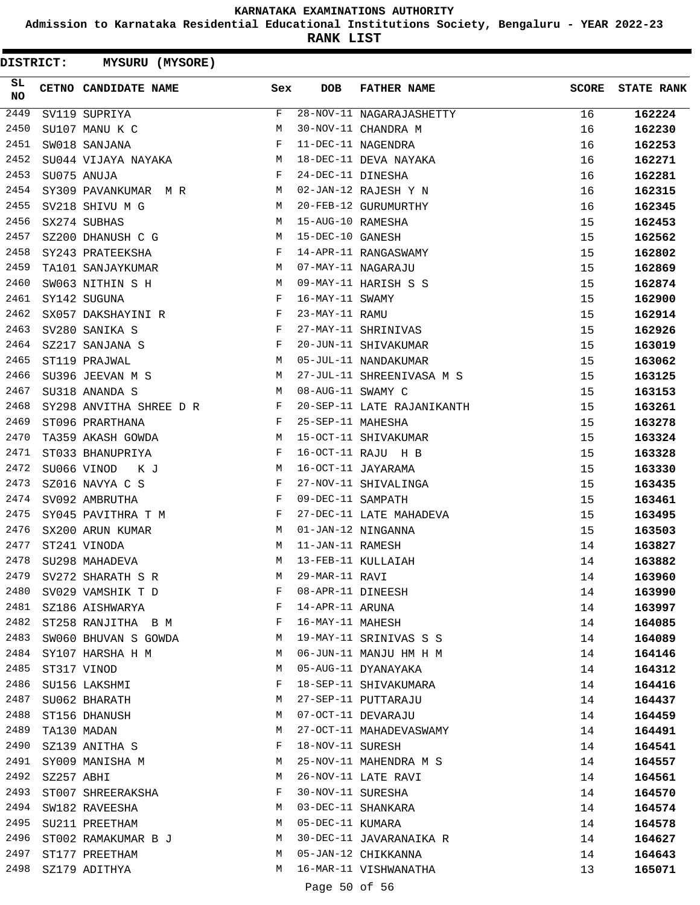**Admission to Karnataka Residential Educational Institutions Society, Bengaluru - YEAR 2022-23**

**RANK LIST**

| SL<br><b>NO</b> |            | CETNO CANDIDATE NAME Sex                                                                                                                         |              | <b>DOB</b>        | FATHER NAME                                                                                                                                 | <b>SCORE</b> | <b>STATE RANK</b> |
|-----------------|------------|--------------------------------------------------------------------------------------------------------------------------------------------------|--------------|-------------------|---------------------------------------------------------------------------------------------------------------------------------------------|--------------|-------------------|
| 2449            |            | SV119 SUPRIYA                                                                                                                                    | F            |                   | 28-NOV-11 NAGARAJASHETTY<br>30-NOV-11 CHANDRA M<br>11-DEC-11 NAGENDRA<br>18-DEC-11 DEVA NAYAKA<br>24-DEC-11 DINESHA<br>02-JAN-12 RAJESH Y N | 16           | 162224            |
| 2450            |            | SU107 MANU K C                                                                                                                                   | М            |                   |                                                                                                                                             | 16           | 162230            |
| 2451            |            | SW018 SANJANA                                                                                                                                    | F            |                   |                                                                                                                                             | 16           | 162253            |
| 2452            |            | $\begin{array}{lll} \texttt{SU044} & \texttt{VIJAYA} & \texttt{NAYAKA} & \texttt{M} \\ \texttt{SU075} & \texttt{ANUJA} & \texttt{F} \end{array}$ |              |                   |                                                                                                                                             | 16           | 162271            |
| 2453            |            |                                                                                                                                                  |              |                   |                                                                                                                                             | 16           | 162281            |
| 2454            |            | SY309 PAVANKUMAR M R M                                                                                                                           |              |                   |                                                                                                                                             | 16           | 162315            |
| 2455            |            | $M_{\odot}$<br>SV218 SHIVU M G                                                                                                                   |              |                   | 20-FEB-12 GURUMURTHY                                                                                                                        | 16           | 162345            |
| 2456            |            | SX274 SUBHAS M<br>SZ200 DHANUSH C G M                                                                                                            |              | 15-AUG-10 RAMESHA |                                                                                                                                             | 15           | 162453            |
| 2457            |            |                                                                                                                                                  |              | 15-DEC-10 GANESH  |                                                                                                                                             | 15           | 162562            |
| 2458            |            | SY243 PRATEEKSHA                                                                                                                                 | F            |                   | 14-APR-11 RANGASWAMY                                                                                                                        | 15           | 162802            |
| 2459            |            | TA101 SANJAYKUMAR                                                                                                                                | M            |                   | 07-MAY-11 NAGARAJU                                                                                                                          | 15           | 162869            |
| 2460            |            | SW063 NITHIN S H                                                                                                                                 | M            |                   | 09-MAY-11 HARISH S S                                                                                                                        | 15           | 162874            |
| 2461            |            | SY142 SUGUNA                                                                                                                                     | $_{\rm F}$   | 16-MAY-11 SWAMY   |                                                                                                                                             | 15           | 162900            |
| 2462            |            | SX057 DAKSHAYINI R F                                                                                                                             |              | 23-MAY-11 RAMU    |                                                                                                                                             | 15           | 162914            |
| 2463            |            | $\mathbf{F}$ . The set of $\mathbf{F}$<br>SV280 SANIKA S                                                                                         |              |                   | 27-MAY-11 SHRINIVAS                                                                                                                         | 15           | 162926            |
| 2464            |            | $\mathbf{F}$<br>SZ217 SANJANA S                                                                                                                  |              |                   | 20-JUN-11 SHIVAKUMAR                                                                                                                        | 15           | 163019            |
| 2465            |            | M<br>ST119 PRAJWAL                                                                                                                               |              |                   | 05-JUL-11 NANDAKUMAR                                                                                                                        | 15           | 163062            |
| 2466            |            | <b>M</b><br>SU396 JEEVAN M S                                                                                                                     |              |                   | 27-JUL-11 SHREENIVASA M S                                                                                                                   | 15           | 163125            |
| 2467            |            | $\mathbf M$<br>SU318 ANANDA S                                                                                                                    |              | 08-AUG-11 SWAMY C |                                                                                                                                             | 15           | 163153            |
| 2468            |            | SY298 ANVITHA SHREE D R $$\rm F$$                                                                                                                |              |                   | 20-SEP-11 LATE RAJANIKANTH                                                                                                                  | 15           | 163261            |
| 2469            |            | $\mathbb{F}^{\mathbb{Z}}$<br>ST096 PRARTHANA                                                                                                     |              | 25-SEP-11 MAHESHA |                                                                                                                                             | 15           | 163278            |
| 2470            |            | M <sub>1</sub><br>TA359 AKASH GOWDA                                                                                                              |              |                   | 15-OCT-11 SHIVAKUMAR                                                                                                                        | 15           | 163324            |
| 2471            |            | $\mathbf{F}$ and the state of the state $\mathbf{F}$<br>ST033 BHANUPRIYA                                                                         |              |                   | 16-OCT-11 RAJU H B                                                                                                                          | 15           | 163328            |
| 2472            |            | M<br>SU066 VINOD KJ                                                                                                                              |              |                   | 16-OCT-11 JAYARAMA                                                                                                                          | 15           | 163330            |
| 2473            |            | SZ016 NAVYA C S                                                                                                                                  | $\mathbf{F}$ |                   | 27-NOV-11 SHIVALINGA                                                                                                                        | 15           | 163435            |
| 2474            |            | SV092 AMBRUTHA<br>$\mathbf{F}$ and $\mathbf{F}$ and $\mathbf{F}$                                                                                 |              | 09-DEC-11 SAMPATH |                                                                                                                                             | 15           | 163461            |
| 2475            |            | SY045 PAVITHRA T M F                                                                                                                             |              |                   | 27-DEC-11 LATE MAHADEVA                                                                                                                     | 15           | 163495            |
| 2476            |            | SX200 ARUN KUMAR                                                                                                                                 | M            |                   | 01-JAN-12 NINGANNA                                                                                                                          | 15           | 163503            |
| 2477            |            | ST241 VINODA                                                                                                                                     | M            | 11-JAN-11 RAMESH  |                                                                                                                                             | 14           | 163827            |
| 2478            |            | SU298 MAHADEVA                                                                                                                                   | М            |                   | 13-FEB-11 KULLAIAH                                                                                                                          | 14           | 163882            |
| 2479            |            | SV272 SHARATH S R                                                                                                                                | M            | 29-MAR-11 RAVI    |                                                                                                                                             | 14           |                   |
| 2480            |            |                                                                                                                                                  |              | 08-APR-11 DINEESH |                                                                                                                                             |              | 163960<br>163990  |
| 2481            |            | SV029 VAMSHIK T D                                                                                                                                | F<br>F       |                   |                                                                                                                                             | 14           |                   |
|                 |            | SZ186 AISHWARYA                                                                                                                                  |              | 14-APR-11 ARUNA   |                                                                                                                                             | 14           | 163997            |
| 2482            |            | ST258 RANJITHA B M                                                                                                                               | F            | 16-MAY-11 MAHESH  |                                                                                                                                             | 14           | 164085            |
| 2483            |            | SW060 BHUVAN S GOWDA                                                                                                                             | M            |                   | 19-MAY-11 SRINIVAS S S                                                                                                                      | 14           | 164089            |
|                 |            | 2484 SY107 HARSHA H M                                                                                                                            | М            |                   | 06-JUN-11 MANJU HM H M                                                                                                                      | 14           | 164146            |
| 2485            |            | ST317 VINOD                                                                                                                                      | М            |                   | 05-AUG-11 DYANAYAKA                                                                                                                         | 14           | 164312            |
| 2486            |            | SU156 LAKSHMI                                                                                                                                    | F            |                   | 18-SEP-11 SHIVAKUMARA                                                                                                                       | 14           | 164416            |
| 2487            |            | SU062 BHARATH                                                                                                                                    | М            |                   | 27-SEP-11 PUTTARAJU                                                                                                                         | 14           | 164437            |
| 2488            |            | ST156 DHANUSH                                                                                                                                    | М            |                   | 07-OCT-11 DEVARAJU                                                                                                                          | 14           | 164459            |
| 2489            |            | TA130 MADAN                                                                                                                                      | М            |                   | 27-OCT-11 MAHADEVASWAMY                                                                                                                     | 14           | 164491            |
| 2490            |            | SZ139 ANITHA S                                                                                                                                   | F            | 18-NOV-11 SURESH  |                                                                                                                                             | 14           | 164541            |
| 2491            |            | SY009 MANISHA M                                                                                                                                  | M            |                   | 25-NOV-11 MAHENDRA M S                                                                                                                      | 14           | 164557            |
| 2492            | SZ257 ABHI |                                                                                                                                                  | М            |                   | 26-NOV-11 LATE RAVI                                                                                                                         | 14           | 164561            |
| 2493            |            | ST007 SHREERAKSHA                                                                                                                                | F            | 30-NOV-11 SURESHA |                                                                                                                                             | 14           | 164570            |
| 2494            |            | SW182 RAVEESHA                                                                                                                                   | М            |                   | 03-DEC-11 SHANKARA                                                                                                                          | 14           | 164574            |
| 2495            |            | SU211 PREETHAM                                                                                                                                   | M            | 05-DEC-11 KUMARA  |                                                                                                                                             | 14           | 164578            |
| 2496            |            | ST002 RAMAKUMAR B J                                                                                                                              | М            |                   | 30-DEC-11 JAVARANAIKA R                                                                                                                     | 14           | 164627            |
| 2497            |            | ST177 PREETHAM                                                                                                                                   | M            |                   | 05-JAN-12 CHIKKANNA                                                                                                                         | 14           | 164643            |
| 2498            |            | SZ179 ADITHYA                                                                                                                                    | М            |                   | 16-MAR-11 VISHWANATHA                                                                                                                       | 13           | 165071            |
|                 |            |                                                                                                                                                  |              | Page 50 of 56     |                                                                                                                                             |              |                   |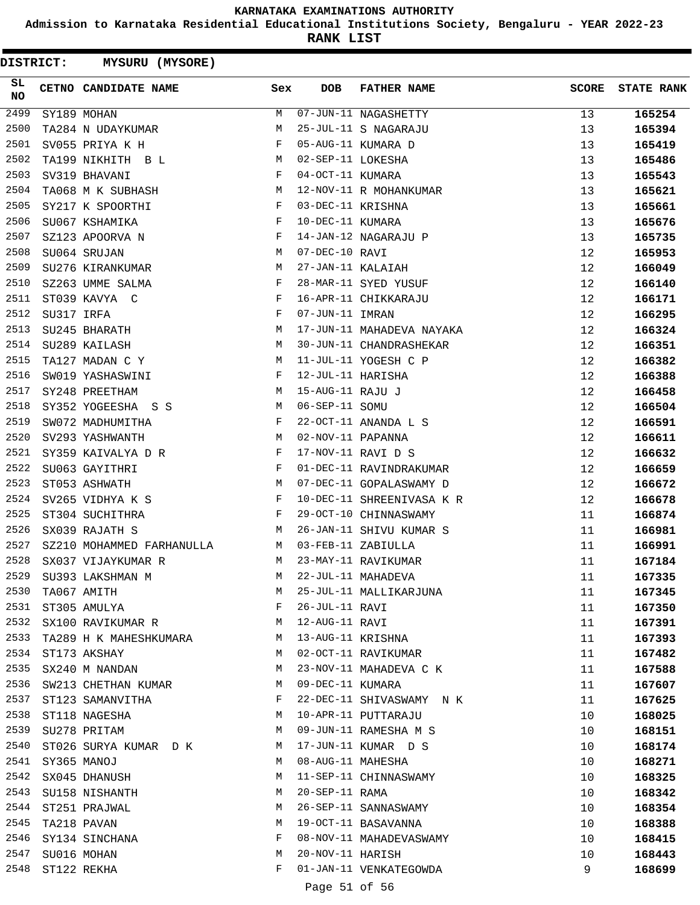**Admission to Karnataka Residential Educational Institutions Society, Bengaluru - YEAR 2022-23**

| <b>DISTRICT:</b> |            | MYSURU (MYSORE)           |              |                   |                           |              |                   |
|------------------|------------|---------------------------|--------------|-------------------|---------------------------|--------------|-------------------|
| SL<br>NO         |            | CETNO CANDIDATE NAME      | Sex          | <b>DOB</b>        | <b>FATHER NAME</b>        | <b>SCORE</b> | <b>STATE RANK</b> |
| 2499             |            | SY189 MOHAN               | М            |                   | 07-JUN-11 NAGASHETTY      | 13           | 165254            |
| 2500             |            | TA284 N UDAYKUMAR         | М            |                   | 25-JUL-11 S NAGARAJU      | 13           | 165394            |
| 2501             |            | SV055 PRIYA K H           | F            |                   | 05-AUG-11 KUMARA D        | 13           | 165419            |
| 2502             |            | TA199 NIKHITH B L         | M            | 02-SEP-11 LOKESHA |                           | 13           | 165486            |
| 2503             |            | SV319 BHAVANI             | F            | 04-OCT-11 KUMARA  |                           | 13           | 165543            |
| 2504             |            | TA068 M K SUBHASH         | М            |                   | 12-NOV-11 R MOHANKUMAR    | 13           | 165621            |
| 2505             |            | SY217 K SPOORTHI          | F            | 03-DEC-11 KRISHNA |                           | 13           | 165661            |
| 2506             |            | SU067 KSHAMIKA            | F            | 10-DEC-11 KUMARA  |                           | 13           | 165676            |
| 2507             |            | SZ123 APOORVA N           | F            |                   | 14-JAN-12 NAGARAJU P      | 13           | 165735            |
| 2508             |            | SU064 SRUJAN              | М            | 07-DEC-10 RAVI    |                           | 12           | 165953            |
| 2509             |            | SU276 KIRANKUMAR          | М            | 27-JAN-11 KALAIAH |                           | 12           | 166049            |
| 2510             |            | SZ263 UMME SALMA          | F            |                   | 28-MAR-11 SYED YUSUF      | 12           | 166140            |
| 2511             |            | ST039 KAVYA C             | F            |                   | 16-APR-11 CHIKKARAJU      | 12           | 166171            |
| 2512             | SU317 IRFA |                           | F            | 07-JUN-11 IMRAN   |                           | 12           | 166295            |
| 2513             |            | SU245 BHARATH             | М            |                   | 17-JUN-11 MAHADEVA NAYAKA | 12           | 166324            |
| 2514             |            | SU289 KAILASH             | М            |                   | 30-JUN-11 CHANDRASHEKAR   | 12           | 166351            |
| 2515             |            | TA127 MADAN C Y           | М            |                   | 11-JUL-11 YOGESH C P      | 12           | 166382            |
| 2516             |            | SW019 YASHASWINI          | F            | 12-JUL-11 HARISHA |                           | 12           | 166388            |
| 2517             |            | SY248 PREETHAM            | М            | 15-AUG-11 RAJU J  |                           | 12           | 166458            |
| 2518             |            | SY352 YOGEESHA S S        | М            | 06-SEP-11 SOMU    |                           | 12           | 166504            |
| 2519             |            | SW072 MADHUMITHA          | F            |                   | 22-OCT-11 ANANDA L S      | 12           | 166591            |
| 2520             |            | SV293 YASHWANTH           | М            | 02-NOV-11 PAPANNA |                           | 12           | 166611            |
| 2521             |            | SY359 KAIVALYA D R        | F            |                   | 17-NOV-11 RAVI D S        | 12           | 166632            |
| 2522             |            | SU063 GAYITHRI            | F            |                   | 01-DEC-11 RAVINDRAKUMAR   | 12           | 166659            |
| 2523             |            | ST053 ASHWATH             | М            |                   | 07-DEC-11 GOPALASWAMY D   | 12           | 166672            |
| 2524             |            | SV265 VIDHYA K S          | F            |                   | 10-DEC-11 SHREENIVASA K R | 12           | 166678            |
| 2525             |            | ST304 SUCHITHRA           | $\mathbf{F}$ |                   | 29-OCT-10 CHINNASWAMY     | 11           | 166874            |
| 2526             |            | SX039 RAJATH S            | M            |                   | 26-JAN-11 SHIVU KUMAR S   | 11           | 166981            |
| 2527             |            | SZ210 MOHAMMED FARHANULLA | M            |                   | 03-FEB-11 ZABIULLA        | 11           | 166991            |
| 2528             |            | SX037 VIJAYKUMAR R        | М            |                   | 23-MAY-11 RAVIKUMAR       | 11           | 167184            |
| 2529             |            | SU393 LAKSHMAN M          | М            |                   | 22-JUL-11 MAHADEVA        | 11           | 167335            |
| 2530             |            | TA067 AMITH               | M            |                   | 25-JUL-11 MALLIKARJUNA    | 11           | 167345            |
| 2531             |            | ST305 AMULYA              | F            | 26-JUL-11 RAVI    |                           | 11           | 167350            |
| 2532             |            | SX100 RAVIKUMAR R         | M            | 12-AUG-11 RAVI    |                           | 11           | 167391            |
| 2533             |            | TA289 H K MAHESHKUMARA    | M            | 13-AUG-11 KRISHNA |                           | 11           | 167393            |
| 2534             |            | ST173 AKSHAY              | M            |                   | 02-OCT-11 RAVIKUMAR       | 11           | 167482            |
| 2535             |            | SX240 M NANDAN            | М            |                   | 23-NOV-11 MAHADEVA C K    | 11           | 167588            |
| 2536             |            | SW213 CHETHAN KUMAR       | M            | 09-DEC-11 KUMARA  |                           | 11           | 167607            |
| 2537             |            | ST123 SAMANVITHA          | F            |                   | 22-DEC-11 SHIVASWAMY N K  | 11           | 167625            |
| 2538             |            | ST118 NAGESHA             | М            |                   | 10-APR-11 PUTTARAJU       | 10           | 168025            |
| 2539             |            | SU278 PRITAM              | М            |                   | 09-JUN-11 RAMESHA M S     | 10           | 168151            |
| 2540             |            | ST026 SURYA KUMAR D K     | M            |                   | 17-JUN-11 KUMAR D S       | 10           | 168174            |
| 2541             |            | SY365 MANOJ               | М            | 08-AUG-11 MAHESHA |                           | 10           | 168271            |
| 2542             |            | SX045 DHANUSH             | М            |                   | 11-SEP-11 CHINNASWAMY     | 10           | 168325            |
| 2543             |            | SU158 NISHANTH            | М            | 20-SEP-11 RAMA    |                           | 10           | 168342            |
| 2544             |            | ST251 PRAJWAL             | М            |                   | 26-SEP-11 SANNASWAMY      | 10           | 168354            |
| 2545             |            | TA218 PAVAN               | М            |                   | 19-OCT-11 BASAVANNA       | 10           | 168388            |
| 2546             |            | SY134 SINCHANA            | F            |                   | 08-NOV-11 MAHADEVASWAMY   | 10           | 168415            |
| 2547             |            | SU016 MOHAN               | М            | 20-NOV-11 HARISH  |                           | 10           | 168443            |
| 2548             |            | ST122 REKHA               | F            |                   | 01-JAN-11 VENKATEGOWDA    | 9            | 168699            |
|                  |            |                           |              | Page 51 of 56     |                           |              |                   |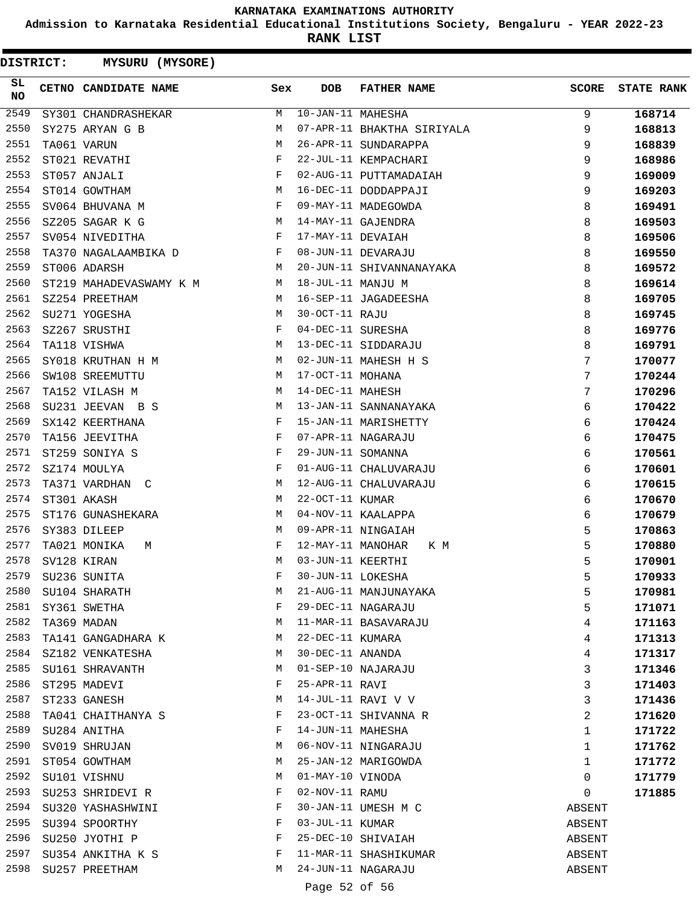**Admission to Karnataka Residential Educational Institutions Society, Bengaluru - YEAR 2022-23**

| <b>DISTRICT:</b> | <b>MYSURU (MYSORE)</b>  |     |                   |                            |              |                   |
|------------------|-------------------------|-----|-------------------|----------------------------|--------------|-------------------|
| SL<br>NO         | CETNO CANDIDATE NAME    | Sex | <b>DOB</b>        | <b>FATHER NAME</b>         | <b>SCORE</b> | <b>STATE RANK</b> |
| 2549             | SY301 CHANDRASHEKAR     | М   | 10-JAN-11 MAHESHA |                            | 9            | 168714            |
| 2550             | SY275 ARYAN G B         | М   |                   | 07-APR-11 BHAKTHA SIRIYALA | 9            | 168813            |
| 2551             | TA061 VARUN             | М   |                   | 26-APR-11 SUNDARAPPA       | 9            | 168839            |
| 2552             | ST021 REVATHI           | F   |                   | 22-JUL-11 KEMPACHARI       | 9            | 168986            |
| 2553             | ST057 ANJALI            | F   |                   | 02-AUG-11 PUTTAMADAIAH     | 9            | 169009            |
| 2554             | ST014 GOWTHAM           | М   |                   | 16-DEC-11 DODDAPPAJI       | 9            | 169203            |
| 2555             | SV064 BHUVANA M         | F   |                   | 09-MAY-11 MADEGOWDA        | 8            | 169491            |
| 2556             | SZ205 SAGAR K G         | М   |                   | 14-MAY-11 GAJENDRA         | 8            | 169503            |
| 2557             | SV054 NIVEDITHA         | F   | 17-MAY-11 DEVAIAH |                            | 8            | 169506            |
| 2558             | TA370 NAGALAAMBIKA D    | F   |                   | 08-JUN-11 DEVARAJU         | 8            | 169550            |
| 2559             | ST006 ADARSH            | М   |                   | 20-JUN-11 SHIVANNANAYAKA   | 8            | 169572            |
| 2560             | ST219 MAHADEVASWAMY K M | М   | 18-JUL-11 MANJU M |                            | 8            | 169614            |
| 2561             | SZ254 PREETHAM          | М   |                   | 16-SEP-11 JAGADEESHA       | 8            | 169705            |
| 2562             | SU271 YOGESHA           | М   | 30-OCT-11 RAJU    |                            | 8            | 169745            |
| 2563             | SZ267 SRUSTHI           | F   | 04-DEC-11 SURESHA |                            | 8            | 169776            |
| 2564             | TA118 VISHWA            | M   |                   | 13-DEC-11 SIDDARAJU        | 8            | 169791            |
| 2565             | SY018 KRUTHAN H M       | М   |                   | 02-JUN-11 MAHESH H S       | 7            | 170077            |
| 2566             | SW108 SREEMUTTU         | М   | 17-OCT-11 MOHANA  |                            | 7            | 170244            |
| 2567             | TA152 VILASH M          | М   | 14-DEC-11 MAHESH  |                            | 7            | 170296            |
| 2568             | SU231 JEEVAN B S        | М   |                   | 13-JAN-11 SANNANAYAKA      | 6            | 170422            |
| 2569             | SX142 KEERTHANA         | F   |                   | 15-JAN-11 MARISHETTY       | 6            | 170424            |
| 2570             | TA156 JEEVITHA          | F   |                   | 07-APR-11 NAGARAJU         | 6            | 170475            |
| 2571             | ST259 SONIYA S          | F   | 29-JUN-11 SOMANNA |                            | 6            | 170561            |
| 2572             | SZ174 MOULYA            | F   |                   | 01-AUG-11 CHALUVARAJU      | 6            | 170601            |
| 2573             | TA371 VARDHAN C         | М   |                   | 12-AUG-11 CHALUVARAJU      | 6            | 170615            |
| 2574             | ST301 AKASH             | М   | 22-OCT-11 KUMAR   |                            | 6            | 170670            |
| 2575             | ST176 GUNASHEKARA       | М   |                   | 04-NOV-11 KAALAPPA         | 6            | 170679            |
| 2576             | SY383 DILEEP            | М   |                   | 09-APR-11 NINGAIAH         | 5            | 170863            |
| 2577             | TA021 MONIKA<br>М       | F   | 12-MAY-11 MANOHAR | K M                        | 5            | 170880            |
| 2578             | SV128 KIRAN             | M   | 03-JUN-11 KEERTHI |                            | 5            | 170901            |
| 2579             | SU236 SUNITA            | F   | 30-JUN-11 LOKESHA |                            | 5            | 170933            |
| 2580             | SU104 SHARATH           | М   |                   | 21-AUG-11 MANJUNAYAKA      | 5            | 170981            |
| 2581             | SY361 SWETHA            | F   |                   | 29-DEC-11 NAGARAJU         | 5            | 171071            |
| 2582             | TA369 MADAN             | М   |                   | 11-MAR-11 BASAVARAJU       | 4            | 171163            |
| 2583             | TA141 GANGADHARA K      | М   | 22-DEC-11 KUMARA  |                            | 4            | 171313            |
| 2584             | SZ182 VENKATESHA        | М   | 30-DEC-11 ANANDA  |                            | 4            | 171317            |
| 2585             | SU161 SHRAVANTH         | М   |                   | 01-SEP-10 NAJARAJU         | 3            | 171346            |
| 2586             | ST295 MADEVI            | F   | 25-APR-11 RAVI    |                            | 3            | 171403            |
| 2587             | ST233 GANESH            | М   |                   | 14-JUL-11 RAVI V V         | 3            | 171436            |
| 2588             | TA041 CHAITHANYA S      | F   |                   | 23-OCT-11 SHIVANNA R       | 2            | 171620            |
| 2589             | SU284 ANITHA            | F   | 14-JUN-11 MAHESHA |                            | 1            | 171722            |
| 2590             | SV019 SHRUJAN           | М   |                   | 06-NOV-11 NINGARAJU        | 1            | 171762            |
| 2591             | ST054 GOWTHAM           | М   |                   | 25-JAN-12 MARIGOWDA        | 1            | 171772            |
| 2592             | SU101 VISHNU            | М   | 01-MAY-10 VINODA  |                            | 0            | 171779            |
| 2593             | SU253 SHRIDEVI R        | F   | 02-NOV-11 RAMU    |                            | 0            | 171885            |
| 2594             | SU320 YASHASHWINI       | F   |                   | 30-JAN-11 UMESH M C        | ABSENT       |                   |
| 2595             | SU394 SPOORTHY          | F   | 03-JUL-11 KUMAR   |                            | ABSENT       |                   |
| 2596             | SU250 JYOTHI P          | F   |                   | 25-DEC-10 SHIVAIAH         | ABSENT       |                   |
| 2597             | SU354 ANKITHA K S       | F   |                   | 11-MAR-11 SHASHIKUMAR      | ABSENT       |                   |
| 2598             | SU257 PREETHAM          | М   |                   | 24-JUN-11 NAGARAJU         | ABSENT       |                   |
|                  |                         |     | Page 52 of 56     |                            |              |                   |
|                  |                         |     |                   |                            |              |                   |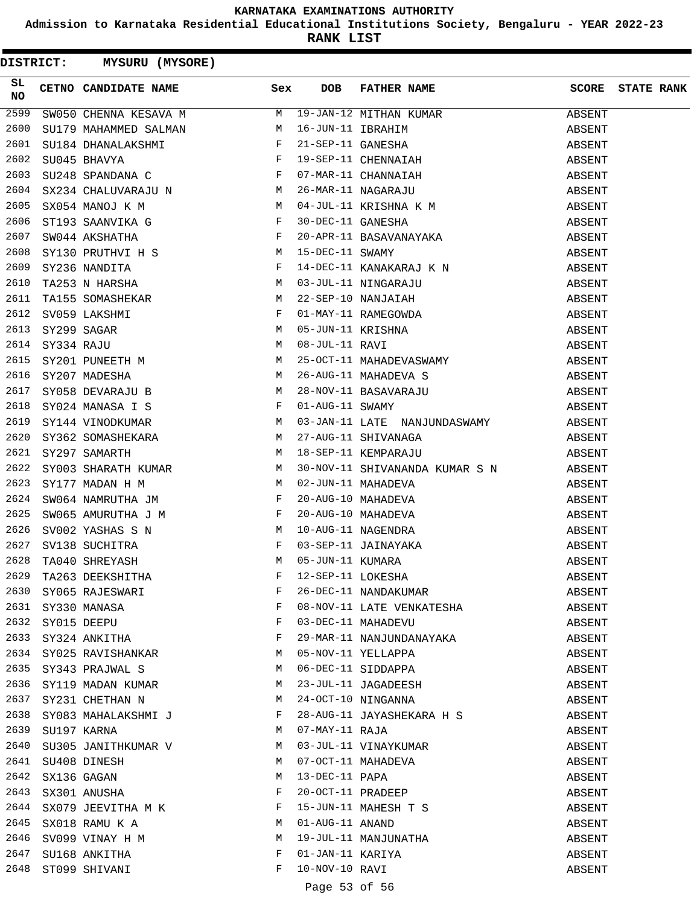**Admission to Karnataka Residential Educational Institutions Society, Bengaluru - YEAR 2022-23**

**RANK LIST**

|          | DISTRICT: MYSURU (MYSORE)                                                                                                                                                                                                      |              |                  |                                                                                                                                                                                                                                                                                                                                                                                                                     |        |                         |
|----------|--------------------------------------------------------------------------------------------------------------------------------------------------------------------------------------------------------------------------------|--------------|------------------|---------------------------------------------------------------------------------------------------------------------------------------------------------------------------------------------------------------------------------------------------------------------------------------------------------------------------------------------------------------------------------------------------------------------|--------|-------------------------|
| SL<br>NO | CETNO CANDIDATE NAME                                                                                                                                                                                                           | Sex          | <b>DOB</b>       | FATHER NAME                                                                                                                                                                                                                                                                                                                                                                                                         |        | <b>SCORE</b> STATE RANK |
| 2599     | SW050 CHENNA KESAVA M M                                                                                                                                                                                                        |              |                  | 19-JAN-12 MITHAN KUMAR<br>19-JAN-12 MITHAN KUMAR<br>16-JUN-11 IBRAHIM<br>21-SEP-11 GANESHA<br>19-SEP-11 CHENNAIAH<br>07-MAR-11 CHANNAIAH<br>26-MAR-11 NAGARAJU<br>04-JUL-11 KRISHNA K M<br>30-DEC-11 GANESHA<br>20-APR-11 BASAVANAYAKA                                                                                                                                                                              | ABSENT |                         |
| 2600     | M<br>SU179 MAHAMMED SALMAN                                                                                                                                                                                                     |              |                  |                                                                                                                                                                                                                                                                                                                                                                                                                     | ABSENT |                         |
| 2601     | SU184 DHANALAKSHMI F<br>SU045 BHAVYA F<br>SU248 SPANDANA C F                                                                                                                                                                   |              |                  |                                                                                                                                                                                                                                                                                                                                                                                                                     | ABSENT |                         |
| 2602     |                                                                                                                                                                                                                                |              |                  |                                                                                                                                                                                                                                                                                                                                                                                                                     | ABSENT |                         |
| 2603     |                                                                                                                                                                                                                                |              |                  |                                                                                                                                                                                                                                                                                                                                                                                                                     | ABSENT |                         |
| 2604     | SX234 CHALUVARAJU N M                                                                                                                                                                                                          |              |                  |                                                                                                                                                                                                                                                                                                                                                                                                                     | ABSENT |                         |
| 2605     |                                                                                                                                                                                                                                |              |                  |                                                                                                                                                                                                                                                                                                                                                                                                                     | ABSENT |                         |
| 2606     |                                                                                                                                                                                                                                |              |                  |                                                                                                                                                                                                                                                                                                                                                                                                                     | ABSENT |                         |
| 2607     | $\begin{array}{lllllll} \text{SX054} & \text{MANOJ} & \text{K} & \text{M} & & & \text{M} \\ \text{ST193} & \text{SAANVIKA} & \text{G} & & & \text{F} \\ \text{SW044} & \text{AKSHATHA} & & & \text{F} & & \end{array}$         |              |                  | 20-APR-11 BASAVANAYAKA                                                                                                                                                                                                                                                                                                                                                                                              | ABSENT |                         |
| 2608     | SWU44 AKSHATHA FREERING REFAIND NEW SYMBOLS NANDITA RASHAR MENARA MENARA MENARA MENARA MENARA MENARA MENARA MENARA MENARA MENARA MENARA MENARA MENARA MENARA MENARA MENARA MENARA MENARA MENARA MENARA MENARA MENARA MENARA ME |              |                  | 15-DEC-11 SWAMY<br>14-DEC-11 KANAKARAJ K N                                                                                                                                                                                                                                                                                                                                                                          | ABSENT |                         |
| 2609     |                                                                                                                                                                                                                                |              |                  |                                                                                                                                                                                                                                                                                                                                                                                                                     | ABSENT |                         |
| 2610     |                                                                                                                                                                                                                                |              |                  |                                                                                                                                                                                                                                                                                                                                                                                                                     | ABSENT |                         |
| 2611     |                                                                                                                                                                                                                                |              |                  |                                                                                                                                                                                                                                                                                                                                                                                                                     | ABSENT |                         |
| 2612     |                                                                                                                                                                                                                                |              |                  |                                                                                                                                                                                                                                                                                                                                                                                                                     | ABSENT |                         |
| 2613     |                                                                                                                                                                                                                                |              |                  |                                                                                                                                                                                                                                                                                                                                                                                                                     | ABSENT |                         |
| 2614     |                                                                                                                                                                                                                                |              |                  | 03-JUL-11 NINGARAJU<br>22-SEP-10 NANJAIAH<br>01-MAY-11 RAMEGOWDA<br>05-JUN-11 KRISHNA<br>08-JUL-11 RAVI<br>25-OCT-11 MAHAREYASHAY                                                                                                                                                                                                                                                                                   | ABSENT |                         |
| 2615     |                                                                                                                                                                                                                                |              |                  |                                                                                                                                                                                                                                                                                                                                                                                                                     | ABSENT |                         |
| 2616     |                                                                                                                                                                                                                                |              |                  |                                                                                                                                                                                                                                                                                                                                                                                                                     | ABSENT |                         |
| 2617     |                                                                                                                                                                                                                                |              |                  | 25-OCT-11 MAHADEVASWAMY<br>26-AUG-11 MAHADEVA S<br>28-NOV-11 BASAVARAJU<br>01-AUG-11 SWAMY                                                                                                                                                                                                                                                                                                                          | ABSENT |                         |
| 2618     |                                                                                                                                                                                                                                |              |                  |                                                                                                                                                                                                                                                                                                                                                                                                                     | ABSENT |                         |
| 2619     |                                                                                                                                                                                                                                |              |                  | 03-JAN-11 LATE NANJUNDASWAMY                                                                                                                                                                                                                                                                                                                                                                                        | ABSENT |                         |
| 2620     | SY362 SOMASHEKARA<br>SY297 SAMARTH M<br>SY003 GUARATH ----                                                                                                                                                                     |              |                  | 27-AUG-11 SHIVANAGA                                                                                                                                                                                                                                                                                                                                                                                                 | ABSENT |                         |
| 2621     |                                                                                                                                                                                                                                |              |                  | 18-SEP-11 KEMPARAJU                                                                                                                                                                                                                                                                                                                                                                                                 | ABSENT |                         |
| 2622     | SY003 SHARATH KUMAR M                                                                                                                                                                                                          |              |                  | 30-NOV-11 SHIVANANDA KUMAR S N                                                                                                                                                                                                                                                                                                                                                                                      | ABSENT |                         |
| 2623     | <b>M</b><br>SY177 MADAN H M                                                                                                                                                                                                    |              |                  | 02-JUN-11 MAHADEVA                                                                                                                                                                                                                                                                                                                                                                                                  | ABSENT |                         |
| 2624     |                                                                                                                                                                                                                                |              |                  |                                                                                                                                                                                                                                                                                                                                                                                                                     | ABSENT |                         |
| 2625     |                                                                                                                                                                                                                                |              |                  | $\begin{array}{lllllllllllllllllllll} \text{SWO64 NAMRUTHA JM} & & & & & \text{F} & 20-\text{AUG}-10 MAHADEVA \\ \text{SWO65 AMURUTHA J M} & & & & \text{F} & 20-\text{AUG}-10 MAHADEVA \\ \text{SVO02 YASHAS S N} & & & & \text{M} & 10-\text{AUG}-11 NAGENDRA \\ \text{SVI38 SUCHITRA} & & & & \text{F} & 03-SEP-11 JAINAYAKA \\ \text{TA040 SHREYASH} & & & & \text{M} & 05-\text{JUN}-11 KUMARA \\ \end{array}$ | ABSENT |                         |
| 2626     |                                                                                                                                                                                                                                |              |                  |                                                                                                                                                                                                                                                                                                                                                                                                                     | ABSENT |                         |
| 2627     |                                                                                                                                                                                                                                |              |                  |                                                                                                                                                                                                                                                                                                                                                                                                                     | ABSENT |                         |
| 2628     |                                                                                                                                                                                                                                |              |                  |                                                                                                                                                                                                                                                                                                                                                                                                                     | ABSENT |                         |
|          |                                                                                                                                                                                                                                | F            |                  |                                                                                                                                                                                                                                                                                                                                                                                                                     | ABSENT |                         |
|          |                                                                                                                                                                                                                                | F            |                  | 12-SEP-11 LOKESHA<br>26-DEC-11 NANDAKUMAR                                                                                                                                                                                                                                                                                                                                                                           |        |                         |
|          |                                                                                                                                                                                                                                | F            |                  | 08-NOV-11 LATE VENKATESHA                                                                                                                                                                                                                                                                                                                                                                                           | ABSENT |                         |
|          |                                                                                                                                                                                                                                | $\mathbf{F}$ |                  | 03-DEC-11 MAHADEVU                                                                                                                                                                                                                                                                                                                                                                                                  | ABSENT |                         |
|          | 2629 TA263 DEEKSHITHA<br>2630 SY065 RAJESWARI<br>2631 SY330 MANASA<br>2632 SY015 DEEPU<br>2633 SY324 ANKITHA<br>2634 SY025 RAVISUANIA                                                                                          | F            |                  |                                                                                                                                                                                                                                                                                                                                                                                                                     | ABSENT |                         |
| 2634     | SY025 RAVISHANKAR M                                                                                                                                                                                                            |              |                  | 29-MAR-11 NANJUNDANAYAKA                                                                                                                                                                                                                                                                                                                                                                                            | ABSENT |                         |
| 2635     | SY343 PRAJWAL S M                                                                                                                                                                                                              |              |                  | 05-NOV-11 YELLAPPA                                                                                                                                                                                                                                                                                                                                                                                                  | ABSENT |                         |
| 2636     | SY119 MADAN KUMAR                                                                                                                                                                                                              | M            |                  | 06-DEC-11 SIDDAPPA<br>23-JUL-11 JAGADEESH                                                                                                                                                                                                                                                                                                                                                                           | ABSENT |                         |
| 2637     |                                                                                                                                                                                                                                | M            |                  | 24-OCT-10 NINGANNA                                                                                                                                                                                                                                                                                                                                                                                                  | ABSENT |                         |
|          | SY231 CHETHAN N                                                                                                                                                                                                                |              |                  |                                                                                                                                                                                                                                                                                                                                                                                                                     | ABSENT |                         |
| 2638     | SY083 MAHALAKSHMI J F<br>M                                                                                                                                                                                                     |              |                  | 28-AUG-11 JAYASHEKARA H S                                                                                                                                                                                                                                                                                                                                                                                           | ABSENT |                         |
| 2639     | SU197 KARNA                                                                                                                                                                                                                    |              | 07-MAY-11 RAJA   |                                                                                                                                                                                                                                                                                                                                                                                                                     | ABSENT |                         |
| 2640     | SU305 JANITHKUMAR V                                                                                                                                                                                                            | M            |                  | 03-JUL-11 VINAYKUMAR                                                                                                                                                                                                                                                                                                                                                                                                | ABSENT |                         |
| 2641     | SU408 DINESH                                                                                                                                                                                                                   | M            |                  | 07-OCT-11 MAHADEVA                                                                                                                                                                                                                                                                                                                                                                                                  | ABSENT |                         |
| 2642     | SX136 GAGAN                                                                                                                                                                                                                    | М            |                  | 13-DEC-11 PAPA                                                                                                                                                                                                                                                                                                                                                                                                      | ABSENT |                         |
| 2643     | SX301 ANUSHA                                                                                                                                                                                                                   | F            |                  | 20-OCT-11 PRADEEP                                                                                                                                                                                                                                                                                                                                                                                                   | ABSENT |                         |
| 2644     | SX079 JEEVITHA M K F                                                                                                                                                                                                           |              |                  | 15-JUN-11 MAHESH T S                                                                                                                                                                                                                                                                                                                                                                                                | ABSENT |                         |
| 2645     | SX018 RAMU K A                                                                                                                                                                                                                 | M            | 01-AUG-11 ANAND  |                                                                                                                                                                                                                                                                                                                                                                                                                     | ABSENT |                         |
| 2646     | SV099 VINAY H M                                                                                                                                                                                                                | M            |                  | 19-JUL-11 MANJUNATHA                                                                                                                                                                                                                                                                                                                                                                                                | ABSENT |                         |
| 2647     | SU168 ANKITHA                                                                                                                                                                                                                  | F            | 01-JAN-11 KARIYA |                                                                                                                                                                                                                                                                                                                                                                                                                     | ABSENT |                         |
| 2648     | ST099 SHIVANI                                                                                                                                                                                                                  | F            | 10-NOV-10 RAVI   |                                                                                                                                                                                                                                                                                                                                                                                                                     | ABSENT |                         |

# Page 53 of 56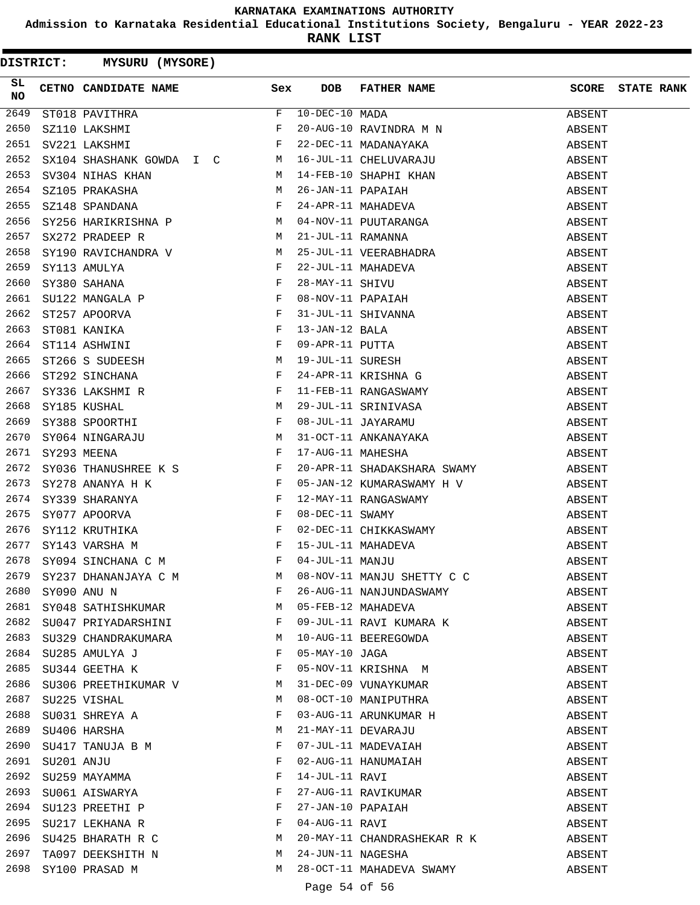**Admission to Karnataka Residential Educational Institutions Society, Bengaluru - YEAR 2022-23**

**RANK LIST**

**DISTRICT:** NN **MYSURU (MYSORE)**

| CETNO CANDIDATE NAME Sex DOB FATHER NAME SCORE STATE RANK<br>NO                                         |        |  |
|---------------------------------------------------------------------------------------------------------|--------|--|
| 2649                                                                                                    | ABSENT |  |
| 2650                                                                                                    | ABSENT |  |
| 2651                                                                                                    | ABSENT |  |
| 2652                                                                                                    | ABSENT |  |
| 2653                                                                                                    | ABSENT |  |
| 2654                                                                                                    | ABSENT |  |
| 2655                                                                                                    | ABSENT |  |
| 2656                                                                                                    | ABSENT |  |
| 2657                                                                                                    | ABSENT |  |
| 2658                                                                                                    | ABSENT |  |
| 2659                                                                                                    | ABSENT |  |
| 2660                                                                                                    | ABSENT |  |
| 2661                                                                                                    | ABSENT |  |
| 2662                                                                                                    | ABSENT |  |
| 2663                                                                                                    | ABSENT |  |
| 2664                                                                                                    | ABSENT |  |
| 2665                                                                                                    | ABSENT |  |
| 2666                                                                                                    | ABSENT |  |
| 2667                                                                                                    | ABSENT |  |
| 2668                                                                                                    | ABSENT |  |
| 2669                                                                                                    | ABSENT |  |
| 2670                                                                                                    | ABSENT |  |
| 2671                                                                                                    | ABSENT |  |
| SIZZZ PIERRA<br>SY036 THANUSHREE K S<br>20-APR-11 SHADAKSHARA SWAMY ABSENT<br>2672                      |        |  |
| $\mathbf{F}$ and $\mathbf{F}$ and $\mathbf{F}$<br>2673<br>05-JAN-12 KUMARASWAMY H V<br>SY278 ANANYA H K | ABSENT |  |
| 2674                                                                                                    |        |  |
| 2675                                                                                                    |        |  |
| 2676                                                                                                    |        |  |
| 2677                                                                                                    |        |  |
| 2678                                                                                                    |        |  |
| 2679                                                                                                    |        |  |
| 26-AUG-11 NANJUNDASWAMY<br>2680<br>SY090 ANU N<br>F                                                     | ABSENT |  |
| 05-FEB-12 MAHADEVA<br>2681 SY048 SATHISHKUMAR<br>M                                                      | ABSENT |  |
| 2682 SU047 PRIYADARSHINI F<br>09-JUL-11 RAVI KUMARA K                                                   | ABSENT |  |
| 2683 SU329 CHANDRAKUMARA M<br>10-AUG-11 BEEREGOWDA                                                      | ABSENT |  |
| 2684 SU285 AMULYA J<br>2685 SU344 GEETHA K<br>2685 SU344 GEETHA K<br>$05-MAY-10$ JAGA                   | ABSENT |  |
| 05-NOV-11 KRISHNA M                                                                                     | ABSENT |  |
| SU306 PREETHIKUMAR V M<br>2686<br>31-DEC-09 VUNAYKUMAR                                                  | ABSENT |  |
| 2687 SU225 VISHAL<br>08-OCT-10 MANIPUTHRA<br>M                                                          | ABSENT |  |
| SU031 SHREYA A<br>2688<br>F<br>03-AUG-11 ARUNKUMAR H                                                    | ABSENT |  |
| 21-MAY-11 DEVARAJU<br>2689<br>M<br>SU406 HARSHA                                                         | ABSENT |  |
| SU417 TANUJA B M<br>07-JUL-11 MADEVAIAH<br>2690<br>F                                                    | ABSENT |  |
| 02-AUG-11 HANUMAIAH<br>F                                                                                | ABSENT |  |
| 2691 SU201 ANJU<br>2692 SU259 MAYAMMA<br>2693 SU061 AISWARYA<br>F<br>14-JUL-11 RAVI                     | ABSENT |  |
| 27-AUG-11 RAVIKUMAR<br>F                                                                                | ABSENT |  |
| SU123 PREETHI P<br>2694<br>F                                                                            | ABSENT |  |
| 27-JAN-10 PAPAIAH<br>04-AUG-11 RAVI<br>2695 SU217 LEKHANA R<br>04-AUG-11 RAVI<br>$\mathbf{F}$           | ABSENT |  |
| 2696 SU425 BHARATH R C M<br>20-MAY-11 CHANDRASHEKAR R K                                                 | ABSENT |  |
| 2697 TA097 DEEKSHITH N<br>24-JUN-11 NAGESHA<br>M                                                        | ABSENT |  |
| 2698 SY100 PRASAD M<br>28-OCT-11 MAHADEVA SWAMY<br>M                                                    | ABSENT |  |

Page 54 of 56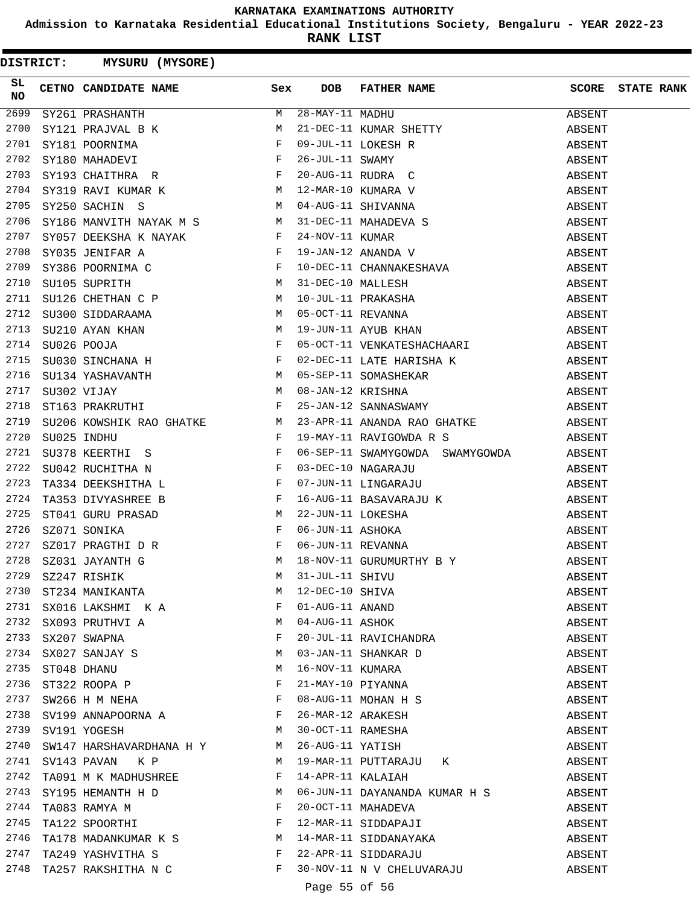**Admission to Karnataka Residential Educational Institutions Society, Bengaluru - YEAR 2022-23**

|          |  | DISTRICT: MYSURU (MYSORE)                                                                                                                                                                                                      |              |                   |                                                                                      |        |                   |
|----------|--|--------------------------------------------------------------------------------------------------------------------------------------------------------------------------------------------------------------------------------|--------------|-------------------|--------------------------------------------------------------------------------------|--------|-------------------|
| SL<br>NO |  | CETNO CANDIDATE NAME Sex                                                                                                                                                                                                       |              | <b>DOB</b>        | FATHER NAME                                                                          | SCORE  | <b>STATE RANK</b> |
| 2699     |  | M<br>SY261 PRASHANTH                                                                                                                                                                                                           |              | 28-MAY-11 MADHU   |                                                                                      | ABSENT |                   |
| 2700     |  | SY121 PRAJVAL B K M<br>SY121 PRAJVAL B K M<br>SY181 POORNIMA F<br>SY180 MAHADEVI F<br>SY193 CHAITHRA R F                                                                                                                       |              |                   | 28-MAY-11 MADHU<br>21-DEC-11 KUMAR SHETTY                                            | ABSENT |                   |
| 2701     |  |                                                                                                                                                                                                                                |              |                   |                                                                                      | ABSENT |                   |
| 2702     |  |                                                                                                                                                                                                                                |              |                   |                                                                                      | ABSENT |                   |
| 2703     |  |                                                                                                                                                                                                                                |              |                   |                                                                                      | ABSENT |                   |
| 2704     |  |                                                                                                                                                                                                                                |              |                   |                                                                                      | ABSENT |                   |
| 2705     |  |                                                                                                                                                                                                                                |              |                   |                                                                                      | ABSENT |                   |
| 2706     |  |                                                                                                                                                                                                                                |              |                   |                                                                                      | ABSENT |                   |
| 2707     |  |                                                                                                                                                                                                                                |              |                   |                                                                                      | ABSENT |                   |
| 2708     |  |                                                                                                                                                                                                                                |              |                   |                                                                                      | ABSENT |                   |
| 2709     |  |                                                                                                                                                                                                                                |              |                   |                                                                                      | ABSENT |                   |
| 2710     |  |                                                                                                                                                                                                                                |              |                   |                                                                                      | ABSENT |                   |
| 2711     |  |                                                                                                                                                                                                                                |              |                   |                                                                                      | ABSENT |                   |
| 2712     |  | NOTES CONTRAINER AND MONOGRAPH MANUSURE OF THE MONOGRAPH MANUSURE OF THE SUNG OF THE SUNG OF THE MANUSURE OF THE SUNG OF THE SUNG OF THE SUNG OF THE SUNG OF THE SUNG OF THE SUNG OF THE SUNG OF THE SUNG OF THE SUNG OF THE S |              |                   |                                                                                      | ABSENT |                   |
| 2713     |  |                                                                                                                                                                                                                                |              |                   |                                                                                      | ABSENT |                   |
| 2714     |  |                                                                                                                                                                                                                                |              |                   | 05-OCT-11 VENKATESHACHAARI                                                           | ABSENT |                   |
| 2715     |  |                                                                                                                                                                                                                                |              |                   | 02-DEC-11 LATE HARISHA K                                                             | ABSENT |                   |
| 2716     |  |                                                                                                                                                                                                                                |              |                   |                                                                                      | ABSENT |                   |
| 2717     |  | SU134 YASHAVANTH M<br>SU302 VIJAY M<br>ST163 PRAKRUTHI F                                                                                                                                                                       |              |                   | 05-SEP-11 SOMASHEKAR<br>08-JAN-12 KRISHNA<br>25-JAN-12 SANNASWAMY                    | ABSENT |                   |
| 2718     |  |                                                                                                                                                                                                                                |              |                   |                                                                                      | ABSENT |                   |
| 2719     |  | SU206 KOWSHIK RAO GHATKE M                                                                                                                                                                                                     |              |                   | 23-APR-11 ANANDA RAO GHATKE                                                          | ABSENT |                   |
| 2720     |  |                                                                                                                                                                                                                                |              |                   | 19-MAY-11 RAVIGOWDA R S                                                              | ABSENT |                   |
| 2721     |  | SU025 INDHU F<br>SU378 KEERTHI S F<br>SU042 RUCHITHA N F                                                                                                                                                                       |              |                   | 06-SEP-11 SWAMYGOWDA SWAMYGOWDA                                                      | ABSENT |                   |
| 2722     |  |                                                                                                                                                                                                                                |              |                   |                                                                                      | ABSENT |                   |
| 2723     |  | TA334 DEEKSHITHA L F                                                                                                                                                                                                           |              |                   | 03-DEC-10 NAGARAJU<br>07-JUN-11 LINGARAJU                                            | ABSENT |                   |
| 2724     |  | TA353 DIVYASHREE B F                                                                                                                                                                                                           |              |                   |                                                                                      | ABSENT |                   |
| 2725     |  | M<br>ST041 GURU PRASAD<br>SZ071 SONIKA F<br>SZ017 PRAGTHI DR F<br>SZ031 JAYANTH G M                                                                                                                                            |              |                   | 16-AUG-11 BASAVARAJU K<br>22-JUN-11 LOKESHA<br>06-JUN-11 ASHOKA<br>06-JUN-11 REVANNA | ABSENT |                   |
| 2726     |  |                                                                                                                                                                                                                                |              |                   |                                                                                      | ABSENT |                   |
| 2727     |  |                                                                                                                                                                                                                                |              |                   |                                                                                      | ABSENT |                   |
| 2728     |  |                                                                                                                                                                                                                                |              |                   | 18-NOV-11 GURUMURTHY B Y                                                             | ABSENT |                   |
|          |  |                                                                                                                                                                                                                                | М            | 31-JUL-11 SHIVU   |                                                                                      | ABSENT |                   |
|          |  | 2729 SZ247 RISHIK<br>2730 ST234 MANIKANTA                                                                                                                                                                                      | M            | 12-DEC-10 SHIVA   |                                                                                      | ABSENT |                   |
|          |  | 2731 SX016 LAKSHMI K A $F$                                                                                                                                                                                                     |              | 01-AUG-11 ANAND   |                                                                                      | ABSENT |                   |
| 2732     |  | $\mathbf M$<br>SX093 PRUTHVI A                                                                                                                                                                                                 |              | 04-AUG-11 ASHOK   |                                                                                      | ABSENT |                   |
|          |  | 2733 SX207 SWAPNA                                                                                                                                                                                                              | F            |                   | 20-JUL-11 RAVICHANDRA                                                                | ABSENT |                   |
| 2734     |  | SX207 SWAPNA<br>SX027 SANJAY S                                                                                                                                                                                                 | M            |                   | 03-JAN-11 SHANKAR D                                                                  | ABSENT |                   |
| 2735     |  | ST048 DHANU                                                                                                                                                                                                                    | M            |                   | 16-NOV-11 KUMARA                                                                     | ABSENT |                   |
| 2736     |  | ST322 ROOPA P                                                                                                                                                                                                                  | F            |                   | 21-MAY-10 PIYANNA                                                                    | ABSENT |                   |
| 2737     |  | SW266 H M NEHA                                                                                                                                                                                                                 | $\mathbf{F}$ |                   | 08-AUG-11 MOHAN H S                                                                  | ABSENT |                   |
| 2738     |  | SV199 ANNAPOORNA A $$\rm F$$                                                                                                                                                                                                   |              | 26-MAR-12 ARAKESH |                                                                                      | ABSENT |                   |
| 2739     |  | <b>Example 19</b> M<br>SV191 YOGESH                                                                                                                                                                                            |              |                   |                                                                                      | ABSENT |                   |
| 2740     |  | SW147 HARSHAVARDHANA H Y M                                                                                                                                                                                                     |              |                   | 30-OCT-11 RAMESHA<br>26-AUG-11 VATICU<br>26-AUG-11 YATISH                            | ABSENT |                   |
|          |  | M<br>2741 SV143 PAVAN K P                                                                                                                                                                                                      |              |                   | 19-MAR-11 PUTTARAJU K                                                                | ABSENT |                   |
| 2742     |  | TA091 M K MADHUSHREE F                                                                                                                                                                                                         |              |                   | 14-APR-11 KALAIAH                                                                    | ABSENT |                   |
| 2743     |  | SY195 HEMANTH H D M                                                                                                                                                                                                            |              |                   | 06-JUN-11 DAYANANDA KUMAR H S                                                        | ABSENT |                   |
| 2744     |  | TA083 RAMYA M F                                                                                                                                                                                                                |              |                   | 20-OCT-11 MAHADEVA                                                                   | ABSENT |                   |
| 2745     |  | TA122 SPOORTHI                                                                                                                                                                                                                 | $\mathbf{F}$ |                   | 12-MAR-11 SIDDAPAJI                                                                  | ABSENT |                   |
| 2746     |  | TA178 MADANKUMAR K S M                                                                                                                                                                                                         |              |                   | 14-MAR-11 SIDDANAYAKA                                                                | ABSENT |                   |
| 2747     |  | TA249 YASHVITHA S F                                                                                                                                                                                                            |              |                   | 22-APR-11 SIDDARAJU                                                                  | ABSENT |                   |
| 2748     |  | TA257 RAKSHITHA N C F                                                                                                                                                                                                          |              |                   | 30-NOV-11 N V CHELUVARAJU                                                            | ABSENT |                   |
|          |  |                                                                                                                                                                                                                                |              |                   |                                                                                      |        |                   |
|          |  |                                                                                                                                                                                                                                |              | Page 55 of 56     |                                                                                      |        |                   |